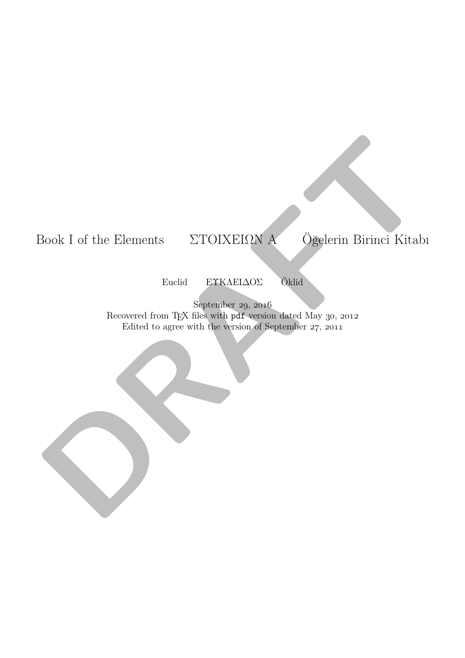# Book I of the Elements ΣΤΟΙΧΕΙΩΝ Α Öğelerin Birinci Kitabı

Euclid ΕΥΚΛΕΙΔΟΣ Öklid

September 29, 2016 Recovered from TEX files with pdf version dated May 30, 2012 Edited to agree with the version of September  $27, 2011$ 

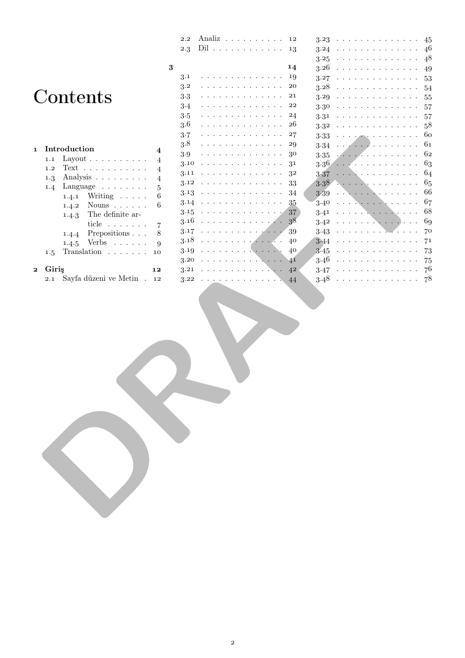# Contents

| 1. |         | Introduction                  | 4  |
|----|---------|-------------------------------|----|
|    | 1.1     | Layout $\ldots \ldots \ldots$ | 4  |
|    | 1.2     | Text $\ldots \ldots \ldots$   | 4  |
|    | $1.3 -$ | Analysis                      | 4  |
|    | 1.4     | $\text{Language} \dots \dots$ | 5  |
|    |         | Writing $\ldots$ .<br>1.4.1   | 6  |
|    |         | $1.4.2$ Nouns                 | 6  |
|    |         | 1.4.3 The definite ar-        |    |
|    |         | ticle $\ldots$                | 7  |
|    |         | Prepositions<br>1.4.4         | 8  |
|    |         | $Verbs \dots \dots$<br>1.4.5  | 9  |
|    | 1.5     | Translation                   | 10 |
|    |         |                               |    |
|    | Giris   |                               | 12 |
|    | 2.1     | Sayfa düzeni ve Metin.        | 12 |

 $\bf{3}$ 

| 2.2   | Analız | 12<br>3.23          |
|-------|--------|---------------------|
| 2.3   | Dil    | 13<br>3.24          |
|       |        | 3.25                |
|       |        | 14<br>3.26          |
| 3.1   |        | 19<br>3.27          |
| 3.2   |        | 20<br>3.28          |
| $3-3$ |        | 21<br>3.29          |
| 3.4   |        | 22<br>3.30          |
| 3.5   |        | 24<br>3.31          |
| 3.6   |        | 26<br>3.32          |
| 3.7   |        | 27<br>3.33          |
| 3.8   |        | 29<br>3.34          |
| 3.9   |        | 30<br>3.35          |
| 3.10  |        | 31<br>3.36          |
| 3.11  |        | 32<br>3.37          |
| 3.12  |        | 33<br>3.38          |
| 3.13  |        | 34<br>3.39          |
| 3.14  |        | 35<br>3.40          |
| 3.15  |        | 37<br>3.41          |
| 3.16  |        | 38<br>3.42          |
| 3.17  |        | 39<br>3.43          |
| 3.18  |        | 40<br>3.44          |
| 3.19  |        | 40<br>3.45          |
| 3.20  |        | 3.46<br>41          |
| 3.21  |        | $4^{\rm 2}$<br>3.47 |
| 3.22  |        | 3.48<br>44          |
|       |        |                     |

 $45\,$  $46\,$ 

 $\frac{1}{48}$ 

49  $\ddot{\phantom{a}}$  $53\,$  $\ddot{\phantom{0}}$  $54\,$ 

 $55\,$  $57$  $\frac{57}{58}$  $\ddot{\phantom{a}}$  $\overline{a}$ 

 $60\,$  $61$  $6\mathbf{2}$  $6<sub>3</sub>$  $\sqrt{64}$ 

 $\begin{array}{c} 65 \\ 66 \end{array}$  $\overline{a}$ 

67

68

 $69$ 

 $\overline{71}$  $\overline{73}$ 

 $^{75}_{76}$ <br> $^{76}_{78}$  $\ddotsc$  $\frac{1}{2}$  ,  $\frac{1}{2}$  ,  $\frac{1}{2}$ 

 $\mathbf{r}$  $\ddot{\phantom{0}}$ 

> $\overline{a}$  $\overline{a}$

 $\ddot{\phantom{a}}$  $\ddot{\phantom{a}}$ 

 $\ddot{\phantom{a}}$  $\ddot{\phantom{a}}$  $70$  $\overline{a}$ 

 $\ddot{\phantom{0}}$ 

 $\overline{\mathcal{L}}$  .

 $\ddot{\phantom{0}}$ 

 $\overline{a}$ 

 $\ddot{\phantom{a}}$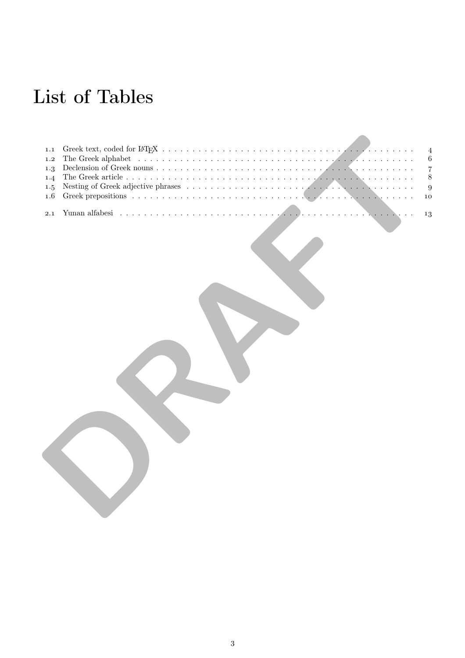# List of Tables

| 1.1     |                                                                                                                                                                                                                                | $\overline{4}$          |
|---------|--------------------------------------------------------------------------------------------------------------------------------------------------------------------------------------------------------------------------------|-------------------------|
| $1.2\,$ | The Greek alphabet is in the contract of the contract of the contract of the contract of the contract of the contract of the contract of the contract of the contract of the contract of the contract of the contract of the c | 6                       |
| 1.3     |                                                                                                                                                                                                                                | $\overline{\mathbf{7}}$ |
| 1.4     |                                                                                                                                                                                                                                | 8                       |
| 1.5     |                                                                                                                                                                                                                                | 9                       |
| 1.6     |                                                                                                                                                                                                                                | 10                      |
| 2.1     |                                                                                                                                                                                                                                | 13                      |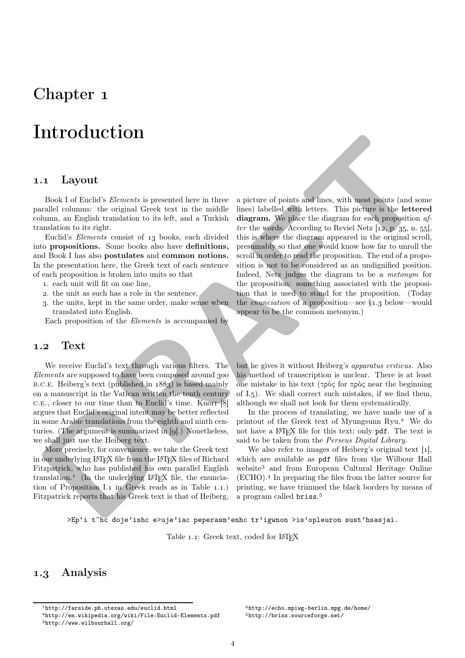# Chapter 1

# Introduction

#### 1.1 Layout

Book I of Euclid's Elements is presented here in three parallel columns: the original Greek text in the middle column, an English translation to its left, and a Turkish translation to its right.

Euclid's Elements consist of 13 books, each divided into propositions. Some books also have definitions, and Book I has also postulates and common notions. In the presentation here, the Greek text of each sentence of each proposition is broken into units so that

- . each unit will fit on one line,
- . the unit as such has a role in the sentence,
- . the units, kept in the same order, make sense when translated into English.

Each proposition of the Elements is accompanied by

#### 1.2 Text

We receive Euclid's text through various filters. The Elements are supposed to have been composed around 300 B.C.E. Heiberg's text (published in  $1883$ ) is based mainly on a manuscript in the Vatican written the tenth century c.e., closer to our time than to Euclid's time. Knorr [8] argues that Euclid's original intent may be better reflected in some Arabic translations from the eighth and ninth centuries. (The argument is summarized in  $[g]$ .) Nonetheless, we shall just use the Heiberg text.

More precisely, for convenience, we take the Greek text in our underlying LAT<sub>E</sub>X file from the LAT<sub>E</sub>X files of Richard Fitzpatrick, who has published his own parallel English translation. (In the underlying LATEX file, the enunciation of Proposition I.1 in Greek reads as in Table  $1.1$ .) Fitzpatrick reports that his Greek text is that of Heiberg,

11 Let OUTIUS the strength level for the control of pairs and the spin in the spin in the spin in the spin in the spin in the spin in the spin in the spin in the spin in the spin in the spin in the spin in the spin in the a picture of points and lines, with most points (and some lines) labelled with letters. This picture is the lettered diagram. We place the diagram for each proposition after the words. According to Reviel Netz  $[i_2, p, j_5, n, j_5],$ this is where the diagram appeared in the original scroll, presumably so that one would know how far to unroll the scroll in order to read the proposition. The end of a proposition is not to be considered as an undignified position. Indeed, Netz judges the diagram to be a metonym for the proposition: something associated with the proposition that is used to stand for the proposition. (Today the *enunciation* of a proposition—see  $\S_1$ , below—would appear to be the common metonym.)

but he gives it without Heiberg's apparatus criticus. Also his method of transcription is unclear. There is at least one mistake in his text (τρὸς for πρὸς near the beginning of  $I_{.5}$ ). We shall correct such mistakes, if we find them, although we shall not look for them systematically.

In the process of translating, we have made use of a printout of the Greek text of Myungsunn Ryu.<sup>2</sup> We do not have a LAT<sub>E</sub>X file for this text; only pdf. The text is said to be taken from the Perseus Digital Library.

We also refer to images of Heiberg's original text  $[1]$ , which are available as pdf files from the Wilbour Hall website<sup>3</sup> and from European Cultural Heritage Online (ECHO). In preparing the files from the latter source for printing, we have trimmed the black borders by means of a program called briss.<sup>5</sup>

>Ep'i t~hc doje'ishc e>uje'iac peperasm'enhc tr'igwnon >is'opleuron sust'hsasjai.

Table 1.1: Greek text, coded for LAT<sub>EX</sub>

#### 1.3 Analysis

http://farside.ph.utexas.edu/euclid.html

http://en.wikipedia.org/wiki/File:Euclid-Elements.pdf http://www.wilbourhall.org/

http://echo.mpiwg-berlin.mpg.de/home/ http://briss.sourceforge.net/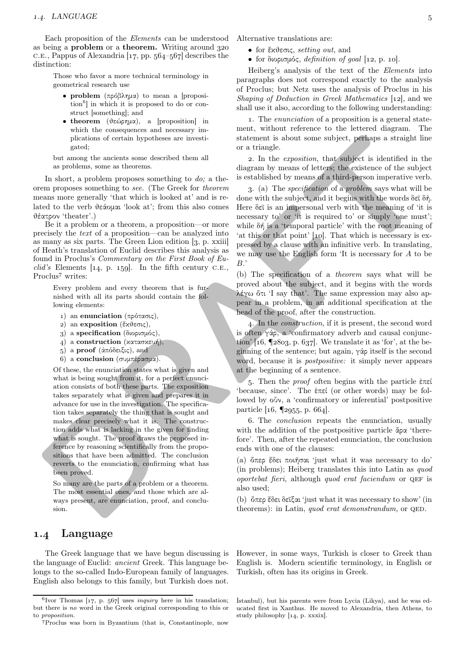Each proposition of the Elements can be understood as being a **problem** or a **theorem**. Writing around 320 C.E., Pappus of Alexandria  $[17, pp. 564-567]$  describes the distinction:

> Those who favor a more technical terminology in geometrical research use

- problem  $(πρόβλημα)$  to mean a [proposition ] in which it is proposed to do or construct [something]; and
- theorem (θεώρημα), a [proposition] in which the consequences and necessary implications of certain hypotheses are investigated;

but among the ancients some described them all as problems, some as theorems.

In short, a problem proposes something to do; a theorem proposes something to see. (The Greek for theorem means more generally 'that which is looked at' and is related to the verb θεάομαι 'look at'; from this also comes θέατρον 'theater'.)

Be it a problem or a theorem, a proposition—or more precisely the text of a proposition—can be analyzed into as many as six parts. The Green Lion edition  $[3, p$ . xxiii of Heath's translation of Euclid describes this analysis as found in Proclus's Commentary on the First Book of Eu $clid's$  Elements [14, p. 159]. In the fifth century C.E., Proclus<sup>7</sup> writes:

> Every problem and every theorem that is furnished with all its parts should contain the following elements:

- 1) an enunciation  $(πρότασις)$ ,
- 2) an exposition (ἔκθεσις),
- ) a specification (διορισμός),
- ) a construction (κατασκευή),
- 5) a **proof** (άπόδειξις), and
- ) a conclusion (συμπέρασμα).

place of certain hypothese are treating to a triangle.<br>
scale and solution and is a straight of a straight of a straight in the comparison and its absolute in the comparison of the straight in the comparison in the straig Of these, the enunciation states what is given and what is being sought from it, for a perfect enunciation consists of both these parts. The exposition takes separately what is given and prepares it in advance for use in the investigation. The specification takes separately the thing that is sought and makes clear precisely what it is. The construction adds what is lacking in the given for finding what is sought. The proof draws the proposed inference by reasoning scientifically from the propositions that have been admitted. The conclusion reverts to the enunciation, confirming what has been proved.

So many are the parts of a problem or a theorem. The most essential ones, and those which are always present, are enunciation, proof, and conclusion.

#### . Language

The Greek language that we have begun discussing is the language of Euclid: ancient Greek. This language belongs to the so-called Indo-European family of languages. English also belongs to this family, but Turkish does not. Alternative translations are:

- for ἔκθεσις, setting out, and
- for διορισμός, definition of goal  $[12, p. 10]$ .

Heiberg's analysis of the text of the Elements into paragraphs does not correspond exactly to the analysis of Proclus; but Netz uses the analysis of Proclus in his Shaping of Deduction in Greek Mathematics  $[12]$ , and we shall use it also, according to the following understanding:

. The enunciation of a proposition is a general statement, without reference to the lettered diagram. The statement is about some subject, perhaps a straight line or a triangle.

. In the exposition, that subject is identified in the diagram by means of letters; the existence of the subject is established by means of a third-person imperative verb.

. (a) The specification of a problem says what will be done with the subject, and it begins with the words δεῖ δὴ. Here δεῖ is an impersonal verb with the meaning of 'it is necessary to' or 'it is required to' or simply 'one must'; while δή is a 'temporal particle' with the root meaning of 'at this or that point' [10]. That which is necessary is expressed by a clause with an infinitive verb. In translating, we may use the English form 'It is necessary for A to be  $B$ .

(b) The specification of a theorem says what will be proved about the subject, and it begins with the words λέγω ὅτι 'I say that'. The same expression may also appear in a problem, in an additional specification at the head of the proof, after the construction.

. In the construction, if it is present, the second word is often γάρ, a 'confirmatory adverb and causal conjunction'  $[16, \P 2803, p. 637]$ . We translate it as 'for', at the beginning of the sentence; but again, γάρ itself is the second word, because it is *postpositive:* it simply never appears at the beginning of a sentence.

. Then the proof often begins with the particle ἐπεί 'because, since'. The ἐπεί (or other words) may be followed by οὖν, a 'confirmatory or inferential' postpositive particle  $[16, \P_{2955}, p. 664].$ 

. The conclusion repeats the enunciation, usually with the addition of the postpositive particle ἄρα 'therefore'. Then, after the repeated enunciation, the conclusion ends with one of the clauses:

(a) ὅπερ ἔδει ποιῆσαι 'just what it was necessary to do' (in problems); Heiberg translates this into Latin as  $quod$  $\omega$ oportebat fieri, although quod erat faciendum or QEF is also used;

(b) ὅπερ ἔδει δεῖξαι 'just what it was necessary to show' (in theorems): in Latin, quod erat demonstrandum, or QED.

However, in some ways, Turkish is closer to Greek than English is. Modern scientific terminology, in English or Turkish, often has its origins in Greek.

<sup>&</sup>lt;sup>6</sup>Ivor Thomas [17, p. 567] uses *inquiry* here in his translation; but there is no word in the Greek original corresponding to this or to proposition.

Proclus was born in Byzantium (that is, Constantinople, now

İstanbul), but his parents were from Lycia (Likya), and he was educated first in Xanthus. He moved to Alexandria, then Athens, to study philosophy  $[14, p. xxxix]$ .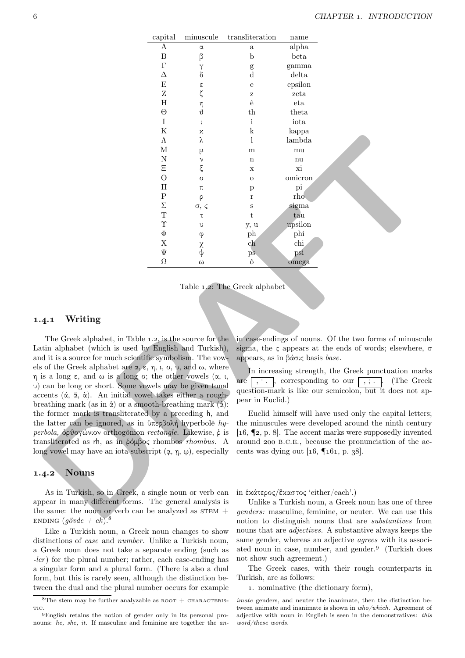|                                                                                                                                                                                                                                                                                                                                                                                                                                                                 | capital       | minuscule              | transliteration         | name                                                               |                                                                                                                                                                                                                                              |
|-----------------------------------------------------------------------------------------------------------------------------------------------------------------------------------------------------------------------------------------------------------------------------------------------------------------------------------------------------------------------------------------------------------------------------------------------------------------|---------------|------------------------|-------------------------|--------------------------------------------------------------------|----------------------------------------------------------------------------------------------------------------------------------------------------------------------------------------------------------------------------------------------|
|                                                                                                                                                                                                                                                                                                                                                                                                                                                                 | Α             | α                      | a                       | alpha                                                              |                                                                                                                                                                                                                                              |
|                                                                                                                                                                                                                                                                                                                                                                                                                                                                 | $\, {\bf B}$  | β                      | b                       | beta                                                               |                                                                                                                                                                                                                                              |
|                                                                                                                                                                                                                                                                                                                                                                                                                                                                 | $\Gamma$      | Υ                      | g                       | gamma                                                              |                                                                                                                                                                                                                                              |
|                                                                                                                                                                                                                                                                                                                                                                                                                                                                 | Δ             | δ                      | d                       | delta                                                              |                                                                                                                                                                                                                                              |
|                                                                                                                                                                                                                                                                                                                                                                                                                                                                 | E             | ε                      | е                       | epsilon                                                            |                                                                                                                                                                                                                                              |
|                                                                                                                                                                                                                                                                                                                                                                                                                                                                 | Ζ             | ζ                      | Ζ                       | zeta                                                               |                                                                                                                                                                                                                                              |
|                                                                                                                                                                                                                                                                                                                                                                                                                                                                 | $\rm H$       | η                      | ê                       | eta                                                                |                                                                                                                                                                                                                                              |
|                                                                                                                                                                                                                                                                                                                                                                                                                                                                 | $\Theta$      | $\vartheta$            | $_{\rm th}$             | theta                                                              |                                                                                                                                                                                                                                              |
|                                                                                                                                                                                                                                                                                                                                                                                                                                                                 | Ι             |                        | i                       | iota                                                               |                                                                                                                                                                                                                                              |
|                                                                                                                                                                                                                                                                                                                                                                                                                                                                 | $\mathbf K$   | χ                      | k                       | kappa                                                              |                                                                                                                                                                                                                                              |
|                                                                                                                                                                                                                                                                                                                                                                                                                                                                 | $\Lambda$     | λ                      | 1                       | lambda                                                             |                                                                                                                                                                                                                                              |
|                                                                                                                                                                                                                                                                                                                                                                                                                                                                 | M             | μ                      | m                       | mu                                                                 |                                                                                                                                                                                                                                              |
|                                                                                                                                                                                                                                                                                                                                                                                                                                                                 | N             | ν                      | $\mathbf n$             | nu                                                                 |                                                                                                                                                                                                                                              |
|                                                                                                                                                                                                                                                                                                                                                                                                                                                                 | Ξ             | ξ                      | $\mathbf x$             | xi                                                                 |                                                                                                                                                                                                                                              |
|                                                                                                                                                                                                                                                                                                                                                                                                                                                                 | $\mathcal{O}$ | $\mathbf{o}$           | $\mathbf O$             | omicron                                                            |                                                                                                                                                                                                                                              |
|                                                                                                                                                                                                                                                                                                                                                                                                                                                                 | Π             | π                      | p                       | pi                                                                 |                                                                                                                                                                                                                                              |
|                                                                                                                                                                                                                                                                                                                                                                                                                                                                 | $\mathbf P$   | ρ                      | r                       | rho.                                                               |                                                                                                                                                                                                                                              |
|                                                                                                                                                                                                                                                                                                                                                                                                                                                                 | Σ             | $\sigma$ , $\varsigma$ | $\rm S$                 | sigma                                                              |                                                                                                                                                                                                                                              |
|                                                                                                                                                                                                                                                                                                                                                                                                                                                                 | Τ             | τ                      | t                       | tau                                                                |                                                                                                                                                                                                                                              |
|                                                                                                                                                                                                                                                                                                                                                                                                                                                                 | $\Upsilon$    | υ                      | y, u                    | upsilon                                                            |                                                                                                                                                                                                                                              |
|                                                                                                                                                                                                                                                                                                                                                                                                                                                                 | $\Phi$        | φ                      | ph                      | phi                                                                |                                                                                                                                                                                                                                              |
|                                                                                                                                                                                                                                                                                                                                                                                                                                                                 | X             | χ                      | ch                      | chi                                                                |                                                                                                                                                                                                                                              |
|                                                                                                                                                                                                                                                                                                                                                                                                                                                                 | Ψ             | ψ                      | ps                      | psi                                                                |                                                                                                                                                                                                                                              |
|                                                                                                                                                                                                                                                                                                                                                                                                                                                                 | Ω             | ω                      | ô                       | omega                                                              |                                                                                                                                                                                                                                              |
| Writing<br>4.1                                                                                                                                                                                                                                                                                                                                                                                                                                                  |               |                        |                         |                                                                    |                                                                                                                                                                                                                                              |
|                                                                                                                                                                                                                                                                                                                                                                                                                                                                 |               |                        |                         |                                                                    |                                                                                                                                                                                                                                              |
| The Greek alphabet, in Table 1.2, is the source for the<br>atin alphabet (which is used by English and Turkish),<br>d it is a source for much scientific symbolism. The vow-                                                                                                                                                                                                                                                                                    |               |                        |                         | appears, as in $\beta \acute{\alpha} \sigma \varsigma$ basis base. | in case-endings of nouns. Of the two forms of minuscule<br>sigma, the $\varsigma$ appears at the ends of words; elsewhere, $\sigma$                                                                                                          |
| s of the Greek alphabet are $\alpha$ , $\varepsilon$ , $\eta$ , $\iota$ , $o$ , $\nu$ , and $\omega$ , where<br>is a long $\varepsilon$ , and $\omega$ is a long $\omega$ ; the other vowels $(\alpha, \nu, \nu)$<br>can be long or short. Some vowels may be given tonal<br>cents $(\dot{\alpha}, \ddot{\alpha}, \dot{\alpha})$ . An initial vowel takes either a rough-<br>eathing mark (as in $\dot{\alpha}$ ) or a smooth-breathing mark $(\dot{\alpha})$ : |               |                        | are<br>pear in Euclid.) | $\sqrt{ }$ , corresponding to our $\sqrt{ }$ , $\sqrt{ }$ .        | In increasing strength, the Greek punctuation marks<br>(The Greek)<br>question-mark is like our semicolon, but it does not ap-                                                                                                               |
| e former mark is transliterated by a preceding h, and<br>e latter can be ignored, as in υπερβολή hyperbolê hy-<br><i>rbola, δρ</i> θογώνιον orthogônion <i>rectangle</i> . Likewise, δ is<br>ansliterated as rh, as in pous chambos rhombus. A<br>ng vowel may have an iota subscript $(\alpha, \eta, \omega)$ , especially                                                                                                                                     |               |                        |                         | cents was dying out [16, $\P$ 161, p. 38].                         | Euclid himself will have used only the capital letters;<br>the minuscules were developed around the ninth century<br>[ $16,$ [2, p. 8]. The accent marks were supposedly invented<br>around 200 B.C.E., because the pronunciation of the ac- |
| <b>Nouns</b><br>$-4.2$                                                                                                                                                                                                                                                                                                                                                                                                                                          |               |                        |                         |                                                                    |                                                                                                                                                                                                                                              |
| As in Turkish, so in Greek, a single noun or verb can<br>pear in many different forms. The general analysis is<br>e same: the noun or verb can be analyzed as $STEM +$<br>$max_{\alpha}$ ( $sum_{\alpha}$                                                                                                                                                                                                                                                       |               |                        |                         | in έκάτερος/έκαστος 'either/each'.)                                | Unlike a Turkish noun, a Greek noun has one of three<br><i>genders:</i> masculine, feminine, or neuter. We can use this                                                                                                                      |

Table 1.2: The Greek alphabet

#### $1.4.1$  Writing

#### $1.4.2$  Nouns

As in Turkish, so in Greek, a single noun or verb can appear in many different forms. The general analysis is the same: the noun or verb can be analyzed as STEM  $\, +\,$ ENDING  $(g\ddot{\text{o}}vde + ek).$ <sup>8</sup>

Like a Turkish noun, a Greek noun changes to show distinctions of case and number. Unlike a Turkish noun, a Greek noun does not take a separate ending (such as  $-ler$ ) for the plural number; rather, each case-ending has a singular form and a plural form. (There is also a dual form, but this is rarely seen, although the distinction between the dual and the plural number occurs for example

Unlike a Turkish noun, a Greek noun has one of three genders: masculine, feminine, or neuter. We can use this notion to distinguish nouns that are *substantives* from nouns that are *adjectives*. A substantive always keeps the same gender, whereas an adjective agrees with its associated noun in case, number, and gender. (Turkish does not show such agreement.)

The Greek cases, with their rough counterparts in Turkish, are as follows:

. nominative (the dictionary form),

<sup>&</sup>lt;sup>8</sup>The stem may be further analyzable as ROOT  $+$  CHARACTERIS-TIC.

English retains the notion of gender only in its personal pronouns: he, she, it. If masculine and feminine are together the an-

imate genders, and neuter the inanimate, then the distinction between animate and inanimate is shown in who/which. Agreement of adjective with noun in English is seen in the demonstratives: this word/these words.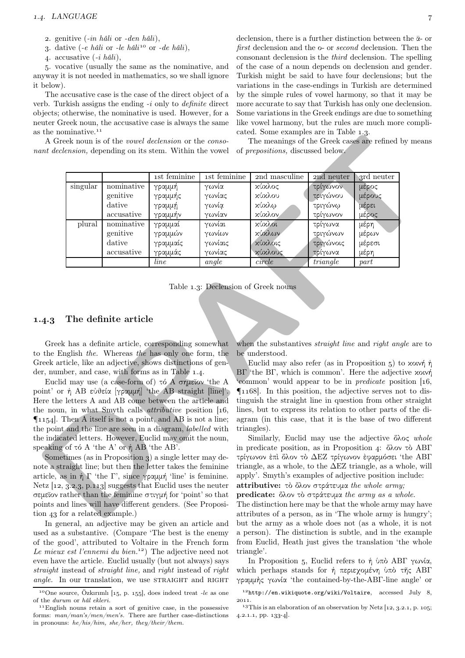- 2. genitive  $(-in \; h \, \hat{a} \, \hat{l} \, i \; or \; -den \; \hat{a} \, \hat{l} \, i),$
- 3. dative (-*e hâli* or -le hâli<sup>10</sup> or -de hâli),
- 4. accusative  $(-i \; h \hat{a} \hat{b})$ ,

. vocative (usually the same as the nominative, and anyway it is not needed in mathematics, so we shall ignore it below).

The accusative case is the case of the direct object of a verb. Turkish assigns the ending -i only to definite direct objects; otherwise, the nominative is used. However, for a neuter Greek noun, the accusative case is always the same as the nominative.

declension, there is a further distinction between the  $\bar{\alpha}$ - or first declension and the  $\sigma$ - or *second* declension. Then the consonant declension is the third declension. The spelling of the case of a noun depends on declension and gender. Turkish might be said to have four declensions; but the variations in the case-endings in Turkish are determined by the simple rules of vowel harmony, so that it may be more accurate to say that Turkish has only one declension. Some variations in the Greek endings are due to something like vowel harmony, but the rules are much more complicated. Some examples are in Table 1.3.

|                                                                                                                        |                      | A Greek noun is of the <i>vowel declension</i> or the <i>conso</i> -                                    |              | cated. Bonne examples are in fable $\mathbf{r}$ .<br>The meanings of the Greek cases are refined by means                      |            |            |  |
|------------------------------------------------------------------------------------------------------------------------|----------------------|---------------------------------------------------------------------------------------------------------|--------------|--------------------------------------------------------------------------------------------------------------------------------|------------|------------|--|
|                                                                                                                        |                      | <i>ant declension</i> , depending on its stem. Within the vowel                                         |              | of <i>prepositions</i> , discussed below.                                                                                      |            |            |  |
|                                                                                                                        |                      |                                                                                                         |              |                                                                                                                                |            |            |  |
|                                                                                                                        |                      | 1st feminine                                                                                            | 1st feminine | 2nd masculine                                                                                                                  | 2nd neuter | 3rd neuter |  |
| singular                                                                                                               | nominative           | γραμμή                                                                                                  | γωνία        | χύχλος                                                                                                                         | τρίγωνον   | μέρος      |  |
|                                                                                                                        | genitive             | γραμμής                                                                                                 | γωνίας       | κύκλου                                                                                                                         | τριγώνου   | μέρους     |  |
|                                                                                                                        | dative               | γραμμή                                                                                                  | γωνία        | κύκλω                                                                                                                          | τριγώνω    | μέρει      |  |
|                                                                                                                        | accusative           | γραμμήν                                                                                                 | γωνίαν       | κύκλον                                                                                                                         | τρίγωνον   | μέρος      |  |
| plural                                                                                                                 | nominative           | γραμμαί                                                                                                 | γωνίαι       | χύχλοι                                                                                                                         | τρίγωνα    | μέρη       |  |
|                                                                                                                        | genitive             | γραμμών                                                                                                 | γωνίων       | χύχλων                                                                                                                         | τριγώνων   | μέρων      |  |
|                                                                                                                        | dative               | γραμμαίς                                                                                                | γωνίαις      | χύχλοις                                                                                                                        | τριγώνοις  | μέρεσι     |  |
|                                                                                                                        | accusative           | γραμμάς                                                                                                 | γωνίας       | κύκλους                                                                                                                        | τρίγωνα    | μέρη       |  |
|                                                                                                                        |                      | line                                                                                                    | angle        | circle                                                                                                                         | triangle   | part       |  |
|                                                                                                                        |                      |                                                                                                         |              |                                                                                                                                |            |            |  |
|                                                                                                                        |                      |                                                                                                         |              | Table 1.3: Declension of Greek nouns                                                                                           |            |            |  |
|                                                                                                                        |                      |                                                                                                         |              |                                                                                                                                |            |            |  |
|                                                                                                                        |                      |                                                                                                         |              |                                                                                                                                |            |            |  |
|                                                                                                                        | The definite article |                                                                                                         |              |                                                                                                                                |            |            |  |
|                                                                                                                        |                      |                                                                                                         |              |                                                                                                                                |            |            |  |
|                                                                                                                        |                      |                                                                                                         |              |                                                                                                                                |            |            |  |
|                                                                                                                        |                      | Greek has a definite article, corresponding somewhat                                                    |              | when the substantives <i>straight line</i> and <i>right angle</i> are to                                                       |            |            |  |
|                                                                                                                        |                      | the English the. Whereas the has only one form, the                                                     |              | be understood.                                                                                                                 |            |            |  |
|                                                                                                                        |                      | reek article, like an adjective, shows distinctions of gen-                                             |              | Euclid may also refer (as in Proposition 5) to $x_0 \vee y_1 \wedge y_2$                                                       |            |            |  |
|                                                                                                                        |                      | r, number, and case, with forms as in Table 1.4.                                                        |              | $\overline{B\Gamma}$ the $\overline{B\Gamma}$ , which is common'. Here the adjective $x_0$                                     |            |            |  |
|                                                                                                                        |                      | Euclid may use (a case-form of) to A σημεΐον 'the A                                                     |              | 'common' would appear to be in <i>predicate</i> position [16,                                                                  |            |            |  |
|                                                                                                                        |                      | $\phi$ int' or ή AB εὐθεία [γραμμή] 'the AB straight [line]'.                                           |              | $\P$ 1168. In this position, the adjective serves not to dis-                                                                  |            |            |  |
|                                                                                                                        |                      | ere the letters A and AB come between the article and                                                   |              | tinguish the straight line in question from other straight                                                                     |            |            |  |
|                                                                                                                        |                      | e noun, in what Smyth calls <i>attributive</i> position [16,                                            |              | lines, but to express its relation to other parts of the di-                                                                   |            |            |  |
|                                                                                                                        |                      | 154. Then A itself is not a point, and AB is not a line;                                                |              | agram (in this case, that it is the base of two different                                                                      |            |            |  |
|                                                                                                                        |                      | e point and the line are seen in a diagram, labelled with                                               |              | triangles).                                                                                                                    |            |            |  |
|                                                                                                                        |                      | e indicated letters. However, Euclid may omit the noun,                                                 |              | Similarly, Euclid may use the adjective $\delta \lambda o \varsigma$ whole                                                     |            |            |  |
| eaking of $\tau$ ó A 'the A' or $\eta$ AB 'the AB'.                                                                    |                      |                                                                                                         |              | in predicate position, as in Proposition 4: όλον τὸ ABI                                                                        |            |            |  |
| Sometimes (as in Proposition 3) a single letter may de-<br>the a straight line; but then the letter takes the feminine |                      |                                                                                                         |              | τρίγωνον έπι όλον το ΔΕΖ τρίγωνον έφαρμόσει 'the ABΓ                                                                           |            |            |  |
|                                                                                                                        |                      |                                                                                                         |              | triangle, as a whole, to the $\Delta$ EZ triangle, as a whole, will<br>apply'. Smyth's examples of adjective position include: |            |            |  |
|                                                                                                                        |                      | ticle, as in $\eta \Gamma$ 'the $\Gamma$ ', since $\gamma \rho \alpha \mu \nu \eta$ 'line' is feminine. |              |                                                                                                                                |            |            |  |
|                                                                                                                        |                      | $z$ [12, 3.2.3, p.113] suggests that Euclid uses the neuter                                             |              | attributive: τὸ ὅλον στράτευμα the whole army;                                                                                 |            |            |  |
|                                                                                                                        |                      | μεῖον rather than the feminine στιγμή for 'point' so that                                               |              | predicate: δλον το στράτευμα the army as a whole.                                                                              |            |            |  |
|                                                                                                                        |                      | bints and lines will have different genders. (See Proposi-                                              |              | The distinction here may be that the whole army may have                                                                       |            |            |  |
| on 43 for a related example.)                                                                                          |                      |                                                                                                         |              | attributes of a person, as in 'The whole army is hungry';                                                                      |            |            |  |

#### 1.4.3 The definite article

In general, an adjective may be given an article and used as a substantive. (Compare 'The best is the enemy of the good', attributed to Voltaire in the French form Le mieux est l'ennemi du bien.<sup>12</sup>) The adjective need not even have the article. Euclid usually (but not always) says straight instead of straight line, and right instead of right angle. In our translation, we use STRAIGHT and RIGHT The distinction here may be that the whole army may have attributes of a person, as in 'The whole army is hungry'; but the army as a whole does not (as a whole, it is not a person). The distinction is subtle, and in the example from Euclid, Heath just gives the translation 'the whole triangle'.

In Proposition , Euclid refers to ἡ ὑπὸ ΑΒΓ γωνία, which perhaps stands for ἡ περιεχομένη ὑπὸ τῆς ΑΒΓ γραμμὴς γωνία 'the contained-by-the-ΑΒΓ-line angle' or

<sup>&</sup>lt;sup>10</sup>One source, Özkırımlı [15, p. 155], does indeed treat -le as one of the durum or hâl ekleri.

<sup>&</sup>lt;sup>11</sup>English nouns retain a sort of genitive case, in the possessive forms: man/man's/men/men's. There are further case-distinctions in pronouns: he/his/him, she/her, they/their/them.

 $12$ http://en.wikiquote.org/wiki/Voltaire, accessed July 8, 2011.

<sup>&</sup>lt;sup>13</sup>This is an elaboration of an observation by Netz  $[12, 3.2.1, p. 105]$  $4.2.1.1$ , pp.  $133-4$ .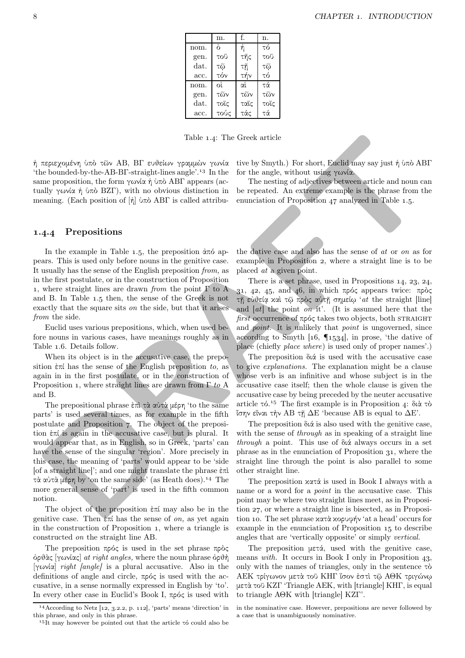|      | m.   | f.   | n.   |
|------|------|------|------|
| nom. | ò    | ň    | τό   |
| gen. | τοῦ  | τῆς  | τοῦ  |
| dat. | τῷ   | τñ   | τῷ   |
| acc. | τόν  | τήν  | τό   |
| nom. | οì   | αi   | τά   |
| gen. | τῶν  | τῶν  | τῶν  |
| dat. | τοῖς | ταῖς | τοῖς |
| acc. | τούς | τάς  | τά   |

Table 1.4: The Greek article

ἡ περιεχομένη ὑπὸ τῶν ΑΒ, ΒΓ ευθείων γραμμὼν γωνία 'the bounded-by-the-AB-B $\Gamma$ -straight-lines angle'.<sup>13</sup> In the same proposition, the form γωνία ἡ ὑπὸ ΑΒΓ appears (actually γωνία ἡ ὑπὸ ΒΖΓ), with no obvious distinction in meaning. (Each position of [ἡ] ὑπὸ ΑΒΓ is called attribu-

#### 1.4.4 Prepositions

In the example in Table 1.5, the preposition άπό appears. This is used only before nouns in the genitive case. It usually has the sense of the English preposition from, as in the first postulate, or in the construction of Proposition 1, where straight lines are drawn from the point  $\Gamma$  to A and B. In Table 1.5 then, the sense of the Greek is not exactly that the square sits on the side, but that it arises from the side.

Euclid uses various prepositions, which, when used before nouns in various cases, have meanings roughly as in Table 1.6. Details follow.

When its object is in the accusative case, the preposition  $\dot{\epsilon}$ πί has the sense of the English preposition to, as again in in the first postulate, or in the construction of Proposition 1, where straight lines are drawn from  $\Gamma$  to A and Β.

Table 1.4: The Greek article<br>
Table 1.4: The Greek article<br>
are spaced to be No AB. BT cofuse  $\frac{1}{2}$  The collasses of the Nagarity based to the Smalle, Nichol Big ForeX<br>
are boundariely-the-AB-BT-straight-lines angle.<sup></sup> The prepositional phrase ἐπὶ τὰ αὐτὰ μέρη 'to the same parts' is used several times, as for example in the fifth postulate and Proposition 7. The object of the preposition ἐπί is again in the accusative case, but is plural. It would appear that, as in English, so in Greek, 'parts' can have the sense of the singular 'region'. More precisely in this case, the meaning of 'parts' would appear to be 'side [of a straight line]'; and one might translate the phrase ἐπὶ τὰ αὐτὰ μέρη by 'on the same side' (as Heath does).<sup>14</sup> The more general sense of 'part' is used in the fifth common notion.

The object of the preposition ἐπί may also be in the genitive case. Then ἐπί has the sense of on, as yet again in the construction of Proposition , where a triangle is constructed on the straight line ΑΒ.

The preposition πρός is used in the set phrase πρὸς όρθὰς [γωνίας] at right angles, where the noun phrase ὀρθὴ [γωνία] right [angle] is a plural accusative. Also in the definitions of angle and circle, πρός is used with the accusative, in a sense normally expressed in English by 'to'. In every other case in Euclid's Book I, πρός is used with tive by Smyth.) For short, Euclid may say just ἡ ὑπὸ ΑΒΓ for the angle, without using γωνία.

The nesting of adjectives between article and noun can be repeated. An extreme example is the phrase from the enunciation of Proposition  $47$  analyzed in Table 1.5.

the dative case and also has the sense of at or on as for example in Proposition 2, where a straight line is to be placed at a given point.

There is a set phrase, used in Propositions  $14, 23, 24,$  $31, 42, 45,$  and  $46$ , in which πρός appears twice: πρός τῆ εὐθεία καὶ τῷ πρὸς αὐτῆ σημείω 'at the straight [line] and  $[at]$  the point on it'. (It is assumed here that the first occurrence of  $\pi \rho \acute{o} \varsigma$  takes two objects, both STRAIGHT and *point*. It is unlikely that *point* is ungoverned, since according to Smyth [16,  $\P$ 1534], in prose, 'the dative of place (chiefly place where) is used only of proper names'.)

The preposition διά is used with the accusative case to give explanations. The explanation might be a clause whose verb is an infinitive and whose subject is in the accusative case itself; then the whole clause is given the accusative case by being preceded by the neuter accusative article τό.<sup>15</sup> The first example is in Proposition 4: διὰ τὸ ἴσην εἶναι τὴν ΑΒ τῇ ΔΕ 'because ΑΒ is equal to ΔΕ'.

The preposition διά is also used with the genitive case, with the sense of *through* as in speaking of a straight line through a point. This use of διά always occurs in a set phrase as in the enunciation of Proposition 31, where the straight line through the point is also parallel to some other straight line.

The preposition κατά is used in Book I always with a name or a word for a point in the accusative case. This point may be where two straight lines meet, as in Proposition 27, or where a straight line is bisected, as in Proposition . The set phrase κατὰ κορυφήν 'at a head' occurs for example in the enunciation of Proposition 15 to describe angles that are 'vertically opposite' or simply vertical.

The preposition  $\mu \in \mathcal{A}$ , used with the genitive case, means with. It occurs in Book I only in Proposition  $43$ , only with the names of triangles, only in the sentence  $\tau\dot{\sigma}$ ΑΕΚ τρίγωνον μετὰ τοῦ ΚΗΓ ἴσον ἐστὶ τῷ ΑΘΚ τριγώνῳ μετὰ τοῦ ΚΖΓ 'Triangle ΑΕΚ, with [triangle] ΚΗΓ, is equal to triangle ΑΘΚ with [triangle] ΚΖΓ'.

in the nominative case. However, prepositions are never followed by a case that is unambiguously nominative.

<sup>&</sup>lt;sup>14</sup> According to Netz  $[12, 3.2.2, p. 112]$ , 'parts' means 'direction' in this phrase, and only in this phrase.

<sup>&</sup>lt;sup>15</sup>It may however be pointed out that the article τό could also be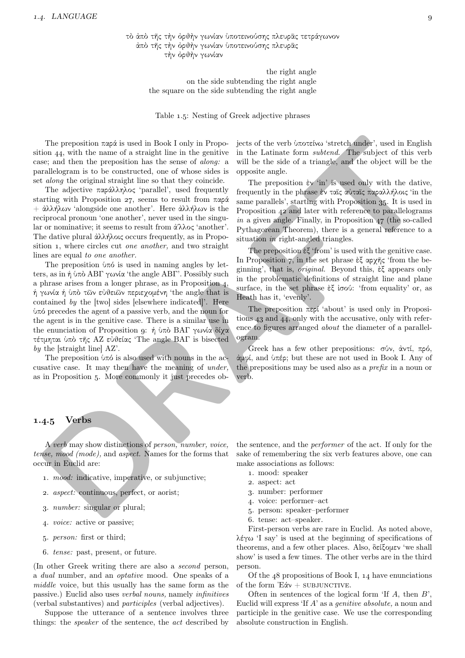τὸ ἀπὸ τῆς τὴν ὀρθὴν γωνίαν ὑποτεινούσης πλευρᾶς τετράγωνον ἀπὸ τῆς τὴν ὀρθὴν γωνίαν ὑποτεινούσης πλευρᾶς τὴν ὀρθὴν γωνίαν

> the right angle on the side subtending the right angle the square on the side subtending the right angle

Table 1.5: Nesting of Greek adjective phrases

The preposition παρά is used in Book I only in Proposition  $44$ , with the name of a straight line in the genitive case; and then the preposition has the sense of along: a parallelogram is to be constructed, one of whose sides is set along the original straight line so that they coincide.

The adjective παράλληλος 'parallel', used frequently starting with Proposition 27, seems to result from  $\pi \alpha \rho \alpha$ + ἀλλήλων 'alongside one another'. Here ἀλλήλων is the reciprocal pronoun 'one another', never used in the singular or nominative; it seems to result from ἀ΄λλος 'another'. The dative plural ἀλλήλοις occurs frequently, as in Proposition 1, where circles cut *one another*, and two straight lines are equal to one another.

The proposition angle hi used in Data Learner is the principal particle and the stress<br>in a specific model in the proposition in the profiler of a triangle set of the stress<br>can discussed model in the triangle model in th The preposition ὑπό is used in naming angles by letters, as in ἡ ὑπὸ ΑΒΓ γωνία 'the angle ΑΒΓ'. Possibly such a phrase arises from a longer phrase, as in Proposition 4. ἡ γωνία ἡ ὑπὸ τῶν εὐθειῶν περιεχομένη 'the angle that is contained by the [two] sides [elsewhere indicated]'. Here ὑπό precedes the agent of a passive verb, and the noun for the agent is in the genitive case. There is a similar use in the enunciation of Proposition 9: ή ύπὸ ΒΑΓ γωνία δίχα τέτμηται ὑπὸ τῆς ΑΖ εὐθείας 'The angle ΒΑΓ is bisected by the [straight line] ΑΖ'.

The preposition ὑπό is also used with nouns in the accusative case. It may then have the meaning of under, as in Proposition 5. More commonly it just precedes ob-

 $1.4.5$  Verbs

A verb may show distinctions of person, number, voice, tense, mood (mode), and aspect. Names for the forms that occur in Euclid are:

- . mood: indicative, imperative, or subjunctive;
- . aspect: continuous, perfect, or aorist;
- . number: singular or plural;
- . voice: active or passive;
- . person: first or third;
- . tense: past, present, or future.

(In other Greek writing there are also a second person, a dual number, and an optative mood. One speaks of a middle voice, but this usually has the same form as the passive.) Euclid also uses verbal nouns, namely infinitives (verbal substantives) and participles (verbal adjectives).

Suppose the utterance of a sentence involves three things: the speaker of the sentence, the act described by jects of the verb ὑποτείνω 'stretch under', used in English in the Latinate form subtend. The subject of this verb will be the side of a triangle, and the object will be the opposite angle.

The preposition ἐν 'in' is used only with the dative, frequently in the phrase ἐν ταῖς αὐταῖς παραλλήλοις 'in the same parallels', starting with Proposition 35. It is used in Proposition  $42$  and later with reference to parallelograms in a given angle. Finally, in Proposition  $47$  (the so-called Pythagorean Theorem), there is a general reference to a situation in right-angled triangles.

The preposition ἐξ 'from' is used with the genitive case. In Proposition 7, in the set phrase έξ αρχής 'from the beginning', that is, original. Beyond this, ἐξ appears only in the problematic definitions of straight line and plane surface, in the set phrase ἐξ ἰσού: 'from equality' or, as Heath has it, 'evenly'.

The preposition περί 'about' is used only in Propositions  $43$  and  $44$ , only with the accusative, only with reference to figures arranged about the diameter of a parallelogram.

Greek has a few other prepositions: σύν, ἀντί, πρό, ἀμφί, and ὑπέρ; but these are not used in Book I. Any of the prepositions may be used also as a prefix in a noun or verb.

- the sentence, and the performer of the act. If only for the sake of remembering the six verb features above, one can make associations as follows:
	- . mood: speaker
	- . aspect: act
	- . number: performer
	- . voice: performer–act
	- . person: speaker–performer
	- . tense: act–speaker.

First-person verbs are rare in Euclid. As noted above, λέγω 'I say' is used at the beginning of specifications of theorems, and a few other places. Also, δείξομεν 'we shall show' is used a few times. The other verbs are in the third person.

Of the  $48$  propositions of Book I,  $14$  have enunciations of the form  $E\&v + SUBJUNCTIVE$ .

Often in sentences of the logical form  $\mathcal{H}$  A, then  $B'$ , Euclid will express 'If A' as a genitive absolute, a noun and participle in the genitive case. We use the corresponding absolute construction in English.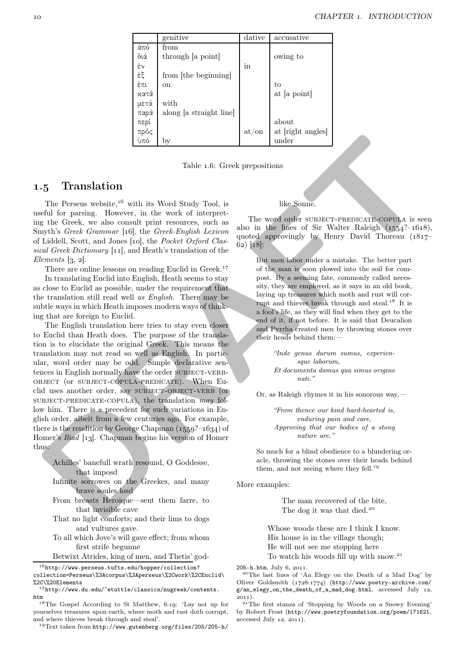|      | genitive              | dative   | accusative        |
|------|-----------------------|----------|-------------------|
| άπό  | from                  |          |                   |
| διά  | through [a point]     |          | owing to          |
| έν   |                       | in       |                   |
| έξ   | from [the beginning]  |          |                   |
| έπι  | <sub>on</sub>         |          | to                |
| κατά |                       |          | at [a point]      |
| μετά | with                  |          |                   |
| παρά | along a straight line |          |                   |
| περί |                       |          | about             |
| πρός |                       | $at/$ on | at [right angles] |
| ὑπό  | by                    |          | under             |

Table 1.6: Greek prepositions

#### 1.5 Translation

The Perseus website,  $16$  with its Word Study Tool, is useful for parsing. However, in the work of interpreting the Greek, we also consult print resources, such as Smyth's Greek Grammar  $[16]$ , the Greek-English Lexicon of Liddell, Scott, and Jones [10], the Pocket Oxford Classical Greek Dictionary  $[11]$ , and Heath's translation of the Elements  $[3, 2]$ .

There are online lessons on reading Euclid in Greek.<sup>17</sup>

In translating Euclid into English, Heath seems to stay as close to Euclid as possible, under the requirement that the translation still read well as English. There may be subtle ways in which Heath imposes modern ways of thinking that are foreign to Euclid.

DRAFT The English translation here tries to stay even closer to Euclid than Heath does. The purpose of the translation is to elucidate the original Greek. This means the translation may not read so well as English. In particular, word order may be odd. Simple declarative sentences in English normally have the order SUBJECT-VERBobject (or subject-copula-predicate). When Euclid uses another order, say SUBJECT-OBJECT-VERB (or subject-predicate-copula), the translation may follow him. There is a precedent for such variations in English order, albeit from a few centuries ago. For example, there is the rendition by George Chapman  $(1559<sup>2</sup>-1634)$  of Homer's *Iliad* [13]. Chapman begins his version of Homer thus:

Achilles' banefull wrath resound, O Goddesse, that imposd

Infinite sorrowes on the Greekes, and many brave soules losd

From breasts Heroique—sent them farre, to that invisible cave

That no light comforts; and their lims to dogs and vultures gave.

To all which Jove's will gave effect; from whom first strife begunne

Betwixt Atrides, king of men, and Thetis' god-

http://www.du.edu/~etuttle/classics/nugreek/contents. htm

 $18$ The Gospel According to St Matthew, 6:19: 'Lay not up for yourselves treasures upon earth, where moth and rust doth corrupt, and where thieves break through and steal'.

<sup>19</sup>Text taken from http://www.gutenberg.org/files/205/205-h/

#### like Sonne.

The word order SUBJECT-PREDICATE-COPULA is seen also in the lines of Sir Walter Raleigh  $(1554^2-1618)$ , quoted approvingly by Henry David Thoreau  $(1817 (62)$  [18]:

> But men labor under a mistake. The better part of the man is soon plowed into the soil for compost. By a seeming fate, commonly called necessity, they are employed, as it says in an old book, laying up treasures which moth and rust will corrupt and thieves break through and steal. $18$  It is a fool's life, as they will find when they get to the end of it, if not before. It is said that Deucalion and Pyrrha created men by throwing stones over their heads behind them:—

> > "Inde genus durum sumus, experiensque laborum, Et documenta damus qua simus origine nati."

Or, as Raleigh rhymes it in his sonorous way,—

"From thence our kind hard-hearted is, enduring pain and care, Approving that our bodies of a stony nature are."

So much for a blind obedience to a blundering oracle, throwing the stones over their heads behind them, and not seeing where they fell.<sup>19</sup>

More examples:

The man recovered of the bite, The dog it was that died.<sup>20</sup>

Whose woods these are I think I know. His house is in the village though; He will not see me stopping here To watch his woods fill up with snow.

 $205-h.htm$ , July 6, 2011.

The last lines of 'An Elegy on the Death of a Mad Dog' by Oliver Goldsmith  $(1728-1774)$   $(http://www.poetry-archive.com/$ g/an\_elegy\_on\_the\_death\_of\_a\_mad\_dog.html, accessed July ,  $2011$ ).

<sup>21</sup>The first stanza of 'Stopping by Woods on a Snowy Evening' by Robert Frost (http://www.poetryfoundation.org/poem/171621, accessed July  $12, 2011$ .

 $16$ http://www.perseus.tufts.edu/hopper/collection? collection=Perseus\%3Acorpus\%3Aperseus\%2Cwork\%2CEuclid\ %2C\%20Elements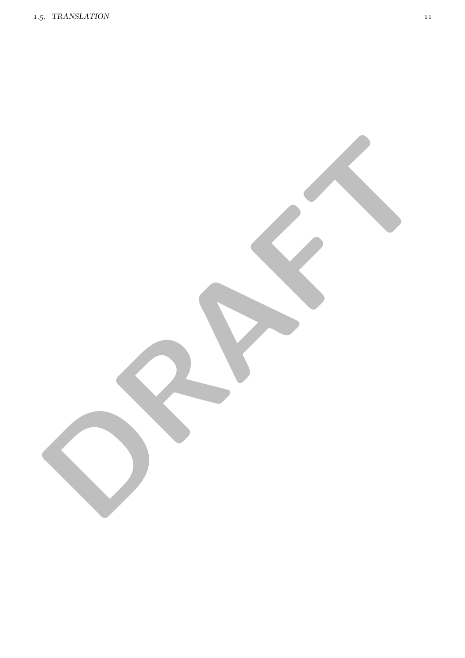RAFTER ST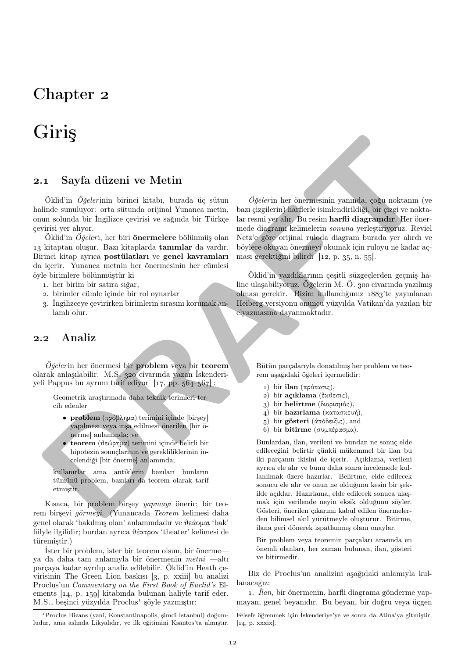# Chapter 2

# Giriş

#### . Sayfa düzeni ve Metin

Öklid'in  $\ddot{O}$ ğelerinin birinci kitabı, burada üç sütun halinde sunuluyor: orta sütunda orijinal Yunanca metin, onun solunda bir İngilizce çevirisi ve sağında bir Türkçe çevirisi yer alıyor.

Öklid'in Öğeleri, her biri önermelere bölünmüş olan 13 kitaptan oluşur. Bazı kitaplarda tanımlar da vardır. Birinci kitap ayrıca postülatları ve genel kavramları da içerir. Yunanca metnin her önermesinin her cümlesi öyle birimlere bölünmüştür ki

- . her birim bir satıra sığar,
- . birimler cümle içinde bir rol oynarlar
- . İngilizceye çevirirken birimlerin sırasını korumak anlamlı olur.

### 2.2 Analiz

 $Öğelerin her önermesi bir problem veya bir teorem$ olarak anlaşılabilir. M.S. 320 civarında yazan İskenderiyeli Pappus bu ayrımı tarif ediyor  $\lceil 17, p p. 564 - 567 \rceil$ :

> Geometrik araştırmada daha teknik terimleri tercih edenler

- problem (πρόβλημα) terimini içinde [birşey] yapılması veya inşa edilmesi önerilen [bir önerme] anlamında; ve
- teorem (θεώρημα) terimini içinde belirli bir hipotezin sonuçlarının ve gerekliliklerinin incelendiği [bir önerme] anlamında;

kullanırlar ama antiklerin bazıları bunların tümünü problem, bazıları da teorem olarak tarif etmiştir.

Kısaca, bir problem birşey yapmayı önerir; bir teorem birşeyi görmeyi. (Yunancada Teorem kelimesi daha genel olarak 'bakılmış olan' anlamındadır ve θεάομαι 'bak' fiilyle ilgilidir; burdan ayrıca θέατρον 'theater' kelimesi de türemiştir.)

İster bir problem, ister bir teorem olsun, bir önerme ya da daha tam anlamıyla bir önermenin metni —altı parçaya kadar ayrılıp analiz edilebilir. Öklid'in Heath çevirisinin The Green Lion baskısı  $\left[3, p$ . xxiii $\right]$  bu analizi Proclus'un Commentary on the First Book of Euclid's Elements  $[14, p. 159]$  kitabında bulunan haliyle tarif eder. M.S., beşinci yüzyılda Proclus şöyle yazmıştır:

DRAFT  $Öğelerin her önemli minyanında, çoğu noktanın (ve$ bazı çizgilerin) harflerle isimlendirildiği, bir çizgi ve noktalar resmi yer alır. Bu resim harfli diagramdır. Her önermede diagramı kelimelerin sonuna yerleştiriyoruz. Reviel Netz'e göre orijinal ruloda diagram burada yer alırdı ve böylece okuyan önermeyi okumak için ruloyu ne kadar açması gerektiğini bilirdi  $[12, p. 35, n. 55].$ 

Öklid'in yazdıklarının çeşitli süzgeçlerden geçmiş haline ulaşabiliyoruz. Öğelerin M. Ö.  $300$  civarında yazılmış olması gerekir. Bizim kullandığımız 1883'te yayınlanan Heiberg versiyonu onuncu yüzyılda Vatikan'da yazılan bir elyazmasına dayanmaktadır.

Bütün parçalarıyla donatılmış her problem ve teorem aşağıdaki öğeleri içermelidir:

- 1) bir ilan (πρότασις),
- ) bir açıklama (ἔκθεσις),
- ) bir belirtme (διορισμός),
- ) bir hazırlama (κατασκευή),
- ) bir gösteri (ἀπόδειξις), and
- ) bir bitirme (συμπέρασμα).

Bunlardan, ilan, verileni ve bundan ne sonuç elde edileceğini belirtir çünkü mükemmel bir ilan bu iki parçanın ikisini de içerir. Açıklama, verileni ayrıca ele alır ve bunu daha sonra incelemede kullanılmak üzere hazırlar. Belirtme, elde edilecek sonucu ele alır ve onun ne olduğunu kesin bir şekilde açıklar. Hazırlama, elde edilecek sonuca ulaşmak için verilende neyin eksik olduğunu söyler. Gösteri, önerilen çıkarımı kabul edilen önermelerden bilimsel akıl yürütmeyle oluşturur. Bitirme, ilana geri dönerek ispatlanmış olanı onaylar.

Bir problem veya teoremin parçaları arasında en önemli olanları, her zaman bulunan, ilan, gösteri ve bitirmedir.

Biz de Proclus'un analizini aşağıdaki anlamıyla kullanacağız:

. İlan, bir önermenin, harfli diagrama gönderme yapmayan, genel beyanıdır. Bu beyan, bir doğru veya üçgen

Proclus Bizans (yani, Konstantinapolis, şimdi İstanbul) doğumludur, ama aslında Likyalıdır, ve ilk eğitimini Ksantos'ta almıştır.

Felsefe öğrenmek için İskenderiye'ye ve sonra da Atina'ya gitmiştir.  $[14, p.$  xxxix].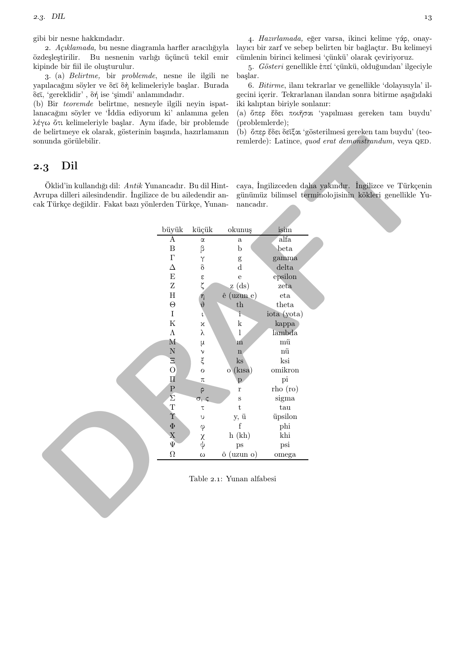gibi bir nesne hakkındadır.

. Açıklamada, bu nesne diagramla harfler aracılığıyla özdeşleştirilir. Bu nesnenin varlığı üçüncü tekil emir kipinde bir fiil ile oluşturulur.

. (a) Belirtme, bir problemde, nesne ile ilgili ne yapılacağını söyler ve δεῖ δὴ kelimeleriyle başlar. Burada δεῖ, 'gereklidir' , δή ise 'şimdi' anlamındadır.

(b) Bir teoremde belirtme, nesneyle ilgili neyin ispatlanacağını söyler ve 'İddia ediyorum ki' anlamına gelen λέγω ὅτι kelimeleriyle başlar. Aynı ifade, bir problemde de belirtmeye ek olarak, gösterinin başında, hazırlamanın sonunda görülebilir.

#### 2.3 Dil

. Hazırlamada, eğer varsa, ikinci kelime γάρ, onaylayıcı bir zarf ve sebep belirten bir bağlaçtır. Bu kelimeyi cümlenin birinci kelimesi 'çünkü' olarak çeviriyoruz.

. Gösteri genellikle ἐπεί 'çünkü, olduğundan' ilgeciyle başlar.

. Bitirme, ilanı tekrarlar ve genellikle 'dolayısıyla' ilgecini içerir. Tekrarlanan ilandan sonra bitirme aşağıdaki iki kalıptan biriyle sonlanır:

(a) ὅπερ ἔδει ποιῆσαι 'yapılması gereken tam buydu' (problemlerde);

(b) ὅπερ ἔδει δεῖξαι 'gösterilmesi gereken tam buydu' (teoremlerde): Latince, quod erat demonstrandum, veya QED.

| Dil                                                                                                                                                                             |                         |                        |                           |              |                                                                                                                      |
|---------------------------------------------------------------------------------------------------------------------------------------------------------------------------------|-------------------------|------------------------|---------------------------|--------------|----------------------------------------------------------------------------------------------------------------------|
| Öklid'in kullandığı dil: Antik Yunancadır. Bu dil Hint-<br>rupa dilleri ailesindendir. İngilizce de bu ailedendir an-<br>k Türkçe değildir. Fakat bazı yönlerden Türkçe, Yunan- |                         |                        | nancadır.                 |              | caya, İngilizceden daha yakındır. İngilizce ve Türkçenin<br>günümüz bilimsel terminolojisinin kökleri genellikle Yu- |
|                                                                                                                                                                                 |                         |                        |                           |              |                                                                                                                      |
|                                                                                                                                                                                 | büyük                   | küçük                  | okunuş                    | isim         |                                                                                                                      |
|                                                                                                                                                                                 | A                       | $\alpha$               | $\rm{a}$                  | alfa         |                                                                                                                      |
|                                                                                                                                                                                 | $\, {\bf B}$            | β                      | $\mathbf b$               | beta         |                                                                                                                      |
|                                                                                                                                                                                 | $\Gamma$                | Υ                      | g                         | gamma        |                                                                                                                      |
|                                                                                                                                                                                 | $\Delta$                | $\delta$               | ${\rm d}$                 | delta        |                                                                                                                      |
|                                                                                                                                                                                 | ${\bf E}$               | ε                      | $\mathbf{e}$              | epsilon      |                                                                                                                      |
|                                                                                                                                                                                 | ${\bf Z}$               | ζ                      | $z$ (ds)                  | zeta         |                                                                                                                      |
|                                                                                                                                                                                 | $\, {\rm H}$            | $\eta$                 | $\hat{e}$ (uzun $e$ )     | $_{\rm eta}$ |                                                                                                                      |
|                                                                                                                                                                                 | $\Theta$                | $\vartheta$            | th                        | theta        |                                                                                                                      |
|                                                                                                                                                                                 | $\rm I$                 | U,                     | $\dot{\Gamma}$            | iota (yota)  |                                                                                                                      |
|                                                                                                                                                                                 | ${\bf K}$               | $\pmb{\times}$         | $\mathbf k$               | kappa        |                                                                                                                      |
|                                                                                                                                                                                 | $\Lambda$               | У                      | $\bf{l}$                  | lambda       |                                                                                                                      |
|                                                                                                                                                                                 | M                       | $\mu$                  | m                         | mü           |                                                                                                                      |
|                                                                                                                                                                                 | ${\rm N}$               | ν                      | $\bf n$                   | $\rm{ni}$    |                                                                                                                      |
|                                                                                                                                                                                 | Ξ                       | ξ                      | $\rm ks$                  | ksi          |                                                                                                                      |
|                                                                                                                                                                                 | $\overline{O}$          | $\mathbf{o}$           | $o$ (kisa)                | omikron      |                                                                                                                      |
|                                                                                                                                                                                 | $\overline{\mathbf{u}}$ | $\pi$                  | $\mathbf{p}$              | pi           |                                                                                                                      |
|                                                                                                                                                                                 | ${\bf P}$               | $\varphi$              | $\bf r$                   | rho (ro)     |                                                                                                                      |
|                                                                                                                                                                                 | $\bar{\Sigma}$          | $\sigma$ , $\varsigma$ | $\rm S$                   | sigma        |                                                                                                                      |
|                                                                                                                                                                                 | $\mathbf T$             | $\tau$                 | t.                        | tau          |                                                                                                                      |
|                                                                                                                                                                                 | $\Upsilon$              | $\mathsf{U}$           | y, ü                      | üpsilon      |                                                                                                                      |
|                                                                                                                                                                                 | $\Phi$                  | $\phi$                 | $\rm f$                   | phi          |                                                                                                                      |
|                                                                                                                                                                                 | $\mathbf X$             | $\chi$                 | h(kh)                     | khi          |                                                                                                                      |
|                                                                                                                                                                                 | $\Psi$                  | ψ                      | $\overline{\mathrm{ps}}$  | psi          |                                                                                                                      |
|                                                                                                                                                                                 | $\Omega$                | $\omega$               | $\hat{o}$ (uzun $o$ )     | omega        |                                                                                                                      |
|                                                                                                                                                                                 |                         |                        | Table 2.1: Yunan alfabesi |              |                                                                                                                      |

Table 2.1: Yunan alfabesi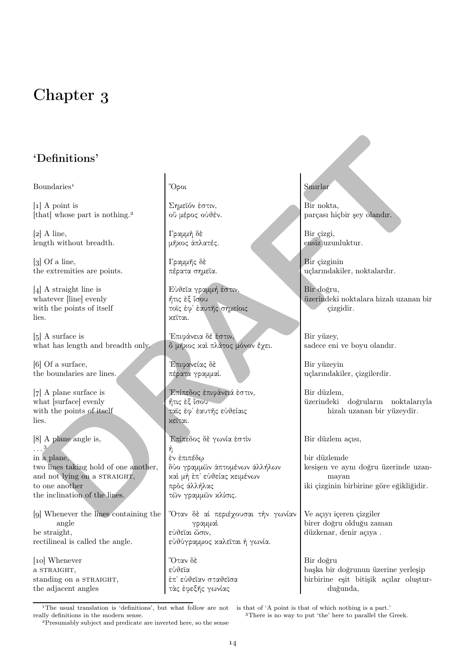# Chapter 3

## 'Definitions'

#### Boundaries

[] A point is Σημεῖόν ἐστιν, Bir nokta, [that] whose part is nothing.<sup>2</sup> | οὖ μέρος οὐθέν. parçası hiçbir şey olandır.

[] A line, Γραμμὴ δὲ Bir çizgi, length without breadth.  $\mu\tilde{\eta}\times\sigma\varsigma \dot{\alpha}\pi\lambda\alpha\tau\dot{\epsilon}\varsigma$ . ensiz uzunluktur.

[] Of a line, Γραμμῆς δὲ Bir çizginin

[4] A straight line is **E**ὐθεῖα γραμμή ἐστιν, Bir doğru, with the points of itself  $\overline{f}$  τοῖς ἐφ<sup>·</sup> ἑαυτῆς σημείοις επικεφαιρίας στην είχε στη σειρά lies. κεῖται.

[] A surface is ᾿Επιφάνεια δέ ἐστιν, Bir yüzey, what has length and breadth only.  $\delta \mu \tilde{\eta}$ χος καὶ πλάτος μόνον ἔχει. Sadece eni ve boyu olandır.

[] Of a surface, ᾿Επιφανείας δὲ Bir yüzeyin

[] A plane surface is ᾿Επίπεδος ἐπιφάνειά ἐστιν, Bir düzlem, lies. κεΐται.

**Definitions'**<br>
A line, and whose part is nothing."<br>
A line, and whose part is nothing."<br>
Equal without broadth.<br>
<br>
Let  $\alpha$  line, and the points are points.<br>
<br>
Let  $\alpha$  line, and the points are points.<br>
<br>
Let  $\alpha$  line a [8] A plane angle is, <sup>7</sup>Επίπεδος δὲ γωνία ἐστὶν Bir düzlem açısı, . . .  $\mathbf{a}$ in a plane,  $\dot{\epsilon}v \dot{\epsilon} \pi \dot{\epsilon} \delta \omega$  bir düzlemde and not lying on a straight,  $\vert x \rangle$   $\vert x \rangle$   $\vert x \rangle$  έπ' εὐθείας κειμένων mayan to one another  $\pi \rho \delta \zeta \partial \lambda \eta \delta \alpha \zeta$  iki çizginin birbirine göre eğikliğidir. the inclination of the lines.  $\tau$  τῶν γραμμῶν κλίσις.

[9] Whenever the lines containing the | Όταν δὲ αἱ περιέχουσαι τὴν γωνίαν | Ve açıyı içeren çizgiler be straight,  $\epsilon$  εὐθεῖαι ὦσιν, düzkenar, denir açıya .

[] Whenever ῞Οταν δὲ Bir doğru the adjacent angles τὰς ἐφεξῆς γωνίας duğunda,

angle angle γραμμαὶ γραμμαὶ birer doğru olduğu zaman rectilineal is called the angle.  $\left| \right.$ εύθύγραμμος καλεῖται ἡ γωνία.

#### ῞Οροι Sınırlar

the extremities are points.  $\pi \epsilon \rho \alpha \tau \alpha \sigma \eta \mu \epsilon \tilde{\alpha}$ . uçlarındakiler, noktalardır.

whatever [line] evenly  $\delta \tau \in \xi$  (σου με την προσπαθεί noktalara hizalı uzanan bir

the boundaries are lines. πέρατα γραμμαί. uçlarındakiler, çizgilerdir.

what [surface] evenly <del>γίνεις ἐξ ἴσου</del> izerindeki doğruların noktalarıyla with the points of itself **ταῖς ἐφ**<sup> $\alpha$ </sup> ἐαυτῆς εὐθείαις **hizal** uzanan bir yüzeydir.

two lines taking hold of one another, δύο γραμμῶν ἁπτομένων ἀλλήλων kesişen ve aynı doğru üzerinde uzan-

a straight, başka bir doğrunun üzerine yerleşip standing on a straight,  $\left|\frac{\partial \pi}{\partial x}\right| \leq \frac{\partial \pi}{\partial y}$  εὐθεῖαν σταθεῖσα birbirine eşit bitişik açılar oluştur-

The usual translation is 'definitions', but what follow are not really definitions in the modern sense.

Presumably subject and predicate are inverted here, so the sense

is that of 'A point is that of which nothing is a part.' There is no way to put 'the' here to parallel the Greek.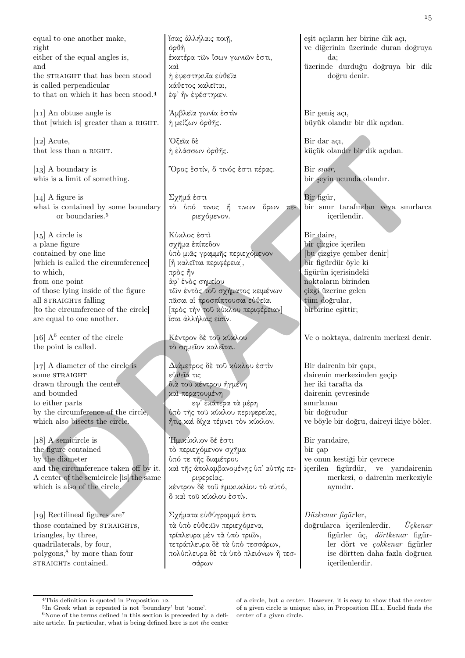equal to one another make,  $\left[\begin{array}{cc} \frac{\partial}{\partial x} & \frac{\partial}{\partial y} \\ \frac{\partial}{\partial x} & \frac{\partial}{\partial y} \end{array}\right]$  esit açıların her birine dik açı, either of the equal angles is,  $\left| \int \frac{\partial \phi}{\partial x} \phi(x) \right|$  (da; the straight that has been stood | ή ἐφεστηκυῖα εὐθεῖα doğru denir. is called perpendicular  $\vert x \alpha \theta \epsilon \tau o \varsigma x \alpha \lambda \epsilon \tau \alpha \iota$ , to that on which it has been stood.

 $\begin{bmatrix} 1 & 1 \end{bmatrix}$  An obtuse angle is  $\begin{bmatrix} \lambda \mu \beta \lambda \epsilon \alpha \gamma \omega \nu \alpha \epsilon \sigma \tau \nu \end{bmatrix}$  Bir geniş açı, that [which is] greater than a RIGHT. | ή μείζων ὀρθῆς. | büyük olandır bir dik açıdan.

[12] Acute,<br>
<sup>3</sup>Οξεῖα δὲ Bir dar açı,<br>
<sup>5</sup> ἡ ἐλάσσων ὀρθῆς.<br>
küçük oland

whis is a limit of something.  $\qquad \qquad$  bir seyin ucunda olandır.

what is contained by some boundary τὸ ὑπό τινος ή τινων ὄρων πε- bir sınır tarafından veya sınırlarca or boundaries.

a plane figure  $\sigma_{\text{Yñ}}$ μα ἐπίπεδον bir çizgice içerilen contained by one line  $\delta \pi \delta \mu \alpha \zeta \gamma$ ραμμής περιεχόμενον [bu cizgive cember denir] [which is called the circumference] [ἣ καλεῖται περιφέρεια], bir figürdür öyle ki to which,  $\pi \rho \circ \xi \hat{\eta}$ ν figürün içerisindeki from one point  $\dot{\alpha}$   $\dot{\alpha}$  ένὸς σημείου noktaların birinden of those lying inside of the figure  $\lceil \tau \tilde{\omega} \rangle$  τῶν ἐντὸς τοῦ σχήματος κειμένων  $\lceil \tau \tilde{\omega} \rangle$  cizgi üzerine gelen all straights falling  $\pi$ ασαι αίπροσπίπτουσαι εὐθεῖαι tüm doğrular, are equal to one another.

[16]  $A^6$  center of the circle the point is called.  $\frac{1}{\tau}$  τὸ σημεῖον καλεῖται.

some STRAIGHT εὐθεῖά τις dairenin merkezinden geçip drawn through the center διὰ τοῦ χέντρου ἠγμένη her iki tarafta da and bounded και περατουμένη dairenin çevresinde to either parts εφ᾿ ἑκάτερα τὰ μέρη sınırlanan by the circumference of the circle,  $\phi$ ύπὸ τῆς τοῦ χύχλου περιφερείας, bir doğrudur

the figure contained  $\vert \overline{\tau}$  τὸ περιεχόμενον σχῆμα bir çap by the diameter **interpretent in the onun kestiği** bir çevrece **interpretent in the onun kestiği bir** çevrece and the circumference taken off by it. | και της απολαμβανομένης υπ' αὐτης πε- | içerilen figürdür, ve yarıdairenin A center of the semicircle [is] the same  $\vert$  ριφερείας. http://www.merkezi, o dairenin merkeziyle which is also of the circle.  $\chi$ έντρον δὲ τοῦ ἡμιχυχλίου τὸ αὐτό, aynıdır.

ἐφ᾿ ἣν ἐφέστηκεν.

[] A boundary is ῞Ορος ἐστίν, ὅ τινός ἐστι πέρας. Bir sınır,

 $\lceil 14 \rceil$  A figure is  $\lceil \sum \chi \tilde{\eta} \mu \alpha \xi \sigma \tau \iota \rceil$  Bir figur, ριεχόμενον. içerilendir.

A American street in the case of the case of the case of the case of the case of the case of the case of the case of the case of the case of the case of the case of the case of the case of the case of the case of the case [] A circle is Κύκλος ἐστὶ Bir daire, [to the circumference of the circle]  $\begin{bmatrix} \pi \rho \dot{o} \varsigma \dot{\tau} \gamma \nu \dot{\tau} \sigma \ddot{v} \lambda \dot{\gamma} \lambda \dot{\alpha} \varsigma \dot{\epsilon} \dot{\sigma} \dot{\nu} \end{bmatrix}$  birbirine eşittir;<br>are equal to one another.

[] A diameter of the circle is Διάμετρος δὲ τοῦ κύκλου ἐστὶν Bir dairenin bir çapı,

[] A semicircle is ῾Ημικύκλιον δέ ἐστι Bir yarıdaire, ὃ καὶ τοῦ κύκλου ἐστίν.

[19] Rectilineal figures are<sup>7</sup>  $\sum$ χήματα εὐθύγραμμά ἐστι  $\sum$  Düzkenar figürler, triangles, by three,  $\vert \tau$ ρίπλευρα μὲν τὰ ὑπὸ τριῶν, figürler üç, dörtkenar figürquadrilaterals, by four,<br>
polygons,<sup>8</sup> by more than four  $\begin{bmatrix} \tau \in \tau \in \alpha \\ \tau \in \alpha \in \beta \end{bmatrix}$  τεστειά ται ται πολύπλευρα δὲ τὰ ὑπὸ πλειόνων ἢ τεσ- se dörtten daha fazla doğruca straights contained.  $\sigma \phi \omega$  icerilenlerdir.

right  $\delta \rho \vartheta \gamma$   $\delta \rho \vartheta$  ve diğerinin üzerinde duran doğruya and καὶ üzerinde durduğu doğruya bir dik

küçük olandır bir dik açıdan.

Kέντρον δὲ τοῦ κύχλου Ve o noktaya, dairenin merkezi denir.

which also bisects the circle. (ἥτις καὶ δίχα τέμνει τὸν κύκλον. ve böyle bir doğru, daireyi ikiye böler.

those contained by STRAIGHTs,  $\vert \vec{a} \rangle$ τὰ ὑπὸ εὐθειῶν περιεχόμενα,  $\vert$  doğrularca içerilenlerdir.  $\ddot{U}$ ςkenar πολύπλευρα δὲ τὰ ὑπὸ πλειόνων ἢ τεσ- ise dörtten daha fazla doğruca

<sup>5</sup>In Greek what is repeated is not 'boundary' but 'some'.

<sup>&</sup>lt;sup>4</sup>This definition is quoted in Proposition 12.

 $6$ None of the terms defined in this section is preceeded by a definite article. In particular, what is being defined here is not the center

of a circle, but a center. However, it is easy to show that the center of a given circle is unique; also, in Proposition III.1, Euclid finds the center of a given circle.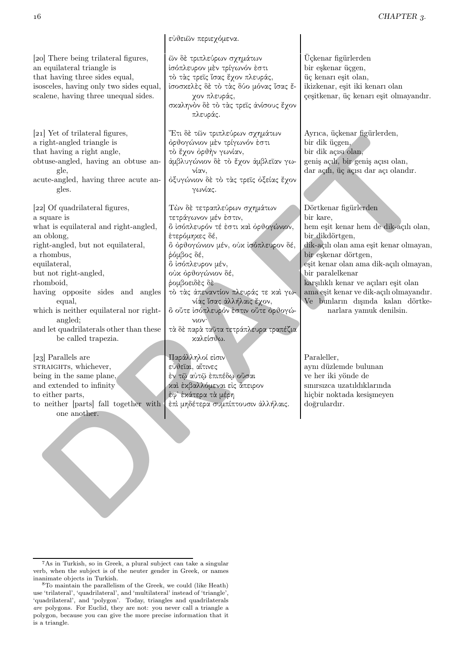|                                                                                                                                                                                                                                                                                                                                                                                      | εύθειῶν περιεχόμενα.                                                                                                                                                                                                                                                                                                                                                                                         |                                                                                                                                                                                                                                                                                                                                                                                    |
|--------------------------------------------------------------------------------------------------------------------------------------------------------------------------------------------------------------------------------------------------------------------------------------------------------------------------------------------------------------------------------------|--------------------------------------------------------------------------------------------------------------------------------------------------------------------------------------------------------------------------------------------------------------------------------------------------------------------------------------------------------------------------------------------------------------|------------------------------------------------------------------------------------------------------------------------------------------------------------------------------------------------------------------------------------------------------------------------------------------------------------------------------------------------------------------------------------|
| [20] There being trilateral figures,<br>an equilateral triangle is<br>that having three sides equal,<br>isosceles, having only two sides equal,<br>scalene, having three unequal sides.                                                                                                                                                                                              | ῶν δε τριπλεύρων σχημάτων<br>ίσόπλευρον μέν τρίγωνόν έστι<br>τό τάς τρεϊς ἴσας ἔχον πλευράς,<br>ίσοσκελὲς δὲ τὸ τὰς δύο μόνας ἴσας ἔ-<br>χον πλευράς,<br>σκαληνὸν δὲ τὸ τὰς τρεῖς ἀνίσους ἔχον<br>πλευράς.                                                                                                                                                                                                   | Üçkenar figürlerden<br>bir eşkenar üçgen,<br>üç kenarı eşit olan,<br>ikizkenar, eşit iki kenarı olan<br>çeşitkenar, üç kenarı eşit olmayandır.                                                                                                                                                                                                                                     |
| [21] Yet of trilateral figures,<br>a right-angled triangle is<br>that having a right angle,<br>obtuse-angled, having an obtuse an-<br>gle,<br>acute-angled, having three acute an-<br>gles.                                                                                                                                                                                          | "Έτι δὲ τῶν τριπλεύρων σχημάτων<br>όρθογώνιον μέν τρίγωνόν έστι<br>τὸ ἔχον ὀρθὴν γωνίαν,<br>άμβλυγώνιον δὲ τὸ ἔχον ἀμβλεῖαν γω-<br>νίαν.<br>όξυγώνιον δέ το τας τρεϊς όξείας έχον<br>γωνίας.                                                                                                                                                                                                                 | Ayrıca, üçkenar figürlerden,<br>bir dik üçgen,<br>bir dik açısı olan,<br>geniş açılı, bir geniş açısı olan,<br>dar açılı, üç açısı dar açı olandır.                                                                                                                                                                                                                                |
| [22] Of quadrilateral figures,<br>a square is<br>what is equilateral and right-angled,<br>an oblong,<br>right-angled, but not equilateral,<br>a rhombus,<br>equilateral,<br>but not right-angled,<br>rhomboid,<br>having opposite sides and angles<br>equal,<br>which is neither equilateral nor right-<br>angled;<br>and let quadrilaterals other than these<br>be called trapezia. | Τών δε τετραπλεύρων σχημάτων<br>τετράγωνον μέν έστιν,<br>δ ισόπλευρόν τέ έστι και όρθογώνιον,<br>έτερόμηκες δέ,<br>δ όρθογώνιον μέν, ούκ ισόπλευρον δέ,<br>ρόμβος δέ,<br>δ ισόπλευρον μέν,<br>ούκ όρθογώνιον δέ,<br>ρομβοειδές δέ<br>τό τάς άπεναντίον πλευράς τε καί γω-<br>νίας ἴσας ἀλλήλαις ἔχον,<br>δ ούτε ισόπλευρόν έστιν ούτε δρθογώ-<br>νιον·<br>τὰ δὲ παρὰ ταῦτα τετράπλευρα τραπέζια<br>καλείσθω. | Dörtkenar figürlerden<br>bir kare,<br>hem eşit kenar hem de dik-açılı olan,<br>bir dikdörtgen,<br>dik-açılı olan ama eşit kenar olmayan,<br>bir eşkenar dörtgen,<br>eşit kenar olan ama dik-açılı olmayan,<br>bir paralelkenar<br>karşılıklı kenar ve açıları eşit olan<br>ama eşit kenar ve dik-açılı olmayandır.<br>Ve bunların dışında kalan dörtke-<br>narlara yamuk denilsin. |
| [23] Parallels are<br>STRAIGHTS, whichever,<br>being in the same plane,<br>and extended to infinity<br>to either parts,<br>to neither [parts] fall together with<br>one another.                                                                                                                                                                                                     | Παράλληλοί είσιν<br>εύθεϊαι, αΐτινες<br>έν τω αύτω έπιπέδω ούσαι<br>και έκβαλλόμεναι είς άπειρον<br>έφ' έκάτερα τὰ μέρη<br>έπι μηδέτερα συμπίπτουσιν άλλήλαις.                                                                                                                                                                                                                                               | Paraleller,<br>aynı düzlemde bulunan<br>ve her iki yönde de<br>sınırsızca uzatıldıklarında<br>hiçbir noktada kesişmeyen<br>doğrulardır.                                                                                                                                                                                                                                            |

As in Turkish, so in Greek, a plural subject can take a singular verb, when the subject is of the neuter gender in Greek, or names inanimate objects in Turkish.

To maintain the parallelism of the Greek, we could (like Heath) use 'trilateral', 'quadrilateral', and 'multilateral' instead of 'triangle', 'quadrilateral', and 'polygon'. Today, triangles and quadrilaterals are polygons. For Euclid, they are not: you never call a triangle a polygon, because you can give the more precise information that it is a triangle.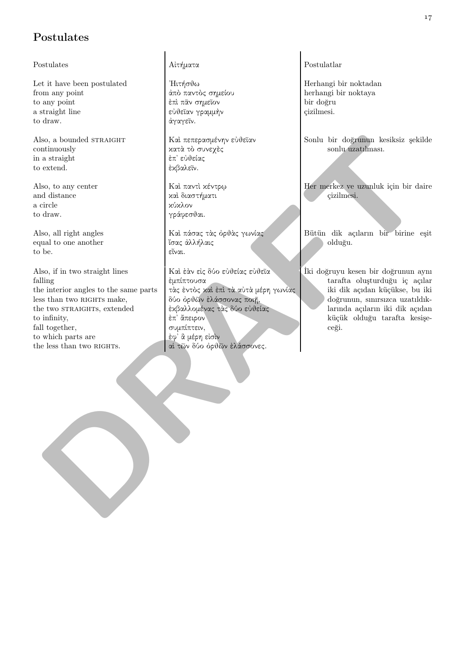## Postulates

Let it have been postulated  $\text{H}(\tau)$   $\text{H}(\tau)$   $\sigma$   $\theta$   $\omega$  Herhangi bir noktadan from any point  $\begin{cases} \frac{\partial \pi}{\partial x} \in \mathbb{R} \\ \frac{\partial \pi}{\partial y} \in \mathbb{R} \end{cases}$  παντὸς σημείου herhangi bir noktaya bir noktaya bir doğru  $\frac{1}{2}$  to any point  $\frac{1}{2}$   $\frac{1}{2}$   $\frac{1}{2}$   $\frac{1}{2}$   $\frac{1}{2}$   $\frac{1}{2}$   $\frac{1}{2}$   $\frac{1}{2}$   $\frac{1}{2}$   $\frac{1}{2}$   $\frac{1}{2}$   $\frac{1}{2}$   $\frac{1}{2}$   $\frac{1}{2}$   $\frac{1}{2}$   $\frac{1}{2}$   $\frac{1}{2}$   $\frac{1}{2}$   $\frac{1}{2}$   $\frac{1}{2$ a straight line  $\vert$  εὐθεῖαν γραμμὴν (cizilmesi. to draw. ἀγαγεῖν.

continuously κατὰ τὸ συνεχὲς in a straight  $\left\{\begin{array}{l}\n\text{κατὰ } \text{τό} \text{ συνεχὲς} \\
\text{ε} \text{π} \text{ ε} \text{υ} \text{θ} \text{ε} \text{α} \text{c}\n\end{array}\right.$ in a straight<br>to extend.

a circle κύκλον to draw.  $\gamma$ ράφεσθαι.

to be. εἶναι.

Also, if in two straight lines Καὶ ἐὰν εἰς δύο εὐθείας εὐθεῖα İki doğruyu kesen bir doğrunun aynı to which parts are  $\frac{\dot{\varepsilon}\varphi}{\dot{\alpha}}$  πέρη είσιν the less than two RIGHTs.

ἐκβαλεῖν.

καὶ διαστήματι

equal to one another <sup>(</sup>*σας ἀλλήλαις* **δεν επιβείωσε το διαφ**ανισμού διαφανισμού διαφανισμού διαφανισμού διαφανισμού διαφανισμού διαφανισμού διαφανισμού διαφανισμού διαφανισμού διαφανισμού διαφανισμού διαφανισμού διαφανι

box a bounded stratatory<br>
and view respectively. Some interesting control of the stationary of the<br>stationary of the station of the stationary of the stationary of the stationary<br>
to any control of the stationary of the s falling  $\begin{cases} \frac{2}{3} & \frac{1}{3} \\ \frac{1}{3} & \frac{1}{3} \\ \frac{1}{3} & \frac{1}{3} \\ \frac{1}{3} & \frac{1}{3} \end{cases}$   $\begin{cases} \frac{2}{3} & \frac{1}{3} \\ \frac{1}{3} & \frac{1}{3} \\ \frac{1}{3} & \frac{1}{3} \end{cases}$  factors angles to the same parts  $\begin{cases} \frac{2}{3} & \frac{1}{3} \\ \frac{1}{3} & \frac{1}{3} \\ \frac{1}{3$ τὰς ἐντὸς καὶ ἐπὶ τὰ αὐτὰ μέρη γωνίας less than two RIGHTs make, δύο ὀρθῶν ἐλάσσονας ποιῆ, doğrunun, sınırsızca uzatıldık-<br>the two STRAIGHTs, extended εκβαλλομένας τὰς δύο εὐθείας larında açıların iki dik açıdan the two straights, extended  $\left| \frac{\partial x}{\partial \alpha} \right| \frac{\partial y}{\partial \alpha}$  τὰς δύο εὐθείας larında açıların iki dik açıdan to infinity,  $\left| \frac{2\pi}{\pi} \frac{2\pi}{\pi} \frac{2\pi}{\pi} \right|$  πειρον küçük olduğu tarafta kesişefall together, συμπίπτειν, ceği. αί τῶν δύο ὀρθῶν ἐλάσσονες.

Postulates | Αιτήματα | Αιτήματα | Postulatlar

Also, a bounded straight Καὶ πεπερασμένην εὐθεῖαν Sonlu bir doğrunun kesiksiz şekilde

Also, to any center <br>  $\begin{matrix} K\alpha\alpha\pi\alpha\nu\tau\alpha\n\end{matrix}$  Καὶ παντὶ κέντρῳ Her merkez ve uzunluk için bir daire<br>
cizilmesi.

Also, all right angles | Καὶ πάσας τὰς ὀρθὰς γωνίας | Bütün dik açıların bir birine eşit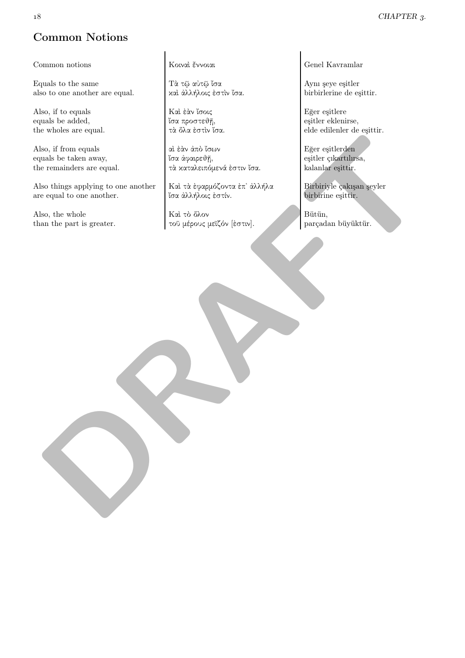18 CHAPTER 3.

## Common Notions

Equals to the same  $\begin{array}{c|c}\n\text{Tà tộ αỏ tộ iσα} \\
\text{a} & \text{a} & \text{a} \\
\text{a} & \text{a} & \text{a}\n\end{array}$  Aynı şeye eşitler<br>  $\begin{array}{c|c}\n\text{Aynı seye esitler} \\
\text{birbirlerine de esittir.}\n\end{array}$ also to one another are equal.

Also, if to equals  $\begin{array}{c|c}\n\overline{\text{K}}\alpha\end{array}$   $\dot{\epsilon}\alpha\vee\overline{\text{Cov}}$ equals be added, ἴσα προστεθῇ, eşitler eklenirse,

Also, if from equals αὶ ἐὰν ἀπὸ ἴσων Eğer eşitlerden

Also things applying to one another  $\begin{bmatrix} K\alpha\iota \tau\dot{\alpha} \epsilon\varphi\alpha\rho\mu\dot{\alpha}\zeta\alpha\nu\tau\dot{\alpha} \epsilon\tau\dot{\alpha}\lambda\lambda\dot{\gamma}\lambda\alpha \end{bmatrix}$  Birbiriyle çakışan şeyler are equal to one another. are equal to one another.

lon, if from equals<br>
and he can account the state of the state of the state of the state of the state of the calculations,<br>
to consider the state of the state of the state of the state of the<br>
constant to constant the sta equals be taken away,  $\begin{bmatrix} \n\text{if } \alpha \text{ is a constant,} \\
\alpha \text{ is a constant,} \\
\alpha \text{ is a constant,} \\
\alpha \text{ is a constant.} \n\end{bmatrix}$  esitler çıkartılırsa, eşitler çıkartılır. τὰ καταλειπόμενά ἐστιν ἴσα.

Also, the whole  $\begin{bmatrix} K\alpha\iota\tau\delta\delta\lambda o\nu \end{bmatrix}$  Καὶ τὸ ὅλον Bütün, Bütün, parçadan büyüktür. than the part is greater.  $\vert$  τοῦ μέρους μεῖζόν [ἐστιν].

Common notions Rowai ἔννοιαι Genel Kavramlar

the wholes are equal.  $\begin{vmatrix} \tau \alpha & \delta \lambda \alpha & \epsilon \sigma \tau \alpha \\ \gamma \alpha & \delta \alpha & \epsilon \sigma \tau \alpha \end{vmatrix}$  elde edilenler de eşittir.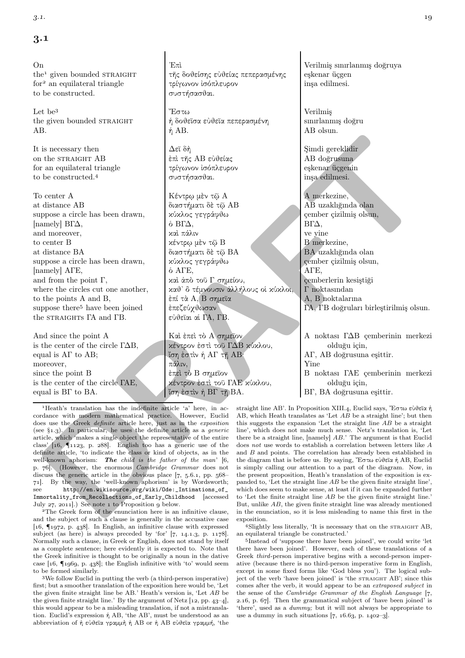#### 3.1

to be constructed. συστήσασθαι.

Let be

It is necessary then  $\Delta \varepsilon \tilde{\delta} \gamma$   $\Delta \varepsilon \tilde{\delta} \gamma$   $\Delta B$  εὐθείας  $\Delta B$  AB εὐθείας  $\Delta B$  AB doğrusuna on the straight AB  $\left| \begin{array}{c} \frac{\partial}{\partial x} & \frac{\partial}{\partial y} \frac{\partial}{\partial z} \\ \frac{\partial}{\partial z} & \frac{\partial}{\partial z} \end{array} \right|$  AB doğrusuna for an equilateral triangle  $\lceil \frac{\text{top}}{\text{top}} \rceil$  τρίγωνον ἰσόπλευρον eşkenar üçgenin to be constructed.<sup>4</sup>  $\sigma$  συστήσασθαι. insa edilmesi.

the straights ΓΑ and ΓΒ.  $\vert$  εὐθεῖαι αί ΓΑ, ΓΒ.

is the center of the circle ΓΔΒ, κέντρον έστὶ τοῦ ΓΔΒ κύκλου, olduğu için, equal is AΓ to AB;  $\delta$  (ση έστιν ή AΓ τῆ AB<sup>·</sup> AF)  $\Lambda$ Γ, AB doğrusuna eşittir. moreover, γία το πάλιν, γία το τους γίας τους γίας τους γίας τους γίας τους γίας τους γίας τους γίας τους γίας is the center of the circle ΓΑΕ, κέντρον ἐστὶ τοῦ ΓΑΕ κύκλου, dluğu için, equal is ΒΓ to ΒΑ. ἴση ἐστὶν ἡ ΒΓ τῇ ΒΑ. ΒΓ, ΒΑ doğrusuna eşittir.

## On ᾿Επὶ Verilmiş sınırlanmış doğruya the<sup>1</sup> given bounded straight  $\tau$  της δοθείσης εὐθείας πεπερασμένης eskenar üçgen for an equilateral triangle τρίγωνον ἰσόπλευρον inşa edilmesi.

῎Εστω Verilmiş the given bounded straight (ήδοθεῖσα εὐθεῖα πεπερασμένη sinirlanmiş doğru AB.  $\int \hat{\eta} AB$ . AB olsun.

To center A  $K$ έντρῳ μὲν τῷ Α (A merkezine, at distance AB διαστήματι δὲ τῷ AB AB uzaklığında olan suppose a circle has been drawn, κύκλος γεγράφθω çember çizilmiş olsun,  $\lbrack \text{namely} \rbrack$   $\text{BT}\Delta$ ,  $\qquad \qquad$   $\qquad$   $\qquad$   $\text{BT}\Delta$ ,  $\qquad$   $\qquad$   $\qquad$   $\text{BT}\Delta$ , and moreover,  $\vert x\alpha\vert \pi\alpha\lambda\upsilon$  ve vine to center B  $\chi$ έντρω μὲν τῶ Β Β merkezine, at distance BA διαστήματι δὲ τῷ BA BA uzaklığında olan suppose a circle has been drawn, κύκλος γεγράφθω (cember cizilmiş olsun, [namely] ΑΓΕ, ὁ ΑΓΕ, ΑΓΕ, and from the point Γ,  $\vert x\alpha\vert \dot{\alpha}\pi$ ο τοῦ Γ σημείου, cemberlerin kesiştiği where the circles cut one another,  $\chi \propto \vartheta$ <sup>3</sup> δ τέμνουσιν άλλήλους οι κύκλοι, Γ noktasından to the points A and B,  $\left| \begin{array}{c} \frac{\partial}{\partial x} & \frac{\partial}{\partial y} \\ \frac{\partial}{\partial z} & \frac{\partial}{\partial x} \end{array} \right|$  A, B noktalarına suppose there<sup>5</sup> have been joined | ἐπεζεύχθωσαν | ΓΑ, ΓΒ doğruları birleştirilmiş olsun.

<sup>1</sup>Heath's translation has the indefinite article 'a' here, in accordance with modern mathematical practice. However, Euclid does use the Greek definite article here, just as in the exposition (see  $\S_1$ .3). In particular, he uses the definite article as a *generic* article, which 'makes a single object the representative of the entire class'  $[16, 1123, p. 288]$ . English too has a generic use of the definite article, 'to indicate the class or kind of objects, as in the well-known aphorism: The child is the father of the man'  $[6,$ p. 76. (However, the enormous *Cambridge Grammar* does not discuss the generic article in the obvious place  $[7, 5.6.1, pp. 568-$ ]. By the way, the 'well-known aphorism' is by Wordsworth; see http://en.wikisource.org/wiki/Ode:\_Intimations\_of\_ Immortality\_from\_Recollections\_of\_Early\_Childhood [accessed July 27, 2011].) See note 1 to Proposition 9 below.

<sup>2</sup>The Greek form of the enunciation here is an infinitive clause, and the subject of such a clause is generally in the accusative case [ $16,$  [ $1972,$  p. 438]. In English, an infinitive clause with expressed subject (as here) is always preceded by 'for'  $[7, 14.1.3, p. 1178]$ . Normally such a clause, in Greek or English, does not stand by itself as a complete sentence; here evidently it is expected to. Note that the Greek infinitive is thought to be originally a noun in the dative case  $[16, \P 1969, p. 438]$ ; the English infinitive with 'to' would seem to be formed similarly.

We follow Euclid in putting the verb (a third-person imperative) first; but a smoother translation of the exposition here would be, 'Let the given finite straight line be ΑΒ.' Heath's version is, 'Let AB be the given finite straight line.' By the argument of Netz  $[12, pp. 43-4]$ , this would appear to be a misleading translation, if not a mistranslation. Euclid's expression ἡ ΑΒ, 'the ΑΒ', must be understood as an abbreviation of ἡ εὐθεῖα γραμμὴ ἡ ΑΒ or ἡ ΑΒ εὐθεῖα γραμμή, 'the

And since the point A  $\begin{bmatrix} K\alpha \end{bmatrix}$  έπει τὸ Α σημεῖον  $\begin{bmatrix} A \text{ noktasi }\Gamma\Delta B \end{bmatrix}$  gemberinin merkezi since the point B **επε**ί τὸ Β σημεῖον **Β** noktası ΓΑΕ çemberinin merkezi

is becomes a the strength of the strength of the strength of the strength of the strength of the strength of the strength of the strength of the strength of the strength of the strength of the strength of the strength of straight line AB'. In Proposition XIII.4, Euclid says, Έστω εὐθεῖα ή ΑΒ, which Heath translates as 'Let AB be a straight line'; but then this suggests the expansion 'Let the straight line AB be a straight line', which does not make much sense. Netz's translation is, 'Let there be a straight line, [namely] AB.' The argument is that Euclid does not use words to establish a correlation between letters like A and B and points. The correlation has already been established in the diagram that is before us. By saying, Έστω εὐθεῖα ή AB, Euclid is simply calling our attention to a part of the diagram. Now, in the present proposition, Heath's translation of the exposition is expanded to, 'Let the straight line AB be the given finite straight line', which does seem to make sense, at least if it can be expanded further to 'Let the finite straight line AB be the given finite straight line.' But, unlike AB, the given finite straight line was already mentioned in the enunciation, so it is less misleading to name this first in the exposition.

Slightly less literally, 'It is necessary that on the straight ΑΒ, an equilateral triangle be constructed.'

<sup>5</sup>Instead of 'suppose there have been joined', we could write 'let there have been joined'. However, each of these translations of a Greek third-person imperative begins with a second-person imperative (because there is no third-person imperative form in English, except in some fixed forms like 'God bless you'). The logical subject of the verb 'have been joined' is 'the straight ΑΒ'; since this comes after the verb, it would appear to be an extraposed subject in the sense of the Cambridge Grammar of the English Language  $[7,$ 2.16, p.  $67$ . Then the grammatical subject of 'have been joined' is 'there', used as a dummy; but it will not always be appropriate to use a dummy in such situations  $[7, 16.63, p. 1402-3]$ .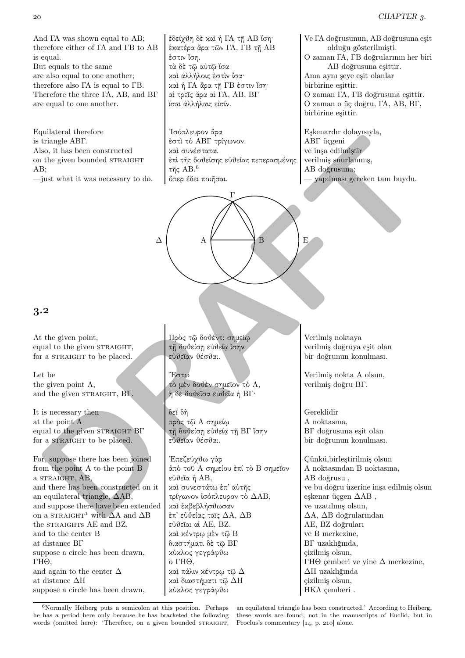therefore either of ΓΑ and ΓΒ to AΒ | έχατέρα ἄρα τῶν ΓΑ, ΓΒ τῆ AΒ olduğu gösterilmişti. is equal. ἐστιν ἴση. O zaman ΓΑ, ΓΒ doğrularının her biri But equals to the same  $\vert \tau \alpha \delta \dot{\epsilon} \tau \ddot{\omega} \alpha \dot{\sigma} \ddot{\omega}$   $\tau \ddot{\omega} \alpha$  AB doğrusuna eşittir. are also equal to one another; καὶ ἀλλήλοις ἐστὶν ἴσα· Ama aynı şeye eşit olanlar therefore also ΓΑ is equal to ΓΒ.  $\vert x\alpha\iota \eta \rceil$  ΓΑ ἄρα τῆ ΓΒ ἐστιν ἴση· birbirine esittir. Therefore the three ΓΑ, AB, and BΓ | αί τρεῖς ἄρα αί ΓΑ, AB, BΓ | Ο zaman ΓΑ, ΓΒ doğrusuna eşittir. are equal to one another. ἴσαι ἀλλήλαις εἰσίν. O zaman o üç doğru, ΓΑ, ΑΒ, ΒΓ,

Equilateral therefore  $\begin{array}{c|c}\n\end{array}$  (*Ισόπλευρον ἄρα E*şkenardır dolayısıyla, is triangle ABT. έστὶ τὸ ΑΒΓ τρίγωνον.  $\begin{array}{c|c}\n\text{ABF} & \text{ii} \text{ggeni} \\
\text{vα} & \text{oru} \text{y} & \text{veta} \text{gensi}\n\end{array}$ Also, it has been constructed καὶ συνέσταται και συνέσταται νε inşa edilmiştir on the given bounded STRAIGHT  $\left\{\begin{array}{l}\right. \star$ αὶ συνέσταται εὐθείας πεπερασμένης verilmis sinirlanmis. on the given bounded STRAIGHT | επι της δοθείσης εὐθείας πεπερασμένης  $AB$ ;  $\pi \sim AB^6$  AB doğrusuna; —just what it was necessary to do. ὅπερ ἔδει ποιῆσαι. — yapılması gereken tam buydu.



And ΓΑ was shown equal to AB; <sup>εδεί</sup>χθη δὲ καὶ ἡ ΓΑ τῆ ΑΒ ἴση· <sup>Ve ΓΑ</sup> doğrusunun, AB doğrusuna eşit birbirine eşittir.

#### $3.2$

At the given point, Πρὸς τῷ δοθέντι σημεί $\omega$  Verilmiş noktaya equal to the given straight,  $\lceil \tau \tilde{\eta} \rceil$  δοθείση εὐθεία ἴσην verilmiş doğruya eşit olan for a STRAIGHT to be placed.  $\left\{\right.$ εὐθεῖαν θέσθαι. bir doğrunun konulması.

Let be <sup>γ</sup>Εστω Verilmis nokta A olsun, the given point A,<br>and the given STRAIGHT, BΓ.<br> $\hat{\eta} \delta \hat{\epsilon} \delta \hat{\sigma} \hat{\theta} \hat{\epsilon} \sigma \alpha \hat{\epsilon} \hat{\sigma} \hat{\epsilon} \sigma \hat{\epsilon} \eta \beta \Gamma$ . and the given straight,  $B\Gamma$ .

It is necessary then  $\delta \tilde{\epsilon}$  δεῖ δὴ Gereklidir at the point Α πρὸς τῷ Α σημείῳ Α noktasına, equal to the given STRAIGHT BΓ (τῆ δοθείση εὐθεία τῆ ΒΓ ἴσην ΒΓ doğrusuna eşit olan

For, suppose there has been joined [ $\frac{\text{c}}{\text{c}} \frac{\text{c}}{\text{c}} \frac{\text{c}}{\text{c}} \frac{\text{d}}{\text{c}} \frac{\text{d}}{\text{c}} \frac{\text{d}}{\text{c}} \frac{\text{d}}{\text{c}} \frac{\text{d}}{\text{c}} \frac{\text{d}}{\text{c}} \frac{\text{d}}{\text{c}} \frac{\text{d}}{\text{c}} \frac{\text{d}}{\text{c}} \frac{\text{d}}{\text{c}} \frac{\text{d}}{\text{c}} \frac{\text{d}}{\text{c}} \frac{\$ from the point A to the point  $\overline{B}$  | ἀπὸ τοῦ Α σημείου ἐπί τὸ Β σημεῖον | A noktasından B noktasına, a straight, ΑΒ, εὐθεῖα ἡ ΑΒ, ΑΒ doğrusu , and there has been constructed on it | καὶ συνεστάτω ἐπ' αὐτῆς ve bu doğru üzerine inşa edilmiş olsun an equilateral triangle,  $\triangle AB$ ,  $\qquad \qquad$  τρίγωνον ἰσόπλευρον τὸ  $\triangle AB$ ,  $\qquad$  eşkenar üçgen  $\triangle AB$ , and suppose there have been extended  $\chi \chi \chi \chi \chi \chi \chi \chi \chi \chi \chi \chi \chi$  ve uzatılmış olsun, on a straight with  $\Delta A$  and  $\Delta B$  | επ' εὐθείας ταῖς  $\Delta A$ ,  $\Delta B$  |  $\Delta A$ ,  $\Delta B$  doğrularından the straights AE and BZ,  $\begin{array}{c|c}\n\text{eV} & \text{eV} \\
\text{eV} & \text{fV} \\
\text{fV} & \text{fH} \\
\text{gV} & \text{fH} \\
\text{hH} & \text{hH} \\
\text{hH} & \text{hH} \\
\text{hH} & \text{hH} \\
\text{hH} & \text{hH} \\
\text{hH} & \text{hH} \\
\text{hH} & \text{hH} \\
\text{hH} & \text{hH} \\
\text{hH} & \text{hH} \\
\text{hH} & \text{hH} \\
\text{$ and to the center B  $\vert x\alpha\vert x \leq v \tau\omega \mu \geq \overline{\alpha}B$  ve B merkezine, at distance BΓ διαστήματι δὲ τῶ BΓ βΓ uzaklığında, suppose a circle has been drawn,  $\left| \frac{\chi \psi \chi \lambda o \varsigma}{\chi \psi \chi \chi o \varsigma} \right|$   $\left| \frac{\chi \psi \chi}{\chi \chi \chi o \varsigma} \right|$   $\left| \frac{\chi \psi \chi}{\chi \chi \chi \chi o \varsigma} \right|$   $\left| \frac{\chi \psi \chi}{\chi \chi \chi \chi \chi} \right|$   $\left| \frac{\chi \psi}{\chi \chi \chi \chi \chi} \right|$   $\left| \frac{\chi \psi}{\chi \chi \chi \chi \chi} \right|$   $\left| \frac{\chi$ ΓΗΘ,<br>
and again to the center  $\Delta$   $\begin{bmatrix} \delta \text{ TH}\Theta, \\ \text{xd} \text{ rad} \end{bmatrix}$   $\begin{bmatrix} \delta \text{ TH}\Theta, \\ \text{d} \text{ H}\Theta \end{bmatrix}$   $\begin{bmatrix} \text{TH}\Theta \text{ gemberi} \end{bmatrix}$  we  $\Delta$  merkezine,<br>  $\Delta$  and again to the center  $\Delta$ and again to the center  $\Delta$   $\alpha$  καὶ πάλιν κέντρω τῶ  $\Delta$ at distance ΔΗ  $\alpha$ ι καὶ διαστήματι τῷ ΔΗ σizilmiş olsun, suppose a circle has been drawn, κύκλος γεγράφθω ΗΚΛ çemberi .

for a straight to be placed.  $\left| \right|$  εὐθεῖαν θέσθαι.  $\left| \right|$  bir doğrunun konulması.

Normally Heiberg puts a semicolon at this position. Perhaps he has a period here only because he has bracketed the following words (omitted here): 'Therefore, on a given bounded STRAIGHT, an equilateral triangle has been constructed.' According to Heiberg, these words are found, not in the manuscripts of Euclid, but in Proclus's commentary  $[14, p. 210]$  alone.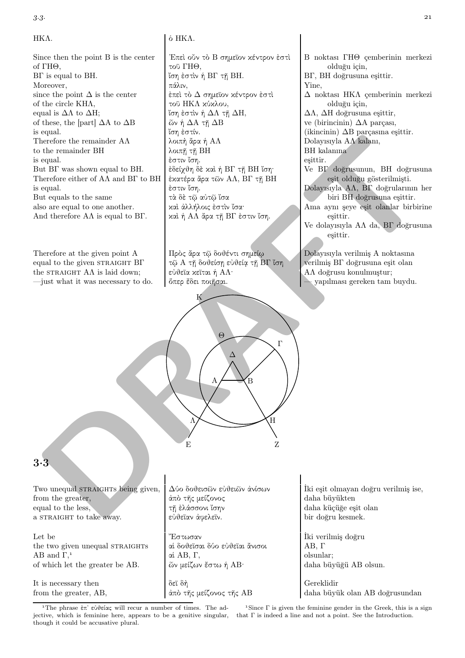#### $3.3 \cdot$  21

of ΓΗΘ,  $\lceil \text{TO0} \rceil$  τοῦ ΓΗΘ,  $\lceil \text{TO0} \rceil$  olduğu için, ΒΓ is equal to ΒΗ. ἴση ἐστὶν ἡ ΒΓ τῇ ΒΗ. ΒΓ, ΒΗ doğrusuna eşittir. Moreover,  $\pi\hat{\alpha}\lambda\upsilon$ ,  $\pi\hat{\alpha}\lambda\upsilon$ , Yine, of the circle ΚΗΛ,  $\qquad \qquad$  τοῦ ΗΚΛ χύχλου,  $\qquad \qquad$  olduğu için, equal is  $\Delta \Lambda$  to  $\Delta H$ ; <sup>[</sup> (ση έστὶν ἡ  $\Delta \Lambda$  τῆ  $\Delta H$ ,  $\Delta H$  doğrusuna eşittir, of these, the [part]  $\Delta A$  to  $\Delta B$   $\qquad$   $\qquad$   $\qquad$   $\Delta A$  τῆ  $\Delta B$  ve (birincinin)  $\Delta A$  parçası, is equal.  $\begin{bmatrix} \n\text{for } \theta \in \mathbb{R} \\
\text{for } \theta \in \mathbb{R} \\
\text{for } \theta \in \mathbb{R}\n\end{bmatrix}$  (ikincinin) ΔB parçasına eşittir.<br>
Dolayısıyla AΛ kalanı, Therefore the remainder  $\Lambda$   $\lambda$  λοιπὴ ἄρα ἡ  $\Lambda$   $\lambda$  Dolaysiyla A<br>to the remainder BH  $\lambda$  λοιπῆ τῆ BH  $\lambda$ to the remainder BH  $\lambda$ οιπῆ τῆ BH is equal. ἐστιν ἴση. eşittir. Therefore either of AΛ and BΓ to BΗ | έχατέρα ἄρα τῶν ΑΛ, ΒΓ τῆ ΒΗ eşit olduğu gösterilmişti. But equals to the same  $\tau\alpha$  δὲ τῷ αὐτῷ ἴσα biri BH doğrusuna eşittir. And therefore  $A\Lambda$  is equal to BΓ.  $\vert x\alpha\iota\eta A\Lambda \Delta \varphi\alpha\tau\tilde{\eta} B\Gamma \epsilon \sigma \tau \iota\nu \tilde{\sigma}\eta.$  esittir.

Therefore at the given point A Πρὸς ἄρα τῷ δοθέντι σημείω Dolayısıyla verilmiş A noktasına equal to the given straight BΓ  $\tau\tilde{\rho}$  A τ $\tilde{\rho}$  δοθείση εὐθεία τῆ BΓ ἴση verilmiş BΓ doğrusuna eşit olan the straight AΛ is laid down;  $\int$  εὐθεῖα κεῖται ἡ ΑΛ·  $\begin{bmatrix} AA \\ AB \end{bmatrix}$  (AΛ doğrusu konulmuştur; —just what it was necessary to do. ὅπερ ἔδει ποιῆσαι. — yapılması gereken tam buydu.

ΗΚΛ. ὁ ΗΚΛ.

Γ

Η

According to the contained and BT to Ball and The Column of the Column of the Column of the Column of the Column of the Column of the Column of the Column of the Column of the Column of the Column of the Column of the Col Since then the point B is the center <sup>7</sup> Έπει οὖν τὸ Β σημεῖον κέντρον ἐστι B noktası ΓΗΘ cemberinin merkezi since the point  $\Delta$  is the center  $\left| \begin{array}{c} \epsilon \in \mathbb{R} \\ \epsilon \in \mathbb{R} \end{array} \right|$   $\Delta$  or  $\mu \in \mathbb{R}$  is the center  $\left| \begin{array}{c} \epsilon \in \mathbb{R} \\ \epsilon \in \mathbb{R} \end{array} \right|$  and  $\lambda$  noktasi HKA cemberinin merkezi But BΓ was shown equal to BH.  $\frac{1}{6}$ δείχθη δὲ καὶ ἡ BΓ τῆ BΗ ἴση· Ve BΓ doğrusunun, BH doğrusuna is equal. ἐστιν ἴση. Dolayısıyla ΑΛ, ΒΓ doğrularının her also are equal to one another.  $\vert x\alpha\dot{\alpha}\lambda\dot{\alpha}\lambda\alpha\dot{\beta}\alpha\alpha\dot{\beta}\alpha\alpha$  Ama aynı şeye eşit olanlar birbirine Ve dolayısıyla ΑΛ da, ΒΓ doğrusuna eşittir.

 $A \rightarrow B$ Δ Θ

Λ

Κ

## $3.\overline{3}$

Two unequal straights being given, Δύο δοθεισῶν εὐθειῶν ἀνίσων İki eşit olmayan doğru verilmiş ise, from the greater, ἀπὸ τῆς μείζονος daha büyükten equal to the less,  $\tau_{\tilde{\eta}}$  έλάσσονι ἴσην daha küçüğe eşit olan a straight to take away.  $\begin{array}{c|c}\n\text{eV} & \text{eV} \\
\text{eV} & \text{eV} \\
\text{eV} & \text{eV} \\
\text{eV} & \text{eV} \\
\text{eV} & \text{eV} \\
\text{eV} & \text{eV} \\
\text{eV} & \text{eV} \\
\text{eV} & \text{eV} \\
\text{eV} & \text{eV} \\
\text{eV} & \text{eV} \\
\text{eV} & \text{eV} \\
\text{eV} & \text{eV} \\
\text{eV} & \text{eV} \\
\text{$ 

the two given unequal straights αἱ δοθεῖσαι δύο εὐθεῖαι ἄνισοι ΑΒ, Γ AB and  $\Gamma$ <sup>1</sup> of which let the greater be ΑΒ. ὧν μείζων ἔστω ἡ ΑΒ· daha büyüğü ΑΒ olsun.

Ε Ζ

Let be a serilmiş doğru ilk ilki verilmiş doğru ilki verilmiş doğru  $α$ **i** AB, Γ,  $α$ **i** AB, Γ,  $α$ **i** Osunlar;

It is necessary then  $\delta \tilde{\epsilon}$  δεῖ δὴ Gereklidir

from the greater, AB,  $\alpha \in \mathcal{A}$  από τῆς μείζονος τῆς AB daha büyük olan AB doğrusundan

The phrase ἐπ᾿ εὐθείας will recur a number of times. The adjective, which is feminine here, appears to be a genitive singular, that Γ is indeed a line and not a point. See the Introduction.though it could be accusative plural.

<sup>1</sup>Since  $\Gamma$  is given the feminine gender in the Greek, this is a sign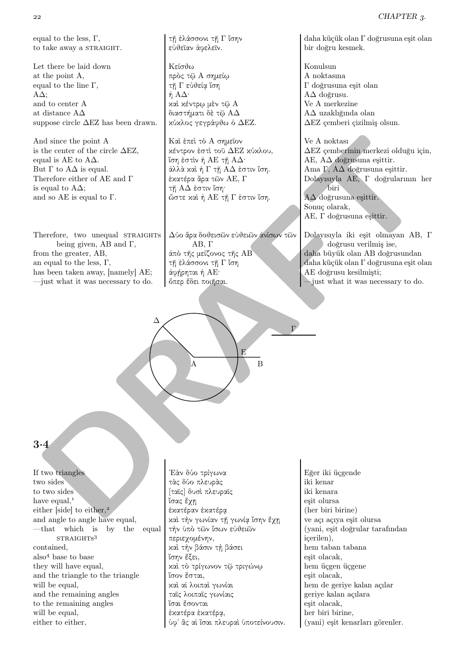22 CHAPTER 3.

to take away a STRAIGHT.  $\left| \right. \left| \right. \left| \right. \left| \right. \left| \right. \left| \right. \left| \right. \left| \right. \left| \right. \left| \right. \left| \right. \left| \right. \left| \right. \left| \right. \left| \right. \left| \right. \left| \right. \left| \right. \left| \right. \left| \right. \left| \right. \left| \right. \left| \right. \left| \right. \left| \right. \left| \right. \left| \right. \left| \right. \left| \right. \left| \right. \left| \right. \left| \right. \left|$ 

Let there be laid down Kείσθω Konulsun Konulsun Konulsun Konulsun at the point A,  $\pi \rho \circ \tau \tilde{\omega}$  A σημείω  $\alpha$  A noktasina equal to the line Γ,  $\tau_{\tilde{\eta}} \Gamma$  εὐθεία (ση Γ doğrusuna eşit olan  $A\Delta$ ;  $\hat{\eta} A\Delta$ <sup>·</sup>  $\hat{\eta} A\Delta$ <sup>·</sup>  $A\Delta$ <sup>·</sup>  $A\Delta$  doğrusu. and to center A (καὶ κέντρῳ μὲν τῷ Α (Ve A merkezine at distance  $A\Delta$  διαστήματι δὲ τῷ  $A\Delta$  A uzaklığında olan

And since the point A  $K\alpha\beta$  *Kα*λ έπελ τὸ Α σημεῖον  $V\beta$  Ve A noktasi is the center of the circle  $\Delta EZ$ ,  $\chi$ έντρον έστὶ τοῦ  $\Delta EZ$  χύχλου,  $\Delta EZ$  cemberi equal is ΑΕ to ΑΔ. (( $\frac{1}{2}$  (ση έστὶν ἡ ΑΕ τῆ ΑΔ· (( $\frac{1}{2}$  AE, ΑΔ doğrusuna eşittir.<br>
But Γ to ΑΔ is equal. (( $\frac{1}{2}$  αλλά καὶ ἡ Γ τῆ ΑΔ ἐστιν ἴση. (AΔ doğrusuna eşittir. is equal to  $A\Delta$ ;  $\qquad \qquad$   $\qquad \qquad$  τῆ  $A\Delta$  ἐστιν ἴση· biri and so AE is equal to Γ.  $\delta \sigma \tau \epsilon \times \alpha \hat{i} \gamma \Delta E \tau \gamma \Gamma \epsilon \sigma \tau \omega \hat{i} \sigma \gamma$ .  $\Delta \Delta$  doğrusuna eşittir.

Therefore, two unequal straights Δύο ἄρα δοθεισῶν εὐθειῶν ἀνίσων τῶν Dolayısıyla iki eşit olmayan ΑΒ, Γ from the greater, AB,  $\alpha \dot{\alpha} \tau \eta \zeta \mu \epsilon \zeta \sigma \omega \zeta \tau \eta \zeta AB$  daha büyük olan AB doğrusundan an equal to the less, Γ,  $\tau_{\tilde{\eta}} \in \tilde{\Lambda}$ άσσονι τ $\tilde{\eta} \Gamma$  ἴση daha küçük olan Γ doğrusuna eşit olan has been taken away, [namely] ΑΕ; | ἀφήρηται ἡ ΑΕ· (AE doğrusu kesilmişti; —just what it was necessary to do. ὅπερ ἔδει ποιῆσαι. —just what it was necessary to do.

Δ

suppose circle ΔΕΖ has been drawn. | xύχλος γεγράφθω ὁ ΔΕΖ. | ΔΕΖ çemberi çizilmiş olsun.

άλλὰ καὶ ἡ Γ τῆ ΑΔ ἐστιν ἴση.  $\blacksquare$  Ama Γ, ΑΔ doğrusuna eşittir.

being given, AB and Γ, **AB, Γ** AB, Γ doğrusu verilmiş ise,

equal to the less, Γ,  $\tau$   $\tau$   $\tilde{p}$  έλάσσονι τῆ Γ ἴσην daha küçük olan Γ doğrusuna eşit olan

and six the point  $\Lambda$ <br>
and the content of the circle of  $\lambda E$ ,  $\lambda E = \lambda E$ ,  $\lambda E = \lambda E$ ,  $\lambda E = \lambda E$ ,  $\lambda E = \lambda E$ ,  $\lambda E = \lambda E$ ,  $\lambda E = \lambda E$ ,  $\lambda E = \lambda E$ ,  $\lambda E = \lambda E$ ,  $\lambda E = \lambda E$ ,  $\lambda E = \lambda E$ ,  $\lambda E = \lambda E$ ,  $\lambda E = \lambda E$ ,  $\lambda E = \lambda E$ ,  $\lambda E = \lambda E$ ,  $\lambda$ κέντρον ἐστὶ τοῦ ΔΕΖ κύκλου,  $\Delta$ EZ çemberinin merkezi olduğu için, Therefore either of AE and Γ <sup>ε</sup>κατέρα ἄρα τῶν ΑΕ, Γ Dolayısıyla ΑΕ, Γ doğrularının her Sonuç olarak, ΑΕ, Γ doğrusuna eşittir.

Α Β Ε

Γ

 $3.4$ 

If two triangles ᾿Εὰν δύο τρίγωνα Eğer iki üçgende two sides  $\tau\alpha_s$  δύο πλευρὰς iki kenar to two sides [ταῖς] δυσὶ πλευραῖς iki kenara have equal,<sup>1</sup> either [side] to either,<sup>2</sup> and angle to angle have equal,  $\vert x\alpha\iota \tau\gamma\gamma \sim x\alpha\iota \tau\gamma\gamma\gamma\omega$ νίαν τῆ γωνία (σην έχη ve açı açıya eşit olursa —that which is by the equal τὴν ὑπὸ τῶν ἴσων εὐθειῶν (yani, eşit doğrular tarafından  $STR$   $MCHTS<sup>3</sup>$ contained,  $\vert \times \infty$  τὴν βάσιν τὴ βάσει hem taban tabana  $\frac{1}{2}$ also<sup>4</sup> base to base  $\frac{1}{2}$  (σην ἕξει, esit olacak, they will have equal,  $\vert x\alpha\vert$  το τρίγωνον τῷ τριγώνῳ hem üçgen üçgene and the triangle to the triangle  $\qquad \qquad$  (σον ἔσται,  $\qquad \qquad$  esit olacak, will be equal,  $\begin{array}{c|c}\n\hline\n\end{array}$  καὶ αἱ λοιπαὶ γωνίαι hem de geriye kalan açılar and the remaining angles  $\tau$ αῖς λοιπαῖς γωνίαις geriye kalan açılara to the remaining angles  $\left\{\begin{array}{c}\n\text{for } x \in \mathcal{A} \\
\text{for } x \in \mathcal{A}\n\end{array}\right.$   $\left\{\begin{array}{c}\n\text{for } x \in \mathcal{A} \\
\text{for } x \in \mathcal{A}\n\end{array}\right\}$ will be equal,  $\frac{1}{2}$  =  $\frac{1}{2}$   $\frac{1}{2}$   $\frac{1}{2}$   $\frac{1}{2}$   $\frac{1}{2}$   $\frac{1}{2}$   $\frac{1}{2}$   $\frac{1}{2}$   $\frac{1}{2}$   $\frac{1}{2}$   $\frac{1}{2}$   $\frac{1}{2}$   $\frac{1}{2}$   $\frac{1}{2}$   $\frac{1}{2}$   $\frac{1}{2}$   $\frac{1}{2}$   $\frac{1}{2}$   $\frac{1}{2}$   $\frac{$ either to either, 
states in the state of  $\delta \varphi \delta \zeta$  αί του πλευραί υποτείνουσιν. (yani) eşit kenarları görenler.

ἴσας ἔχῃ eşit olursa ἑκατέραν ἑκατέρᾳ (her biri birine) περιεχομένην,  $\vert$  icerilen),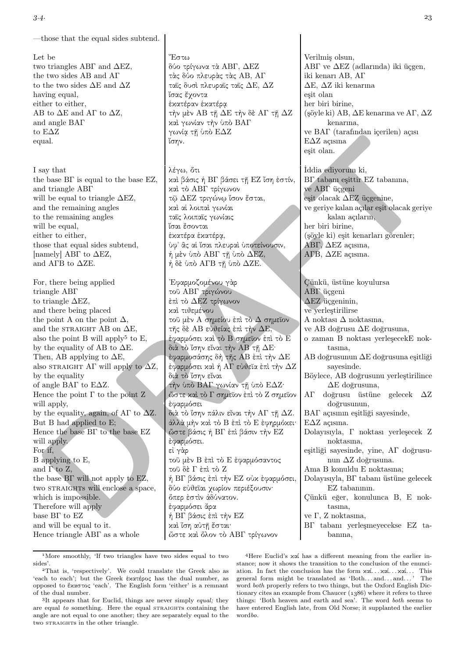—those that the equal sides subtend.

those that equal sides subtend,  $\phi^2 \partial \zeta \alpha^2 \dot{\zeta}$  (δεσαι πλευραί ὑποτείνουσιν, and AFB to  $\Delta$ ZE.  $\hat{\eta}$  δε υπό AFB τη υπό  $\Delta$ ZE.

For, there being applied <sup>[Έφαρ</sup>μοζομένου γὰρ **Γε**φαρμοζομένου (Günkü, üstüne koyulursa also the point B will apply<sup>5</sup> to E, Hence triangle ABΓ as a whole  $\delta$  ώστε καὶ ὅλον τὸ ΑΒΓ τρίγωνον | banına,

Let be  ${}^{\circ}E\sigma\tau\omega$  Verilmis olsun, two triangles ABΓ and  $\Delta$ EZ,  $\delta$ ύο τρίγωνα τὰ ABΓ,  $\Delta$ EZ  $\Delta$  ABΓ ve  $\Delta$ EZ (adlarında) iki üçgen, the two sides AB and AΓ  $\vert \vec{\alpha} \rangle$  τὰς δύο πλευρὰς τὰς AB, AΓ iki kenarı AB, AΓ to the two sides  $\Delta E$  and  $\Delta Z$   $\sigma$  ταῖς δυσὶ πλευραῖς ταῖς  $\Delta E$ ,  $\Delta Z$   $\Delta E$ ,  $\Delta Z$  iki kenarına having equal, id as ideas is a contract of the set of the set of the set of the set of the set of the set of the set of the set of the set of the set of the set of the set of the set of the set of the set of the set of th either to either,  $\frac{1}{2}$  περαν έκατέραν έκατέρα her biri birine, and angle ΒΑΓ  $\vert x\alpha\vert \gamma\omega\sqrt{\alpha}y$  υπό ΒΑΓ kenarına, to ΕΔΖ γωνίᾳ τῇ ὑπὸ ΕΔΖ ve ΒΑΓ (tarafından içerilen) açısı equal.  $\check{i} \sigma \gamma$ .  $\check{i} \sigma \gamma$  EΔZ acisina

I say that  $\lambda$ έγω, ὅτι  $\lambda$ ίddia ediyorum ki, the base BΓ is equal to the base EΖ, | καὶ βάσις ή BΓ βάσει τῆ EΖ ἴση ἐστίν, | BΓ tabanı eşittir EΖ tabanına, and triangle ABΓ (καὶ τὸ ABΓ τρίγωνον (γε ΑΒΓ üçgeni will be equal to triangle ΔΕΖ,  $\tau$  τζύ ΔΕΖ τριγώνῳ ἴσον ἔσται, esit olacak ΔΕΖ üçgenine, and the remaining angles  $\vert x\alpha\vert$  αι λοιπαὶ γωνίαι ve geriye kalan açılar eşit olacak geriye to the remaining angles ταῖς λοιπαῖς γωνίαις kalan açıların, will be equal,  $\check{a}$  (σαι ἔσονται λευτερία) her biri birine, either to either,<br>
<sup>έχατέρα έχατέρα,</sup> (şöyle ki) eşit kenarları görenler;<br>
<sup>δυρ' δες αί ζοαι πλευραί ύποτείνουσιν, ΑΒΓ, ΔΕΖ açısına,</sup>  $\lceil \text{namely} \rceil$  ABF to  $\Delta$ EZ,  $\qquad \qquad \qquad$   $\qquad$   $\qquad$   $\qquad$   $\qquad$   $\qquad$   $\qquad$  AFF  $\qquad$   $\qquad$  AFF  $\qquad$  AZE acissuma.

triangle ΑΒΓ Γερμανία (προσταθεία τοῦ ΑΒΓ τριγώνου ΔΑΒΓ üçgeni to triangle ΔΕΖ,  $|\hat{\epsilon}$ πι τὸ ΔΕΖ τρίγωνον ΔΕΖ üçgeninin, and there being placed  $\alpha$  τιθεμένου ve yerleştirilirse the point A on the point  $\Delta$ ,  $\sigma$   $\alpha$  is A σημείου έπὶ τὸ  $\Delta$  σημεῖον  $\Delta$  A noktası  $\Delta$  noktasına, and the straight AB on  $\Delta E$ ,  $\tau \tilde{\eta} \varsigma$  δε AB εὐθείας επι την  $\Delta E$ ,  $\chi$  ve AB doğrusu  $\Delta E$  doğrusuna, by the equality of AB to  $\Delta E$ .  $\delta \sigma \gamma \nu \epsilon \nu \Delta E \tau \gamma \Delta E$  tasina, also straight AF will apply to  $\Delta Z$ ,  $\Delta Z$  is expanded in  $\Delta T$  sayes also straight say essinde. of angle ΒΑΓ to ΕΔΖ.  $\Box$  τὴν ὑπὸ ΒΑΓ γωνίαν τῆ ὑπὸ ΕΔΖ·  $\Box$  ΔΕ doğrusuna, will apply,  $\epsilon_{\phi\alpha\beta\mu\delta\sigma\epsilon\iota}$  doğrusunun, by the equality, again, of AΓ to  $\Delta Z$ .  $\delta \alpha \to \delta \gamma$  πάλιν εΐναι τὴν ΑΓ τῆ  $\Delta Z$ . BAΓ açısının eşitliği sayesinde, But B had applied to E;  $\delta\lambda\lambda\alpha\mu\gamma\lambda\alpha\alpha\sigma\delta$  Β ἐπὶ τὸ Ε ἐφηρμόκει·  $\Box Z$  açısına. will apply. **εφαρμόσει. εφαρμόσει. εφαρμόσει. εφαρμόσει. εφαρμόσει. εφαρμόσει. εφαρμόσει. εφαρμόσει. εφαρμόσει. εφαρμόσει. εφαρμόσει. εφαρμόσει. εφαρμόσει. εφαρμόσει. εφαρμόσει. εφαρμόσει.** B applying to E,  $\vert \tau$ οῦ μὲν Β ἐπὶ τὸ Ε ἐφαρμόσαντος nun ΔΖ doğrusuna. and Γ to Z,<br>the base BΓ will not apply to EZ,  $\begin{bmatrix} \tau \circ \tilde{v} & \tilde{v} \in \Gamma \\ \tilde{v} & \tilde{B} \Gamma \end{bmatrix}$   $\tilde{z} \pi \tilde{v} \tau \gamma$  EZ ούχ έφαρμόσει, Dolaysiyla, BΓ tabani üstüne two straights will enclose a space,  $\int$ δύο εὐθεῖαι χωρίον περιέξουσιν· | EZ tabanının. Therefore will apply  $\phi \varphi \varphi \varphi$ μόσει ἄρα tasına, base BΓ to EZ  $|\hat{\eta}$  BΓ βάσις ἐπὶ τὴν EZ ve Γ, Z noktasına,

ΑΒ to ΔΕ and ΑΓ to ΔΖ, τὴν μὲν ΑΒ τῇ ΔΕ τὴν δὲ ΑΓ τῇ ΔΖ (şöyle ki) ΑΒ, ΔΕ kenarına ve ΑΓ, ΔΖ eşit olan.

and the point is equiled to the lower of the specific the specific state of the specific state of the specific state of the specific state of the specific state of the specific state of the specific state of the specific έφαρμόσει καὶ τὸ Β σημεῖον ἐπὶ τὸ Ε | o zaman Β noktası yerleşecekΕ nok-Then, AB applying to ΔΕ,  $\dot{\epsilon}$  έφαρμοσάσης δὴ τῆς AB ἐπὶ τὴν ΔΕ | AB doğrusunun ΔΕ doğrusuna eşitliği by the equality  $\delta \alpha \tau \delta \sigma \gamma \nu \epsilon \delta \nu \alpha$  Böylece, AB doğrusunu yerleştirilince Hence the point Γ to the point  $Z = \delta \sigma \tau \epsilon \times \delta \Gamma$  σημεΐον έπὶ τὸ Ζ σημεῖον  $\vert A\Gamma \vert$  doğrusu üstüne gelecek ΔΖ Hence the base ΒΓ to the base ΕΖ ὥστε βάσις ἡ ΒΓ ἐπὶ βάσιν τὴν ΕΖ Dolayısıyla, Γ noktası yerleşecek Ζ For if, εἰ γὰρ eşitliği sayesinde, yine, ΑΓ doğrusu- $\eta$  BΓ βάσις ἐπὶ τὴν ΕΖ οὐχ ἐφαρμόσει, Dolayısıyla, ΒΓ tabanı üstüne gelecek which is impossible. (δπερ ἐστὶν ἀδύνατον. (Günkü eğer, konulunca Β, Ε nokand will be equal to it.  $\chi$ αὶ ἴση αὐτῇ ἔσται· BΓ tabanı yerleşmeyecekse EZ ta-

Here Euclid's καί has a different meaning from the earlier instance; now it shows the transition to the conclusion of the enunciation. In fact the conclusion has the form καί. . . καί. . . καί. . . This general form might be translated as 'Both. . . and. . . and. . . ' The word both properly refers to two things, but the Oxford English Dictionary cites an example from Chaucer  $(1386)$  where it refers to three things: 'Both heaven and earth and sea'. The word both seems to have entered English late, from Old Norse; it supplanted the earlier wordbo.

More smoothly, 'If two triangles have two sides equal to two sides'.

That is, 'respectively'. We could translate the Greek also as 'each to each'; but the Greek ἑκατέρος has the dual number, as opposed to ἕκαστος 'each'. The English form 'either' is a remnant of the dual number.

<sup>&</sup>lt;sup>3</sup>It appears that for Euclid, things are never simply equal; they are equal to something. Here the equal straights containing the angle are not equal to one another; they are separately equal to the two straights in the other triangle.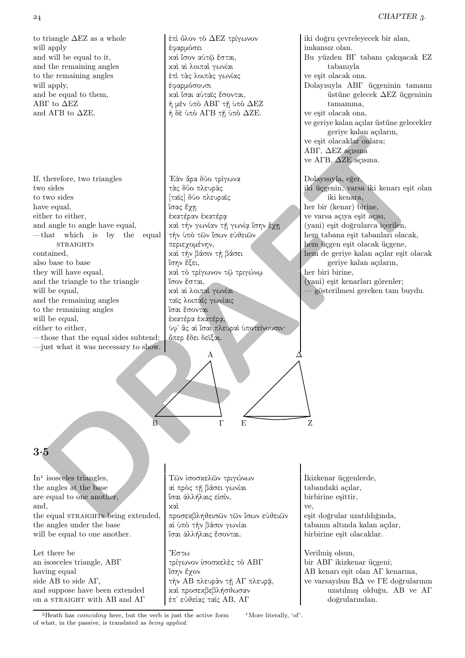DRAFT to triangle ΔΕΖ as a whole  $\vert \sin \theta$ όλον τὸ ΔΕΖ τρίγωνον  $\vert \sin \theta$  iki doğru çevreleyecek bir alan, will apply **imkansız olan.** (εφαρμόσει imkansız olan. and will be equal to it,  $\begin{array}{c|c}\nx\ddot{a} & \dot{a} \\
\hline\n\end{array}$  καὶ ἴσον αὐτῶ ἔσται, Bu yüzden BΓ tabanı cakısacak EZ and the remaining angles  $\vert x\alpha\vert \alpha\alpha\lambda \gamma\omega\nu\alpha\alpha$  tabanıyla to the remaining angles  $\left[\begin{array}{cc} \frac{1}{\epsilon} \pi \end{array} \right]$  τὰς λοιπὰς γωνίας ve eşit olacak ona. will apply, ἐφαρμόσουσι Dolayısıyla ΑΒΓ üçgeninin tamamı and be equal to them,  $\vert x\alpha\vert$  *ταλ* ἴσαι αὐταῖς ἔσονται, istüne gelecek ΔΕΖ üçgeninin ABΓ to ΔΕΖ  $\hat{\eta}$  μέν ὑπὸ ΑΒΓ τῆ ὑπὸ ΔΕΖ tamamına, and AFB to  $\Delta ZE$ .  $\qquad \qquad \qquad$   $\qquad$   $\qquad$   $\qquad$   $\qquad$   $\qquad$   $\qquad$   $\qquad$   $\qquad$   $\qquad$   $\qquad$   $\qquad$   $\qquad$   $\qquad$   $\qquad$   $\qquad$   $\qquad$   $\qquad$   $\qquad$   $\qquad$   $\qquad$   $\qquad$   $\qquad$   $\qquad$   $\qquad$   $\qquad$   $\qquad$   $\qquad$   $\qquad$   $\qquad$   $\qquad$   $\qquad$   $\qquad$ ve geriye kalan açılar üstüne gelecekler geriye kalan açıların, ve eşit olacaklar onlara; ΑΒΓ, ΔΕΖ açısına ve ΑΓΒ, ΔΖΕ açısına. If, therefore, two triangles <sup>γ</sup>Έὰν ἄρα δύο τρίγωνα Dolayısıyla, eğer, two sides  $\tau$  τὰς δύο πλευρὰς iki üçgenin, varsa iki kenarı eşit olan to two sides [ταῖς] δύο πλευραῖς iki kenara, have equal,  $\left[\frac{\text{tan} \xi}{\text{tan} \xi}\right]$ have equal, <sup>[(σας ἔ</sup>χη) her bir (kenar) birine, either to either, είναι το είναι του έχατέραν έχατέρα στο συνεικό του νε varsa açıya eşit açısı, and angle to angle have equal, καὶ τὴν γωνίαν τῇ γωνίᾳ ἴσην ἔχῃ (yani) eşit doğrularca içerilen, —that which is by the equal τὴν ὑπὸ τῶν ἴσων εὐθειῶν hem tabana eşit tabanları olacak, straights περιεχομένην, hem üçgen eşit olacak üçgene, contained, καὶ τὴν βάσιν τὴ βάσει hem de geriye kalan açılar eşit olacak also base to base  $\begin{bmatrix} \n\text{for } y \in \xi \in \mathbb{R}, \\ \n\text{for } y \in \xi \in \mathbb{R}, \\ \n\text{for } y \in \xi \in \mathbb{R}, \n\end{bmatrix}$  and  $\begin{bmatrix} \n\text{for } y \in \xi \in \mathbb{R}, \\ \n\text{for } y \in \xi \in \mathbb{R}, \\ \n\text{for } y \in \xi \in \mathbb{R}. \n\end{bmatrix}$  and  $\begin{bmatrix} \n\text{for } y \in \mathbb{R} \text{ and } \n\text{for } y$ καὶ τὸ τρίγωνον τῷ τριγώνῳ her biri birine, and the triangle to the triangle  $\qquad \qquad$  ( $\sigma$ ον ἔσται, (yani) eşit kenarları görenler; will be equal,  $\vert x\alpha\vert \alpha\lambda$ οιπαί γωνίαι  $\vert -g\ddot{\alpha}$  gösterilmesi gereken tam buydu. and the remaining angles  $\tau$ αῖς λοιπαῖς γωνίαις to the remaining angles ἴσαι ἔσονται will be equal,  $\frac{1}{2}$  εκατέρα έκατέρα, either to either,<br>
—those that the equal sides subtend;  $\delta \pi \epsilon \partial \tilde{\epsilon}$  δει δεϊξαι. —those that the equal sides subtend; —just what it was necessary to show.

### $3.5$

 $In<sup>1</sup>$  isosceles triangles, the angles at the base  $\alpha$  πρὸς τῆ βάσει γωνίαι tabandaki açılar, are equal to one another,  $\left[ \frac{\partial \alpha}{\partial \alpha} \frac{\partial \alpha}{\partial \alpha} \frac{\partial \alpha}{\partial \alpha} \frac{\partial \alpha}{\partial \alpha} \frac{\partial \alpha}{\partial \alpha} \right]$  birbirine esittir, and,  $\vert x\alpha\vert$  ve, the equal straights being extended,  $\frac{1}{2}$  προσεκβληθεισῶν τῶν ἴσων εὐθειῶν eşit doğrular uzatıldığında, the angles under the base  $\alpha$ i ὑπὸ τὴν βάσιν γωνίαι tabanın altında kalan açılar, will be equal to one another.  $\int$  (σαι άλλήλαις ἔσονται. birbirine eşit olacaklar.

Let there be  ${}^{\circ}E\sigma\tau\omega$  Verilmis olsun, an isosceles triangle, ΑΒΓ  $\sigma$  τρίγωνον ἰσοσκελὲς τὸ ΑΒΓ bir ΑΒΓ ikizkenar üçgeni; on a straight with ΑΒ and ΑΓ ἐπ᾿ εὐθείας ταῖς ΑΒ, ΑΓ doğrularından.

isosceles triangles, Τῶν ἰσοσκελῶν τριγώνων İkizkenar üçgenlerde,

Α

Β Γ

Δ

Ε Ζ

having equal <sup>[ (</sup>σην ἔχον | AB kenarı eşit olan AΓ kenarına, side AB to side AΓ,  $\tau_{\gamma}$  την AΒ πλευρὰν τῆ ΑΓ πλευρ $\tilde{\alpha}$ , ve varsayılsın ΒΔ ve ΓΕ doğrularının and suppose have been extended  $\vert \times \alpha \rangle$  προσεκβεβλήσθωσαν uzatılmış olduğu, AB ve AΓ

5Heath has *coinciding* here, but the verb is just the active form of what, in the passive, is translated as being applied. <sup>1</sup>More literally, 'of'.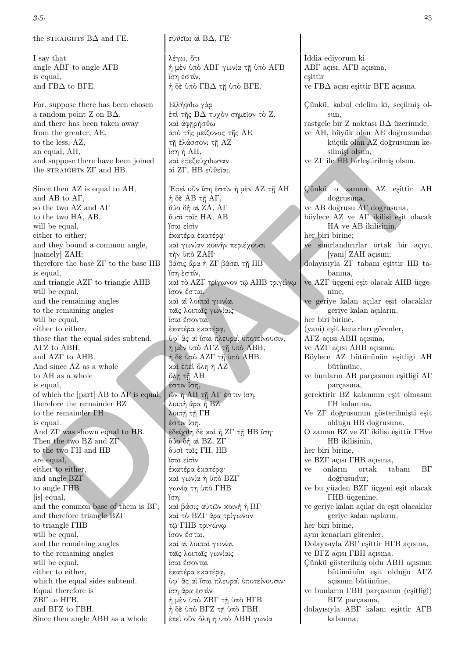$3.5.$ 

the straights  $B\Delta$  and ΓΕ.  $\blacksquare$  εὐθεῖαι αί  $B\Delta$ , ΓΕ·

For, suppose there has been chosen Εἰλήφθω γὰρ Çünkü, kabul edelim ki, seçilmiş ola random point Z on ΒΔ,  $\left| \begin{array}{c} \frac{\partial \pi}{\partial x} \\ 0 \end{array} \right| \in \mathbb{R}$  της ΒΔ τυχὸν σημεῖον τὸ Z, sun, and there has been taken away  $\vert x\alpha\vert \dot{\alpha} \varphi$ ηρήσθω rastgele bir Z noktası ΒΔ üzerinnde, from the greater, ΑΕ, ἀπὸ τῆς μείζονος τῆς ΑΕ ve ΑΗ, büyük olan ΑΕ doğrusundan to the less, AZ,  $\lceil \tau \tilde{\eta} \rceil$  έλάσσονι τῆ AZ küçük olan AZ doğrusunun kean equal, ΑΗ, ἴση ἡ ΑΗ, silmişi olsun, and suppose there have been joined  $\alpha$ i ἐπεζεύχθωσαν ve ZΓ ile HB birleştirilmiş olsun.<br>the STRAIGHTS ZΓ and HB.  $\alpha$ i ZΓ, HB εὐθεῖαι. the straights  $Z\Gamma$  and HB.

Since then AZ is equal to AH, <sup>γ</sup>Επεὶ οὖν ἴση ἐστὶν ἡ μὲν ΑΖ τῇ ΑΗ | Çünkü o zaman AZ eşittir AH and AB to AF,  $\hat{\eta}$  δὲ AB τῆ AF, doğrusuna, so the two AZ and AΓ δύο δὴ αί ZA, AΓ ve AB doğrusu AΓ doğrusuna, to the two HA, AB, δυσὶ ταῖς HA, AB böylece AZ ve AΓ ikilisi eşit olacak will be equal,  $\overline{\text{σα}}$  εἰσὶν ΗΑ ve AB ikilisinin, either to either; **Εκατέρα έκατέρα** εκατέρα **εκατέρα her biri birine;** and they bound a common angle,  $\vert x\alpha\vert \gamma\omega\omega\alpha\alpha$  και περιέχουσι ve smirlandirirlar ortak bir açıyı, [namely] ΖΑΗ; τὴν ὑπὸ ΖΑΗ· [yani] ΖΑΗ açısını; therefore the base ΖΓ to the base ΗΒ βάσις ἄρα ἡ ΖΓ βάσει τῇ ΗΒ dolayısıyla ΖΓ tabanı eşittir ΗΒ tais equal, ἴση ἐστίν, banına, and triangle ΑΖΓ to triangle ΑΗΒ (x τὸ ΑΖΓ τρίγωνον τῷ ΑΗΒ τριγώνῳ ve ΑΖΓ üçgeni eşit olacak ΑΗΒ üçgewill be equal, and it is a large in the last state of the last state of the last state of the last state of the last state of the last state of the last state of the last state of the last state of the last state of the l and the remaining angles  $\vert x\alpha\vert$  αι λοιπαι γωνίαι ve geriye kalan açılar eşit olacaklar to the remaining angles  $\lceil \frac{\text{tan} \zeta}{\text{tan} \zeta} \rceil$   $\text{tan} \zeta$   $\text{tan} \zeta$  and  $\text{tan} \zeta$  and  $\lceil \frac{\text{tan} \zeta}{\text{tan} \zeta} \rceil$  and  $\lceil \frac{\text{tan} \zeta}{\text{tan} \zeta} \rceil$  and  $\lceil \frac{\text{tan} \zeta}{\text{tan} \zeta} \rceil$  and  $\lceil \frac{\text{tan} \zeta}{\text{tan} \zeta} \rceil$ will be equal,  $\frac{1}{2}$  (σαι ἔσονται her biri birine, either to either, **Εκατέρα έχατέρα έχατέρα,** (yani) eşit kenarları görenler, those that the equal sides subtend,  $\dot{\psi}$ ος αί ἴσαι πλευραὶ ὑποτείνουσιν, AΓΖ açısı ΑΒΗ açısına, ΑΓΖ to ΑΒΗ, ἡ μὲν ὑπὸ ΑΓΖ τῇ ὑπὸ ΑΒΗ, ve ΑΖΓ açısı ΑΗΒ açısına. and ΑΖΓ to AHB. (h) δε ύπο ΑΖΓ τῆ ὑπὸ ΑΗΒ. (büylece AZ bütününün eşitliği AH And since AZ as a whole  $\vert x\alpha\vert$  έπεὶ ὅλη ἡ ΑΖ bütününe, to AH as a whole  $\delta \lambda$ η τῆ AH ve bunların AB parçasının eşitliği AΓ is equal,  $\delta$ στιν ἴση, parçasına, parçasına, parçasına, parçasına, parçasına, parçasına, parçasına, parçasına, parçasına, parçasına, parçasına, parçasına, parçasına, parçasına, parçasına, parçasına, parçasına, parçasına of which the [part] ΑΒ to ΑΓ is equal, ὧν ἡ ΑΒ τῇ ΑΓ ἐστιν ἴση, gerektirir ΒΖ kalanının eşit olmasını therefore the remainder BZ  $\lambda$ οιπὴ ἄρα ἡ BZ ΓΗ kalanına. to the remainder ΓΗ λοιπῇ τῇ ΓΗ Ve ΖΓ doğrusunun gösterilmişti eşit is equal. <u>έστιν ἴση.</u> <u>δειατικά του δειατικού του διαφ</u>είται του διαφέρει του διαφέρει του διαφέρει του διαφέρει τ And ΖΓ was shown equal to ΗΒ. ἐδείχθη δὲ καὶ ἡ ΖΓ τῇ ΗΒ ἴση· O zaman ΒΖ ve ΖΓ ikilisi eşittir ΓΗve Then the two BZ and ZΓ δύο δὴ αί ΒΖ, ZΓ ΗΒ ikilisinin, to the two ΓΗ and HB δυσὶ ταῖς ΓΗ, ΗΒ her biri birine, are equal, ἴσαι εἰσὶν ve ΒΖΓ açısı ΓΗΒ açısına, either to either,  $\frac{1}{\epsilon}$   $\frac{1}{\epsilon}$  περαφυναι του του του του του του του του θε τα θε το θε το θε το θε τ and angle ΒΖΓ καὶ γωνία ή ὑπὸ ΒΖΓ doğrusudur; to angle ΓΗΒ γωνίᾳ τῃ ὑπὸ ΓΗΒ ve bu yüzden ΒΖΓ üçgeni eşit olacak [is] equal, ἴση, ΓΗΒ üçgenine, and the common base of them is BΓ; | καὶ βάσις αὐτῶν κοινὴ ἡ ΒΓ· ve geriye kalan açılar da eşit olacaklar and therefore triangle BZΓ (καὶ τὸ ΒΖΓ ἄρα τρίγωνον geriye kalan açıların, to triangle ΓΗΒ τῷ ΓΗΒ τριγώνῳ her biri birine, will be equal,  $\check{z}$  (σον ἔσται,  $\check{z}$ ) aynı kenarları görenler. and the remaining angles  $\vert \times \alpha \rangle$  αλ λοιπαὶ γωνίαι Dolayısıyla ZBT eşittir HTB açısına, to the remaining angles  $\tau$ αῖς λοιπαῖς γωνίαις ve BΓZ açısı ΓΒΗ açısına. will be equal, <u>(</u><sup>γ</sup>ίσαι ἔσονται (σαι ἔσονται (Cünkü gösterilmiş oldu ΑΒΗ açısının either to either,  $\frac{1}{2}$  έκατέρα έκατέρα, bütününün eşit olduğu AΓZ which the equal sides subtend. ὑφ᾿ ἃς αἱ ἴσαι πλευραὶ ὑποτείνουσιν· açısının bütününe, Equal therefore is  $\begin{bmatrix} \text{for } \phi \in \mathbb{R} \\ \text{for } \phi \in \mathbb{R} \end{bmatrix}$  is  $\begin{bmatrix} \text{for } \phi \in \mathbb{R} \\ \text{for } \phi \in \mathbb{R} \end{bmatrix}$  is  $\begin{bmatrix} \text{for } \phi \in \mathbb{R} \\ \text{for } \phi \in \mathbb{R} \end{bmatrix}$  is  $\begin{bmatrix} \text{for } \phi \in \mathbb{R} \\ \text{for } \phi \in \mathbb{R} \end{bmatrix}$  is  $\begin{bmatrix$ and ΒΓΖ to ΓΒΗ. ἡ δὲ ὑπὸ ΒΓΖ τῇ ὑπὸ ΓΒΗ. dolayısıyla ΑΒΓ kalanı eşittir ΑΓΒ

I say that λέγω, ὅτι İddia ediyorum ki angle ΑΒΓ to angle ΑΓΒ (ή μὲν ὑπὸ ΑΒΓ γωνία τῆ ὑπὸ ΑΓΒ (ABΓ açısı, AΓΒ açısına, is equal,  $\frac{1}{\pi}$  (ση έστίν,  $\frac{1}{\pi}$  esittir and ΓΒΔ to ΒΓΕ.  $\hat{\beta} \delta \epsilon$  υπό ΓΒΔ τ $\hat{\gamma}$  υπό ΒΓΕ. ve ΓΒΔ açısı eşittir ΒΓΕ açısına.

on the space lice base when the base of the space interest in the space in the space lice base of the space lice of the space of the space lice of the space of the space of the space lice of the space of the space of the ή μεν ύπο ZBΓ τη ύπο HΓB BΓZ parçasına, Since then angle ABH as a whole  $\int \epsilon \pi \epsilon \tilde{\omega}$ ν ὅλη ἡ ὑπὸ ABH γωνία kalanına;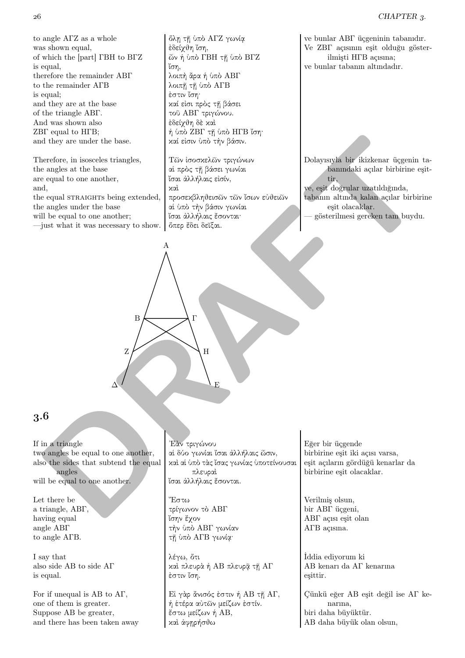of which the [part] ΓΒΗ to ΒΓΖ ὧν ἡ ὑπὸ ΓΒΗ τῇ ὑπὸ ΒΓΖ ilmişti ΗΓΒ açısına; is equal, <sup>(ση, δ</sup>ενικά) του διαθέτερη του διαθέτερη του διαθέτερη του διαθέτερη του διαθέτερη του διαθέτερη του διαθέτερη του διαθέτερη του διαθέτερη του διαθέτερη του διαθέτερη του διαθέτερη του διαθέτερη του διαθέτερη therefore the remainder ΑΒΓ λοιπὴ ἄρα ἡ ὑπὸ ΑΒΓ to the remainder ΑΓΒ λοιπῇ τῇ ὑπὸ ΑΓΒ is equal; ἐστιν ἴση· and they are at the base καί είσι πρὸς τῆ βάσει of the triangle ABΓ.  $\vert \overline{\text{tot}} \text{ ABT } \tau \rho \psi \omega \nu.$ And was shown also  $\delta$ εδείχθη δὲ καὶ ZBΓ equal to HΓB;  $\|\hat{\eta}\rangle$  υπό ZBΓ τ $\tilde{\eta}\rangle$  υπό HΓB <sup>γ</sup>ίση· and they are under the base.  $\vert x\alpha\iota\sin\theta\sin\alpha\sin\beta\alpha\sin\alpha.$ 

Therefore, in isosceles triangles,  $\boxed{T\tilde{\omega}}$  ίσοσκελῶν τριγώνων Dolayısıyla bir ikizkenar üçgenin tathe angles at the base  $\alpha$  πρὸς τῆ βάσει γωνίαι banındaki açılar birbirine eşitare equal to one another,  $\delta \lambda \lambda \eta \lambda \alpha \varsigma$  είσίν, tir, and, καὶ νε, eşit doğrular uzatıldığında, the equal straights being extended, προσεκβληθεισῶν τῶν ἴσων εὐθειῶν tabanın altında kalan açılar birbirine the angles under the base  $\alpha$  ὑπὸ τὴν βάσιν γωνίαι eşit olacaklar. will be equal to one another;  $\check{\alpha}$  (σαι ἀλλήλαις ἔσονται·  $\alpha$ ) — gösterilmesi gereken tam buydu.  $-$ just what it was necessary to show. | ὅπερ ἔδει δεῖξαι.

And the second interaction of the second strengths of the second strengths and the second strengths in the contraction of the second strength of the second strength in the second strength of the second strength into the s

Α

 $\mathbb{B} \leftarrow \longrightarrow \Gamma$ 

to angle ΑΓΖ as a whole ὅλῃ τῇ ὑπὸ ΑΓΖ γωνίᾳ ve bunlar ΑΒΓ üçgeninin tabanıdır. was shown equal,  $\delta \epsilon(\chi \vartheta)$  (ση,  $\chi$  is equal,  $\delta \epsilon(\chi \vartheta)$  πρό του να του να το να το να το να το να το να το να το να το να το να το να το να το να το να το να το να το να το να το να το να το να το να το να το να τ

3.6

will be equal to one another. (((i) (σαι άλλήλαις έσονται.

Δ

Ζ

If in a triangle <sup>γ</sup>Εὰν τριγώνου Εğer bir üçgende two angles be equal to one another, | αἱ δύο γωνίαι ἴσαι ἀλλήλαις ὥσιν, | birbirine eşit iki açısı varsa, also the sides that subtend the equal | xαὶ αἱ ὑπὸ τὰς ἴσας γωνίας ὑποτείνουσαι | eşit açıların gördüğü kenarlar da angles πλευραὶ birbirine eşit olacaklar.

Let there be <sup>γ</sup>Έστω Verilmiş olsun, a triangle, ABΓ,  $\lceil \frac{\text{top}(y_0, y_0)}{\text{top}(y_0, y_0)} \rceil$  a triangle, ABΓ üçgeni, having equal <sup>(σην έ</sup>χον ΑΒΓ acus esit olan angle ABΓ (τὴν ὑπὸ ABΓ γωνίαν (AΓB açısına.) to angle AFB.  $\tau$ η υπό AFB γωνία·

Η

Ε

I say that λέγω, ὅτι İddia ediyorum ki also side AB to side AΓ (καὶ πλευρὰ ἡ AB πλευρὰ τῆ AΓ (AB kenarı da AΓ kenarına is equal. ἐστιν ἴση. eşittir.

one of them is greater. ἡ ἑτέρα αὐτῶν μείζων ἐστίν. narına, Suppose ΑΒ be greater, ἔστω μείζων ἡ ΑΒ, biri daha büyüktür. and there has been taken away  $\vert x\alpha\vert \dot{\alpha} \varphi$ ηρήσθω (AB daha büyük olan olsun,

For if unequal is ΑΒ to ΑΓ, Εἰ γὰρ ἄνισός ἐστιν ἡ ΑΒ τῇ ΑΓ, Çünkü eğer ΑΒ eşit değil ise ΑΓ ke-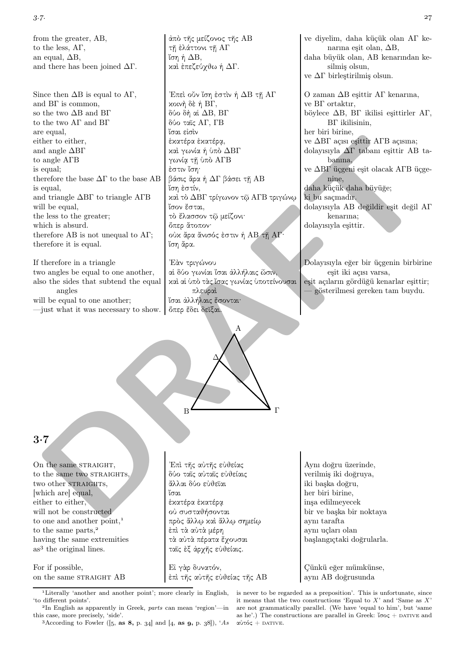from the greater, ΑΒ, ἀπὸ τῆς μείζονος τῆς ΑΒ ve diyelim, daha küçük olan ΑΓ keto the less, AΓ,  $\lceil \tau \tilde{\eta} \rceil$   $\zeta \lambda \tilde{\alpha} \tau \tau \text{ o} \nu \tau \tilde{\eta}$  AΓ narina esit olan, ΔΒ, and there has been joined  $\Delta \Gamma$ .  $\chi \alpha \iota \iota \pi \zeta \iota \iota \chi \gamma \partial \omega \iota \eta \Delta \Gamma$ . silmiş olsun,

therefore ΑΒ is not unequal to ΑΓ; οὐκ ἄρα ἄνισός ἐστιν ἡ ΑΒ τῇ ΑΓ· therefore it is equal. ἴση ἄρα.

If therefore in a triangle  $\begin{bmatrix} E\&\tau\rho V\&\tau\rho V\&\tau\rho V\&\tau\rho V\&\tau\rho V\&\tau\rho V\&\tau\rho V\&\tau\rho V\&\tau\rho V\&\tau\rho V\&\tau\rho V\&\tau\rho V\&\tau\rho V\&\tau\rho V\&\tau\rho V\&\tau\rho V\&\tau\rho V\&\tau\rho V\&\tau\rho V\&\tau\rho V\&\tau\rho V\&\tau\rho V\&\tau\rho V\&\tau\rho V\&\tau\rho V\&\tau\rho V\&\$ two angles be equal to one another, | αἱ δύο γωνίαι ἴσαι ἀλλήλαις ὥσιν, eşit iki açısı varsa, also the sides that subtend the equal  $\alpha \dot{\alpha}$  αι ύπο τας ίσας γωνίας υποτείνουσαι eşit açıların gördüğü kenarlar eşittir; will be equal to one another;  $\frac{1}{2}$  (σαι άλλήλαις ἔσονται·  $-$ just what it was necessary to show. | ὅπερ ἔδει δεῖξαι.

An equal ART property of the same of the same of the same of the same of the same of the same of the same of the same of the same of the same of the same of the same of the same of the same of the same of the same of the and BΓ is common,  $\vert \times \text{conv} \rangle \delta \hat{\varepsilon} \cdot \hat{\eta} \cdot \text{B} \Gamma$ ,  $\vert \text{ve } \text{B} \Gamma \text{ ortaktir}$ , to the two ΑΓ and ΒΓ δύο ταῖς ΑΓ, ΓΒ ΒΓ ikilisinin, are equal,<br>
either to either,<br>  $\left\{\n\begin{array}{c}\n\text{ται είσίν} \\
\text{τατείσα ελατέρα} \\
\text{τατείσα} \\
\text{ταττείσα} \\
\text{ταττείσα} \\
\text{ταττείσα} \\
\text{ταττείσα} \\
\text{ταττείσα} \\
\text{ταττείσα} \\
\text{ταττείσα} \\
\text{ταττείσα} \\
\text{ταττείσα} \\
\text{ταττείσα} \\
\$  $\frac{1}{2}$ εκατέρα έκατέρα,  $\frac{1}{2}$  ve ΔΒΓ açısı esittir AΓB açısına; to angle AΓΒ  $\gamma \omega \nu \alpha \tau \tilde{\eta} \nu \tau \delta AFB$  banna, therefore the base  $\Delta\Gamma$  to the base AB | βάσις ἄρα ἡ  $\Delta\Gamma$  βάσει τῆ AB nine, is equal, is equal, is equal,  $\lceil \delta \sigma \rceil$  έστίν,  $\lceil \delta \sigma \rceil$  and  $\lceil \delta \sigma \rceil$  daha küçük daha büyüğe; and triangle  $\triangle$ BΓ to triangle  $\triangle$ FΒ  $\parallel$  καὶ τὸ  $\triangle$ BΓ τρίγωνον τῷ AΓΒ τριγώνῳ ki bu saçmadır. τὸ ἔλασσον τῷ μείζονι· **1999** - kenarına; which is absurd.  $\delta$ περ ἄτοπον· dolayısıyla eşittir.

angles πλευραὶ — gösterilmesi gereken tam buydu.

Α

 $B \longrightarrow T$ 

Δ

an equal,  $\Delta B$ ,  $\alpha \dot{\gamma} \Delta B$ ,  $\dot{\delta}$   $\Delta B$ ,  $\dot{\delta}$  daha büyük olan, AB kenarından keve ΔΓ birleştirilmiş olsun.

Since then ΔB is equal to AΓ, <sup>γ</sup>Επεί οὖν ἴση ἐστὶν ἡ ΔΒ τῆ ΑΓ (O zaman ΔΒ eşittir ΑΓ kenarına, so the two ΔB and BΓ  $\delta$  δύο δὴ αί ΔB, BΓ δύο δλεπτρίου | böylece ΔB, BΓ ikilisi eşittirler AΓ, and angle ΔΒΓ (xxi γωνία ή υπό ΔΒΓ dolayısıyla ΔΓ tabanı eşittir AB tais equal;  $\delta$  επινίση  $\delta$  παιτεί του του νε ΔΒΓ üçgeni eşit olacak AΓΒ üçgewill be equal, ἴσον ἔσται, dolayısıyla ΑΒ değildir eşit değil ΑΓ

 $3.7$ 

On the same straight, <sup>1</sup> Eπι της αυτής εύθείας Aynı doğru üzerinde, to the same two straights, δύο ταῖς αὐταῖς εὐθείαις verilmiş iki doğruya, two other straights,  $\delta\lambda\alpha$  δύο εὐθεῖαι iki başka doğru, [which are] equal,  $\check{\sigma}$  παι her biri birine, either to either, επίλεξε το είναι τέχνο έκατέρα έκατέρα επίλεξε το προϊόν του επίλεξε το είναι του επίλεξε το είναι του επίλεξε το είναι του επίλεξε το είναι του επίλεξε το είναι του επίλεξε το είναι του επίλεξε το είναι will not be constructed  $\int o\dot{v} \, \sigma v \sigma \tau \alpha \vartheta \eta \sigma \sigma v \tau \alpha$  bir ve başka bir noktaya to one and another point,<sup>1</sup>  $\pi \rho \delta \varsigma \, d \lambda \lambda \omega \, x d \lambda \lambda \omega \sigma \eta$ μείω aynı tarafta to the same parts, having the same extremities  $\tau$  τὰ αὐτὰ πέρατα ἔχουσαι başlangıçtaki doğrularla. as<sup>3</sup> the original lines.

For if possible, Ei γὰρ δυνατόν, Cünkü eğer mümkünse,

ἐπὶ τὰ αὐτὰ μέρη aynı uçları olan ταῖς ἐξ ἀρχῆς εὐθείαις.

on the same STRAIGHT AB  $\int \hat{\epsilon} \pi \hat{\iota} \tau \tilde{\eta} \zeta \alpha \dot{\nu} \tau \tilde{\eta} \zeta \epsilon \dot{\nu} \theta \epsilon \dot{\alpha} \zeta \tau \tilde{\eta} \zeta$  AB aynı AB doğrusunda

Literally 'another and another point'; more clearly in English, 'to different points'.

<sup>2</sup>In English as apparently in Greek, parts can mean 'region'—in this case, more precisely, 'side'.

<sup>3</sup>According to Fowler ([5, **as 8,** p. 34] and [4, **as 9,** p. 38]), 'As

is never to be regarded as a preposition'. This is unfortunate, since it means that the two constructions 'Equal to  $X$ ' and 'Same as  $X$ ' are not grammatically parallel. (We have 'equal to him', but 'same as he'.) The constructions are parallel in Greek:  $\zeta$ σος + DATIVE and αὐτός + DATIVE.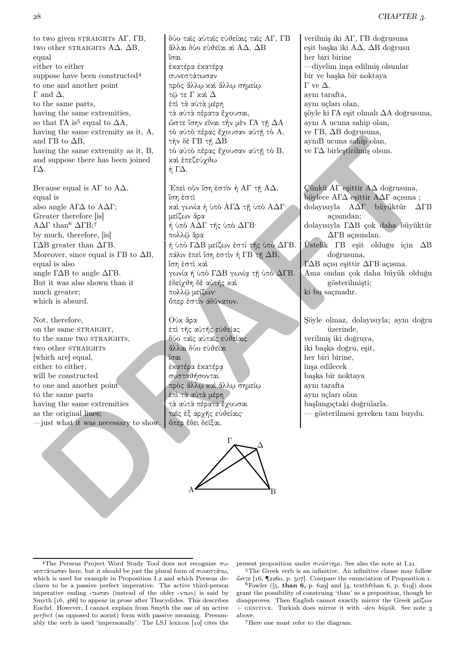- two other straights ΑΔ, ΔΒ, ἄλλαι δύο εὐθεῖαι αἱ ΑΔ, ΔΒ eşit başka iki ΑΔ, ΔΒ doğrusu equal igαl igαl igαl her biri birine either to either **είλει το είναι του επιλεί** έκατέρα έκατέρα **το επιλεί του επιλεί του επιλεί του επιλεί επιλεί του επιλεί του επιλεί του επιλεί του επιλεί του επιλεί του επιλεί του επιλεί του επιλεί του επιλεί του επιλεί** suppose have been constructed<sup>4</sup>  $\sigma$ ννεστάτωσαν bir ve başka bir noktaya to one and another point  $\pi \rho \delta \zeta \delta \lambda \omega \chi \alpha \delta \lambda \omega \sigma \eta \mu \epsilon \omega$   $\Gamma$  ve Δ, Γ and  $Δ$ ,  $τ$ <sub>ε</sub> τε Γ καὶ  $Δ$  aynı tarafta, to the same parts,  $\left| \begin{array}{c} \frac{\partial}{\partial x} \frac{\partial}{\partial y} \frac{\partial}{\partial z} \frac{\partial y}{\partial x} \end{array} \right|$  aynı uçları olan, so that ΓA is<sup>5</sup> equal to  $\Delta A$ , having the same extremity as it, A,  $\vec{a}$  τὸ αὐτὸ πέρας ἔχουσαν αὐτῆ τὸ Α,  $\vec{a}$  ve ΓΒ, ΔΒ doğrusuna, and ΓΒ to ΔΒ,  $\vec{b}$  A,  $\vec{b}$  TB τῆ ΔΒ having the same extremity as it, Β,  $\downarrow$  τὸ αὐτὸ πέρας ἔχουσαν αὐτῆ τὸ Β,  $\downarrow$  ve ΓΔ birleştirilmiş olsun. and suppose there has been joined  $\vert x\alpha\vert$  έπεζεύγθω ΓΔ.  $\mathbf{π} \Delta$ .
- ΑΔΓ than  $6\Delta$ ΓΒ;<sup>7</sup> which is absurd. (δπερ έστιν άδύνατον.

on the same straight,  $\frac{1}{2}$  πια τῆς αὐτῆς εὐθείας στη δία της ενδιασκευής εὐθείας είναι της ενδιασκευής είναι τ to the same two straights, δύο ταῖς αὐταῖς εὐθείαις verilmis iki doğruya, two other straights (<del>ἄλλαι δύο εὐθεΐαι iki baska doğru, esit,</del> [which are] equal, ἴσαι her biri birine, either to either, **Εκατέρα έκατέρα έχατέρα insa edilecek** insa edilecek will be constructed  $\sigma$ νσταθήσονται başka bir noktaya to one and another point πρὸς ἄλλῳ καὶ ἄλλῳ σημείῳ aynı tarafta to the same parts ἐπὶ τὰ αὐτὰ μέρη aynı uçları olan having the same extremities (τὰ αὐτὰ πέρατα ἔχουσαι başlangıçtaki doğrularla. as the original lines;  $\lceil \frac{\tau}{\alpha\zeta} \rceil \leq \frac{\tau}{\alpha\zeta} \rceil$  ταῖς ἐξ ἀρχῆς εὐθείαις·  $\lceil -\frac{\tau}{\alpha\zeta} \rceil$  as the original lines;  $-$ just what it was necessary to show. | ὅπερ ἔδει δεῖξαι.

to two given straights ΑΓ, ΓΒ, δύο ταῖς αὐταῖς εὐθείαις ταῖς ΑΓ, ΓΒ verilmiş iki ΑΓ, ΓΒ doğrusuna  $\ddot{\omega}$ στε ἴσην εἶναι τὴν μὲν ΓΑ τῇ ΔΑ | aynı A ucuna sahip olan,  $τ\gamma$ ν δὲ ΓΒ τῆ ΔΒ  $\alpha$ η  $\alpha$ B aynıB ucuna sahip olan,

- (Filip All, 19 (Fig. 1) (1) (Fig. 1) (Fig. 1) (Fig. 1) (Fig. 1) (Fig. 1) (Fig. 1) (Fig. 1) (Fig. 1) (Fig. 1) (Fig. 1) (Fig. 1) (Fig. 1) (Fig. 1) (Fig. 1) (Fig. 1) (Fig. 1) (Fig. 1) (Fig. 1) (Fig. 1) (Fig. 1) (Fig. 1) (Fi equal is  $\delta$  (ση έστι böylece AΓΔ esittir AΔΓ açısına ; also angle ΑΓΔ to ΑΔΓ;  $\vert x\alpha\vert \gamma\omega\sqrt{\alpha} \eta \omega\pi\sqrt{\alpha} A\Gamma\Delta \tau\eta \omega\pi\sqrt{\alpha} A\Delta\Gamma$  dolayısıyla ΑΔΓ büyüktür ΔΓΒ Greater therefore [is]  $\mu \in \mathfrak{C}$  μείζων ἄρα açısından; ή υπό ΑΔΓ της υπό ΔΓΒ<sup>·</sup> dolayısıyla ΓΔΒ çok daha büyüktür by much, therefore, [is] πολλῷ ἄρα ΔΓΒ açısından. ΓΔΒ greater than ΔΓΒ. ἡ ὑπὸ ΓΔΒ μείζων ἐστί τῆς ὑπὸ ΔΓΒ. Üstelik ΓΒ eşit olduğu için ΔΒ Moreover, since equal is ΓΒ to ΔΒ, πάλιν ἐπεὶ ἴση ἐστὶν ἡ ΓΒ τῆ ΔΒ, doğrusuna, equal is also  $\vert$  <sup>[</sup>ση έστὶ καὶ ΓΔΒ açısı eşittir ΔΓΒ açısına. angle ΓΔΒ to angle ΔΓΒ. γωνία ἡ ὑπὸ ΓΔΒ γωνίᾳ τῇ ὑπὸ ΔΓΒ. Ama ondan çok daha büyük olduğu But it was also shown than it  $\left| \hat{\epsilon} \delta \epsilon (\chi \vartheta) \right|$  δὲ αὐτῆς καὶ gösterilmişti; much greater;  $\pi$  πολλῷ μείζων· ki bu saçmadır.
	-



having the same extremities,  $\tau \propto \tau \propto \frac{1}{2} \tau \propto \frac{1}{2} \tau \propto \frac{1}{2} \tau \propto \frac{1}{2} \tau \propto \frac{1}{2} \tau \propto \frac{1}{2} \tau \propto \frac{1}{2} \tau \propto \frac{1}{2} \tau \propto \frac{1}{2} \tau \propto \frac{1}{2} \tau \propto \frac{1}{2} \tau \propto \frac{1}{2} \tau \propto \frac{1}{2} \tau \propto \frac{1}{2} \tau \propto \frac{1}{2} \tau \propto \$ 

Because equal is ΑΓ to  $A\Delta$ , <sup>γ</sup>Επεί οὖν ἴση ἐστὶν ἡ ΑΓ τῆ ΑΔ, <sup>γ</sup> Çünkü ΑΓ eşittir ΑΔ doğrusuna,

Not, therefore,<br>
Oὐκ ἄρα<br>  $\delta \pi$ ι τῆς αὐτῆς εὐθείας<br>
Söyle olmaz, dolayısıyla; aynı doğru<br>
üzerinde,<br>
üzerinde,

present proposition under συνίστημι. See also the note at I.21.

<sup>5</sup>The Greek verb is an infinitive. An infinitive clause may follow  $\&$ στε [16, ¶2260, p. 507]. Compare the enunciation of Proposition 1.

 ${}^{6}$ Fowler ([5, than 6, p. 629] and [4, textbfthan 6, p. 619]) does grant the possibility of construing 'than' as a preposition, though he disapproves. Then English cannot exactly mirror the Greek μείζων  $+$  GENITIVE. Turkish does mirror it with -den büyük. See note 3 above.

<sup>7</sup>Here one must refer to the diagram.

The Perseus Project Word Study Tool does not recognize συνεστάτωσαν here, but it should be just the plural form of συνεστάτω, which is used for example in Proposition I.2 and which Perseus declares to be a passive perfect imperative. The active third-person imperative ending -τωσαν (instead of the older -ντων) is said by Smyth  $[16, 466]$  to appear in prose after Thucydides. This describes Euclid. However, I cannot explain from Smyth the use of an active perfect (as opposed to aorist) form with passive meaning. Presumably the verb is used 'impersonally'. The LSJ lexicon [10] cites the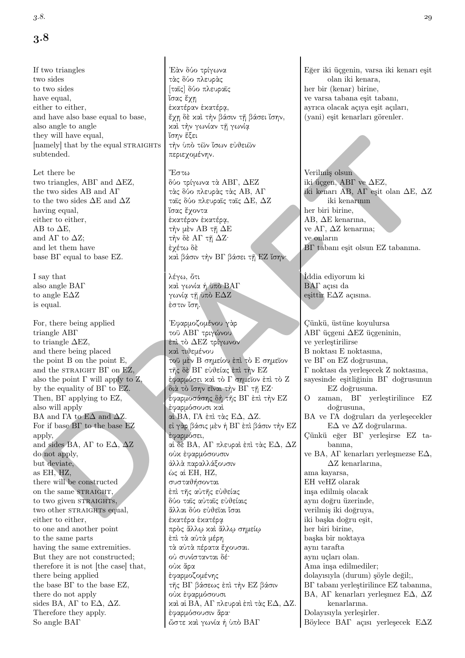#### $3.8.$

### 3.8

If two triangles <sup>2</sup> <sup>2</sup> Σὰν δύο τρίγωνα <sup>Eğer</sup> iki üçgenin, varsa iki kenarı eşit two sides  $\lceil \frac{\tau \alpha}{\varsigma} \delta \nu \alpha \pi \lambda \epsilon \nu \rho \alpha \zeta \rangle$  olan iki kenara, to two sides [ταῖς] δύο πλευραῖς her bir (kenar) birine, have equal,<br>
either to either,<br>  $\begin{bmatrix}\n\frac{1}{2} & \frac{1}{2} & \frac{1}{2} \\
\frac{1}{2} & \frac{1}{2} & \frac{1}{2} \\
\frac{1}{2} & \frac{1}{2} & \frac{1}{2} \\
\frac{1}{2} & \frac{1}{2} & \frac{1}{2} \\
\frac{1}{2} & \frac{1}{2} & \frac{1}{2} \\
\frac{1}{2} & \frac{1}{2} & \frac{1}{2} \\
\frac{1}{2} & \frac{1}{2} & \frac{1}{2} \\
\frac{1}{2} & \frac{1}{$ either to either, είναι έκατέραν έκατέρα, είναι το στατικό της προσωπικής ανακτέρα, τη στατική αντιστιασία αριστιασία της επιλεύτερας της προσωπικής της επιλεύτερας της επιλεύτερας της προσωπικής της προσωπικής της προσωπ and have also base equal to base, ἔχῃ δὲ καὶ τὴν βάσιν τῇ βάσει ἴσην, (yani) eşit kenarları görenler. also angle to angle και την γωνίαν τη γωνία they will have equal, ἴσην ἕξει [namely] that by the equal straights τὴν ὑπὸ τῶν ἴσων εὐθειῶν subtended. περιεχομένην.

Let there be  $\mathcal{E}_{\sigma\tau\omega}$  \[ \left \left \left \left \left \left \left \left \left \left \left \left \left \left \left \left \left \left \left \left \left \left \left \left \left \left \left \left \left \left \left \le

is equal.  $\left| \right|$  έστιν ἴση.

So angle ΒΑΓ | ὤστε καὶ γωνία ἡ ὑπὸ ΒΑΓ | Böylece ΒΑΓ açısı yerleşecek ΕΔΖ

two triangles, ABΓ and  $\Delta$ EZ,  $\delta$  δύο τρίγωνα τὰ ABΓ,  $\Delta$ EZ iki üçgen, ABΓ ve  $\Delta$ EZ, to the two sides  $\Delta E$  and  $\Delta Z$  | ταῖς δύο πλευραῖς ταῖς  $\Delta E$ ,  $\Delta Z$  | iki kenarının having equal, in the light is a contract to having equal, having equal, her biri birine, either to either,  $\frac{1}{2}$  έχατέραν έχατέρα, AB, ΔΕ kenarına, AB to  $\Delta E$ ,  $\tau \gamma \nu \mu \rightarrow \Delta E$ ,  $\tau \gamma \Delta E$  ve AF,  $\Delta Z$  kenarına; and AΓ to  $\Delta Z$ ;  $\qquad \qquad$   $\qquad \qquad$   $\qquad \qquad$   $\qquad \qquad$   $\qquad \qquad$   $\qquad \qquad$   $\qquad \qquad$   $\qquad \qquad$   $\qquad \qquad$   $\qquad \qquad$   $\qquad \qquad$   $\qquad \qquad$   $\qquad \qquad$   $\qquad \qquad$   $\qquad \qquad$   $\qquad \qquad$   $\qquad \qquad$   $\qquad \qquad$   $\qquad \qquad$   $\qquad \qquad$   $\qquad \qquad$   $\qquad \qquad$   $\qquad \q$ and let them have  $\frac{1}{2}$  έγέτω δὲ ΒΓ tabanı esit olsun ΕΖ tabanına. base BΓ equal to base EZ. (καὶ βάσιν τὴν ΒΓ βάσει τῆ ΕΖ ἴσην

I say that  $\lambda$ έγω, ὅτι **I λέγω, <u>http://www.php.org/iddia ediyorum</u>** ki also angle ΒΑΓ (καὶ γωνία ἡ ὑπὸ ΒΑΓ (ΒΑΓ açısı da to angle ΕΔΖ  $\gamma \omega \nu (\alpha \tau \tilde{\eta} \delta \pi \delta)$  EΔZ egittir ΕΔΖ açısına.

ey and have equal a ration in  $\frac{1}{2}$  or  $\frac{1}{2}$  and  $\frac{1}{2}$  and  $\frac{1}{2}$  and  $\frac{1}{2}$  and  $\frac{1}{2}$  and  $\frac{1}{2}$  and  $\frac{1}{2}$  and  $\frac{1}{2}$  and  $\frac{1}{2}$  and  $\frac{1}{2}$  and  $\frac{1}{2}$  and  $\frac{1}{2}$  and  $\frac{1}{2}$  For, there being applied <sup>γ</sup>Έφαρμοζομένου γὰρ Cünkü, üstüne koyulursa triangle ΑΒΓ (τοῦ ΑΒΓ τριγώνου ΑΒΓ üçgeninin, to triangle ΔΕΖ, επί τὸ ΔΕΖ τρίγωνον νε γerleştirilirse and there being placed  $\vert x\alpha\vert$  τιθεμένου B noktasi E noktasina, the point B on the point E, τοῦ μὲν Β σημείου ἐπὶ τὸ Ε σημεῖον ve BΓ on EZ doğrusuna, and the straight BΓ on EZ,  $|\tau\tilde{\gamma}\zeta\delta\dot{\epsilon}|B\Gamma\dot{\epsilon}$  or  $|\tau\gamma\gamma\dot{\epsilon}EZ$  Γ noktasi da yerlesecek Z noktasına, also the point Γ will apply to Z,  $\phi$ αρμόσει καὶ τὸ Γ σημεῖον ἐπὶ τὸ Z sayesinde eşitliğinin BΓ doğrusunun by the equality of BΓ to EZ. διὰ τὸ ἴσην εἶναι τὴν ΒΓ τῆ ΕΖ· ΕΖ doğrusuna. Then, BΓ applying to EZ, <sup>δ</sup>εναρμοσάσης δὴ τῆς BΓ ἐπὶ τὴν EZ (O zaman, BΓ yerleştirilince EZ also will apply  $\phi$ εφαρμόσουσι και doğrusuna,<br>BA and ΓΑ to ΕΔ and ΔΖ. and ΔΖ.  $\phi$  and ΔΖ. αί ΒΑ, ΓΑ έπὶ τὰς ΕΔ, ΔΖ.  $\vert$  ΒΑ ve ΓΑ doğruları da yerleşecekler For if base BΓ to the base EZ εἰγὰρ βάσις μὲν ή BΓ ἐπὶ βάσιν τὴν ΕΖ | ΕΔ ve ΔΖ doğrularına. apply, είναι εξεραφμόσει, εναιτέαση είναι εξεραφμόσει, εναιτέαση είναι εξεραφμόσει, εξεραφμόσει, εξεραφμόσει, ε and sides ΒΑ, ΑΓ to ΕΔ, ΔΖ  $\alpha$ **i** δέ ΒΑ, ΑΓ πλευραὶ ἐπὶ τὰς ΕΔ, ΔΖ banına, do not apply, do not apply,  $\overline{\phantom{a}}$   $\overline{\phantom{a}}$   $\overline{\phantom{a}}$   $\overline{\phantom{a}}$   $\overline{\phantom{a}}$   $\overline{\phantom{a}}$   $\overline{\phantom{a}}$   $\overline{\phantom{a}}$   $\overline{\phantom{a}}$   $\overline{\phantom{a}}$   $\overline{\phantom{a}}$   $\overline{\phantom{a}}$   $\overline{\phantom{a}}$   $\overline{\phantom{a}}$   $\overline{\phantom{a}}$   $\overline{\phantom{a}}$   $\overline{\phantom{a}}$   $\over$ but deviate,  $\delta \lambda \lambda \alpha \pi \alpha \rho \alpha \lambda \lambda \alpha \zeta$ ουσιν  $\Delta Z$  kenarlarına, as ΕΗ, ΗΖ, ὡς αἱ ΕΗ, ΗΖ, ama kayarsa, there will be constructed  $\sigma$  συσταθήσονται EH veHZ olarak on the same straight,  $\left| \begin{array}{cc} \frac{1}{2} & \frac{1}{2} \\ \frac{1}{2} & \frac{1}{2} \\ \frac{1}{2} & \frac{1}{2} \end{array} \right|$  insa edilmiş olacak to two given straights, δύο ταῖς αὐταῖς εὐθείαις and aynı doğru üzerinde, two other straights equal, ἄλλαι δύο εὐθεῖαι ἴσαι verilmiş iki doğruya, either to either,  $\frac{1}{\epsilon}$  περιπτέρα έχατέρα επικατέρα της διαφή iki başka doğru eşit, to one and another point πρὸς ἄλλῳ καὶ ἄλλῳ σημείῳ her biri birine, to the same parts ἐπὶ τὰ αὐτὰ μέρη başka bir noktaya having the same extremities.  $\vert \vec{\alpha} \rangle$  αὐτὰ πέρατα ἔχουσαι.  $\vert$  aynı tarafta But they are not constructed;  $\int o\delta \sigma v\delta \sigma \Delta v \tau \Delta v$  δέ $\delta$  aynı uçları olan. therefore it is not [the case] that,  $\int$  οὐχ ἄρα  $\int$  Ama inşa edilmediler; there being applied  $\gtrsim$  δεραρμοζομένης dolayısıyla (durum) söyle değil;, the base BΓ to the base EZ,  $\tau$  της BΓ βάσεως ἐπὶ τὴν EZ βάσιν ΒΓ tabanı yerleştirilince EZ tabanına, there do not apply οὐκ ἐφαρμόσουσι ΒΑ, ΑΓ kenarları yerleşmez ΕΔ, ΔΖ sides ΒΑ, ΑΓ to ΕΔ, ΔΖ.  $\vert x\alpha\vert$  καὶ αί ΒΑ, ΑΓ πλευραὶ ἐπὶ τὰς ΕΔ, ΔΖ. kenarlarına. Therefore they apply.  $\phi \propto \frac{1}{2}$  (πραφμόσουσιν ἄρα· Dolayısıyla yerleşirler.

the two sides ΑΒ and ΑΓ τὰς δύο πλευρὰς τὰς ΑΒ, ΑΓ iki kenarı ΑΒ, ΑΓ eşit olan ΔΕ, ΔΖ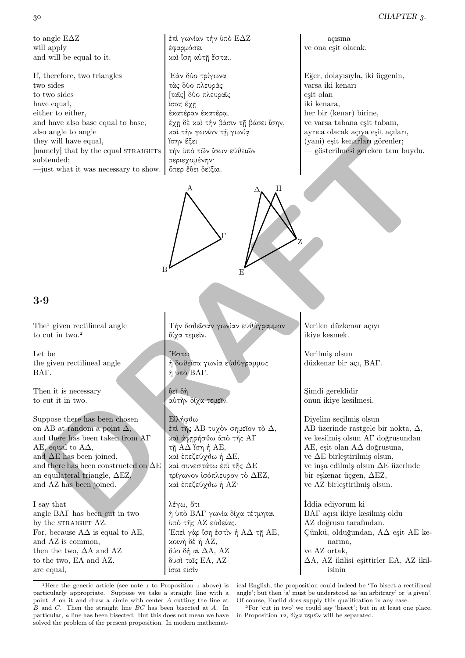30 CHAPTER 3.

and will be equal to it.  $\frac{1}{x} \alpha \alpha$  (ση αὐτῆ ἔσται.

If, therefore, two triangles  $\begin{array}{c|c}\n\end{array}$  Σελ δύο τρίγωνα Eğer, dolayısıyla, iki üçgenin, two sides τὰς δύο πλευρὰς varsa iki kenarı to two sides [ταῖς] δύο πλευραῖς | eşit olan have equal,  $\int$  (σας ἔχη iki kenara, either to either,  $\left| \begin{array}{c} \frac{\epsilon}{2}x + \frac{\epsilon}{2}y + \frac{\epsilon}{2}z = 0 \\ 0 & \frac{\epsilon}{2}x + \frac{\epsilon}{2}y + \frac{\epsilon}{2}z = 0 \end{array} \right|$  her bir (kenar) birine, and have also base equal to base,  $\check{\epsilon}_{\chi\eta}$  δὲ καὶ τὴν βάσιν τῆ βάσει ἴσην, ve varsa tabana eşit tabanı, also angle to angle  $\begin{cases} \text{real} \\ \text{real} \end{cases}$  καὶ τὴν γωνίαν τῇ γωνίφ ayrıca olacak açıya eşit açıları, <br>
(yani) eşit kenarları görenler; [namely] that by the equal STRAIGHTS subtended:  $\vert$ περιεγομένην· —just what it was necessary to show.  $\vert$  όπερ έδει δεῖξαι.

to angle  $E\Delta Z$   $|\hat{\epsilon}\pi|$  γωνίαν τὴν ὑπὸ  $E\Delta Z$   $|\text{açısına}$ will apply  $\phi$ φαρμόσει ve ona esit olacak.

Α

Β

ίσην έξει  $\begin{vmatrix} (yani) & e^{i\pi} & e^{i\pi} \\ -e^{i\pi} & e^{i\pi} & e^{i\pi} & e^{i\pi} \end{vmatrix}$  (yani) eşit kenarları görenler;



to cut in two.<sup>2</sup>

ΒΑΓ. **ΒΑΓ**. *δ* 

Then it is necessary δεῖ δὴ δεῖ δὴ Simdi gereklidir

on AB at random a point  $\Delta$ ,  $\hat{\epsilon}$ πὶ τῆς AB τυχὸν σημεῖον τὸ  $\Delta$ , AB üzerinde rastgele bir nokta,  $\Delta$ , and there has been taken from AΓ | καὶ ἀφηρήσθω ἀπὸ τῆς ΑΓ | ve kesilmiş olsun AΓ doğrusundan AE, equal to  $A\Delta$ ,  $\qquad \qquad$   $\qquad \qquad$  τῆ  $A\Delta$  ἴση ἡ  $A$ E,  $\qquad \qquad$  AE, eşit olan  $A\Delta$  doğrusuna, and  $\Delta E$  has been joined,  $\vert x\alpha\vert$  έπεζεύχθω ή  $\Delta E$ ,  $\vert v e \Delta E$  birleştirilmiş olsun, and there has been constructed on  $\Delta E \mid \chi \alpha i$  συνεστάτω ἐπὶ τῆς  $\Delta E \mid$  ve inşa edilmiş olsun  $\Delta E$  üzerinde an equilateral triangle,  $\Delta EZ$ ,  $\tau \rho \gamma \omega \nu \partial \sigma$  *τρίγωνον ισόπλευρον τὸ*  $\Delta EZ$ , bir eşkenar üçgen,  $\Delta EZ$ , and AZ has been joined. (καὶ ἐπεζεύχθω ἡ ΑΖ· ve AZ birleştirilmiş olsun.

I say that λέγω, ὅτι İddia ediyorum ki angle ΒΑΓ has been cut in two  $\hat{\phi}$  ὑπὸ ΒΑΓ γωνία δίχα τέτμηται  $\hat{\beta}$  BAΓ açısı ikiye kesilmiş oldu by the STRAIGHT AZ. (  $\frac{1}{2}$  (  $\frac{1}{2}$  (πλ τῆς AZ εὐθείας.  $\frac{1}{2}$  AZ doğrusu tarafından. and AZ is common,  $\vert \times \vert \times \rangle$   $\lambda$   $\lambda$ ,  $\lambda$  arma, narma, then the two,  $\Delta A$  and  $AZ$   $\delta$  δύο δὴ αί  $\Delta A$ ,  $AZ$  ve AZ ortak, to the two, EA and  $AZ$ ,  $\delta$  ortax,  $\delta$  ortax,  $Z$  and  $AZ$ ,  $\Delta A$ ,  $AZ$  ikili are equal, isinin isinin isinin isinin isinin isinin isinin isinin isinin isinin isinin isinin isinin isinin i

The given rectilineal angle  $T\gamma_0$  δοθεΐσαν γωνίαν εὐθύγραμμον Verilen düzkenar açıyı δίχα τεμεῖν. ikiye kesmek.

Γ

Ε

Δ

Η

Ζ

Let be <sup>γ</sup>Έστω Verilmiş olsun Verilmiş olsun the given rectilineal angle ἡ δοθεῖσα γωνία εὐθύγραμμος düzkenar bir açı, ΒΑΓ.

Suppose there has been chosen | Είλήφθω | Diyelim seçilmiş olsun

to cut it in two.  $\alpha \dot{\beta} \gamma \dot{\gamma} \gamma$  δίχα τεμεῖν.  $\alpha \dot{\gamma}$  onun ikiye kesilmesi.

And the second to AA<br>
(a) where the second of the second of the second of the second of the second of the second of the second of the second of the second of the second of the second of the second of the second of the sec

For, because  $A\Delta$  is equal to  $AE$ ,  $\qquad$  [Σπεὶ γὰρ ἴση ἐστὶν ἡ  $A\Delta$  τῆ  $AE$ ,  $\qquad$  [ Çünkü, olduğundan,  $A\Delta$  eşit  $AE$  ke- $\delta$ υσὶ ταῖς ΕΑ, ΑΖ  $\Delta A$ , ΑΖ ikilisi eşittirler ΕΑ, ΑΖ ikil-

<sup>1</sup>Here the generic article (see note 1 to Proposition 1 above) is particularly appropriate. Suppose we take a straight line with a point A on it and draw a circle with center A cutting the line at  $\overline{B}$  and  $\overline{C}$ . Then the straight line  $\overline{BC}$  has been bisected at  $\overline{A}$ . In particular, a line has been bisected. But this does not mean we have solved the problem of the present proposition. In modern mathematical English, the proposition could indeed be 'To bisect a rectilineal angle'; but then 'a' must be understood as 'an arbitrary' or 'a given'. Of course, Euclid does supply this qualification in any case.

For 'cut in two' we could say 'bisect'; but in at least one place, in Proposition 12, δίχα τεμεῖν will be separated.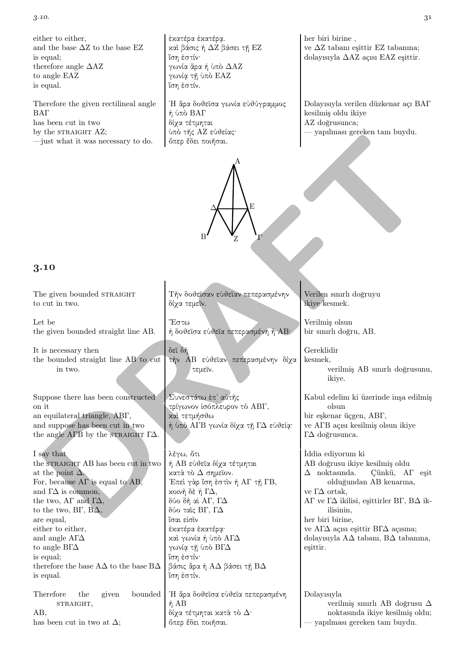$3^{10}$ .

either to either,<br>
and the base ΔZ to the base EZ  $\begin{bmatrix} \frac{\epsilon}{\sqrt{2}} & \frac{\epsilon}{\sqrt{2}} \\ \frac{\epsilon}{\sqrt{2}} & \frac{\epsilon}{\sqrt{2}} \\ \frac{\epsilon}{\sqrt{2}} & \frac{\epsilon}{\sqrt{2}} \end{bmatrix}$   $\begin{bmatrix} \frac{\epsilon}{\sqrt{2}} & \frac{\epsilon}{\sqrt{2}} \\ \frac{\epsilon}{\sqrt{2}} & \frac{\epsilon}{\sqrt{2}} \\ \frac{\epsilon}{\sqrt{2}} & \frac{\epsilon}{\sqrt{2}} \end{bmatrix}$  her biri b is equal;<br>  $\begin{bmatrix}\n\text{for } \frac{1}{2} \text{ for } \frac{1}{2} \text{ for } \frac{1}{2} \text{ for } \frac{1}{2} \text{ for } \frac{1}{2} \text{ for } \frac{1}{2} \text{ for } \frac{1}{2} \text{ for } \frac{1}{2} \text{ for } \frac{1}{2} \text{ for } \frac{1}{2} \text{ for } \frac{1}{2} \text{ for } \frac{1}{2} \text{ for } \frac{1}{2} \text{ for } \frac{1}{2} \text{ for } \frac{1}{2} \text{ for } \frac{1}{2} \text{ for } \frac{1$ to angle ΕΑΖ γωνίᾳ τῇ ὑπὸ ΕΑΖ is equal.  $\vert$  (ση έστίν.

Therefore the given rectilineal angle | Η ἄρα δοθεῖσα γωνία εὐθύγραμμος | Dolayısıyla verilen düzkenar açı ΒΑΓ BAΓ **h** ὑπὸ BAΓ kesilmiş oldu ikiye has been cut in two δίχα τέτμηται  $\delta$ ίχα τέτμηται  $\delta$ λ λεπειρούν της ΑΖ εύθείας - AZ doğrusunca;<br>by the STRAIGHT AZ;  $-$ just what it was necessary to do.

γωνία ἄρα ή ὑπὸ ΔΑΖ

ύπὸ τῆς ΑΖ εὐθείας·  $\sigma$  — yapılması gereken tam buydu. <del>«περ</del> έδει ποιῆσαι.

ve  $\Delta Z$  tabanı eşittir EZ tabanına;

### 3.10

| $v_{\mathcal{Y}}$ and being $\mathcal{Y}$<br>-just what it was necessary to do.                                                                                                                                                                                                                                                                                                                                | $0.00$ $0.15$ $112$ 000000<br>όπερ έδει ποιήσαι.                                                                                                                                                                                                                                                                                                                             | уарттам дегенен тат ойуча.                                                                                                                                                                                                                                                                                                                                                                   |
|----------------------------------------------------------------------------------------------------------------------------------------------------------------------------------------------------------------------------------------------------------------------------------------------------------------------------------------------------------------------------------------------------------------|------------------------------------------------------------------------------------------------------------------------------------------------------------------------------------------------------------------------------------------------------------------------------------------------------------------------------------------------------------------------------|----------------------------------------------------------------------------------------------------------------------------------------------------------------------------------------------------------------------------------------------------------------------------------------------------------------------------------------------------------------------------------------------|
|                                                                                                                                                                                                                                                                                                                                                                                                                | $\overline{E}$<br>Z                                                                                                                                                                                                                                                                                                                                                          |                                                                                                                                                                                                                                                                                                                                                                                              |
| 3.10                                                                                                                                                                                                                                                                                                                                                                                                           |                                                                                                                                                                                                                                                                                                                                                                              |                                                                                                                                                                                                                                                                                                                                                                                              |
| The given bounded STRAIGHT<br>to cut in two.                                                                                                                                                                                                                                                                                                                                                                   | Την δοθείσαν εύθείαν πεπερασμένην<br>δίχα τεμεΐν.                                                                                                                                                                                                                                                                                                                            | Verilen sınırlı doğruyu<br>ikiye kesmek.                                                                                                                                                                                                                                                                                                                                                     |
| Let be<br>the given bounded straight line AB.                                                                                                                                                                                                                                                                                                                                                                  | "Έστω<br>ή δοθείσα εύθεία πεπερασμένη ή ΑΒ.                                                                                                                                                                                                                                                                                                                                  | Verilmiş olsun<br>bir sınırlı doğru, AB.                                                                                                                                                                                                                                                                                                                                                     |
| It is necessary then<br>the bounded straight line AB to cut<br>in two.                                                                                                                                                                                                                                                                                                                                         | δεϊ δή<br>τήν ΑΒ εύθεϊαν πεπερασμένην δίχα<br>τεμεῖν.                                                                                                                                                                                                                                                                                                                        | Gereklidir<br>kesmek,<br>verilmiş AB sınırlı doğrusunu,<br>ikiye.                                                                                                                                                                                                                                                                                                                            |
| Suppose there has been constructed<br>on it<br>an equilateral triangle, ABI,<br>and suppose has been cut in two<br>the angle AFB by the STRAIGHT $\Gamma\Delta$ .                                                                                                                                                                                                                                              | Συνεστάτω έπ' αὐτης<br>τρίγωνον ἰσόπλευρον τὸ ΑΒΓ,<br>καί τετμήσθω<br>ή ύπο AΓΒ γωνία δίχα τη ΓΔ εύθεία·                                                                                                                                                                                                                                                                     | Kabul edelim ki üzerinde inşa edilmiş<br>olsun<br>bir eşkenar üçgen, ABI,<br>ve ATB açısı kesilmiş olsun ikiye<br>$\Gamma\Delta$ doğrusunca.                                                                                                                                                                                                                                                 |
| I say that<br>the STRAIGHT AB has been cut in two<br>at the point $\Delta$ .<br>For, because $AT$ is equal to $AB$ ,<br>and $\Gamma\Delta$ is common,<br>the two, $A\Gamma$ and $\Gamma\Delta$ ,<br>to the two, $B\Gamma$ , $B\Delta$ ,<br>are equal,<br>either to either,<br>and angle $A\Gamma\Delta$<br>to angle $BT\Delta$<br>is equal;<br>therefore the base $A\Delta$ to the base $B\Delta$<br>is equal. | λέγω, ὄτι<br>ή AB εὐθεῖα δίχα τέτμηται<br>κατά τὸ $\Delta$ σημεΐον.<br>Έπει γάρ ἴση έστιν ή ${\rm A}\Gamma$ τῆ ΓΒ,<br>κοινή δε ή Γ $\Delta$ ,<br>δύο δή αί $\Lambda$ Γ, Γ $\Delta$<br>δύο ταΐς ΒΓ, ΓΔ<br>ἴσαι εἰσὶν<br>έκατέρα έκατέρα·<br>καί γωνία ή ύπο ΑΓ $\Delta$<br>γωνία τῆ ὑπὸ ΒΓ $\Delta$<br>ἴση ἐστίν·<br>βάσις ἄρα ἡ Α $\Delta$ βάσει τῆ Β $\Delta$<br>ἴση ἐστίν. | İddia ediyorum ki<br>AB doğrusu ikiye kesilmiş oldu<br>$\Delta$ noktasında.<br>Çünkü, AT eşit<br>olduğundan AB kenarına,<br>ve $\Gamma\!\Delta$ ortak,<br>A<br>$\Gamma$ ve $\Gamma\Delta$ ikilisi, eşittirler B<br>$\Gamma,$ B $\Delta$ ik-<br>ilisinin,<br>her biri birine,<br>ve AT $\Delta$ açısı eşittir BT $\Delta$ açısına;<br>dolayısıyla A $\Delta$ tabanı, B $\Delta$ tabanına,<br> |
| Therefore<br>bounded<br>the<br>given<br>STRAIGHT,<br>AB,<br>has been cut in two at $\Delta$ ;                                                                                                                                                                                                                                                                                                                  | Ή ἄρα δοθεῖσα εὐθεῖα πεπερασμένη<br>$η$ AB<br>δίχα τέτμηται κατά τὸ $\Delta$ ·<br>ὄπερ ἔδει ποιῆσαι.                                                                                                                                                                                                                                                                         | Dolayısıyla<br>verilmiş sınırlı AB doğrusu $\Delta$<br>noktasında ikiye kesilmiş oldu;<br>yapılması gereken tam buydu.                                                                                                                                                                                                                                                                       |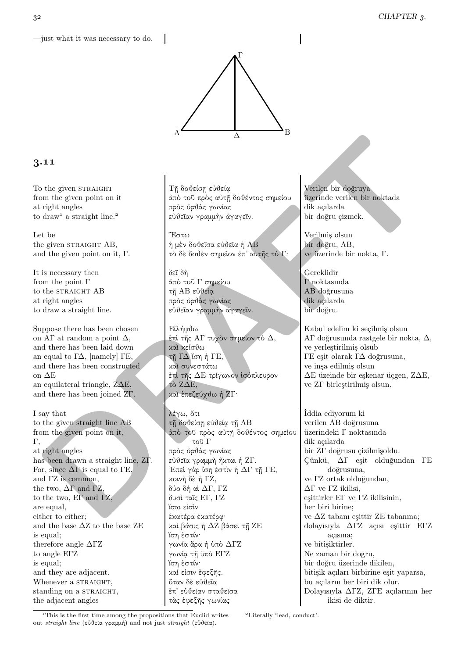$CHAPTER$  3.



#### 3.11

to draw<sup>1</sup> a straight line.<sup>2</sup>

from the point Γ  $\delta$ πὸ τοῦ Γ σημείου

and there has been joined  $Z\Gamma$ . καὶ ἐπεζεύχθω ή  $Z\Gamma$ 

the adjacent angles  $\lceil \frac{\tau \alpha}{\zeta} \frac{\zeta \alpha}{\zeta} \gamma \omega \nu \zeta \zeta \rceil$  ikisi de diktir.

To the given straight Tῆ δοθείση εὐθεία Verilen bir doğruya from the given point on it ἀπὸ τοῦ πρὸς αὐτῇ δοθέντος σημείου üzerinde verilen bir noktada at right angles προς όρθὰς γωνίας dik açılarda εὐθεῖαν γραμμὴν ἀγαγεῖν. bir doğru çizmek.

Let be ῎Εστω Verilmiş olsun the given straight AB,  $\eta$ μὲν δοθεῖσα εὐθεῖα ἡ AB bir doğru, AB, and the given point on it, Γ.  $|\tau\delta\delta\hat{\epsilon}\delta\vartheta\hat{\epsilon}\nu\rangle$  σημεῖον ἐπ᾽ αὐτῆς τὸ Γ· ve üzerinde bir nokta, Γ.

It is necessary then  $\delta \tilde{\epsilon} \tilde{\delta} \tilde{\eta}$   $\delta \tilde{\tau}$  on the point  $\Gamma$  of  $\tilde{\delta} \tilde{\tau}$  on  $\tilde{\epsilon}$  on  $\tilde{\epsilon}$  on  $\tilde{\epsilon}$  on  $\tilde{\epsilon}$  on  $\tilde{\epsilon}$  on  $\tilde{\epsilon}$  on  $\tilde{\epsilon}$  on  $\tilde{\epsilon}$  on  $\tilde{\epsilon}$  on  $\tilde{\epsilon}$  on  $\tilde{\epsilon$ to the STRAIGHT AB  $\tau \tilde{n}$  AB εὐθεία AB doğrusuna at right angles  $\pi \rho \delta \varsigma \delta \rho \delta \alpha \chi \gamma \omega \nu (\alpha \varsigma)$  dik açılarda to draw a straight line.  $\left| \right| \right|$  εὐθεῖαν γραμμὴν ἀγαγεῖν. bir doğru.

Suppose there has been chosen **E**ίλήφθω Kabul edelim ki seçilmiş olsun and there has been laid down καὶ κείσθω νε γενιεξtirilmiş olsub an equal to ΓΔ, [namely] ΓΕ,  $\tau \tilde{p} \Gamma \Delta \tilde{p} \tau$  (ση ή ΓΕ, ΓΕ eşit olarak ΓΔ doğrusuna, and there has been constructed καὶ συνεστάτω ve insa edilmis olsun an equilateral triangle,  $Z\Delta E$ , τὸ  $Z\Delta E$ , ve  $Z\Gamma$  birlestirilmiş olsun.

I say that λέγω, ὅτι İddia ediyorum ki to the given straight line AB  $\tau_{\tilde{\eta}} \delta \omega$ θείση εὐθεί $\alpha \tau_{\tilde{\eta}}$  AB verilen AB doğrusuna from the given point on it, ἀπὸ τοῦ πρὸς αὐτῇ δοθέντος σημείου üzerindeki Γ noktasında Γ, τοῦ Γ dik açılarda at right angles προς όρθὰς γωνίας bir ΖΓ doğrusu çizilmişoldu. For, since  $\Delta \Gamma$  is equal to ΓΕ,  $\begin{array}{c|c} \text{E} \pi \text{E} \rightarrow \text{E} \pi \text{E} \rightarrow \text{E} \pi \text{E} \rightarrow \text{E} \pi \text{E} \rightarrow \text{E} \pi \text{E} \rightarrow \text{E} \end{array}$  and ΓZ is common,  $\begin{array}{c|c} \text{top} \pi \text{E} \rightarrow \text{E} \pi \text{E} \rightarrow \text{E} \pi \text{E} \rightarrow \text{E} \pi \text{E} \rightarrow \text{E} \pi \text{$  $\chi$ οινὴ δὲ ἡ ΓΖ,  $\chi$  is common ve ΓΖ ortak olduğundan, the two,  $\Delta \Gamma$  and  $\Gamma Z$ ,  $\delta \omega \delta \eta \alpha i \Delta \Gamma$ ,  $\Gamma Z$   $\Delta \Gamma$  ve  $\Gamma Z$  ikilisi, to the two, ΕΓ and ΓΖ, δυσὶ ταῖς ΕΓ, ΓΖ eşittirler ΕΓ ve ΓΖ ikilisinin, are equal, <sup>(</sup><del>σαι είσινο και είσινο και είσινο και είσινο και είσινο και είσινο και είσινο και είσι και είσι και είσι και είσι και είσι και είσι και είσι και είσι και είσι και είσι και είσι και είσι και είσι και είσι και</del> either to either; δενατέρα έκατέρα επικεφαιρισμού του επικεφαιρισμού του εναπέρα επικεφαιρισμού του επικεφαιρισμ is equal; according to the contract of τρίψη εστίν· according to the contract of a contract according to the according to a contract of a contract of a contract of a contract of a contract of a contract of a contract of a therefore angle ΔΓΖ γωνία ἄρα ἡ ὑπὸ ΔΓΖ ve bitişiktirler. to angle ΕΓΖ γωνίᾳ τῇ ὑπὸ ΕΓΖ Ne zaman bir doğru, is equal; is equal; is equal; is equal; is equal; is equal; is equal; is equal; is equal; is equal; is equal; is equal; is equal; is equal; is equal; is equal; is equal; is equal; is equal; is equal; is equal; is equal; i and they are adjacent.  $\begin{bmatrix} \times \& \times \& \end{bmatrix}$   $\begin{bmatrix} \times \& \times \& \end{bmatrix}$   $\begin{bmatrix} \times \& \times \& \end{bmatrix}$   $\begin{bmatrix} \times \& \times \& \end{bmatrix}$   $\begin{bmatrix} \times \& \times \& \end{bmatrix}$   $\begin{bmatrix} \times \& \times \& \end{bmatrix}$   $\begin{bmatrix} \times \& \times \& \times \& \end{bmatrix}$  bitisik actları birbirine esit ya Whenever a STRAIGHT,  $\delta z$  δε εὐθεῖα bu açıların her biri dik olur.

on AΓ at random a point  $\Delta$ ,  $\hat{\epsilon}$ πὶ τῆς ΑΓ τυχὸν σημεῖον τὸ  $\Delta$ , AΓ doğrusunda rastgele bir nokta,  $\Delta$ , on ΔΕ ἐπὶ τῆς ΔΕ τρίγωνον ἰσόπλευρον ΔΕ üzeinde bir eşkenar üçgen, ΖΔΕ,

1.1 1<br>
and the given symmetric of the signal control of the signal control of the signal control of the signal control of the signal control of the signal control of the signal control of the signal control of the signal has been drawn a straight line, ZΓ. | εὐθεῖα γραμμὴ ἦκται ἡ ZΓ. | Qünkü, ΔΓ eşit olduğundan ΓΕ and the base  $\Delta Z$  to the base  $ZE = \int \chi \alpha i \beta \dot{\alpha} \sigma \zeta \dot{\eta} \Delta Z \beta \dot{\alpha} \sigma \zeta \dot{\eta} \Delta Z$  (dolayısıyla  $\Delta \Gamma Z$  açısı eşittir EΓZ standing on a straight,  $\left| \dot{\epsilon} \pi \dot{\epsilon} \dot{\epsilon} \theta \right| \leq \frac{1}{2} \pi \dot{\epsilon} \dot{\epsilon} \theta$  εὐθεῖαν σταθεῖσα Dolayısıyla ΔΓΖ, ΖΓΕ açılarının her

<sup>1</sup>This is the first time among the propositions that Euclid writes out straight line (εὐθεῖα γραμμὴ) and not just straight (εὐθεῖα).

Literally 'lead, conduct'.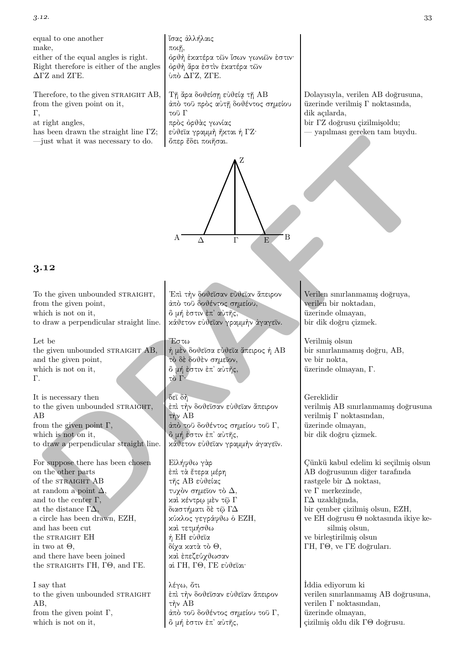| 3.12.                                                                                                                                                                                                                                                                                                           |                                                                                                                                                                | 33                                                                                                                                                                                                                                                                                                                          |
|-----------------------------------------------------------------------------------------------------------------------------------------------------------------------------------------------------------------------------------------------------------------------------------------------------------------|----------------------------------------------------------------------------------------------------------------------------------------------------------------|-----------------------------------------------------------------------------------------------------------------------------------------------------------------------------------------------------------------------------------------------------------------------------------------------------------------------------|
| equal to one another<br>make,<br>either of the equal angles is right.<br>Right therefore is either of the angles<br>$\Delta \Gamma Z$ and ZFE.                                                                                                                                                                  | ἴσας ἀλλήλαις<br>ποιῆ,<br>όρθή έχατέρα τῶν ἴσων γωνιῶν ἐστιν·<br>όρθὴ ἄρα ἐστὶν ἑκατέρα τῶν<br>ύπὸ $\Delta \Gamma Z$ , ZΓE.                                    |                                                                                                                                                                                                                                                                                                                             |
| Therefore, to the given STRAIGHT AB,<br>from the given point on it,<br>Г,<br>at right angles,<br>has been drawn the straight line $\Gamma Z$ ;<br>-just what it was necessary to do.                                                                                                                            | Τῆ ἄρα δοθείση εὐθεία τῆ ΑΒ<br>άπό τοῦ πρὸς αὐτῆ δοθέντος σημείου<br>τοῦ $\Gamma$<br>πρὸς ὀρθὰς γωνίας<br>εύθεῖα γραμμή ἦκται ή ΓΖ·<br>όπερ έδει ποιήσαι.      | Dolayısıyla, verilen AB doğrusuna,<br>üzerinde verilmiş $\Gamma$ noktasında,<br>dik açılarda,<br>bir IZ doğrusu çizilmişoldu;<br>- yapılması gereken tam buydu.                                                                                                                                                             |
| 3.12                                                                                                                                                                                                                                                                                                            | 'B<br>A<br>$\Gamma$<br>E<br>Δ                                                                                                                                  |                                                                                                                                                                                                                                                                                                                             |
|                                                                                                                                                                                                                                                                                                                 |                                                                                                                                                                |                                                                                                                                                                                                                                                                                                                             |
| To the given unbounded STRAIGHT,<br>from the given point,<br>which is not on it,<br>to draw a perpendicular straight line.                                                                                                                                                                                      | Επί την δοθεΐσαν εύθεΐαν ἄπειρον<br>άπό του δοθέντος σημείου,<br>δ μή έστιν έπ' αὐτῆς,<br>κάθετον εύθεΐαν γραμμήν άγαγεΐν.                                     | Verilen sınırlanmamış doğruya,<br>verilen bir noktadan,<br>üzerinde olmayan,<br>bir dik doğru çizmek.                                                                                                                                                                                                                       |
| Let be<br>the given unbounded STRAIGHT AB,<br>and the given point,<br>which is not on it,<br>$\Gamma$ .                                                                                                                                                                                                         | "Έστω<br>ή μέν δοθείσα εύθεϊα άπειρος ή ΑΒ<br>τὸ δὲ δοθὲν σημεῖον,<br>δ μή έστιν έπ' αύτης,<br>τὸ Γ $\cdot$                                                    | Verilmiş olsun<br>bir sınırlanmamış doğru, AB,<br>ve bir nokta,<br>üzerinde olmayan, $\Gamma$ .                                                                                                                                                                                                                             |
| It is necessary then<br>to the given unbounded STRAIGHT,<br>AВ<br>from the given point $\Gamma$ ,<br>which is not on it,<br>to draw a perpendicular straight line.                                                                                                                                              | δεϊ δή<br>έπι την δοθείσαν εύθείαν άπειρον<br>τήν ΑΒ<br>άπό του δοθέντος σημείου του Γ΄,<br>δ μή έστιν έπ' αὐτῆς,<br>κάθετον εύθεϊαν γραμμήν άγαγεϊν.          | Gereklidir<br>verilmiş AB sınırlanmamış doğrusuna<br>verilmiş $\Gamma$ noktasından,<br>üzerinde olmayan,<br>bir dik doğru çizmek.                                                                                                                                                                                           |
| For suppose there has been chosen<br>on the other parts<br>of the STRAIGHT AB<br>at random a point $\Delta$ ,<br>and to the center $\Gamma$ ,<br>at the distance $\Gamma\Delta$ ,<br>a circle has been drawn, EZH,<br>and has been cut<br>the STRAIGHT EH<br>in two at $\Theta$ ,<br>and there have been joined | Εϊλήφθω γὰρ<br>έπὶ τὰ ἕτερα μέρη<br>της ΑΒ εύθείας<br>τυχόν σημεΐον τό Δ,<br>καί κέντρω μέν τ<br>$\Gamma$<br>διαστήματι δὲ τῷ ΓΔ<br>χύχλος γεγράφθω ο ΕΖΗ,<br> | Çünkü kabul edelim ki seçilmiş olsun<br>AB doğrusunun diğer tarafında<br>rastgele bir $\Delta$ noktası,<br>ve $\Gamma$ merkezinde,<br>$\Gamma\Delta$ uzaklığında,<br>bir çember çizilmiş olsun, EZH,<br>ve EH doğrusu $\Theta$ noktasında ikiye ke-<br>silmiş olsun,<br>ve birleştirilmiş olsun<br>ΓΗ, ΓΘ, ve ΓΕ doğruları. |

I say that  $\lambda \xi \gamma \omega$ , ὅτι  $\lambda \xi \gamma \omega$ , ὅτι  $\lambda \xi \gamma \omega$ from the given point Γ, ἀπὸ τοῦ δοθέντος σημείου τοῦ Γ, üzerinde olmayan,

to the given unbounded straight ἐπὶ τὴν δοθεῖσαν εὐθεῖαν ἄπειρον verilen sınırlanmamış ΑΒ doğrusuna, verilen Γ noktasından, which is not on it,  $\delta \mu \gamma \dot{\epsilon} \sigma \tau \nu \dot{\epsilon} \pi \dot{\alpha} \nu \dot{\tau} \tilde{\gamma} \varsigma$ , cizilmiş oldu dik ΓΘ doğrusu.

the straights ΓΗ, Γ $\Theta$ , and ΓΕ.  $\alpha$  ΓΗ, Γ $\Theta$ , ΓΕ εὐθεῖαι·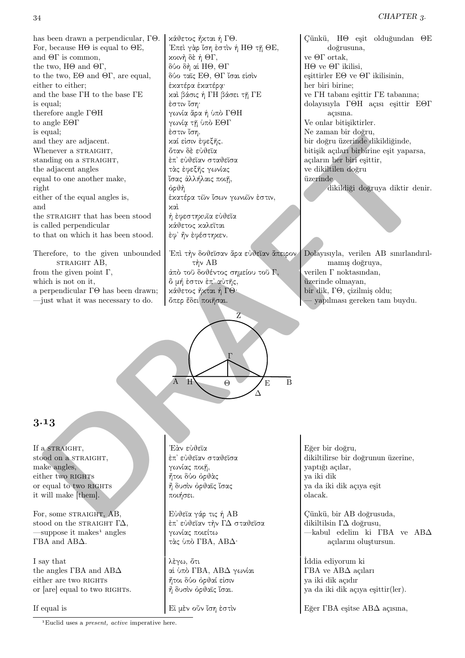34 CHAPTER 3.

For, because HΘ is equal to ΘΕ,  $\vert$  Έπεὶ γὰρ ἴση ἐστὶν ἡ ΗΘ τῆ ΘΕ, doğrusuna, and  $\Theta \Gamma$  is common,  $\downarrow \chi_{\text{OUV}} \delta \dot{\epsilon} \eta \Theta \Gamma$ ,  $\downarrow \chi_{\text{OUV}} \chi \delta \chi$ the two,  $H\Theta$  and  $\Theta\Gamma$ , are equal,  $\begin{bmatrix} \delta\dot{\phi} & \delta\dot{\eta} & \dot{\alpha} & H\Theta, & \Theta\Gamma \\ \delta\dot{\phi} & \tau\alpha\dot{\alpha}\xi & E\Theta, & \Theta\Gamma\dot{\alpha}\alpha\iota\end{bmatrix}$   $\begin{bmatrix} H\Theta & \dot{\phi} & \Theta\Gamma \dot{\alpha} & H\Theta \\ \dot{\alpha} & \dot{\alpha}\dot{\alpha}\xi & \dot{\alpha}\gamma & H\Theta \\ \dot{\alpha} & \dot{\alpha}\dot{\alpha}\xi & \dot{\alpha}\dot{\alpha}\xi & \dot{\alpha}\dot{\alpha}\xi \end$ to the two, ΕΘ and ΘΓ, are equal, δύο ταῖς ΕΘ, ΘΓ ἴσαι εἱσὶν eşittirler ΕΘ ve ΘΓ ikilisinin, either to either;  $\frac{1}{2}$  περαπέρα έκατέρα εκατέρα του her biri birine; and the base ΓΗ to the base ΓΕ καὶ βάσις ή ΓΗ βάσει τῆ ΓΕ νε ΓΗ tabanı eşittir ΓΕ tabanına; therefore angle ΓΘΗ γωνία ἄρα ἡ ὑπὸ ΓΘΗ açısına. to angle ΕΘΓ γωνίᾳ τῇ ὑπὸ ΕΘΓ Ve onlar bitişiktirler. is equal;<br>and they are adjacent.<br>  $\begin{matrix}\n\frac{1}{6} & \frac{1}{6} & \frac{1}{6} \\
\frac{1}{6} & \frac{1}{6} & \frac{1}{6} \\
\frac{1}{6} & \frac{1}{6} & \frac{1}{6} \\
\frac{1}{6} & \frac{1}{6} & \frac{1}{6} \\
\frac{1}{6} & \frac{1}{6} & \frac{1}{6} \\
\frac{1}{6} & \frac{1}{6} & \frac{1}{6} \\
\frac{1}{6} & \frac{1}{6} & \frac{1}{6} \\
\frac{1}{6} & \frac{1$ and they are adjacent.<br>
Whenever a STRAIGHT,  $\frac{\partial \alpha}{\partial x} \times \frac{\partial \alpha}{\partial y} \times \frac{\partial \alpha}{\partial z}$  and  $\frac{\partial \alpha}{\partial x} \times \frac{\partial \alpha}{\partial z} \times \frac{\partial \alpha}{\partial x} \times \frac{\partial \alpha}{\partial y} \times \frac{\partial \alpha}{\partial z}$  bit doğru üzerinde dikildiğinde, standing on a straight.  $\left| \frac{\partial \mathbf{r}}{\partial \mathbf{r}} \right| \leq \frac{1}{2} \pi^2$  εὐθεῖαν σταθεῖσα the adjacent angles  $\lceil \frac{\alpha}{\alpha} \rceil$  τὰς ἐφεξῆς γωνίας ve dikiltilen doğru equal to one another make,  $\vert \tilde{\alpha} \propto d\lambda \tilde{\gamma} \rangle$ αις ποιῆ,  $\vert \tilde{\alpha} \rangle$  üzerinde either of the equal angles is,  $\frac{1}{2}$  έκατέρα τῶν ἴσων γωνιῶν ἐστιν,  $\begin{array}{c|c} \text{and} \end{array}$  xxi the straight that has been stood  $\int$  ή έφεστηκυῖα εὐθεῖα is called perpendicular | κάθετος καλεΐται to that on which it has been stood. ἐφ᾿ ἣν ἐφέστηκεν.

from the given point Γ, ἀπὸ τοῦ δοθέντος σημείου τοῦ Γ, verilen Γ noktasından, which is not on it,  $\delta \mu \nvert \delta \sigma \tau \nvert \nu \delta \pi \Delta \nu \tau \tilde{\eta} \varsigma$ ,  $\tilde{\mathbf{u}}$  izerinde olmayan, a perpendicular ΓΘ has been drawn; | κάθετος ἦκται ή ΓΘ· bir dik, ΓΘ, çizilmiş oldu; —just what it was necessary to do. ὅπερ ἔδει ποιῆσαι. — yapılması gereken tam buydu.

Therefore, to the given unbounded ᾿Επὶ τὴν δοθεῖσαν ἄρα εὐθεῖαν ἄπειρον Dolayısıyla, verilen ΑΒ sınırlandırılstraight AB,  $\tau \nightharpoonup \nightharpoonup \nightharpoonup \nightharpoonup \nightharpoonup \nightharpoonup \nightharpoonup \nightharpoonup \nightharpoonup \nightharpoonup \nightharpoonup \nightharpoonup \nightharpoonup \nightharpoonup \nightharpoonup \nightharpoonup \nightharpoonup \nightharpoonup \nightharpoonup \nightharpoonup \nightharpoonup \nightharpoonup \nightharpoonup \nightharpoonup \nightharpoonup \nightharpoonup \nightharpoonup \nightharpoonup \nightharpoonup \nightharpoonup \nightharpoonup \nightharpoonup \nightharpoonup \nightharpoonup \$ 

has been drawn a perpendicular, ΓΘ. | κάθετος ἦκται ή ΓΘ. | Cünkü, ΗΘ eşit olduğundan ΘΕ is equal; ἐστιν ἴση· dolayısıyla ΓΘΗ açısı eşittir ΕΘΓ σταν δὲ εὐθεῖα<br>
επερίποιη bitişik açıları birbirine eşit yaparsa,<br>
επερίποιη biri esittir. right  $\phi \phi \theta$  dikildiği doğruya diktir denir.



### $3.13$

If a straight,<br>
stood on a straight,<br>
επ' εὐθεῖαν σταθεῖσα a straight doğru,<br>
επ' εὐθεῖαν σταθεῖσα dikiltilirse bir doğru, make angles,  $\gamma$ ωνίας ποιῆ, γαυτίας ποιῆ, γaptığı açılar, varitier two RIGHTs  $\gamma$ τι δύο όρθας γa iki dik either two BIGHTS or equal to two RIGHTs  $\hat{\theta}$  δυσὶν ὀρθαῖς ἴσας γa da iki dik açıya eşit it will make  $[them]$ .  $ποιήσει.$  olacak.

For, some straight, ΑΒ, Εὐθεῖα γάρ τις ἡ ΑΒ Çünkü, bir ΑΒ doğrusuda,

I say that  $\lambda$  λέγω, ὅτι  $\lambda$  λέγω, ὅτι  $\lambda$  λέγω, δτι  $\lambda$  λέγω, δτι  $\lambda$  λει $\lambda$  λει $\lambda$  λει $\lambda$  λει $\lambda$  λει $\lambda$  λει $\lambda$  λει $\lambda$  λει $\lambda$  λει $\lambda$  λει $\lambda$  λει $\lambda$  λει $\lambda$  λει $\lambda$  λει $\lambda$  λει $\lambda$  λει $\lambda$  λει $\lambda$  λει $\lambda$  either are two RIGHTs  $\int \pi \omega \, \delta \omega \, d\varphi \, d\varphi$  is  $\int \nu a \, i k \, d\varphi$  and  $\int \nu a \, i k \, d\varphi$ 

stood on the straight ΓΔ,  $\left| \begin{array}{c} \frac{\partial}{\partial \bar{x}} \end{array} \right|$   $\frac{\partial}{\partial \bar{x}} \times \frac{\partial}{\partial \bar{x}} \times \frac{\partial}{\partial \bar{x}} \times \frac{\partial}{\partial \bar{x}} \times \frac{\partial}{\partial \bar{x}} \times \frac{\partial}{\partial \bar{x}} \times \frac{\partial}{\partial \bar{x}} \times \frac{\partial}{\partial \bar{x}} \times \frac{\partial}{\partial \bar{x}} \times \frac{\partial}{\partial \bar{x}} \times \frac{\partial}{\partial \bar{x}} \times \frac{\partial}{\partial \bar{x}} \times \frac{\partial}{$ ΓΒΑ and ΑΒΔ. τὰς ὑπὸ ΓΒΑ, ΑΒΔ· açılarını oluştursun.

αί ύπο ΓΒΑ, ΑΒΔ γωνίαι

dikiltilirse bir doğrunun üzerine,

—suppose it makes angles γωνίας ποιείτω —kabul edelim ki ΓΒΑ ve ΑΒΔ

or [are] equal to two RIGHTs.  $\hat{\theta}$  δυσὶν ὀρθαῖς ἴσαι.  $\hat{\theta}$  γa da iki dik açıya eşittir(ler).

If equal is Εἰ μὲν οὖν ἴση ἐστὶν Eğer ΓΒΑ eşitse ΑΒΔ açısına,

<sup>1</sup>Euclid uses a *present*, *active* imperative here.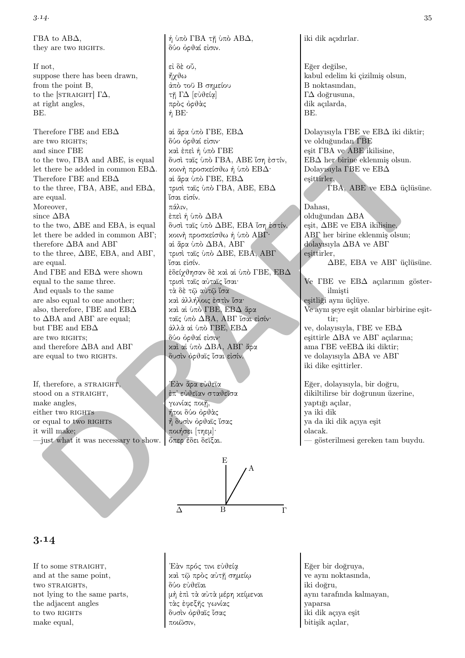they are two RIGHTs.  $\delta$ ύο όρθαί είσιν.

If not, and is a set of example of example of example of example of example of example of example of example of  $\mathbb{E}$  Eğer değilse, suppose there has been drawn,  $\eta \gamma \theta \omega$  kabul edelim ki çizilmiş olsun, from the point Β, ἀπὸ τοῦ Β σημείου Β noktasından, to the [STRAIGHT] ΓΔ,  $\tau \tilde{p} \Gamma\Delta$  [εὐθείφ]  $\Gamma\Delta$  doğrusuna, at right angles,  $\pi \rho \delta \zeta \delta \rho \theta \delta \zeta$  dik açılarda, BE.  $\parallel \eta \text{ BE}$  | BE.

Therefore ΓΒΕ and ΕΒΔ  $\alpha$  «ἱ ἄρα ὑπὸ ΓΒΕ, ΕΒΔ  $\alpha$  Dolayısıyla ΓΒΕ ve ΕΒΔ iki diktir;<br>are two RIGHTs: δύο δοθαί είσιν·<br> $\alpha$ and since ΓΒΕ (καὶ ἐπεὶ ἡ ὑπὸ ΓΒΕ (eşit ΓΒΑ ve AΒΕ ikilisine, to the two, ΓΒΑ and ΑΒΕ, is equal δυσὶ ταῖς ὑπὸ ΓΒΑ, ΑΒΕ ἴση ἐστίν, ΕΒΔ her birine eklenmiş olsun. let there be added in common ΕΒΔ.  $\vert$  χοινὴ προσχείσθω ἡ ὑπὸ ΕΒΔ· Dolaysiyla ΓΒΕ ve ΕΒΔ Therefore ΓΒΕ and ΕΒΔ  $\alpha$   $\alpha$  δειάφα είναι ΓΒΕ, ΕΒΔ esittirler, to the three, ΓΒΑ, ΑΒΕ, and ΕΒΔ,  $\vert \tau$ ρισὶ ταῖς ὑπὸ ΓΒΑ, ΑΒΕ, ΕΒΔ ΓΒΑ, ΑΒΕ ve ΕΒΔ üçlüsüne. are equal. <sup>[''</sup>
<sup>''</sup>
<sup>''</sup>
<sup>''</sup>
<sup>''</sup>  $\alpha$   $\alpha$   $\beta$   $\alpha$   $\beta$   $\alpha$   $\beta$   $\alpha$   $\beta$   $\alpha$   $\beta$   $\alpha$   $\beta$   $\alpha$   $\beta$   $\alpha$   $\beta$   $\alpha$   $\beta$   $\alpha$   $\beta$   $\alpha$   $\beta$   $\alpha$   $\beta$   $\alpha$   $\beta$   $\alpha$   $\beta$   $\alpha$   $\beta$   $\alpha$   $\beta$   $\alpha$   $\beta$   $\alpha$   $\beta$ Moreover, πάλιν, Dahası, since ΔΒΑ **επειδή δεν επιβεί του δεν επειδή δεν επιβεί του δεν επιβεί του δεν επιβεί του δεν επιβεί του δεν επιβεί του δεν επιβεί του δεν επιβεί του δεν επιβεί του δεν επιβεί του δεν επιβεί του δεν επιβεί του δεν επιβεί τ** to the two, ΔΒΕ and ΕΒΑ, is equal  $\int$  δυσὶ ταῖς ὑπὸ ΔΒΕ, ΕΒΑ ἴση ἐστίν,  $\int$  eşit, ΔΒΕ ve ΕΒΑ ikilisine, let there be added in common ABΓ; | xοινὴ προσχείσθω ἡ ὑπὸ ΑΒΓ· | ABΓ her birine eklenmiş olsun; therefore ΔΒΑ and ΑΒΓ (αι άρα ὑπὸ ΔΒΑ, ΑΒΓ dolayısıyla ΔΒΑ ve ΑΒΓ to the three,  $\Delta$ BE, EBA, and ABΓ,  $\vert$  τρισὶ ταῖς ὑπὸ  $\Delta$ BE, EBA, ABΓ esittirler, are equal. <sup>1</sup> (σαι είσίν. ΔBE, ΕΒΑ ve ΑΒΓ üçlüsüne. <sup>1</sup> του ΔΕ, ΕΒΑ νε ΑΒΓ üçlüsüne. And ΓΒΕ and ΕΒΔ were shown  $\frac{1}{2}$  έδείχθησαν δὲ καὶ αἱ ὑπὸ ΓΒΕ, ΕΒΔ And equals to the same  $\tau\dot{\alpha} \delta \dot{\epsilon} \tau \ddot{\omega} \dot{\alpha} \dot{\sigma} \dot{\alpha}$  ilmişti are also equal to one another; καὶ ἀλλήλοις ἐστὶν ἴσα· eşitliği aynı üçlüye. to ΔΒΑ and ABΓ are equal;  $\vert \tau \alpha \zeta \beta \pi \delta \Delta B$ A, ABΓ (σαι είσίν· tir; but ΓΒΕ and ΕΒΔ ἀλλὰ αἱ ὑπὸ ΓΒΕ, ΕΒΔ ve, dolayısıyla, ΓΒΕ ve ΕΒΔ are two RIGHTs; δύο ὀρθαί είσιν· εξετάσιν εξετάσινες εξετάσιες επιτρέπει εξετάσινες ενώ του εξετάσινες επιτρέπει and therefore  $\triangle$ BA and ABI  $\parallel$  καὶ αί ὑπὸ ΔΒΑ, ABΓ ἄρα ama ΓΒΕ νeΕΒΔ iki diktir; are equal to two RIGHTs.  $\delta v \partial \alpha \tilde{\alpha} \tilde{\alpha}$  (σαι είσίν. ve dolayısıyla ΔΒΑ ve ΑΒΓ

If, therefore, a STRAIGHT, <sup>γ</sup>Εὰν ἄρα εὐθεῖα Eğer, dolayısıyla, bir doğru, stood on a straight, stood on a straight, stood on a straight, stood on a straight, stood on a straight, stood on a straight, stood on a straight, stood on a straight, stood on a straight, stood on a straight, stood on a make angles, γωνίας ποιῆ, γωνίας ποιῆ, γαρτιğι açılar, either two rights ἤτοι δύο ὀρθὰς ya iki dik or equal to two rights ἢ δυσὶν ὀρθαῖς ἴσας ya da iki dik açıya eşit it will make;  $\pi$ οιήσει [τηεμ]· olacak. —just what it was necessary to show. ὅπερ ἔδει δεῖξαι. — gösterilmesi gereken tam buydu.

ΓΒΑ to ABΔ,  $\hat{\eta}$  ὑπὸ ΓΒΑ τ $\tilde{\eta}$  ὑπὸ ΑΒΔ, iki dik açıdırlar.

t we have the specific one of the column to the specific one of the specific one of the specific one of the specific one of the specific one of the specific one of the specific one of the specific one of the specific one are two rights; δύο ὀρθαί εἰσιν· ve olduğundan ΓΒΕ



equal to the same three.  $\lceil \frac{\text{total}}{\text{total}} \rceil$  τρισὶ ταῖς αὐταῖς ἴσαι·  $\lceil \frac{\text{total}}{\text{total}} \rceil$  ve ΓΒΕ ve ΕΒΔ açılarının gösteralso, therefore, ΓΒΕ and ΕΒΔ (x αί υπό ΓΒΕ, ΕΒΔ άρα Ve aynı şeye eşit olanlar birbirine eşitiki dike eşittirler.

 $3.14$ 

and at the same point,  $\vert x\alpha\vert \tau\tilde{\omega} \tau\tilde{\omega} \tau\tilde{\eta} \sigma\eta$ μεί $\omega$  ve aynı noktasında, two straights,  $\delta$ ύο εὐθεῖαι iki doğru, iki doğru, not lying to the same parts,  $\mu \nmid \mu \nmid \frac{1}{2} \pi \nmid \frac{1}{2} \pi \nmid \frac{1}{2} \pi \nmid \frac{1}{2} \pi \nmid \frac{1}{2} \pi \nmid \frac{1}{2} \pi \nmid \frac{1}{2} \pi \nmid \frac{1}{2} \pi \nmid \frac{1}{2} \pi \nmid \frac{1}{2} \pi \nmid \frac{1}{2} \pi \nmid \frac{1}{2} \pi \nmid \frac{1}{2} \pi \nmid \frac{1}{2} \pi \nmid \frac{1}{2} \pi \nmid \$ the adjacent angles  $\lceil \frac{\tau \alpha}{5} \rceil \leq \frac{\tau \alpha}{5} \sqrt{\frac{\tau \alpha}{5}} \sqrt{\frac{\tau \alpha}{5}}$  yaparsa to two RIGHTs **in the contract of the contract of the contract of the contract of the contract of the contract of the contract of the contract of the contract of the contract of the contract of the contract of the contrac** make equal, ποιῶσιν, bitişik açılar,

If to some straight,  $\begin{array}{c|c}\n\text{E\'ev} & \text{E\'ev} \\
\text{E\'ev} & \text{E\'ev} \\
\text{E\'ev} & \text{E\'ev} \\
\text{E\'ev} & \text{E\'ev} \\
\text{E\'ev} & \text{E\'ev} \\
\text{E\'ev} & \text{E\'ev} \\
\text{E\'ev} & \text{E\'ev} \\
\text{E\'ev} & \text{E\'ev} \\
\text{E\'ev} & \text{E\'ev} \\
\text{E\'ev} & \text{E\'ev} \\
\text{E\'ev} & \text{E\'ev} \\
\text{E\'ev} & \text{E\'$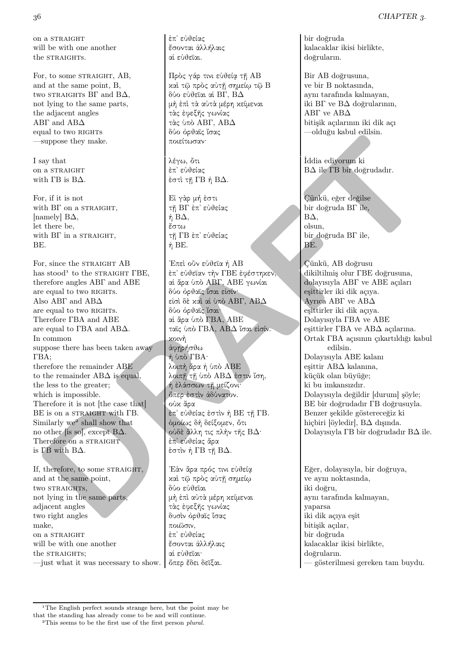on a straight in the straight straight in the straight straight in the straight of  $\epsilon$  is the straight of  $\epsilon$  in the straight of  $\epsilon$  is the straight of  $\epsilon$  is the straight of  $\epsilon$  is the straight of  $\epsilon$  is the straig will be with one another  $\left| \xi \circ \sigma \right|$   $\phi \circ \chi$   $\phi \circ \chi$  and  $\phi$  and  $\chi$  and  $\chi$  and  $\chi$  and  $\chi$  and  $\chi$  and  $\chi$  and  $\chi$  and  $\chi$  and  $\chi$  and  $\chi$  and  $\chi$  and  $\chi$  and  $\chi$  and  $\chi$  and  $\chi$  and  $\chi$  and  $\chi$  a the straights. (αι εὐθεῖαι. (αι εὐθεῖαι. (αι εὐθεῖαι. (αι εὐθεῖαι. (doğruların.

 $\equiv$ suppose they make.

For, if it is not  $\boxed{\text{Ei } \gamma \text{d} \varphi \mu \eta \text{ } \dot{\varepsilon}}$  στι  $\boxed{\text{Cünkii, e\text{g}er \text{ } \text{degilse}}}$ with BΓ on a straight,  $\tau_{\tilde{\eta}}$  BΓ  $\tilde{\epsilon} \pi$ <sup>'</sup> εὐθείας bir doğruda BΓ ile,  $\begin{array}{c|c}\n\text{namely} & \text{BA}, \\
\hline\n\end{array}$ let there be,<br>
with BΓ in a STRAIGHT,<br>  $\begin{array}{c|c}\n\text{etc.} & \text{etc.} \\
\text{tr } \text{R} \to \text{C} \\
\text{tr } \text{R} \to \text{C} \\
\text{C} \to \text{C} \\
\text{C} \to \text{C} \\
\text{C} \to \text{C} \\
\text{C} \to \text{C} \\
\text{C} \to \text{C} \\
\text{C} \to \text{C} \\
\text{C} \to \text{C} \\
\text{C} \to \text{C} \\
\text{C} \to \text{C} \\
\text{$ with ΒΓ in a straight, τῇ ΓΒ ἐπ᾿ εὐθείας bir doğruda ΒΓ ile, BE.  $\parallel$  ή BE. BE.

For, since the STRAIGHT AB **I** Eπεί οὖν εὐθεῖα ἡ AB **I** Cünkü, AB doğrusu has stood<sup>1</sup> to the STRAIGHT TBE. therefore angles ΑΒΓ and ΑΒΕ | αί ἄρα ὑπὸ ΑΒΓ, ΑΒΕ γωνίαι | dolayısıyla ΑΒΓ ve ΑΒΕ açıları are equal to two RIGHTs.  $\delta \circ \delta \circ \theta$ αῖς ἴσαι εἰσίν· esittirler iki dik acıya. Also ABT and  $AB\Delta$   $\qquad$   $\qquad$   $\qquad$   $\qquad$   $\qquad$   $\qquad$   $\qquad$   $\qquad$   $\qquad$   $\qquad$   $\qquad$   $\qquad$   $\qquad$   $\qquad$   $\qquad$   $\qquad$   $\qquad$   $\qquad$   $\qquad$   $\qquad$   $\qquad$   $\qquad$   $\qquad$   $\qquad$   $\qquad$   $\qquad$   $\qquad$   $\qquad$   $\qquad$   $\qquad$   $\qquad$   $\qquad$   $\qquad$   $\qquad$ are equal to two RIGHTs.  $\delta \circ \delta \circ \theta \circ \tilde{\alpha}$ ς ἴσαι· esittirler iki dik açıya. Therefore ΓΒΑ and ABE  $\alpha$  άφα ύπὸ ΓΒΑ, ABE Dolayısıyla ΓΒΑ ve ABE are equal to ΓΒΑ and ΑΒΔ.  $\vert \tau \alpha \zeta \beta \pi \alpha$  ΓΒΑ, ΑΒΔ ἴσαι εἰσίν.  $\vert$  esittirler ΓΒΑ ve ΑΒΔ açılarına. suppose there has been taken away  $\alpha$   $\alpha$   $\beta$ ΓΒΑ;<br>  $\begin{bmatrix}\n\mathbf{\hat{n}}\n\end{bmatrix}$  **ΓΒΑ·** Dolayısıyla ABE kalanı therefore the remainder ABE **ABE** λοιπή ἄρα ή ὑπὸ ABE **ABE** eşittir ABΔ kalanına, therefore the remainder ABE λοιπὴ ἄρα ἡ ὑπὸ ABE esittir ABΔ kalanına, to the remainder AB $\Delta$  is equal,  $\lambda$ οιπῆ τῆ ὑπὸ AB $\Delta$  ἐστιν ἴση,  $\lambda$  küçük olan büyüğe; the less to the greater;  $\hat{\eta} \in \hat{\Lambda} \circ \hat{\sigma}$  τη μείζονι· ki bu imkansızdır. which is impossible. (δπερ έστὶν ἀδύνατον. Dolayısıyla değildir [durum] söyle; Therefore it is not [the case that]  $\int \phi \psi \times \phi \phi$  BE bir doğrudadır ΓΒ doğrusuyla. BE is on a STRAIGHT with ΓΒ.  $\begin{bmatrix} \frac{1}{6} \pi^2 \cos \theta \cos \theta \\ \frac{1}{6} \sec^2 \theta \cos \theta \\ \frac{1}{6} \sec^2 \theta \cos \theta \end{bmatrix}$  Benzer şekilde göstereceğiz ki Similarly we<sup>2</sup> shall show that Similarly we<sup>2</sup> shall show that  $\delta\phi$  διαφικές δή δείξομεν, ὅτι hiçbiri [öyledir], ΒΔ dışında.<br>
no other lis sol, except ΒΔ.<br>  $\delta\phi$  ούδε άλλη τις πλήν τῆς ΒΔ.<br>
Dolayısıyla ΓΒ bir doğrudadı Therefore on a STRAIGHT εὐθείας ἄρα is ΓΒ with ΒΔ.  $\frac{1}{2}$   $\frac{1}{2}$   $\frac{1}{2}$   $\frac{1}{2}$   $\frac{1}{2}$   $\frac{1}{2}$   $\frac{1}{2}$   $\frac{1}{2}$   $\frac{1}{2}$   $\frac{1}{2}$   $\frac{1}{2}$   $\frac{1}{2}$   $\frac{1}{2}$   $\frac{1}{2}$   $\frac{1}{2}$   $\frac{1}{2}$   $\frac{1}{2}$   $\frac{1}{2}$   $\frac{1}{2}$   $\frac{1}{2}$   $\frac{1$ 

If, therefore, to some STRAIGHT, <sup>7</sup> Eάν ἄρα πρός τινι εὐθεία <sup>1</sup> Eğer, dolayısıyla, bir doğruya, and at the same point, καὶ τῷ πρὸς αὐτῇ σημείῳ ve aynı noktasında, two straights, δύο εὐθεῖαι iki doğru, iki doğru, not lying in the same parts,  $\mu \nmid \mu \nmid \frac{1}{\alpha} \nmid \alpha \Delta \nu \nmid \alpha \Delta \nu$  κείμεναι aynı tarafında kalmayan, adjacent angles  $\lceil \frac{\text{tàς}}{\text{c}} \frac{\text{c}}{\text{c}} \frac{\text{c}}{\text{c}} \frac{\text{c}}{\text{c}} \frac{\text{c}}{\text{c}} \frac{\text{c}}{\text{c}} \frac{\text{d}}{\text{c}} \frac{\text{d}}{\text{c}} \frac{\text{d}}{\text{c}} \frac{\text{d}}{\text{c}} \frac{\text{d}}{\text{c}} \frac{\text{d}}{\text{c}} \frac{\text{d}}{\text{c}} \frac{\text{d}}{\text{c}} \frac{\text{d}}{\text{c}} \frac{\text{d}}{\text{c}} \frac{\text{d}}$ two right angles δυσὶν ὀρθαῖς ἴσας iki dik açıya eşit make, ποιῶσιν, bitişik açılar, on a straight in the straight straight in the straight straight in the straight straight in the straight of the straight straight in the straight of the straight of the straight in the straight of the straight of the stra will be with one another  $\begin{bmatrix} \xi \sigma \text{ov}\tau \alpha \alpha \alpha \lambda \lambda \eta \lambda \alpha \zeta \\ \alpha \beta \epsilon \gamma \alpha \alpha \alpha \alpha \alpha \lambda \lambda \eta \alpha \alpha \zeta \end{bmatrix}$  kalacaklar ikisi birlikte, doğruların. the straights:  $\alpha$  *α*ί εὐθεῖαι·

For, to some straight, AB,  $\Pi$ ρὸς γάρ τινι εὐθεία τῆ AB Bir AB doğrusuna, and at the same point, B,  $\vert x\alpha\vert \tau\tilde{\omega} \tau\varphi\circ \alpha\dot{\nu}\tau\tilde{\eta} \sigma\eta$ μεί $\omega \tau\tilde{\omega} B$  ve bir B noktasında, two straights BΓ and BΔ, δύο εὐθεῖαι αί ΒΓ, ΒΔ aynı tarafında kalmayan, not lying to the same parts, μὴ ἐπὶ τὰ αὐτὰ μέρη κείμεναι iki ΒΓ ve ΒΔ doğrularının, the adjacent angles  $\tau$  τὰς ἐφεξῆς γωνίας ABT ve ABΔ ABΓ and ABΔ  $\lceil \frac{\tau \alpha \zeta}{\nu \pi} \rangle$  ABΓ, ABΔ bitişik açılarının iki dik açı equal to two rights δύο ὀρθαῖς ἴσας —olduğu kabul edilsin.

with ΓΒ is Β $\Delta$ .  $\left| \xi \sigma \tau \right| \tau \tilde{\eta} \Gamma B \dot{\eta} B \Delta$ .

έπ' εὐθεῖαν τὴν ΓΒΕ ἐφέστηκεν, dikiltilmiş olur ΓΒΕ doğrusuna,

I say that  $\lambda$ έγω, ὅτι  $\lambda$ ίλάνω (Iddia edivorum ki on a straight ἐπ᾿ εὐθείας ΒΔ ile ΓΒ bir doğrudadır.

any point of the stream of the strengthenic content in the strengthenic content in the strengthenic content in the strengthenic content in the strengthenic content in the strengthenic content in the strengthenic content i In common και καταποιών κοινή και τη συνεργασία του Πορταλ ΤΒΑ acısının çıkartıldığı kabul ούδε ἄλλη τις πλήν τῆς ΒΔ·  $\vert$  Dolayısıyla ΓΒ bir doğrudadır ΒΔ ile.

—just what it was necessary to show. ὅπερ ἔδει δεῖξαι. — gösterilmesi gereken tam buydu.

The English perfect sounds strange here, but the point may be that the standing has already come to be and will continue.

<sup>&</sup>lt;sup>2</sup>This seems to be the first use of the first person plural.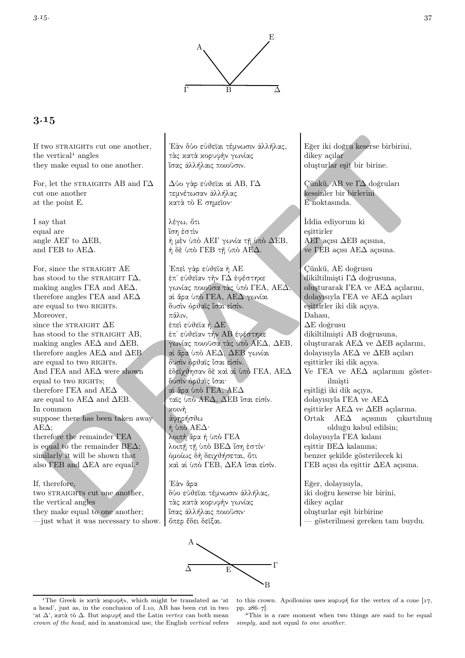

### 3.15

If two straights cut one another, <sup>2</sup> Έὰν δύο εὐθεῖαι τέμνωσιν ἀλλήλας, <sup>1</sup> Eğer iki doğru keserse birbirini, the vertical angles  $\tau\alpha\zeta$  κατὰ κορυφὴν γωνίας dikey açılar they make equal to one another. <sup>[</sup> ἴσας ἀλλήλαις ποιοῦσιν. [ oluşturlar eşit bir birine.

For, let the straights AB and ΓΔ  $\Delta$   $\Delta$  Δύο γὰρ εὐθεῖαι αί AB, ΓΔ  $\Delta$  Qünkü, AB ve ΓΔ doğruları cut one another τεμνέτωσαν ἀλλήλας kessinler bir birlerini at the point E. (*κατὰ τὸ Ε σημεῖον*· Ε πολετερική Επιλεύται Επιλεύται Επιλεύται Επιλεύται Επιλεύται Επιλεύται Ε

If, therefore, <u>Σάν άρα</u> Eğer, dolayısıyla, Eğer, dolayısıyla, they make equal to one another;  $\begin{vmatrix} \frac{\partial}{\partial x} & \frac{\partial}{\partial y} & \frac{\partial}{\partial x} \\ \frac{\partial}{\partial y} & \frac{\partial}{\partial z} & \frac{\partial}{\partial z} \end{vmatrix}$  oluşturlar eşit birbirine —just what it was necessary to show. ὅπερ ἔδει δεῖξαι. — gösterilmesi gereken tam buydu.

I say that  $\lambda \xi \gamma \omega$ , ὅτι  $\lambda \xi \gamma \omega$  iddia ediyorum ki equal are and το προστήθηκαν του προστήθηκαν στην εξετάση επιτροποιησία του κατά της εξετάσης της εξετάσης της angle ΑΕΓ to ΔΕΒ,  $\parallel \eta \parallel$  μεν ύπο ΑΕΓ γωνία τη ύπο ΔΕΒ,  $\parallel$  ΑΕΓ açısı ΔΕΒ açısına, and ΓΕΒ to ΑΕΔ.  $\eta \delta \epsilon$  υπό ΓΕΒ τη υπό ΑΕΔ.  $\chi$  ve ΓΕΒ açısı ΑΕΔ açısına.

For, since the STRAIGHT AE <sup>γὰρ</sup> εὐθεῖα ἡ AE Cünkü, AE doğrusu has stood to the straight ΓΔ,  $|\hat{\varepsilon} \times \hat{\varepsilon}| \leq \frac{1}{2} \sum_{k=1}^{\infty} \sum_{k=1}^{\infty} \frac{1}{k} \sum_{k=1}^{\infty} \frac{1}{k}$  dikiltilmişti ΓΔ doğrusuna, making angles ΓΕΑ and ΑΕΔ,  $\vert \gamma \omega \nu \omega \sigma \pi \omega \sigma \omega \tau \omega \sigma \nu \sigma \lambda$  ΓΕΑ, ΑΕΔ, oluşturarak ΓΕΑ ve ΑΕΔ acılarını, therefore angles ΓΕΑ and ΑΕΔ  $\alpha$  αί άρα ὑπὸ ΓΕΑ, ΑΕΔ γωνίαι dolayısıyla ΓΕΑ ve ΑΕΔ açıları are equal to two RIGHTs.  $\delta v \partial v \partial \tilde{\alpha} \tilde{\beta} \partial \alpha \tilde{\beta} \partial \alpha \tilde{\beta} \tilde{\alpha}$ . esittirler iki dik açıya. Moreover, Dahası, Dahası, Dahası, Dahası, Dahası, Dahası, Dahası, Dahası, Dahası, Dahası, Dahası, Dahası, Dahası, Dahası, Dahası, Dahası, Dahası, Dahası, Dahası, Dahası, Dahası, Dahası, Dahası, Dahası, Dahası, Dahası, Dah since the STRAIGHT ΔΕ  $|\hat{\epsilon} \pi \hat{\epsilon}| \hat{\epsilon} \psi \hat{\epsilon} \alpha \hat{\eta} \Delta E$   $\Delta E$   $\Delta E$  doğrusu has stood to the straight AB,  $|\hat{\varepsilon}\pi \rangle$  εὐθεῖαν τὴν AB ἐφέστηκε dikiltilmişti AB doğrusuna, making angles ΑΕΔ and ΔΕΒ, γωνίας ποιοῦσα τὰς ὕπὸ ΑΕΔ, ΔΕΒ, | oluşturarak ΑΕΔ ve ΔΕΒ açılarını, therefore angles ΑΕΔ and ΔΕΒ | αί ἄρα ὑπὸ ΑΕΔ, ΔΕΒ γωνίαι | dolayısıyla ΑΕΔ ve ΔΕΒ açıları are equal to two RIGHTs.<br>
And ΓΕΑ and ΑΕΔ were shown εδείχθησαν δε και αι ύπο ΓΕΑ, ΑΕΔ Ve ΓΕΑ ve ΑΕΔ aς equal to two RIGHTs; δυσικός δρυσικός δυσικός δρυσικός του ilmisti therefore ΓΕΑ and ΑΕΔ (αί ἄρα ὑπὸ ΓΕΑ, ΑΕΔ esitliği iki dik acıya, are equal to  $AEA$  and  $\Delta EB$ . Transference  $\Delta E\Delta$ ,  $\Delta EB$  (σαι είσίν. dolayısıyla ΓΕΑ ve  $AEA$ ) In common κοινὴ eşittirler ΑΕΔ ve ΔΕΒ açılarına. AΕΔ;  $\hat{\eta} \circ \pi \delta$  AΕΔ· olduğu kabul edilsin; therefore the remainder ΓΕΑ λοιπὴ ἄρα ἡ ὑπὸ ΓΕΑ dolayısıyla ΓΕΑ kalanı is equal to the remainder  $BEΔ$ ;  $\setminus$  λοιπῆ τῆ ὑπὸ  $BEΔ$  ἴση ἐστίν·  $\setminus$  eşittir  $BEΔ$  kalanına; similarly it will be shown that  $\delta\mu\delta\omega\varsigma\delta\eta\delta\epsilon\chi\vartheta\eta\sigma\epsilon\tau\alpha$ , ὅτι benzer şekilde gösterilecek ki also ΓΕΒ and ΔΕΑ are equal.<sup>2</sup> | καὶ αί ὑπὸ ΓΕΒ, ΔΕΑ ἴσαι εἰσίν. | ΓΕΒ açısı da eşittir ΔΕΑ açısına.



two straights cut one another, δύο εὐθεῖαι τέμνωσιν ἀλλήλας, iki doğru keserse bir birini, the vertical angles  $\tau \alpha \zeta$  κατὰ κορυφὴν γωνίας dikey açılar

two structures ent one annualism. This is continuous sixten of the structures on the continuous of the structures of the structure of the structure of the structure of the structure of the structure of the structure of th Ve ΓΕΑ ve ΑΕΔ açılarının göstersuppose there has been taken away | ἀφηρήσθω | Ortak AEΔ açısının çıkartılmış

to this crown. Apollonius uses  $x \circ \varphi \circ \varphi$  for the vertex of a cone [17, pp. 286-7.

<sup>2</sup>This is a rare moment when two things are said to be equal simply, and not equal to one another.

The Greek is κατὰ κορυφὴν, which might be translated as 'at a head', just as, in the conclusion of I.10, AB has been cut in two 'at  $\Delta$ ', κατά τὸ  $\Delta$ . But κορυφή and the Latin vertex can both mean crown of the head, and in anatomical use, the English vertical refers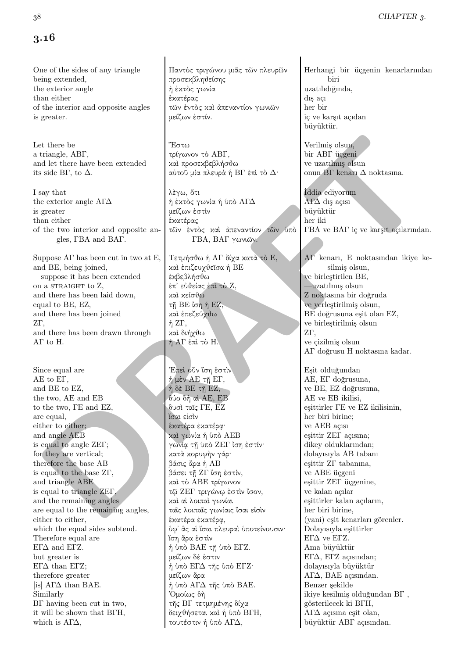# $3.16$

Let there be  $\begin{array}{c} \n\mathbb{E} \left[ \n\begin{array}{cc} \n\mathbb{E} \left[ \n\mathbb{E} \left[ \n\mathbb{E} \left[ \n\mathbb{E} \left[ \n\mathbb{E} \left[ \n\mathbb{E} \left[ \n\mathbb{E} \left[ \n\mathbb{E} \left[ \n\mathbb{E} \left[ \n\mathbb{E} \left[ \n\mathbb{E} \left[ \n\mathbb{E} \left[ \n\mathbb{E} \left[ \n\mathbb{E} \left[ \n\mathbb{E} \left[ \n\mathbb{E} \left[ \n\$ a triangle, ABΓ,<br>and let there have been extended  $\begin{bmatrix} \tau \rho \{v \omega \vee v \sigma \sigma \omega \} & \tau \rho \sigma \sigma \omega \end{bmatrix}$  bir ABF üçgeni and let there have been extended καὶ προσεκβεβλήσθω ve uzatılmış olsun<br>its side BΓ, to  $\Delta$ .<br>aὐτοῦ μία πλευρὰ ἡ BΓ ἐπὶ τὸ  $\Delta$ ·<br>onun BΓ kenarı  $\Delta$  noktasına.

I say that  $\lambda\grave{\epsilon}\gamma\omega$ , ὅτι iddia ediyorum the exterior angle  $A\Gamma\Delta$  | ή ἐχτὸς γωνία ή ὑπὸ  $A\Gamma\Delta$  |  $A\Gamma\Delta$  dis açısı is greater μείζων έστὶν μείζων έστιν θύμματος μείζων είναι μείζων και θελική μείζων και μείζων και μείζων και μ than either είναι του επιλεύτερας her iki of the two interior and opposite an- τῶν ἐντὸς καὶ ἀπεναντίον τῶν ὑπὸ ΓΒΑ ve ΒΑΓ iç ve karşıt açılarından. gles, ΓΒΑ and ΒΑΓ. ΓΒΑ, ΒΑΓ γωνιῶν.

Suppose AΓ has been cut in two at E,  $T$ ετμήσθω ή AΓ δίγα κατὰ τὸ Ε, AΓ kenarı, E noktasından ikiye keand BE, being joined,<br>
-suppose it has been extended  $\begin{bmatrix} \times \alpha \end{bmatrix} \in \mathbb{R} \rightarrow \mathbb{R}$  silmiş olsun,<br>  $\begin{bmatrix} \alpha \alpha \end{bmatrix} \in \mathbb{R} \rightarrow \mathbb{R}$  silmiş olsun,<br>  $\begin{bmatrix} \alpha \alpha \end{bmatrix} \in \mathbb{R} \rightarrow \mathbb{R}$  silmiş olsun, —suppose it has been extended ἐκβεβλήσθω ve birleştirilen ΒΕ, on a straight to Ζ, ἐπ᾿ εὐθείας ἐπὶ τὸ Ζ, —uzatılmış olsun and there has been laid down,  $\vert \times \alpha \rangle \times \infty$  και και το και το Σ noktasına bir doğruda equal to BE,  $EZ$ ,  $\tau\tilde{n} E \tilde{l} \sigma n \tilde{n} EZ$ , ve verlestirilmis olsun, and there has been joined  $\vert x \alpha \vert$  έπεζεύχθω BE doğrusuna esit olan ΕΖ, ZΓ,  $\eta$  is the birlest irilmis olsun  $\eta$  is the birlest irilmis olsun  $\eta$  ve birlest irilmis olsun and there has been drawn through  $\vert x\alpha\alpha\delta x\gamma\gamma\delta\omega \vert Z\Gamma$ , ΑΓ to Η. ἡ ΑΓ ἐπὶ τὸ Η. ve çizilmiş olsun

either to either; and angle AEB  $\frac{\hat{\epsilon}}{\text{xd}} \times \frac{\hat{\epsilon}}{\text{xd}} \times \frac{\hat{\epsilon}}{\text{xd}} \times \frac{\hat{\epsilon}}{\text{xd}} \times \frac{\hat{\epsilon}}{\text{xd}} \times \frac{\hat{\epsilon}}{\text{xd}} \times \frac{\hat{\epsilon}}{\text{xd}} \times \frac{\hat{\epsilon}}{\text{xd}} \times \frac{\hat{\epsilon}}{\text{xd}} \times \frac{\hat{\epsilon}}{\text{xd}} \times \frac{\hat{\epsilon}}{\text{xd}} \times \frac{\hat{\epsilon}}{\text{xd}} \times \frac{\hat{\epsilon}}{\text{xd}} \times \frac{\hat{\epsilon$ therefore the base  $AB$  βάσις ἄρα ή  $AB$ which is  $A\Gamma\Delta$ ,  $\qquad \qquad$  τουτέστιν ή ὑπὸ  $A\Gamma\Delta$ , büyüktür ABΓ açısından.

being extended,  $\pi \rho \sigma \sigma \epsilon \chi \beta \lambda \eta \nu \epsilon \sigma \eta \varsigma$  biri the exterior angle ἡ ἐκτὸς γωνία uzatılıdığında, than either  $\left| \frac{1}{2} \right| \frac{1}{2}$  έχατέρας dis açı of the interior and opposite angles τῶν ἐντὸς καὶ ἀπεναντίον γωνιῶν her bir is greater. is greater. in the use of  $\mu \in \mathcal{L}(\mathcal{L})$  is greater. if  $\mu \in \mathcal{L}(\mathcal{L})$  is greater.

αύτοῦ μία πλευρὰ ή ΒΓ ἐπὶ τὸ Δ·

at the<br>choice both the same of the same of the same of the same of the same of<br>the same of the same of the same of the same of the same of the same of<br>the same of the same of the same of the same of the same of the same Since equal are <u>The *Γεπε*λ *Exit ο*<sup>3</sup></u> Exit olduğundan Eşit olduğundan AE to EΓ,  $\hat{\eta}$  μὲν ΑΕ τ $\tilde{\eta}$  EΓ,  $\Delta E = \tilde{\eta}$  AE, EΓ doğrusuna, and ΒΕ to ΕΖ,  $\hat{\eta}$  δὲ ΒΕ τῆ ΕΖ, ve ΒΕ, ΕΖ doğrusuna, the two,  $AE$  and  $EB$   $\delta$   $\delta \alpha$   $AE$ ,  $EB$   $AE$   $E$   $B$   $AB$ ,  $E$   $ve$   $EB$  ikilisi, to the two, ΓΕ and ΕΖ, δυσὶ ταῖς ΓΕ, ΕΖ eşittirler ΓΕ ve ΕΖ ikilisinin, are equal, ἴσαι εἰσὶν her biri birine; and angle ΑΕΒ καὶ γωνία ἡ ὑπὸ ΑΕΒ eşittir ΖΕΓ açısına; is equal to angle ZEΓ;  $\gamma$ ωνία τῆ ὑπὸ ZEΓ ἴση ἐστίν· dikey olduklarından; for they are vertical; κατὰ κορυφὴν γάρ· dolayısıyla AB tabanı<br>therefore the base AB βάσις ἄρα ἡ AB esittir ZΓ tabanına, is equal to the base ZΓ,  $\beta$ άσει τῆ ZΓ ἴση ἐστίν, νe ABE üçgeni and triangle ABE καὶ τὸ ΑΒΕ τρίγωνον θειλεπτίζει τρίγωνον θειλεπτίζει τρίγωνον θειλεπτίζει της προσ is equal to triangle ZEΓ,  $\tau \tilde{\omega}$  ZEΓ τριγώνῳ ἐστὶν ἴσον, νe kalan açılar and the remaining angles καὶ αἱ λοιπαὶ γωνίαι eşittirler kalan açıların, are equal to the remaining angles, ταῖς λοιπαῖς γωνίαις ἴσαι εἰσὶν her biri birine, either to either, <u>έκατέρα έκατέρα, του επιτελεία είναι του επικ</u>οιήθηκε το either, το either, είναι το είναι του επικοινότητα του επικοινότητα του επικοινότητα του επικοινότητα του επικοινότητα του επικοινότητα του επικο which the equal sides subtend.  $\phi^{\delta}$  ως αί ἴσαι πλευραὶ ὑποτείνουσιν· Dolayısıyla eşittirler Therefore equal are <sup>1</sup> (ση ἄρα ἐστὶν της ΓΕΓΔ ve ΕΓΖ. EΓΔ and EΓZ.  $\hat{\eta}$  ὑπὸ BAE τ $\tilde{\eta}$  ὑπὸ EΓZ. Ama büyüktür but greater is  $\mu\in\mathcal{L}(\omega)$  δέ έστιν  $\mathcal{L}(\omega)$  ΕΓΔ, ΕΓΣ acusindan; EΓΔ than EΓΖ;  $\delta$  ή ὑπὸ ΕΓΔ τῆς ὑπὸ ΕΓΖ· dolayısıyla büyüktür therefore greater  $\mu \in \mathcal{L}(\mathcal{L})$  μείζων άρα  $\Lambda \Gamma \Delta$ , BAE acusindan. [is] ΑΓΔ than ΒΑΕ. ἡ ὑπὸ ΑΓΔ τῆς ὑπὸ ΒΑΕ. Benzer şekilde Similarly Similarly  $\bigcup_{i=1}^{\infty}$   $\bigcup_{i=1}^{\infty}$   $\bigcup_{i=1}^{\infty}$  ikiye kesilmiş olduğundan BΓ, BΓ having been cut in two,  $\tau_{\text{TS}}$  BΓ τετμημένης δίχα gösterilecek ki BΓΗ, it will be shown that BΓΗ,  $\delta$ ειχθήσεται καὶ ἡ ὑπὸ ΒΓΗ,  $\overrightarrow{A\Gamma\Delta}$  açısına eşit olan,

One of the sides of any triangle Παντὸς τριγώνου μιᾶς τῶν πλευρῶν Herhangi bir üçgenin kenarlarından büyüktür.

ΑΓ doğrusu Η noktasına kadar.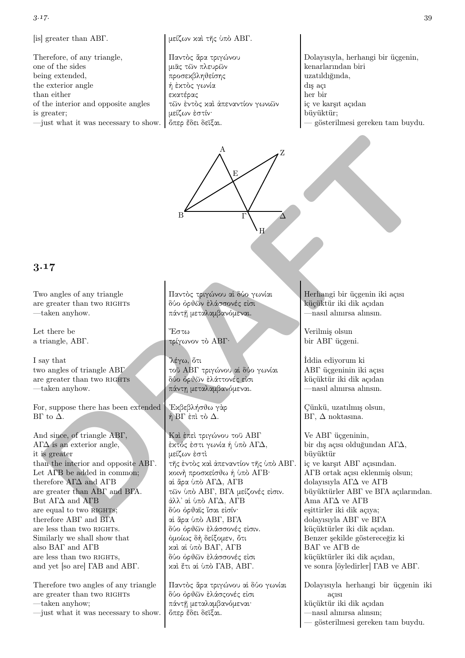$3.17.$ 

Therefore, of any triangle, Παντὸς ἄρα τριγώνου Dolayısıyla, herhangi bir üçgenin, one of the sides  $\mu\alpha_{\varsigma}$  τῶν πλευρῶν kenarlarından biri being extended, προσεκβληθείσης uzatıldığında, the exterior angle  $\hat{\eta}$  έχτὸς γωνία dış açı than either **εκατέρας** her bir of the interior and opposite angles  $\frac{1}{2}$  τῶν ἐντὸς χαὶ ἀπεναντίον γωνιῶν iç ve karşıt açıdan is greater;  $\mu \in \mathfrak{g}_{\omega}$  είζων έστίν· büyüktür; —just what it was necessary to show. ὅπερ ἔδει δεῖξαι. — gösterilmesi gereken tam buydu.

[is] greater than ΑΒΓ. μείζων καὶ τῆς ὑπὸ ΑΒΓ.



### $3.17$

Let there be  $\mathcal{E}_{\sigma \tau \omega}$  Verilmis olsun a triangle, ABΓ. (bir ABΓ üçgeni.) (bir ABΓ üçgeni.) (bir ABΓ üçgeni.) (bir ABΓ üçgeni.) (bir ABΓ üçgeni.) (bir ABΓ üçgeni.) (bir ABΓ üçgeni.) (bir ABΓ üçgeni.) (bir ABΓ üçgeni.) (bir ABΓ üçgeni.) (bir ABΓ üçgeni.) (bir A

For, suppose there has been extended Exβεβλήσθω γὰρ  $\Box$  Çünkü, uzatılmış olsun, BΓ to Δ. (a)  $\hat{\eta}$  BΓ  $\hat{\epsilon}$ πὶ τὸ Δ. (b) BΓ, Δ noktasına.

and yet [so are] ΓΑΒ and ΑΒΓ. καὶ ἔτι αἱ ὑπὸ ΓΑΒ, ΑΒΓ. ve sonra [öyledirler] ΓΑΒ ve ΑΒΓ.

are greater than two RIGHTs<br>  $-\text{taken anvhow:}$   $\begin{bmatrix} \delta \phi & \delta \phi \delta \delta v & \delta \lambda \phi \sigma \phi \delta v & \delta \lambda \phi \sigma \phi \nu \epsilon \sigma v \phi \sigma \omega \cdot \end{bmatrix}$  kücüktür iki dik acıdan —taken anyhow;  $\frac{1}{\pi}$ πάντῆ μεταλαμβανόμεναι·

Two angles of any triangle  $\Pi$ αντὸς τριγώνου αί δύο γωνίαι Herhangi bir üçgenin iki açısı are greater than two RIGHTs δύο ὀρθῶν ἐλάσσονές εἰσι κüçüktür iki dik açıdan —taken anyhow. πάντῇ μεταλαμβανόμεναι. —nasıl alınırsa alınsın.

I say that  $\lambda$ έγω, ὄτι **iddia ediyorum ki** two angles of triangle ΑΒΓ τοῦ ΑΒΓ τριγώνου αἱ δύο γωνίαι ΑΒΓ üçgeninin iki açısı are greater than two RIGHTs δύο ὀρθῶν ἐλάττονές εἶσι küçüktür iki dik açıdan —taken anyhow. πάντῃ μεταλαμβανόμεναι. —nasıl alınırsa alınsın.

And since, of triangle ABΓ, Καὶ ἐπεὶ τριγώνου τοῦ ΑΒΓ Ve ABΓ üçgeninin, ΑΓΔ is an exterior angle, ἐκτός ἐστι γωνία ἡ ὑπὸ ΑΓΔ, bir dış açısı olduğundan ΑΓΔ, it is greater  $\mu \in \mathbb{C}$  μείζων έστι μείζων του μείζων επιχείρηση μείζων επιχείρηση με το μεί than the interior and opposite ΑΒΓ. | τῆς ἐντὸς καὶ ἀπεναντίον τῆς ὑπὸ ΑΒΓ. | iç ve karşıt ΑΒΓ açısından. Let AFB be added in common;  $\alpha$  κοινὴ προσκείσθω ἡ ὑπὸ AFB· AFB ortak açısı eklenmiş olsun;<br>therefore AF $\Delta$  and AFB  $\alpha$  « « « αν λΕ $\Delta$ , AFB and AFA or AFB  $\alpha$ ί άρα ὑπὸ ΑΓΔ, ΑΓΒ  $\qquad$  dolayısıyla ΑΓΔ ve ΑΓΒ are greater than ΑΒΓ and ΒΓΑ. τῶν ὑπὸ ΑΒΓ, ΒΓΑ μείζονές εἰσιν. büyüktürler ΑΒΓ ve ΒΓΑ açılarından. But  $A\Gamma\Delta$  and  $A\Gamma B$   $\delta\lambda\lambda$ ' αί ὑπὸ  $A\Gamma\Delta$ ,  $A\Gamma B$   $\Delta$  we  $A\Gamma\Delta$  and  $A\Gamma\Delta$ are equal to two RIGHTs; δύο ὀρθαῖς ἴσαι εἰσίν· esittirler iki dik açıya; therefore ABΓ and BΓA (ai ἄρα ὑπὸ ABΓ, BΓA dolayısıyla ABΓ ve BΓA are less than two RIGHTs.  $\delta$ ύο ὀρθῶν ἐλάσσονές εἰσιν. | küçüktürler iki dik açıdan. Similarly we shall show that  $\delta\mu\delta\epsilon\zeta\partial\mu\epsilon$ , δτι Benzer şekilde göstereceğiz ki also ΒΑΓ and AΓΒ (*κα*ὶ αί ὑπὸ ΒΑΓ, AΓΒ βΑΓ ve AΓΒ de are less than two RIGHTs,  $\delta$ ύο ὀρθῶν ἐλάσσονές εἰσι küçüktürler iki dik açıdan,

—just what it was necessary to show. ὅπερ ἔδει δεῖξαι. —nasıl alınırsa alınsın;

Therefore two angles of any triangle | Παντὸς ἄρα τριγώνου αἱ δύο γωνίαι | Dolayısıyla herhangi bir üçgenin iki — gösterilmesi gereken tam buydu.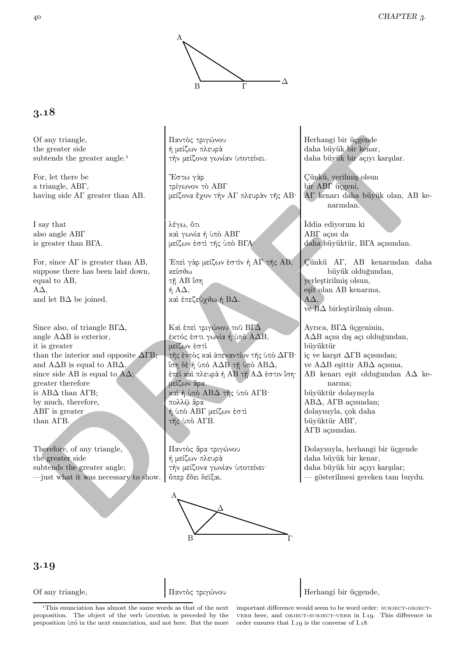

## 3.18

subtends the greater angle.

suppose there has been laid down,  $\kappa \in \mathcal{L}$ 

Therefore, of any triangle, Παντὸς ἄρα τριγώνου Dolayısıyla, herhangi bir üçgende the greater side ἡ μείζων πλευρὰ daha büyük bir kenar, subtends the greater angle;  $\left| \int \tau \dot{\gamma} \nu \mu \epsilon \zeta \sigma \nu \omega \nu \langle \alpha \nu \nu \alpha \nu \nu \nu \rangle \right|$  daha büyük bir açıyı karşılar; —just what it was necessary to show. ὅπερ ἔδει δεῖξαι. — gösterilmesi gereken tam buydu.

Of any triangle, Παντὸς τριγώνου Herhangi bir üçgende the greater side  $\int \hat{\eta} \mu \in \mathfrak{C}(\omega)$  πλευρά daha büyük bir kenar,

For, let there be <sup>γ</sup>Έστω γὰρ ζünkü, verilmiş olsun a triangle, ABΓ, στη θερίγωνον τὸ ΑΒΓ bir ABΓ üçgeni, having side AΓ greater than AB. μείζονα έχον την ΑΓ πλευράν της ΑΒ· AΓ kenarı daha büyük olan, AB ke-

I say that  $\lambda$ έγω, ὅτι  $\lambda$ ίddia ediyorum ki also angle ABΓ (καὶ γωνία ἡ ὑπὸ ABΓ (ABΓ açısı da

equal to  $AB$ ,  $\pi\tilde{A}B\tilde{a}n$  yerlestirilmiş olsun,  $A\Delta$ , esit olan AB kenarına, and let  $B\Delta$  be joined.  $\big| \times \alpha \iota \in \mathcal{K} \in \mathcal{K} \cup \mathcal{K} \cup \mathcal{K}$ .

Since also, of triangle ΒΓΔ, Καὶ ἐπεὶ τριγώνου τοῦ ΒΓΔ Ayrıca, ΒΓΔ üçgeninin, angle ΑΔΒ is exterior,  $\epsilon$  έκτός έστι γωνία ή ὑπὸ ΑΔΒ, AΔΒ açısı dış açı olduğundan, it is greater μείζων έστι μείζων έστι büyüktür than the interior and opposite  $\Delta \Gamma B$ ;  $\frac{1}{2} \tau \tilde{\eta} \zeta \dot{\epsilon} \nu \tau \dot{\delta} \zeta \chi \dot{\alpha} \dot{\alpha} \pi \epsilon \nu \alpha \nu \tau (\dot{\rho} \nu \tau \tilde{\eta} \zeta \dot{\alpha} \Delta \Gamma B \cdot \dot{\alpha} \epsilon \dot{\alpha} \Delta \Gamma B \cdot \dot{\alpha} \epsilon \dot{\alpha} \lambda \dot{\alpha} \dot{\alpha} \lambda \dot{\alpha} \dot{\alpha} \lambda \dot{\alpha} \dot{\alpha} \lambda \dot{\alpha} \dot{\alpha} \lambda \dot{\alpha} \dot{\alpha$ and  $\widehat{A \Delta B}$  is equal to  $\widehat{A B \Delta}$ ,  $\widehat{a} \widehat{b} \widehat{n} \widehat{b} \pi \widehat{b} \widehat{A} \Delta B \tau \widehat{n} \widehat{b} \pi \widehat{b}$   $\widehat{A \Delta B} \widehat{b} \widehat{n} \widehat{b} \pi \widehat{b}$   $\widehat{A \Delta B} \widehat{n} \widehat{b} \widehat{n} \widehat{b} \widehat{A} \Delta B$ ,  $\forall \widehat{A \Delta B} \widehat{n} \widehat{b} \widehat{n} \widehat{b} \$ since side ΑΒ is equal to ΑΔ; ἐπεὶ καὶ πλευρὰ ἡ ΑΒ τῇ ΑΔ ἐστιν ἴση· ΑΒ kenarı eşit olduğundan ΑΔ kegreater therefore μείζων ἄρα narina; is ΑΒΔ than AΓΒ; καὶ ἡ ὑπὸ ΑΒΔ τῆς ὑπὸ ΑΓΒ· büyüktür dolayısıyla by much, therefore, πολλῷ ἄρα ΑΒΔ, AΓB açısından; ABΓ is greater  $\delta$  ή υπό ABΓ μείζων έστι dolayısıyla, çok daha than AΓΒ. (π) της ύπὸ AΓΒ. (büyüktür ABΓ,



τὴν μείζονα γωνίαν ὑποτείνει. daha büyük bir açıyı karşılar.

narından.

is greater than ΒΓΑ. μείζων ἐστὶ τῆς ὑπὸ ΒΓΑ· daha büyüktür, ΒΓΑ açısından.

For, since AΓ is greater than AB, <sup>γ</sup>Επεὶ γὰρ μείζων ἐστὶν ἡ ΑΓ τῆς AB, *Ç*ünkü AΓ, AB kenarından daha suppose there has been laid down. *κείσθω* ve ΒΔ birleştirilmiş olsun.

For triangle,<br>
March as the spectrum side of the spectra side of the spectra side of the spectra side<br>
March as the spectra side of the spectra side of the spectra side of the<br>
means of the spectra side of the spectra sid ΑΓΒ açısından.

#### 3.19

Of any triangle,  $\boxed{\text{IIαντός τριγώνου Herhangi bir üçgende,$ 

This enunciation has almost the same words as that of the next proposition. The object of the verb ὑποτείνει is preceded by the preposition ὑπό in the next enunciation, and not here. But the more

important difference would seem to be word order: SUBJECT-OBJECTvERB here, and OBJECT-SUBJECT-VERB in I.19. This difference in order ensures that I.19 is the converse of I.18.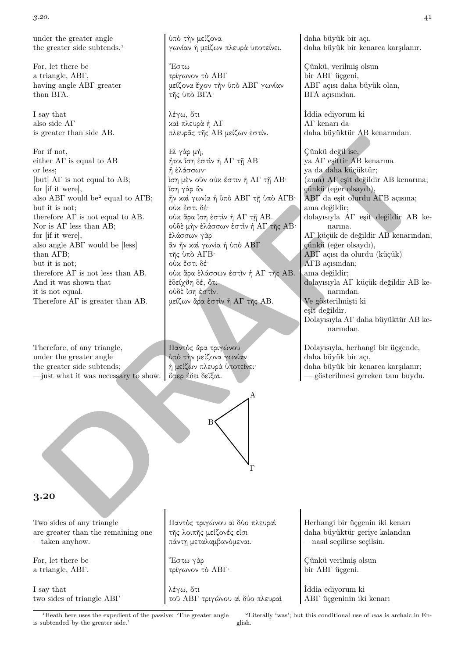$3.20.$   $41$ 

also ABT would be<sup>2</sup> equal to ATB;

under the greater angle **bi**πὸ τὴν μείζονα γωνίαν daha büyük bir açı, the greater side subtends;  $\hat{\eta}$  μείζων πλευρὰ ὑποτείνει· daha büyük bir kenarca karşılanır;

under the greater angle  $\int \phi \pi \partial \tau \gamma$ ν μείζονα daha büyük bir açı,

For, let there be ῎Εστω Çünkü, verilmiş olsun a triangle, ABΓ,  $\lceil \frac{\text{top}(y_0, y_0)}{\text{top}(y_0, y_0)} \rceil$  bir ABΓ üçgeni, having angle ΑΒΓ greater  $\mu$ είζονα ἔχον τὴν ὑπὸ ΑΒΓ γωνίαν (ABΓ açısı daha büyük olan, than BΓΑ. (πρόκληλα της υπόθεσης προσωπικής προσωπικής υπόθεσης διαφορείται στη ΒΓΑ açısından.

I say that λέγω, ὅτι İddia ediyorum ki also side AΓ (καὶ πλευρὰ ἡ AΓ (AΓ kenarı da

For if not, Εἰ γὰρ μή, Çünkü değil ise, either AF is equal to AB  $\int \eta \tau$ οι ἴση ἐστὶν ἡ AF τῆ AB  $\int$  ya AF eşittir AB kenarına or less; and a contract προϊόν φαιρισμός διαφορές του διαφορές του στην στηλεύτη στη συνθετική προσωπική στη σ [but] ΑΓ is not equal to ΑΒ; ἴση μὲν οὖν οὐκ ἔστιν ἡ ΑΓ τῇ ΑΒ· (ama) ΑΓ eşit değildir ΑΒ kenarına; for [if it were], ἴση γὰρ ἂν çünkü (eğer olsaydı),  $\tilde{\eta}$ ν καὶ γωνία ἡ ὑπὸ ΑΒΓ τ $\tilde{\eta}$  ὑπὸ ΑΓΒ· ABF da eşit olurdu AFB açısına; but it is not;  $\vert$  οὐχ ἔστι δέ<sup>·</sup> ama değildir; ama değildir; therefore AΓ is not equal to AB. (οὐχ ἄρα ἴση ἐστὶν ἡ ΑΓ τῆ ΑΒ. (dolayısıyla AΓ eşit değildir AB ke-Nor is AΓ less than AB;  $\vert$  οὐδὲ μὴν ἐλάσσων ἐστὶν ἡ ΑΓ τῆς AB· narına. for [if it were],  $\frac{\partial \phi}{\partial x}$   $\frac{\partial \phi}{\partial y}$   $\frac{\partial \phi}{\partial y}$  AΓ küçük de değildir AB kenarından; also angle ABT would be [less]  $\partial v \gamma v \times \partial \gamma v \times \partial \partial \partial B$  (cünkü (eğer olsaydı), than AΓΒ; (π) της υπό ΑΓΒ· (ABT acisi da olurdu (küçük) but it is not;<br>
therefore AT is not less than AB.  $\int_0^{\infty} \frac{\delta \hat{\epsilon} \cdot}{\delta \hat{\epsilon}}$  oὐx ἄρα ἐλάσσων ἐστὶν ἡ AT τῆς AB. ama değildir; οὐκ ἄρα ἐλάσσων ἐστὶν ἡ ΑΓ τῆς ΑΒ. ama değildir; And it was shown that  $\left| \frac{\partial \delta \epsilon(\chi \theta)}{\partial \xi}, \frac{\partial \tau}{\partial t} \right|$  dolayısıyla AΓ küçük değildir AB keit is not equal.  $\overrightarrow{O}$  oὐδὲ ἴση ἐστίν. narından. Therefore ΑΓ is greater than ΑΒ. μείζων ἄρα ἐστὶν ἡ ΑΓ τῆς ΑΒ. Ve gösterilmişti ki



the greater side subtends.<sup>1</sup> γωνίαν ή μείζων πλευρὰ ὑποτείνει. | daha büyük bir kenarca karşılanır.

is greater than side AB.  $\pi\ker(\cos \theta)$  πλευρᾶς τῆς AB μείζων ἐστίν.  $\det$  daha büyüktür AB kenarından.

given the state and set also the state of  $N^2$  is the state of  $N^2$  is the state of  $N^2$  is the state of  $N^2$  is the state of  $N^2$  is the state of  $N^2$  is the state of  $N^2$  is the state of  $N^2$  is the state of  $N^$ eşit değildir. Dolayısıyla ΑΓ daha büyüktür ΑΒ kenarından.

Therefore, of any triangle, Παντὸς ἄρα τριγώνου Dolayısıyla, herhangi bir üçgende, —just what it was necessary to show. ὅπερ ἔδει δεῖξαι. — gösterilmesi gereken tam buydu.

#### 3.20

Two sides of any triangle Παντὸς τριγώνου αἱ δύο πλευραὶ Herhangi bir üçgenin iki kenarı are greater than the remaining one  $\tau_{\tilde{\eta}}$ ς λοιπῆς μείζονές εἶσι daha büyüktür geriye kalandan —taken anyhow. πάντῃ μεταλαμβανόμεναι. —nasıl seçilirse seçilsin.

a triangle, ΑΒΓ. τρίγωνον τὸ ΑΒΓ· bir ΑΒΓ üçgeni.

I say that  $\lambda \xi \gamma \omega$ , ὅτι Iddia ediyorum ki two sides of triangle ΑΒΓ τοῦ ΑΒΓ τριγώνου αἱ δύο πλευραὶ ΑΒΓ üçgeninin iki kenarı

For, let there be  $\begin{array}{c} \big| \in \mathcal{L}(\mathbb{R}) \to \mathbb{R}^n \end{array}$  Eστω γὰρ  $\begin{array}{c} \big| \text{Cünki verilmiş olsun} \big| \end{array}$ 

<sup>1</sup>Heath here uses the expedient of the passive: 'The greater angle is subtended by the greater side.'

Literally 'was'; but this conditional use of was is archaic in English.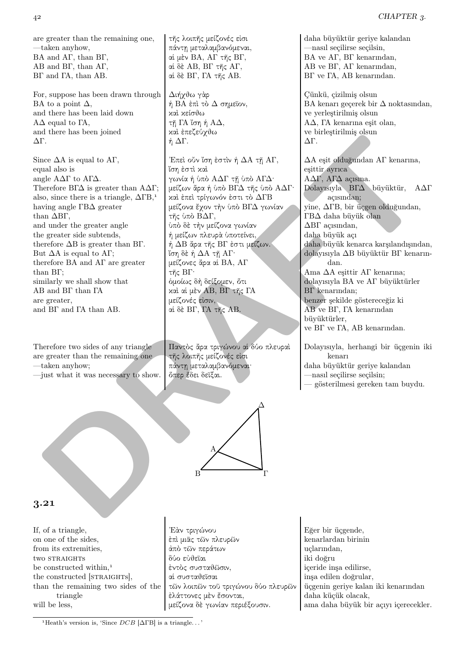$CHAPTER$  3.

—taken anyhow,<br>
BA and AΓ, than BΓ,  $\alpha$  μεταλαμβανόμεναι,  $\alpha$  = nasil seçilirse seçilsin,<br>  $\alpha$  μεταλαμβανόμεναι,  $\beta$  = nasil seçilirse seçilsin,<br>
BA ve AΓ, BΓ kenarınd BA and AΓ, than BΓ,  $\alpha i \mu \rightarrow \alpha \pi \pi \pi \pi$ ,  $\alpha \rightarrow \alpha \pi \pi$ ,  $\alpha \rightarrow \alpha \pi$ ,  $\alpha \rightarrow \alpha \pi$ ,  $\alpha \rightarrow \alpha \pi$ ,  $\alpha \rightarrow \alpha \pi$ ,  $\alpha \rightarrow \alpha \pi$ ,  $\alpha \rightarrow \alpha \pi$ ,  $\alpha \rightarrow \alpha \pi$ ,  $\alpha \rightarrow \alpha \pi$ ,  $\alpha \rightarrow \alpha \pi$ ,  $\alpha \rightarrow \alpha \pi$ ,  $\alpha \rightarrow \alpha \pi$ ,  $\alpha \rightarrow \alpha \pi$ ,  $\alpha \rightarrow \alpha \pi$ ,  $\alpha \rightarrow \alpha \pi$ BΓ and ΓΑ, than AB.  $\alpha$  δὲ BΓ, ΓΑ τῆς AB.  $\beta$  BΓ ve ΓΑ, AB kenarından.

For, suppose has been drawn through  $\Delta$ ιήχθω γὰρ  $\vert$  Qünkü, çizilmiş olsun and there has been laid down  $\vert x\alpha\vert x\epsilon\sigma\vartheta\omega$  ve yerleştirilmiş olsun  $A\Delta$  equal to ΓΑ,  $\tau\tilde{\eta}$  ΓΑ (ση ή Α $\Delta$ ,  $A\Delta$ , ΓΑ kenarına eşit olan, and there has been joined καὶ ἐπεζεύχθω νε birleştirilmiş olsun<br>
ΔΓ<br>
ΔΓ  $\Delta \Gamma$ .  $\qquad \qquad \vert \ \hat{\eta} \ \Delta \Gamma$ .  $\qquad \qquad \vert \ \Delta \Gamma$ .

equal also is  $\left[\begin{array}{cc} \text{for } \text{é} \text{ or } \text{ic} \text{ or } \text{ic} \end{array}\right]$  esittir ayrıca angle ΑΔΓ to ΑΓΔ.  $\gamma \omega \nu \alpha \eta \nu \pi \delta A \Delta \Gamma \tau \eta \nu \pi \delta A \Gamma \Delta \cdots$  AΔΓ, ΑΓΔ açısına. also, since there is a triangle,  $\Delta \Gamma B$ , having angle ΓΒΔ greater  $\mu$ είζονα ἔχον τὴν ὑπὸ ΒΓΔ γωνίαν yine, ΔΓΒ, bir üçgen olduğundan, than ΔΒΓ,  $\tau\tilde{\eta}$ ς ὑπὸ ΒΔΓ, ΓΒΔ daha büyük olan and under the greater angle  $\int \phi \vec{n} \delta \vec{\delta} \vec{\epsilon} \vec{n}$ ν μείζονα γωνίαν  $\Delta \text{B} \Gamma$  açısından, the greater side subtends,  $\eta$  μείζων πλευρὰ ὑποτείνει, daha büyük açı therefore BA and AΓ are greater μείζονες ἄρα αί ΒΑ, AΓ dan. than ΒΓ;  $\tau$  της ΒΓ·  $\tau$  and ΔA esittir AΓ kenarına; similarly we shall show that  $\delta\mu\delta\kappa\leq \delta\eta\delta\epsilon$ ίζομεν, ὅτι dolayısıyla ΒΑ ve ΑΓ büyüktürler AB and BΓ than ΓΑ (καὶ μὲν ΑΒ, ΒΓ τῆς ΓΑ βΓ kenarından; are greater,  $\mu \in \mathcal{L}$  μείζονές είσιν, benzer şekilde göstereceğiz ki and BΓ and ΓΑ than AB.  $\alpha$  δε BΓ, ΓΑ τῆς AB.  $AB$  ve BΓ, ΓΑ kenarından

| Therefore two sides of any triangle  |
|--------------------------------------|
| are greater than the remaining one   |
| —taken anyhow;                       |
| -just what it was necessary to show. |
|                                      |

Since  $\Delta A$  is equal to AΓ,  $\parallel$   $\cong$   $\parallel$  Σπεὶ οὖν ἴση ἐστὶν ἡ  $\Delta A$  τῆ AΓ,  $\parallel$   $\Delta A$  esit olduğundan AΓ kenarına, καὶ ἐπεὶ τρίγωνόν ἐστι τὸ ΔΓΒ  $\blacksquare$  açısından;

> Παντὸς ἄρα τριγώνου αί δύο πλευραὶ | Dolayısıyla, herhangi bir üçgenin iki<br>τῆς λοιπῆς μείζονές εἰσι της λοιπής μείζονές είσι πάντη μεταλαμβανόμεναι· daha büyüktür geriye kalandan —just what it was necessary to show. ὅπερ ἔδει δεῖξαι. —nasıl seçilirse seçilsin;



are greater than the remaining one,  $\tau_{\eta\zeta}$  λοιπής μείζονές είσι daha büyüktür geriye kalandan  $\alpha$ ίδε AB, ΒΓ τῆς ΑΓ,  $\Box$  AB ve ΒΓ, ΑΓ kenarından,

BA to a point  $\Delta$ ,  $\hat{\uparrow}$  BA έπὶ τὸ  $\Delta$  σημεῖον,  $\qquad$  BA kenarı geçerek bir  $\Delta$  noktasından,

DRAFT Therefore ΒΓΔ is greater than ΑΔΓ; μείζων ἄρα ἡ ὑπὸ ΒΓΔ τῆς ὑπὸ ΑΔΓ· Dolayısıyla ΒΓΔ büyüktür, ΑΔΓ therefore ΔΒ is greater than ΒΓ. ἡ ΔΒ ἄρα τῆς ΒΓ ἐστι μείζων. daha büyük kenarca karşılandışından, But ΔA is equal to AΓ; <sup>(ση δε</sup> ή ΔΑ τῆ ΑΓ<sup>·</sup> dolayısıyla ΔΒ büyüktür BΓ kenarınbüyüktürler, ve ΒΓ ve ΓΑ, ΑΒ kenarından.

— gösterilmesi gereken tam buydu.

# 3.21

If, of a triangle,  $\mathbb{E}$ αν τριγώνου  $\mathbb{E}$  Eger bir üçgende, on one of the sides,  $\left| \begin{array}{c} \frac{\partial}{\partial x} \\ \frac{\partial}{\partial y} \end{array} \right|$  kenarlardan birinin from its extremities,  $\phi \pi \delta \tau \tilde{\omega}$ ν περάτων uçlarından, two straights iki doğru iki doğru iki doğru iki doğru iki doğru iki doğru iki doğru iki doğru iki doğru iki doğru be constructed within, the constructed [STRAIGHTs],  $\alpha$  συσταθεΐσαι insa edilen doğrular, than the remaining two sides of the  $\tau$ ῶν λοιπῶν τοῦ τριγώνου δύο πλευρῶν üçgenin geriye kalan iki kenarından will be less,  $\mu \in \mathbb{C}$ ονα δὲ γωνίαν περιέξουσιν. ama daha büyük bir açıyı içerecekler.

έντὸς συσταθῶσιν, interide insa edilirse, triangle ἐλάττονες μὲν ἔσονται, daha küçük olacak,

<sup>1</sup>Heath's version is, 'Since  $DCB$  [ $\Delta$ FB] is a triangle...'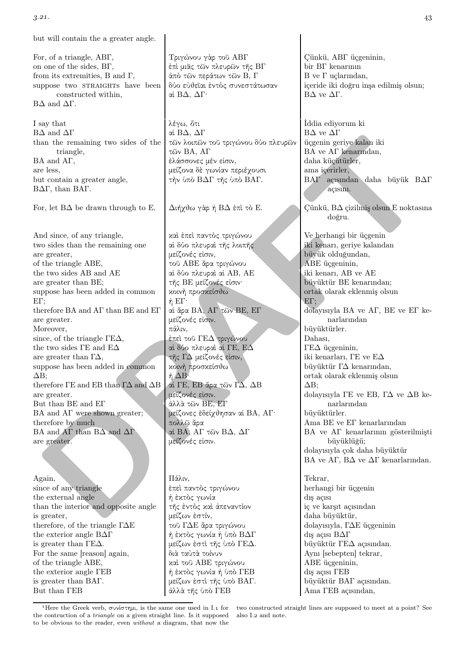$3.21.$   $43$ 

but will contain the a greater angle.

For, of a triangle, ΑΒΓ, Τριγώνου γὰρ τοῦ ΑΒΓ Çünkü, ΑΒΓ üçgeninin, on one of the sides, ΒΓ, ἐπὶ μιᾶς τῶν πλευρῶν τῆς ΒΓ bir ΒΓ kenarının from its extremities, B and Γ,  $\alpha$   $\alpha$   $\beta$  περάτων τῶν Β, Γ B ve Γ uçlarından, suppose two straights have been δύο εὐθεῖαι ἐντὸς συνεστάτωσαν iceride iki doğru insa edilmiş olsun;  $B\Delta$  and  $\Delta\Gamma$ .

I say that  $\begin{array}{c|c}\n\lambda \in \gamma \omega, \delta \tau \downarrow \text{if } \lambda \in \gamma \Delta. \text{or} \\
\alpha \in \mathcal{B} \Delta. \Delta \Gamma\n\end{array}$   $\begin{array}{c|c}\n\text{Iddia ediyorum ki} \\
\text{B} \Delta \text{ ve } \Delta \Gamma\n\end{array}$  $B\Delta$  and  $\Delta\Gamma$   $\alpha$   $\beta\Delta$ ,  $\Delta\Gamma$ ΒΔΓ, than BAΓ. acusini.

And since, of any triangle,  $\vert \times \alpha \vert$  έπελ παντὸς τριγώνου Ve herhangi bir üçgenin two sides than the remaining one ai δύο πλευραί τῆς λοιπῆς iki kenarı, geriye kalandan are greater, μείζονές είσιν, μείζονται μείζονται του θελικό του θελικό διαθεί του θελικό προσπάθει του θελικό σ of the triangle ABE,<br>
the two sides AB and AE  $\alpha$  δύο πλευρα αί AB, AE iki kenari, AB ve AE the two sides AB and  $AE$  | αίδύο πλευραὶ αί $AB$ ,  $AE$ are greater than BE;  $\tau$ ης BE μείζονές είσιν· büyüktür BE kenarından; suppose has been added in common κοινὴ προσκείσθω και το σταλ ortak olarak eklenmiş olsun EΓ;  $\parallel$  ή EΓ·  $\parallel$  =  $\parallel$  + EΓ· therefore ΒΑ and ΑΓ than ΒΕ and ΕΓ | αί ἄρα ΒΑ, ΑΓ τῶν ΒΕ, ΕΓ dolayısıyla ΒΑ ve ΑΓ, ΒΕ ve ΕΓ keare greater. μείζονές είσιν. **1999** μείζονες είσιν. Moreover, πάλιν, büyüktürler. since, of the triangle ΓΕΔ,  $\frac{2}{\pi}$  επεί τοῦ ΓΕΔ τριγώνου Dahası, the two sides ΓΕ and ΕΔ  $\alpha$  δύο πλευραὶ αί ΓΕ, ΕΔ  $\Gamma$ ΕΔ üçgeninin, are greater than ΓΔ,  $\tau \tilde{\eta} \in \Gamma \Delta$  μείζονές είσιν, iki kenarları, ΓΕ ve ΕΔ suppose has been added in common | xοινὴ προσκείσθω | büyüktür ΓΔ kenarından,  $\Delta B$ ;  $\hat{\eta} \Delta B$ <sup>,</sup>  $\Delta B$ <sup>,</sup>  $\eta$ therefore ΓΕ and ΕΒ than ΓΔ and ΔΒ | αί ΓΕ, ΕΒ άρα τῶν ΓΔ, ΔΒ | ΔΒ; are greater.<br>  $\begin{bmatrix} \mu \in \mathcal{K} \\ \alpha \lambda \lambda \alpha + \tilde{\omega} \nu \end{bmatrix}$  BE, EΓ dolayısıyla ΓΕ ve EB, ΓΔ ve ΔΒ ke-<br>
narlarından But than BE and EΓ (*ἀλλ*ὰ τῶν ΒΕ, ΕΓ narlarından BA and AΓ were shown greater;  $\mu \in \mathcal{K}$  ( $\mu \in \mathcal{K}$  ( $\lambda \in \mathcal{K}$   $\mathcal{K}$ )  $\sigma \in \mathcal{K}$  and BA, AΓ· büyüktürler.<br>
therefore by much  $\sigma \in \mathcal{K}$  and BE ve BA and  $\overline{A\Gamma}$  than  $\overline{B\Delta}$  and  $\overline{\Delta\Gamma}$  ai  $\overline{B\Delta}$ ,  $\overline{A\Gamma}$   $\overline{\Delta}$   $\overline{\Delta}$   $\overline{\Delta}$   $\overline{\Delta}$   $\overline{\Delta}$   $\overline{\Delta}$   $\overline{\Delta}$   $\overline{\Delta}$   $\overline{\Delta}$   $\overline{\Delta}$   $\overline{\Delta}$   $\overline{\Delta}$   $\overline{\Delta}$   $\overline{\Delta}$   $\overline{\Delta}$   $\overline{\Delta}$  are greater. *μείζονές είσιν.* **μείζονές είσιν. büyüklüğü:** 

Again, Tekrar, Πάλιν, Tekrar, Tekrar, Tekrar, Τ since of any triangle  $\left| \begin{array}{c} \epsilon \in \mathbb{R} \\ \epsilon \in \mathbb{R} \end{array} \right|$  παντὸς τριγώνου herhangi bir üçgenin the external angle ἡ ἐκτὸς γωνία dış açısı than the interior and opposite angle τῆς ἐντὸς καὶ ἀπεναντίον iç ve karşıt açısından is greater,  $\mu \in \mathcal{K}$  μείζων έστίν, daha büyüktür, therefore, of the triangle ΓΔΕ | τοῦ ΓΔΕ ἄρα τριγώνου | dolayısıyla, ΓΔΕ üçgeninin the exterior angle ΒΔΓ ἡ ἐκτὸς γωνία ἡ ὑπὸ ΒΔΓ dış açısı ΒΔΓ is greater than ΓΕΔ.  $\vert$  μείζων ἐστὶ τῆς ὑπὸ ΓΕΔ.  $\vert$  büyüktür ΓΕΔ açısından. For the same [reason] again,  $\delta \alpha$  ταὐτὰ τοίνυν Aynı [sebepten] tekrar, of the triangle ABE,  $\vert x\alpha\vert$  τοῦ ABE τριγώνου  $\vert$  ABE üçgeninin, the exterior angle ΓΕΒ ἡ ἐκτὸς γωνία ἡ ὑπὸ ΓΕΒ dış açısı ΓΕΒ is greater than ΒΑΓ.  $\mu \in \mathcal{L}$  μείζων ἐστὶ τῆς ὑπὸ ΒΑΓ. büyüktür ΒΑΓ açısından. But than ΓΕΒ (αλλά τῆς ὑπὸ ΓΕΒ (Ama ΓΕΒ açısından,

constructed within,  $\alpha \beta \beta \Delta$ ,  $\Delta \Gamma$   $\beta \Delta$  ve  $\Delta \Gamma$ .

than the remaining two sides of the  $\tau$ ῶν λοιπῶν τοῦ τριγώνου δύο πλευρῶν  $\tau$  üçgenin gerive kalan iki triangle, τῶν ΒΑ, ΑΓ ΒΑ ve ΑΓ kenarından, BA and AΓ, ελάσσονες μέν είσιν, daha küçütürler, are less, μείζονα δὲ γωνίαν περιέχουσι ama içerirler, but contain a greater angle,  $\tau_{\gamma}$ ν ὑπὸ ΒΔΓ τῆς ὑπὸ ΒΑΓ. BAΓ açısından daha büyük ΒΔΓ

 $\begin{array}{c|c}\n\pi \circ \lambda \lambda \tilde{\varphi} & \text{for } \alpha \\
\alpha \circ \text{BA} & \text{AF } \tau \tilde{\omega} \vee \text{BA} & \Delta \Gamma\n\end{array}$  Ama BE ve EΓ kenarlarından

For, let ΒΔ be drawn through to E.  $\Delta$ ιήχθω γὰρ ἡ ΒΔ ἐπὶ τὸ Ε.  $\Box$  Qünkü, ΒΔ çizilmiş olsun E noktasına doğru.

and the transition of the proposition of the spectrum of the spectrum of the spectrum of the spectrum of the spectrum of the spectrum of the spectrum of the spectrum of the spectrum of the spectrum of the spectrum of the dolayısıyla çok daha büyüktür ΒΑ ve ΑΓ, ΒΔ ve ΔΓ kenarlarından.

<sup>1</sup>Here the Greek verb, συνίστημι, is the same one used in I.1 for the contruction of a triangle on a given straight line. Is it supposed to be obvious to the reader, even without a diagram, that now the

two constructed straight lines are supposed to meet at a point? See also I.2 and note.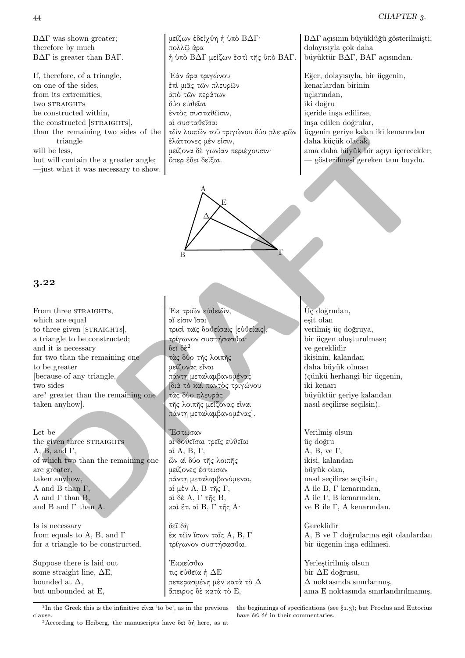but will contain the a greater angle:  $\frac{1}{2}$  όπερ έδει δεῖξαι. —just what it was necessary to show.

therefore by much  $\pi$  λλῶ ἄρα dolayısıyla çok daha ΒΔΓ is greater than ΒΑΓ. ἡ ὑπὸ ΒΔΓ μείζων ἐστὶ τῆς ὑπὸ ΒΑΓ. büyüktür ΒΔΓ, ΒΑΓ açısından. If, therefore, of a triangle, <sup>7</sup>Εὰν ἄρα τριγώνου Εğer, dolayısıyla, bir üçgenin, on one of the sides,  $\left| \begin{array}{c} \frac{1}{2} \\ \frac{1}{2} \\ \frac{1}{2} \\ \frac{1}{2} \\ \frac{1}{2} \\ \frac{1}{2} \\ \frac{1}{2} \\ \frac{1}{2} \\ \frac{1}{2} \\ \frac{1}{2} \\ \frac{1}{2} \\ \frac{1}{2} \\ \frac{1}{2} \\ \frac{1}{2} \\ \frac{1}{2} \\ \frac{1}{2} \\ \frac{1}{2} \\ \frac{1}{2} \\ \frac{1}{2} \\ \frac{1}{2} \\ \frac{1}{2} \\ \frac{1}{2} \\ \frac{1}{2} \\ \frac{1}{$ from its extremities, ἀπὸ τῶν περάτων uçlarından, two straights and iki doğru iki doğru iki doğru iki doğru iki doğru iki doğru iki doğru iki doğru iki doğru iki doğru be constructed within,  $\left| \begin{array}{c} \frac{\partial}{\partial x} & \frac{\partial}{\partial y} \\ \frac{\partial}{\partial z} & \frac{\partial}{\partial x} \end{array} \right|$  içeride inşa edilirse, the constructed [STRAIGHTS],  $\alpha$ ί συσταθεῖσαι insa edilen doğrular, insa edilen doğrular, than the remaining two sides of the  $\alpha$ ί τῶν λοιπῶν τοῦ τριγώνου δύο πλευρῶν insa edilen doğrular, than the remaining two sides of the τῶν λοιπῶν τοῦ τριγώνου δύο πλευρῶν üçgenin geriye kalan iki kenarından triangle  $\begin{bmatrix} \frac{\partial}{\partial x} & \frac{\partial}{\partial y} \\ \frac{\partial}{\partial y} & \frac{\partial}{\partial z} \end{bmatrix}$  (daha küçük olacak, ama daha büyük bir acıyı icerecekler;

Β Γ

Ε

BΔΓ was shown greater;  $\vert \mu \in \mathcal{L}(\omega)$  ἐδείχθη ἡ ὑπὸ ΒΔΓ·  $\vert$  ΒΔΓ açısının büyüklüğü gösterilmişti;

μείζονα δὲ γωνίαν περιέχουσιν· ama daha büyük bir açıyı içerecekler;<br>« ama daha büyük bir açıyı içerecekler; burdu.

#### 3.22

From three STRAIGHTs,  $\begin{bmatrix} E \times \tau \rho \omega \\ \omega \end{bmatrix}$  εὐθειῶν,  $\begin{bmatrix} \vec{U} \\ \vec{U} \end{bmatrix}$  doğrudan, which are equal  $\alpha$  είσιν ἴσαι  $\alpha$  esit olan to three given [straights], τρισὶ ταῖς δοθείσαις [εὐθείαις], verilmiş üç doğruya, a triangle to be constructed;  $\tau$ <sub>είγωνον</sub> συστήσασθαι· bir üçgen oluşturulması; and it is necessary  $\delta \tilde{\varepsilon}^2$  ve gereklidir for two than the remaining one  $\lceil \frac{\vec{\alpha}}{\vec{\alpha}} \times \vec{\alpha} \times \vec{\alpha} \times \vec{\alpha} \times \vec{\alpha} \times \vec{\alpha} \times \vec{\alpha} \times \vec{\alpha} \times \vec{\alpha} \times \vec{\alpha} \times \vec{\alpha} \times \vec{\alpha} \times \vec{\alpha} \times \vec{\alpha} \times \vec{\alpha} \times \vec{\alpha} \times \vec{\alpha} \times \vec{\alpha} \times \vec{\alpha} \times \vec{\alpha} \times \vec{\alpha} \times \vec{\alpha} \times \vec{\alpha} \times \vec{\alpha} \times \vec{\alpha} \times \vec{\alpha$ to be greater  $\begin{array}{|l|l|}\n\hline\n\end{array}$  μείζονας είναι  $\begin{array}{c|l}\n\end{array}$  daha büyük olması daha büyük olması  $\begin{array}{c|l}\n\end{array}$ two sides **in the interval interval** *intervals*  $\delta$  και παντὸς τριγώνου are greater than the remaining one  $\lceil \frac{\vec{\alpha}}{\vec{\alpha}} \times \vec{\alpha} \times \vec{\alpha} \times \vec{\alpha} \times \vec{\alpha} \times \vec{\alpha} \times \vec{\alpha} \times \vec{\alpha} \times \vec{\alpha} \times \vec{\alpha} \times \vec{\alpha} \times \vec{\alpha} \times \vec{\alpha} \times \vec{\alpha} \times \vec{\alpha} \times \vec{\alpha} \times \vec{\alpha} \times \vec{\alpha} \times \vec{\alpha} \times \vec{\alpha} \times \vec{\alpha} \times \vec{\alpha} \times \vec{\alpha} \times \vec{\alpha} \times \vec{\alpha} \times$ taken anyhow]. (τῆς λοιπῆς μείζονας εἶναι nasıl seçilirse seçilsin).

Let be <del><sup>γ</sup>Εστωσαν</del> Verilmiş olsun Verilmiş olsun the given three STRAIGHTS  $\alpha$ ι δοθεῖσαι τρεῖς εὐθεῖαι  $\alpha$ , B, and Γ,  $\alpha$ , B, and Γ,  $\alpha$ , B, Γ,  $\alpha$ , B, Γ,  $\alpha$ , B, Γ,  $\alpha$ , B, Γ,  $\alpha$ , B, Γ,  $\alpha$ , B, Γ,  $\alpha$ , B, Γ,  $\alpha$ , B, Γ,  $\alpha$ , B, Γ, Δ, Β, Σ, Σ, Δ, Σ, Σ, Σ, Σ,  $A, B, \text{ and } \Gamma,$   $\alpha i, A, B, \Gamma,$ of which two than the remaining one ὧν αἱ δύο τῆς λοιπῆς ikisi, kalandan are greater, μείζονες ἔστωσαν büyük olan, taken anyhow,  $\pi\alpha\nu\tau\eta$  μεταλαμβανόμεναι, nasıl seçilirse seçilsin, A and B than Γ,  $\alpha$  μέν Α, Β τῆς Γ,  $\alpha$  i Α ile Β, Γ kenarından, A and  $\Gamma$  than B,  $\alpha \delta \epsilon A$ ,  $\Gamma \tau \tilde{\eta} \zeta B$ ,  $A$  ile  $\Gamma$ , B kenarından, and Β and Γ than Α. (χαὶ ἔτι αί Β, Γ τῆς Α· (γαι Β ile Γ, A kenarından.

Is is necessary  $\delta \tilde{c} \delta \tilde{\eta}$  Gereklidir for a triangle to be constructed. τρίγωνον συστήσασθαι. bir üçgenin inşa edilmesi.

The base of the special control of the special control of the special control of the special control of the special control of the special control of the special control of the special control of the special control of th πάντῃ μεταλαμβανομένας].

Α

Δ

Suppose there is laid out <sup>γ</sup>Έκκεισθω γεινολόγιο γεινότητα γεινότητα γεινότητα γεινότητα γεινότητα γεινότητα γεινό some straight line,  $\Delta E$ ,  $\qquad \qquad$  τις εὐθεῖα ἡ  $\Delta E$  bir  $\Delta E$  doğrusu, bounded at Δ,  $\pi$ επερασμένη μὲν κατὰ τὸ Δ  $\Delta$  Δ noktasında sınırlanmış,

 $(\mbox{çünkü herhangi bir üçgenin},$ iki kenarı

from equals to A, B, and Γ  $\downarrow \dot{\epsilon}$  τῶν ἴσων ταῖς A, B, Γ  $\downarrow$  A, B ve Γ doğrularına eşit olanlardan

but unbounded at E,  $\alpha$  (πειρος δὲ κατὰ τὸ Ε, ama E noktasında sınırlandırılmamış,

<sup>1</sup>In the Greek this is the infinitive εἶναι 'to be', as in the previous clause.

According to Heiberg, the manuscripts have δεῖ δή here, as at

the beginnings of specifications (see  $\S1.3$ ); but Proclus and Eutocius have δεῖ δέ in their commentaries.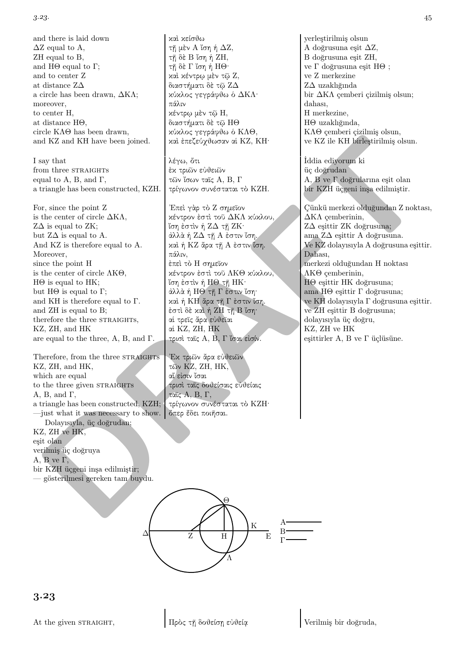#### $3.23.$   $45$

and there is laid down  $\chi\alpha\chi\epsilon\epsilon\sigma\theta\omega$  yerleştirilmiş olsun  $\Delta Z$  equal to A,  $\tau \tilde{\eta} \mu \tilde{\zeta} \nu A$  (ση ή  $\Delta Z$ ,  $\Delta Z$ ,  $\Delta Z$ ,  $\Delta Z$ ,  $\Delta Z$ , ΖΗ equal to Β, τῇ δὲ Β ἴση ἡ ΖΗ, Β doğrusuna eşit ΖΗ, and HΘ equal to Γ;  $\lceil \tau \tilde{\eta} \rceil \tilde{\delta} \tilde{\epsilon} \Gamma \tilde{\tau} \tilde{\eta} \eta \tilde{\eta} H\Theta$ ·  $\lceil \log \Gamma \log \tilde{\epsilon} \rceil$  ve Γ doğrusuna eşit HΘ; and to center Z καὶ κέντρῳ μὲν τῷ Z, ve Z merkezine at distance  $Z\Delta$ <br>a circle has been drawn,  $\Delta K\Lambda$ ;  $\Delta K\Lambda$ ;  $\Delta K\Lambda$   $\Delta K\Lambda$   $\Delta K\Lambda$  a circle has been drawn,  $\Delta K\Lambda$ ; moreover,  $\pi \< \nu$  dahası, to center Η,  $\begin{array}{c|c}\n\downarrow\n\end{array}$  κέντρω μὲν τῷ Η, Η merkezine, at distance ΗΘ,  $\delta \alpha \sigma \tau \gamma \mu \alpha \tau \delta \epsilon \tau \tilde{\omega}$  ΗΘ  $\alpha$  HΘ uzaklığında, circle ΚΛΘ has been drawn,<br>and ΚΖ and ΚΗ have been joined.  $\begin{array}{c} \begin{array}{c} x \acute{v}x \lambda o \varsigma \gamma \epsilon \gamma \rho \acute{\alpha} \varphi \vartheta \omega \dot{o} K \Lambda \Theta, \\ x \alpha \dot{\epsilon} \pi \epsilon \zeta \epsilon \dot{\gamma} \vartheta \omega \sigma \alpha \nu \alpha \dot{\kappa} Z, K H \end{array} \end{array} \qquad \begin{array}{c} \begin{array}{c} \begin{array}{c} \begin{array}{c} \begin{array}{c} \begin{array}{c} \end$ and KZ and KH have been joined.  $\mathbf{z}$  is επεζεύχθωσαν αί ΚΖ, ΚΗ $\cdot$ 

I say that  $\lambda \xi \gamma \omega$ , ὅτι Iddia ediyorum ki from three streations is a control που ενθειών εὐθειῶν εὐθειῶν εὐθειῶν in equation is a control of the stream in equation is a control of the stream in the stream in the stream in the stream in the stream in the stream in equal to A, B, and Γ,  $\tau$  (π  $\sim$  1 (π  $\sim$  του ταῖς A, B, Γ  $\sim$  1 (A, B ve Γ doğrularına eşit olan

is the center of circle ΔΚΛ,  $\chi^2$  κέντρον ἐστὶ τοῦ ΔΚΛ κύκλου, ΔΚΛ cemberinin,  $Z\Delta$  is equal to ZK;  $\check{\sigma}$  (ση έστὶν ἡ Z $\Delta$  τῆ ZK·  $Z\Delta$  eşittir ZK doğrusuna; but ΖΔ is equal to Α. ἀλλὰ ἡ ΖΔ τῇ Α ἐστιν ἴση. ama ΖΔ eşittir Α doğrusuna. Moreover, πάλιν, Dahası, since the point H **επελε**ί τὸ Η σημεῖον **πειλεί πειλεί πε** merkezi olduğundan H noktası is the center of circle ΛΚΘ,  $\kappa \leftrightarrow \infty$  κέντρον ἐστὶ τοῦ ΛΚΘ χύχλου, ΛΚΘ cemberinin, HΘ is equal to HK;  $\check{\sigma}$  (ση έστὶν ἡ HΘ τῆ HK·  $\check{\sigma}$  Hθ eşittir HK doğrusuna; but ΗΘ is equal to Γ;  $\delta \lambda \lambda \dot{\alpha} \dot{\eta}$  ΗΘ τη Γ έστιν ἴση·  $\Box$  ama ΗΘ eşittir Γ doğrusuna; and ΖΗ is equal to Β; ἐστὶ δὲ καὶ ἡ ΖΗ τῇ Β ἴση· ve ΖΗ eşittir Β doğrusuna; therefore the three straights,  $\alpha$  τρεῖς ἄρα εὐθεῖαι dolayısıyla üç doğru, KZ, ZH, and HK ai KZ, ZH, HK κ Σ, ZH ve ΗΚ are equal to the three, A, B, and Γ.  $\Box$  τρισὶ ταῖς A, B, Γ ἴσαι εἰσίν.  $\Box$  esittirler A, B ve Γ üçlüsüne.

Therefore, from the three STRAIGHTS Ex τριῶν ἄρα εὐθειῶν KZ, *ZH*, and HK,  $\tau$ <sub>ων</sub> ΚΖ, *ZH*, ΗΚ, which are equal  $\alpha$ <sup>i</sup> εἰσιν ἴσαι to the three given straights τρισὶ ταῖς δοθείσαις εὐθείαις A, B, and Γ, **ταϊς Α, Β, Γ**, a triangle has been constructed, ΚΖΗ; τρίγωνον συνέσταται τὸ ΚΖΗ·  $-$ just what it was necessary to show. | ὅπερ ἔδει ποιῆσαι. Dolayısıyla, üç doğrudan;

ΚΖ, ΖΗ ve ΗΚ, eşit olan verilmiş üç doğruya Α, Β ve Γ, bir ΚΖΗ üçgeni inşa edilmiştir;

— gösterilmesi gereken tam buydu.

 $\chi$ ύχλος γεγράφθω ὁ ΔΚΛ·  $\vert$  bir ΔΚΛ çemberi çizilmiş olsun;

a triangle has been constructed, ΚΖΗ. τρίγωνον συνέσταται τὸ ΚΖΗ. bir ΚΖΗ üçgeni inşa edilmiştir.

del KZ and KIII bases been a spiritual point of the spiritual point in the spiritual of A, Fig. 2. The and Fig. (2. And Fig. 2. And Fig. 2. And Fig. 2. And Fig. 2. And Fig. 2. And Fig. 2. And Fig. 2. And Fig. 2. And Fig. For, since the point Z <sup>γ</sup> Έπει γὰρ τὸ Ζ σημεῖον Qünkü merkezi olduğundan Z noktası, And ΚΖ is therefore equal to A. (x λ λ ΚΖ ἄρα τῆ Α ἐστιν ἴση. Ve ΚΖ dolayısıyla A doğrusuna eşittir. and ΚΗ is therefore equal to Γ.  $\vert x\alpha\vert$  ή ΚΗ ἄρα τῆ Γ ἐστιν ἴση. ve ΚΗ dolayısıyla Γ doğrusuna eşittir.

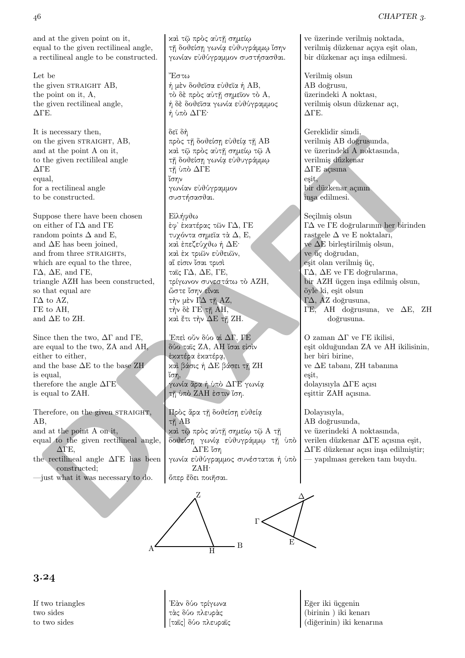$\alpha$  CHAPTER 3.

and at the given point on it,  $\vert x\alpha\vert \tau\tilde{\omega} \tau\varphi\alpha\zeta\alpha\tau\tilde{\eta} \sigma\eta\mu\epsilon\omega$  ve üzerinde verilmiş noktada, equal to the given rectilineal angle,  $\tau$ ῆ δοθείση γωνία εὐθυγράμμω ἴσην verilmiş düzkenar açıya eşit olan, a rectilineal angle to be constructed. γωνίαν εὐθύγραμμον συστήσασθαι. bir düzkenar açı inşa edilmesi.

Suppose there have been chosen Eiλήφθω Seçilmiş olsun random points  $\Delta$  and E,  $\vert \overline{\text{tuy}}$ όντα σημεΐα τὰ  $\Delta$ , E,  $\vert$  rastgele  $\Delta$  ve E noktaları, and  $\Delta E$  has been joined,  $\vert x\alpha\vert$  έπεζεύχθω ή  $\Delta E$ · ve  $\Delta E$  birlestirilmis olsun, and from three straights,  $\vert x\alpha\vert \partial x$  τριῶν εὐθειῶν, ve üç doğrudan, which are equal to the three,  $\alpha$  είσιν ἴσαι τρισὶ  $\alpha$  esit olan verilmiş üç, ΓΔ, ΔΕ, and ΓΕ,  $\sigma\bar{\alpha}$ , ΔΕ, ΓΕ,  $\Gamma\Delta$ , ΔΕ, ΓΕ,  $\Gamma\Delta$ , ΔΕ ve ΓΕ doğrularına, triangle ΑΖΗ has been constructed, τρίγωνον συνεστάτω τὸ ΑΖΗ, bir ΑΖΗ üçgen inşa edilmiş olsun, so that equal are so that equal are so that equal are so that equal are so is  $\delta$  or  $\epsilon$  is  $\delta$  is  $\delta$  is  $\delta$  is  $\delta$  is  $\delta$  is  $\delta$  is  $\delta$  is  $\delta$  is  $\delta$  is  $\delta$  is  $\delta$  is  $\delta$  is  $\delta$  is  $\delta$  is  $\delta$  is  $\delta$  is ΓΔ to AZ,  $\lceil \text{τη} \times \text{ΓΔ } \text{τή } \text{AZ},$  ΓΔ, AZ doğrusuna, and ΔΕ to ZH.  $\vert$  καὶ ἔτι τὴν ΔΕ τῇ ZH. doğrusuna.

Since then the two,  $\Delta \Gamma$  and ΓΕ, *Eπε*  $\delta \nu \delta \nu \alpha \Delta \Gamma$ , ΓΕ **O** zaman  $\Delta \Gamma$  ve ΓΕ ikilisi, either to either, είναι είναι είναι έκατέρα έκατέρα, and the base  $\Delta E$  to the base  $\overline{ZH}$   $\times$   $\Delta E$  βάσις ή  $\Delta E$  βάσει τῆ  $ZH$  ve  $\Delta E$  tabanı,  $ZH$  tabanına  $\delta$  is equal, estit,  $\delta$  is equal, estit, therefore the angle  $\Delta \Gamma$  γωνία «φαή ὑπὸ  $\Delta \Gamma$  γωνία (dolayısıyla  $\Delta \Gamma$  açısı is equal to ΖΑΗ. τῇ ὑπὸ ΖΑΗ ἐστιν ἴση. eşittir ΖΑΗ açısına.

constructed; ΖΑΗ·

 $-$ just what it was necessary to do. | ὅπερ ἔδει ποιῆσαι.

Let be  $\mathbb{E} \sigma \infty$  Verilmis olsun the given straight AB,  $\iint_R \mu \partial \theta \partial \theta \partial \xi \partial \alpha \partial \theta \partial \xi$  λ(λ)  $\iint_R AB$ ,  $AB \cdot \partial \theta \partial \xi \partial \eta \partial \xi$ the point on it, A,  $\tau \delta \delta \epsilon \pi \rho \delta \varsigma \alpha \dot{\upsilon} \tau \tilde{\eta} \sigma \eta \mu \epsilon \tilde{\upsilon} \upsilon \tau \delta A$ , iizerindeki A noktası, the given rectilineal angle,  $\hat{\rho} \delta \epsilon$  δοθεῖσα γωνία εὐθύγραμμος verilmiş olsun düzkenar açı,  $Δ\Gamma$ E.  $| \hat{\eta} \, \text{ù} \pi \text{ò } Δ\Gamma$ E·  $| \Delta$ ΓΕ.  $| \Delta$ ΓΕ.

It is necessary then,<br>
on the given STRAIGHT, AB,<br>  $\begin{bmatrix} \delta \epsilon \tilde{\mathbf{i}} & \delta \dot{\mathbf{i}} \\ \pi \rho \dot{\mathbf{i}} & \delta \rho \end{bmatrix}$   $\begin{bmatrix} Gereklidir \text{ simdi,} \\ verilmis \text{ AB} \text{ dogrusunda,} \\ verilmis \text{ AB} \text{ dogrusunda.} \end{bmatrix}$ πρὸς τῆ δοθείση εὐθεία τῆ AB  $\begin{array}{c|c} x \in \mathbb{R} \times \mathbb{R} \\ x \in \mathbb{R} \times \mathbb{R} \\ x \in \mathbb{R} \times \mathbb{R} \times \mathbb{R} \times \mathbb{R} \times \mathbb{R} \times \mathbb{R} \times \mathbb{R} \times \mathbb{R} \times \mathbb{R} \times \mathbb{R} \times \mathbb{R} \times \mathbb{R} \times \mathbb{R} \times \mathbb{R} \times \mathbb{R} \times \mathbb{R} \times \mathbb{R} \times \mathbb{R}$ and at the point A on it,  $\alpha$  is  $\alpha$  τῷ πρὸς αὐτῇ σημείῳ τῷ A to the given rectilileal angle  $\lceil \tau \tilde{\eta} \rangle$  δοθείση γωνία εὐθυγράμμω verilmiş düzkenar  $\Delta \Gamma$   $\Delta \Gamma$   $\Delta \Gamma$   $\Delta \Gamma$   $\Delta \Gamma$   $\Delta \Gamma$   $\Delta \Gamma$   $\Delta \Gamma$  acisina equal, in the compact of the compact of the compact of the compact of the compact of the compact of the compact of the compact of the compact of the compact of the compact of the compact of the compact of the compact of t for a rectilineal angle γωνίαν εὐθύγραμμον bir düzkenar açının to be constructed. συστήσασθαι. inşa edilmesi.

Therefore, on the given straight,  $\Pi \rho \dot{\sigma} \zeta \dot{\sigma} \alpha \tau \eta \delta \partial \theta \dot{\epsilon} \sigma \eta \dot{\sigma} \delta \dot{\sigma} \dot{\epsilon} \dot{\alpha}$  Dolayısıyla, AB,  $\tau$ ῆ AB  $\Box$  AB doğrusunda, and at the point A on it, και τῷ πρὸς αὐτῇ σημείῳ τῷ Α τῇ ve üzerindeki A noktasında, equal to the given rectilineal angle, δοθείση γωνία εὐθυγράμμω τῆ ὑπὸ verilen düzkenar ΔΓΕ açısına eşit,  $\Delta \Gamma$ E,  $\Delta \Gamma$   $\Delta \Gamma$  *ion*  $\Delta \Gamma$  düzkenar açısı inşa edilmiştir; the rectilineal angle ΔΓΕ has been γωνία εὐθύγραμμος συνέσταται ἡ ὑπὸ — yapılması gereken tam buydu.



The piece structure of the spin of the spin of the spin of the spin of the spin of the spin of the spin of the spin of the spin of the spin of the spin of the spin of the spin of the spin of the spin of the spin of the sp on either of ΓΔ and ΓΕ ἐφ᾿ ἑκατέρας τῶν ΓΔ, ΓΕ ΓΔ ve ΓΕ doğrularının her birinden ΓΕ to AH,  $\tau\gamma$ ν δε ΓΕ τῆ ΑΗ, ΓΕ, AH doğrusuna, ve ΔΕ, ZH

are equal to the two, ZA and AH, δύο ταῖς ZA, AH ἴσαι εἰσὶν eşit olduğundan ZA ve AH ikilisinin, either to either.

3.24

If two triangles ᾿Εὰν δύο τρίγωνα Eğer iki üçgenin

two sides  $\begin{bmatrix} \tau \dot{\alpha} \in \delta$ ύο πλευράς (birinin ) iki kenarı<br>
to two sides  $\begin{bmatrix} \tau \alpha \tilde{\alpha} \in \delta$ ύο πλευραϊς (digerinin) iki kenarı to two sides [ταῖς] δύο πλευραῖς (diğerinin) iki kenarına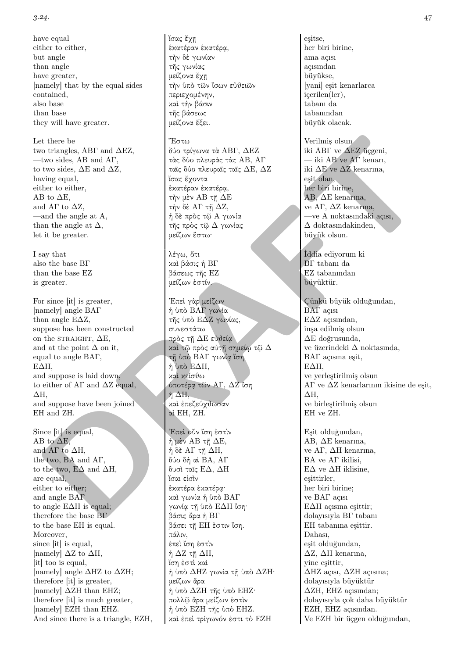#### $3.24.$   $47$

have equal  $\frac{1}{\cos \xi}$  (σας έχη either to either,  $\frac{1}{2}$  έκατέραν έκατέρα, her biri birine, but angle  $\vert \tau \gamma$ ν δὲ γωνίαν ama açısı than angle  $\vert \tau \tilde{\eta} \zeta \gamma \omega \tilde{\omega} \zeta$  accumulance have greater,  $\mu \in \mathcal{L}$  μείζονα ἔχῃ büyükse, [namely] that by the equal sides τὴν ὑπὸ τῶν ἴσων εὐθειῶν [yani] eşit kenarlarca contained,  $\pi$ εριεχομένην, içerilen(ler), içerilen(ler), also base  $\vert x\alpha\vert \tau\gamma\circ\beta\dot{\alpha}\sigma\upsilon$  tabanı da than base  $\tau$ ης βάσεως tabanından they will have greater.  $\mu \in \mathcal{L}$  μείζονα ἕξει.  $\mu \in \mathcal{L}$  büyük olacak.

Let there be  $\begin{bmatrix} \n\text{etc.} \\ \n\text{EVAL} \\ \n\text{EVAL} \n\end{bmatrix}$   $\begin{bmatrix} \n\text{EVAL} \\ \n\text{EVAL} \\ \n\text{EVAL} \n\end{bmatrix}$   $\begin{bmatrix} \n\text{Verilmiş} \\ \n\text{Verilmiş} \\ \n\text{EVAL} \n\end{bmatrix}$   $\begin{bmatrix} \n\text{Verilmiş} \\ \n\text{EVAL} \\ \n\text{EVAL} \n\end{bmatrix}$   $\begin{bmatrix} \n\text{Verilmiş} \\ \n\text{EVAL} \\ \n\text{EVAL$ —two sides, AB and AΓ,  $\frac{1}{\tau}$  πλευράς τας ΑΒ, ΑΓ

also the base  $BT$   $\downarrow \chi \chi$  βάσις ή  $BT$   $\downarrow \chi$ than the base ΕΖ βάσεως τῆς ΕΖ  $\overline{B}$  ΕΖ tabanından is greater.  $\mu \in \mathfrak{C}$ ων ἐστίν. büyüktür.

[namely] angle ΒΑΓ | ή ὑπὸ ΒΑΓ γωνία | ΒΑΓ açısı than angle ΕΔΖ,  $\tau$  της ύπὸ ΕΔΖ γωνίας, ΕΔΖ açısından, suppose has been constructed συνεστάτω inşa edilmiş olsun on the straight,  $\Delta E$ , πρὸς τῆ  $\Delta E$  εὐθεί $\alpha$  ΔΕ doğrusunda, and at the point  $\Delta$  on it,  $\begin{array}{c|c}\n\lambda & \lambda\n\end{array}$  xeà τῷ πρὸς αὐτῇ σημείω τῷ  $\Delta$  ve üzerindeki  $\Delta$  noktasında, equal to angle ΒΑΓ,  $\tau_{\tilde{\eta}}$  ὑπὸ ΒΑΓ γωνία ἴση ΒΑΓ açısına eşit, ΕΔΗ, ἡ ὑπὸ ΕΔΗ, ΕΔΗ, and suppose is laid down,  $\begin{array}{c|c}\n\hline\n\end{array}$  και κείσθω ve yerleştirilmiş olsun  $\Delta H$ ,  $\Delta H$ ,  $\Delta H$ ,  $\Delta H$ ,  $\Delta H$ ,  $\Delta H$ , and suppose have been joined (καὶ ἐπεζεύχθωσαν ve birleştirilmiş olsun

Since  $[it]$  is equal,  $\sum_{k=1}^{\infty}$  Έπει οὖν ἴση ἐστὶν Eşit olduğundan, AB to  $\Delta E$ ,  $\hat{\eta}$  μὲν AB τ $\tilde{\eta} \Delta E$ ,  $AB$ ,  $\Delta E$  kenarına, and  $\overrightarrow{AP}$  to  $\Delta H$ ,  $\overrightarrow{AB}$   $\overrightarrow{AB}$   $\Delta H$ ,  $\overrightarrow{AB}$   $\Delta H$ ,  $\overrightarrow{AB}$   $\Delta H$ ,  $\Delta H$  kenarına, the two, ΒΑ and AΓ, δύο δὴ αί ΒΑ, AΓ βΑ ve AΓ ikilisi, to the two, ΕΔ and ΔΗ,  $\delta$  δυσὶ ταῖς ΕΔ, ΔΗ  $\Box$  ΕΔ ve ΔΗ iklisine, are equal, ignorial is a contract of  $\alpha$  and  $\alpha$  estimated by the equal,  $\alpha$  estimated by  $\alpha$ either to either;  $\frac{1}{2}$  έκατέρα έκατέρα· her biri birine; and angle ΒΑΓ (καὶ γωνία ἡ ὑπὸ ΒΑΓ (ve ΒΑΓ açısı to angle ΕΔΗ is equal;  $\gamma$ ωνία τῆ ὑπὸ ΕΔΗ ἴση·  $\mathbb{E}\Delta$ Η açısına eşittir; therefore the base ΒΓ βάσις ἄρα ἡ ΒΓ dolayısıyla ΒΓ tabanı to the base ΕΗ is equal. βάσει τῇ ΕΗ ἐστιν ἴση. ΕΗ tabanına eşittir. Moreover, πάλιν, Dahası, since [it] is equal,  $\left| \begin{array}{c} \epsilon \text{arbit} \\ \epsilon \text{arbit} \end{array} \right|$  esit olduğundan,  $\begin{array}{c|c}\n\text{ [namely] } \Delta Z \text{ to } \Delta H, \\
\text{[In a small]} \Delta Z \text{ to } \Delta H,\n\end{array}$   $\begin{array}{c|c}\n\lambda Z \text{ (in a small)}\n\end{array}$ [it] too is equal, ἴση ἐστὶ καὶ yine eşittir, [namely] angle ΔΗΖ to ΔΖΗ; ἡ ὑπὸ ΔΗΖ γωνία τῇ ὑπὸ ΔΖΗ· ΔΗΖ açısı, ΔΖΗ açısına; therefore [it] is greater,  $\mu \in \mathcal{L}(\omega)$  άρα dolayısıyla büyüktür [namely] ΔΖΗ than ΕΗΖ; ἡ ὑπὸ ΔΖΗ τῆς ὑπὸ ΕΗΖ· ΔΖΗ, ΕΗΖ açısından; therefore [it] is much greater,  $|\pi$ ολλῷ ἄρα μείζων ἐστὶν  $|$  dolayısıyla çok daha büyüktür [namely] ΕΖΗ than ΕΗΖ. ἡ ὑπὸ ΕΖΗ τῆς ὑπὸ ΕΗΖ. ΕΖΗ, ΕΗΖ açısından. And since there is a triangle, EZH,  $\vert \times \alpha \vert$  έπεὶ τρίγωνόν ἐστι τὸ EZH  $\vert \vee \vert$  Ve EZH bir üçgen olduğundan,

two triangles, ABΓ and ΔΕΖ, δύο τρίγωνα τὰ ΑΒΓ, ΔΕΖ  $\begin{array}{c|c}\n\text{it} & \text{if } \text{def} \\
\text{if } \text{def} & \text{if } \text{def} \\
\text{if } \text{def} & \text{if } \text{def}\n\end{array}$  iki ABΓ ve ΔΕΖ üçgeni, to two sides,  $\Delta E$  and  $\Delta Z$ ,  $\Delta Z$   $\Delta Z$   $\Delta E$ ,  $\Delta Z$  iki  $\Delta E$  ve  $\Delta Z$  kenarına, having equal, <sup>i</sup>σας ἔχοντα eşit olan, either to either,  $\frac{1}{2}$  έχατέραν έχατέρα, her biri birine, AB to ΔE,  $\tau$ γυὲν AB τῆ ΔΕ  $AB \tau$ π ΔΕ AB, ΔΕ kenarına, and AΓ to  $\Delta Z$ ,  $\tau \gamma \delta \epsilon$  AΓ τ $\tilde{\eta} \Delta Z$ , ve AΓ,  $\Delta Z$  kenarına, —and the angle at A,  $\hat{\eta} \delta \epsilon \pi \rho \delta \varsigma \tau \tilde{\omega}$  A γωνία —ve A noktasındaki açısı, than the angle at Δ,  $\lceil \tau \tilde{\eta} \zeta \pi \rho \dot{\alpha} \zeta \tau \tilde{\omega} \Delta \gamma \omega \nu \dot{\alpha} \zeta \rceil$   $\Delta$  doktasindakinden, let it be greater. μείζων ἔστω· büyük olsun.

For since [it] is greater, <sup>γ</sup>ζετεί γὰρ μείζων ζünkü büyük olduğundan, ΕΗ and ΖΗ. αἱ ΕΗ, ΖΗ. ΕΗ ve ΖΗ.

I say that  $\lambda$ έγω, ὅτι **I** ddia ediyorum ki

A blanch is considered and AFZ,  $\frac{1}{2}$  and AFZ and AFZ,  $\frac{1}{2}$  and AFZ and AFZ,  $\frac{1}{2}$  and AFZ and AFZ,  $\frac{1}{2}$  and AFZ and AFZ and AFZ and AFZ and AFZ and AFT and AFT and AFT and AFT and AFT and AFT and AFT a to either of AΓ and  $\Delta Z$  equal,  $\delta \pi$  (δποτέρα τῶν ΑΓ,  $\Delta Z$  ίση  $\Delta \Gamma$  ve  $\Delta Z$  kenarlarının ikisine de eşit,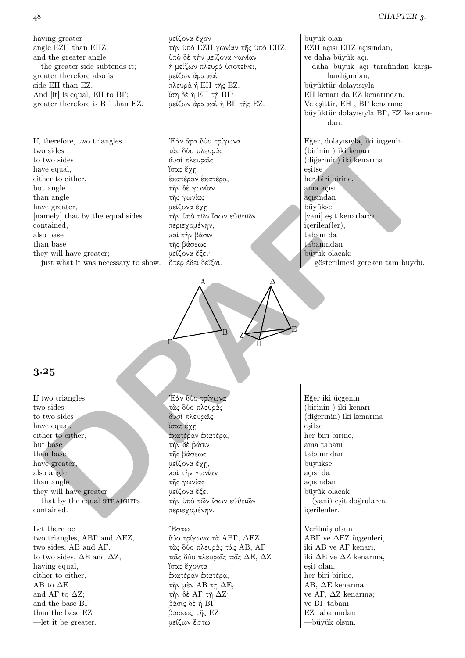48 CHAPTER 3.

greater therefore is BΓ than EΖ.  $\mu \in \mathcal{K}$  μείζων ἄρα καὶ ἡ ΒΓ τῆς EΖ.  $\forall$  Ve eşittir, EH, BΓ kenarına;

If, therefore, two triangles <sup>7</sup>Εὰν ἄρα δύο τρίγωνα Eğer, dolayısıyla, iki üçgenin two sides <sup>τρίγων</sup>α είναι του επιλέξει του επιλέξει του επιλέξει του επιλέξει του επιλέξει του επιλέξει του επιλέξει του επιλέξει του επιλ to two sides δυσὶ πλευραῖς (diğerinin) iki kenarına have equal, i σας ἔχῃ eşitse either to either, **Εκατέραν έκατέρα, her biri birine**, **her biri birine**, but angle  $\vert \tau \gamma$ ν δὲ γωνίαν ama açısı than angle  $\tau$ ης γωνίας acusindan have greater,  $\mu\epsilon\zeta$ ονα ἔχη büyükse, [namely] that by the equal sides τὴν ὑπὸ τῶν ἴσων εὐθειῶν [yani] eşit kenarlarca contained, περιεχομένην, içerilen(ler), also base καὶ τὴν βάσιν της ταθερίας της τρίψησης του και την βάσιν της τελευτικής τρίψησης του και τ than base  $\tau_{\text{Tr}}$  βάσεως tabanından they will have greater;  $\mu \in K$ ονα ἕξει· büyük olacak; —just what it was necessary to show. ὅπερ ἔδει δεῖξαι. — gösterilmesi gereken tam buydu.

having greater  $\mu\varepsilon\zeta$ ονα έχον büyük olan angle ΕΖΗ than ΕΗΖ,  $\vert \overline{\tau} \rangle$ ν ὑπὸ ΕΖΗ γωνίαν τῆς ὑπὸ ΕΗΖ, EΖΗ açısı ΕΗΖ açısından, and the greater angle,  $\delta \delta t$  τὴν μείζονα γωνίαν ve daha büyük açı, greater therefore also is  $\mu \in \mathfrak{C}$  μείζων ἄρα καὶ landığından; side ΕΗ than ΕΖ.  $\pi \to \pi$  πλευρὰ ἡ ΕΗ τῆς ΕΖ. büyüktür dolayısıyla And [it] is equal, ΕΗ to BΓ;  $\lceil \text{for} \atop \text{for} \atop \text{for} \atop \text{for} \atop \text{for} \atop \text{for} \atop \text{for} \atop \text{for} \atop \text{for} \atop \text{for} \atop \text{for} \atop \text{for} \atop \text{for} \atop \text{for} \atop \text{for} \atop \text{for} \atop \text{for} \atop \text{for} \atop \text{for} \atop \text{for} \atop \text{for} \atop \text{for} \atop \text{for} \atop \text{for$ 

Α

Β

Ζ

Η

Δ

Ε

—the greater side subtends it;  $\iint_{\mathcal{D}} \mu \epsilon(\zeta \omega) \pi \lambda \epsilon \nu \rho \alpha \delta \nu \pi \sigma \epsilon \nu \epsilon \nu$ ,  $-\text{d} \alpha \lambda \delta \nu \nu \nu \lambda \epsilon \nu \rho \alpha \delta \nu \sigma \nu \epsilon \nu \epsilon$ büyüktür dolayısıyla ΒΓ, ΕΖ kenarından.

Uncerton two things is the spin of the pair of the spin of the spin of the spin of the spin of the spin of the spin of the spin of the spin of the spin of the spin of the spin of the spin of the spin of the spin of the sp (birinin ) iki kenarı

#### $3.25$

two sides  $\tau \propto \delta$ ύο πλευρὰς (birinin ) iki kenarı to two sides **δυσ**ληθεί δυσὶ πλευραῖς (diğerinin) iki kenarına have equal,<br>
either to either.<br>
είναι έχατέραν έχατέρα.<br>
είναι το either to either.<br>
είναι το either to either. but base  $\tau$ ήν δὲ βάσιν than base  $\lceil \tau \tilde{\eta} \zeta \beta \Delta \sigma \epsilon \omega \zeta \rceil$  tabanından have greater,  $\vert$  μείζονα ἔχη, büyükse, also angle και την γωνίαν also angle açısı da than angle  $\tau$ ῆς γωνίας açısından they will have greater  $\mu \in \mathcal{L}$  μείζονα ἕξει büyük olacak —that by the equal straights  $\vert \tau \rangle$ ν ὑπὸ τῶν ἴσων εὐθειῶν — (yani) eşit doğrularca contained.  $\pi$ εριεχομένην. içerilenler.

Let there be  ${}^{\circ}E\sigma\tau\omega$  Verilmis olsun and the base  $BT$  βάσις δὲ ή  $BT$ 

If two triangles <u>Σάν δύο τρίγωνα</u> Eğer iki üçgenin  $\frac{1}{2}$ έκατέραν ἑκατέρα,  $\frac{1}{2}$  her biri birine, her birine, her birine, her birine, her birine, her birine, her birine, her birine, her birine, her birine, her birine, her birine, her birine, her birine, her birine

Γ

two triangles, ABF and  $\Delta$ EZ,<br>
(δύο τρίγωνα τὰ ABF,  $\Delta$ EZ (ABF ve  $\Delta$ EZ üçgenleri,<br>
(πλευρὰς τὰς AB, AF (iki AB ve AF kenarı, τὰς δύο πλευρὰς τὰς ΑΒ, ΑΓ $\parallel$ iki ΑΒ ve ΑΓ kenarı, to two sides,  $\Delta E$  and  $\Delta Z$ ,  $\Delta E$ , ταῖς δύο πλευραῖς ταῖς  $\Delta E$ ,  $\Delta Z$  iki  $\Delta E$  ve  $\Delta Z$  kenarına, having equal,  $\check{a}$  (σας ἔχοντα eşit olan, either to either,  $\left| \right.$  έκατέραν έκατέρα, her biri birine, AB to ΔΕ  $\lceil \frac{\tau}{\gamma} \rceil$  μὲν AB τῆ ΔΕ, AB, ΔΕ kenarına and AΓ to  $\Delta Z$ ;<br>and the base BΓ  $\begin{bmatrix} \tau \eta \vee \delta \epsilon \end{bmatrix}$   $\begin{bmatrix} \tau \eta \vee \delta \epsilon \end{bmatrix}$   $\begin{bmatrix} \tau \eta \Delta Z \\ \text{B} \tau \tau \eta \end{bmatrix}$   $\begin{bmatrix} \Delta Z \\ \text{C} \epsilon \end{bmatrix}$   $\begin{bmatrix} \epsilon \rho \Delta Z \\ \text{C} \epsilon \end{bmatrix}$   $\begin{bmatrix} \epsilon \rho \Delta Z \\ \text{C} \epsilon \end{bmatrix}$   $\begin{bmatrix} \epsilon \rho \Delta Z \\ \$ than the base EZ  $\beta$ άσεως τῆς EZ  $\left| \right|$  EZ tabanından —let it be greater. μείζων ἔστω· —büyük olsun.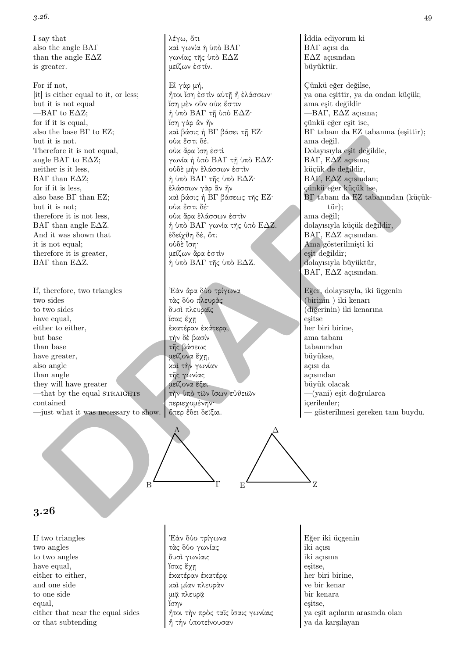$3.26.$  (19)

I say that  $\lambda \xi \gamma \omega$ , ὅτι Iddia ediyorum ki

If, therefore, two triangles <sup>γ</sup>Εὰν ἄρα δύο τρίγωνα Eğer, dolayısıyla, iki üçgenin two sides  $\tau \propto \delta$ ύο πλευρὰς (birinin ) iki kenarı to two sides **δυσία πλευραΐς** (diğerinin) iki kenarına have equal, <sup>i (σας έχη εξίτες επιτροποιείται σε εξίτες επιτροποιείται σε εξίτες είναι σε εξίτες εξίτες επιτροπ</sup> either to either, είναι το είναι του έχατέραν έχάτερα, her biri birine, but base  $\tau\gamma$ ν δὲ βασίν ama tabanı than base  $\lceil \tau \tilde{\eta} \varsigma \beta \dot{\alpha} \sigma \epsilon \omega \varsigma \rceil$  tabanından have greater,  $\mu \in \mathfrak{C}$ ονα ἔχῃ, büyükse, also angle  $\begin{array}{c|c}\n\hline\n\end{array}$  καὶ τὴν γωνίαν acus da than angle  $\tau$ ῆς γωνίας açısından they will have greater μείζονα ἕξει büyük olacak —that by the equal straights  $\Box$  τὴν ὑπὸ τῶν ἴσων εὐθειῶν  $\Box$  (yani) eşit doğrularca contained περιεχομένην· icerilenler; —just what it was necessary to show. ὅπερ ἔδει δεῖξαι. — gösterilmesi gereken tam buydu.

also the angle ΒΑΓ  $\alpha\dot{\alpha}$  γωνία ή υπό ΒΑΓ BAΓ BAΓ açısı da than the angle ΕΔΖ  $\vert \gamma \omega \nu \alpha \varsigma \tau \eta \varsigma \nu \tau \delta$  ΕΔΖ acisindan is greater.  $\mu \in \mathcal{L}_{\omega}$  έστίν. büyüktür.

For if not,  $\boxed{\text{Ei } \gamma \dot{\alpha}$  μή,  $\boxed{\text{Cünkü eğer değlse}}$ but it is not equal  $\frac{1}{2}$  (ση μὲν οὖν οὐχ ἔστιν ama eşit değildir —ΒΑΓ to ΕΔΖ;  $\hat{\eta}$  ὑπὸ ΒΑΓ τ $\tilde{\eta}$  ὑπὸ ΕΔΖ·  $-\text{BAT}$ , ΕΔΖ açısına; for if it is equal,  $\vert \circ \eta \circ \circ \circ \gamma$  (ση γὰρ ἂν ἦν  $\vert$  çünkü eğer eşit ise,  $o$ ύκ ἔστι δέ.  $\vert$  ama değil. Therefore it is not equal,  $\int$  οὐκ ἄρα ἴση ἐστὶ Dolayısıyla eşit değildie, angle ΒΑΓ to ΕΔΖ;  $\gamma \omega \nu (\alpha \eta) \nu \pi \partial B A \Gamma \tau \eta \nu \partial \tau$  BAT. ΕΔΖ acisina; neither is it less,  $\vert$  οὐδὲ μὴν ἐλάσσων ἐστὶν küçük de değildir, BAΓ than EΔZ;  $\hat{\phi}$  ὑπὸ BAΓ τῆς ὑπὸ EΔZ· BAΓ, EΔZ açısından; for if it is less,  $\delta \times \delta \times \gamma \times \gamma$  έλάσσων γὰρ ἂν  $\gamma \times \gamma \times \gamma$  cünkü eğer küçük ise, but it is not;  $\overrightarrow{\text{00x}}$  έστι δέ· tür); therefore it is not less, οὐκ ἄρα ἐλάσσων ἐστὶν ama değil; BAΓ than angle ΕΔΖ.  $\hat{\eta}$  ὑπὸ ΒΑΓ γωνία τῆς ὑπὸ ΕΔΖ. dolayısıyla küçük değildir, And it was shown that  $\epsilon$  δείχθη δέ, ὅτι BAΓ, ΕΔΖ açısından. it is not equal;  $\bigcirc$ δείση·  $\bigcirc$  (διαφτεύει το διαφέρετε λευτερία διαφέρετε λευτερία διαφέρετε λευτερία διαφ therefore it is greater,  $\mu \in K$   $\omega$  άρα έστὶν  $\alpha$  eşit değildir; BAΓ than EΔZ.  $\hat{\rho}$  i το BAΓ της υπό EΔZ. dolayısıyla büyüktür,

is the second interest in gradient and *properties* in the second interest in the second interest in a gradient of the second interest in a gradient of the second interest in a gradient of the second interest in a gradi [it] is either equal to it, or less; ἤτοι ἴση ἐστὶν αὐτῇ ἢ ἐλάσσων· ya ona eşittir, ya da ondan küçük; also the base ΒΓ to ΕΖ; καὶ βάσις ἡ ΒΓ βάσει τῇ ΕΖ· ΒΓ tabanı da ΕΖ tabanına (eşittir); also base ΒΓ than ΕΖ;  $\vert x\alpha\vert$  βάσις ή ΒΓ βάσεως τῆς ΕΖ· βΓ tabanı da ΕΖ tabanından (küçük-ΒΑΓ, ΕΔΖ açısından.

Α  $B \sim \Gamma$ Δ  $E \sim Z$ 

## 3.26

If two triangles ᾿Εὰν δύο τρίγωνα Eğer iki üçgenin two angles  $\tau\alpha\zeta\delta$ ύο γωνίας iki açısı to two angles δυσὶ γωνίαις iki açısına have equal,  $\left| \begin{array}{c} \frac{1}{2} & \frac{1}{2} \\ \frac{1}{2} & \frac{1}{2} \end{array} \right|$  esitse, either to either,  $\frac{1}{2}$  εκατέραν έκατέρα her biri birine, and one side καὶ μίαν πλευρὰν να να γιατιστική να μίαν πλευρὰν να να να μίαν πλευρὰν να να μίαν πλευρὰν να να μ to one side  $\mu\tilde{\alpha} \pi \lambda \epsilon \nu \rho \tilde{\alpha}$  bir kenara equal, in the contract of  $\mathcal{L}$  (σην either that near the equal sides  $\eta$ τοι τὴν πρὸς ταῖς ἴσαις γωνίαις γείας φαιτή γει eşit açıların arasında olan or that subtending  $\hat{\eta} \tau \hat{\gamma}$ ν ὑποτείνουσαν γa da karşılayan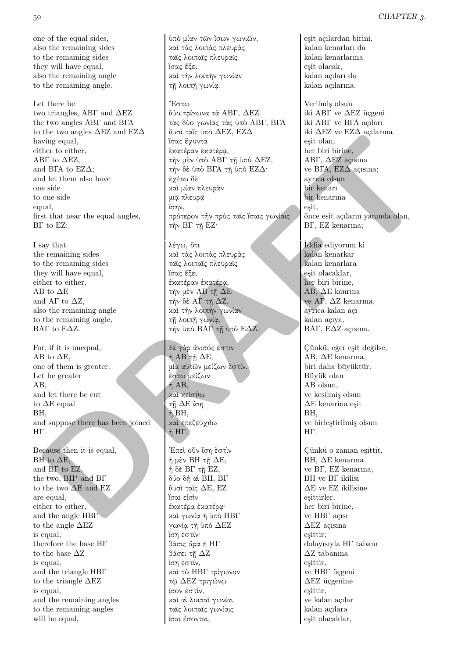Let there be  $\begin{array}{c|c}\n\hline\n\end{array}$  Eστω  $\begin{array}{c|c}\n\hline\n\end{array}$  Verilmiş olsun and BΓΑ to ΕΖΔ;  $\tau_{\gamma}$  δε ύπο ΒΓΑ τη ύπο ΕΖΔ·

the remaining sides  $\vert x\alpha\vert$  τὰς λοιπὰς πλευρὰς

For, if it is unequal, Eίγὰρ ἄνισός ἐστιν ζünkü, eğer eşit değilse, AB to  $\Delta E$ ,  $\hat{\eta}$  AB  $\tau \tilde{\eta} \Delta E$ ,  $AB \tilde{\eta}$  AB,  $\Delta E$  kenarına, one of them is greater.  $\mu$ ία αὐτῶν μείζων ἐστίν. biri daha büyüktür. Let be greater <u>ἔστω μείζων β</u>üyük olan  $\hat{\eta}$  AB,  $AB$   $AB$  olsun, and let there be cut καὶ καὶ καί και και και και να κείμπιξε να και να και να και να και να και να και να και ν to ΔΕ equal  $\pi$ ῆ ΔΕ ἴση ΔΕ kenarina eşit BH,  $\pi$  ΛΕ <sup>τ</sup>ό ΒΗ,  $B$ Η,  $\uparrow$  ΒΗ,  $\uparrow$  ΒΗ,  $\downarrow$  ΒΗ, and suppose there has been joined  $\vert x\alpha\vert$  έπεζεύχθω ve birleştirilmiş olsun ΗΓ.  $\hat{\eta}$  HΓ.  $\left|$  HΓ.  $\right|$  HΓ.

Because then it is equal, <sup>7</sup> Eπελ οὖν ἴση ἐστὶν <sup>7</sup> Cünkü o zaman eşittit, BH to ΔΕ,  $\delta$  μέν BH τῆ ΔΕ, BH, ΔΕ kenarına and  $BT$  to  $EZ$ ,  $\qquad \qquad$   $\qquad$   $\qquad$   $\qquad$   $\qquad$   $\qquad$   $\qquad$   $\qquad$   $\qquad$   $\qquad$   $\qquad$   $\qquad$   $\qquad$   $\qquad$   $\qquad$   $\qquad$   $\qquad$   $\qquad$   $\qquad$   $\qquad$   $\qquad$   $\qquad$   $\qquad$   $\qquad$   $\qquad$   $\qquad$   $\qquad$   $\qquad$   $\qquad$   $\qquad$   $\qquad$   $\qquad$   $\qquad$   $\qquad$ the two,  $BH<sup>1</sup>$  and  $BT$  δύο δὴ αί  $BH$ ,  $BT$  BH ve  $BT$  ikilisi to the two  $\Delta E$  and  $EZ$   $\delta \nu \sigma i$  ταῖς  $\Delta E$ ,  $EZ$   $\Delta E$   $\Delta E$  ve EZ ikilisine are equal, ignorial is a contract of  $\alpha$  and  $\alpha$  estimated by the equal,  $\alpha$  estimated by  $\alpha$ either to either, είναι έχατέρα έκατέρα επιλεύτερα· her biri birine, and the angle ΗΒΓ καὶ γωνία ή ὑπὸ ΗΒΓ νε ΗΒΓ açısı to the angle ΔΕΖ γωνίᾳ τῇ ὑπὸ ΔΕΖ ΔΕΖ açısına is equal;  $\lvert \text{ση εστίν} \rvert$ therefore the base ΗΓ βάσις ἄρα ἡ ΗΓ dolayısıyla ΗΓ tabanı to the base  $\Delta Z$  | βάσει τῆ  $\Delta Z$  |  $\Delta Z$  tabanına is equal,  $\left[ \text{τ} \right]$   $\left[ \text{τ} \right]$   $\left[ \text{τ} \right]$   $\left[ \text{τ} \right]$   $\left[ \text{τ} \right]$   $\left[ \text{τ} \right]$   $\left[ \text{τ} \right]$   $\left[ \text{τ} \right]$   $\left[ \text{τ} \right]$   $\left[ \text{τ} \right]$   $\left[ \text{τ} \right]$   $\left[ \text{τ} \right]$   $\left[ \text{τ} \right]$   $\left[ \text{τ} \right]$   $\left[ \text{τ} \right]$  and the triangle ΗΒΓ (καὶ τὸ ΗΒΓ τρίγωνον (ve ΗΒΓ üçgeni to the triangle ΔΕΖ  $\begin{array}{c|c}\n\tau\tilde{\varphi} \Delta EZ \tau\rho\gamma\dot{\varphi}\nu\varphi$   $\Delta EZ \text{ if} \text{g}$  and  $\begin{array}{c|c}\n\Delta EZ \text{ if} \text{g} & \text{if} \text{g} \text{g} \text{g} \text{g} & \text{if} \text{g} \text{g} \text{g} & \text{if} \text{g} \text{g} \text{g} & \text{if} \text{g} \text{g} \text{g} & \text{if} \text{g} \text{g} & \text{if} \text$ is equal,  $\delta$  ( $\delta$ σον έστίν, and the remaining angles  $\vert x \alpha \rangle$  αι λοιπαὶ γωνίαι ve kalan açılar to the remaining angles  $\lceil \frac{\text{tan} \chi}{\text{tan} \chi} \rceil$   $\chi$  and  $\chi$  and  $\chi$  and  $\chi$  and  $\chi$  and  $\chi$  and  $\chi$  and  $\chi$  and  $\chi$  and  $\chi$  and  $\chi$  and  $\chi$  and  $\chi$  and  $\chi$  and  $\chi$  and  $\chi$  and  $\chi$  and  $\chi$  and  $\chi$  and will be equal,  $\left[\begin{array}{cc} \frac{\pi}{6} & \frac{\pi}{6} \\ \frac{\pi}{6} & \frac{\pi}{6} \\ \frac{\pi}{6} & \frac{\pi}{6} \end{array}\right]$  esit olacaklar,

one of the equal sides, ὑπὸ μίαν τῶν ἴσων γωνιῶν, eşit açılardan birini, also the remaining sides  $\alpha \in \{x\alpha\}$  τὰς λοιπὰς πλευρὰς kalan kenarları da to the remaining sides  $\tau$  παϊς λοιπαῖς πλευραῖς και kalan kenarlarına they will have equal,  $\frac{1}{\cos \epsilon}$  (σας έξει esit olacak, also the remaining angle  $\vert x\alpha\vert \tau\gamma\lambda \lambda\alpha\tau\gamma\gamma \gamma\alpha\nu\alpha\nu$  kalan açıları da to the remaining angle.  $\lceil \tau \tilde{\eta} \rangle$  λοιπ $\tilde{\eta} \gamma$ ωνία. kalan açılarına.

where translates the contribution of the strengthenial and the strengthenial and the strengthenial of the strengthenial and the strengthenial and the strengthenial and the strengthenial and the strengthenial and the stren two triangles, ABΓ and  $\Delta$ EZ  $\qquad$  δύο τρίγωνα τὰ ABΓ,  $\Delta$ EZ  $\qquad$  iki ABΓ ve  $\Delta$ EZ üçgeni the two angles ΑΒΓ and ΒΓΑ τὰς δύο γωνίας τὰς ὑπὸ ΑΒΓ, ΒΓΑ iki ΑΒΓ ve ΒΓΑ açıları to the two angles  $\Delta$ EZ and EZ $\Delta$  | δυσὶ ταῖς ὑπὸ  $\Delta$ EZ, EZ $\Delta$  | iki  $\Delta$ EZ ve EZ $\Delta$  açılarına having equal,<br>
either to either,<br>
είναι έχοντα είναι είναι είναι του είναι του είναι είναι του είναι είναι είναι είναι του είναι του είναι του είναι του είναι του είναι του είναι του είναι του είναι του είναι του είναι το either to either,<br> **ABC** to ΔEZ,<br> **EXALCARES** (π) μεν ύπο ABC τῆ ύπο ΔEZ,<br> **ABC**, ΔEZ acisina την μεν ύπο ABΓ τη ύπο ΔΕΖ,  $\left\{\n\begin{array}{l}\n\text{ABF, } \Delta \text{EZ} \\
\text{RBT, } \Delta \text{EZ}\n\end{array}\n\right.$ <br>
(ve BΓΑ, ΕΖΔ açısına; and let them also have  $\left| \frac{1}{\epsilon} \right| \leq \epsilon$   $\epsilon$  ayrıca olsun one side καὶ μίαν πλευρὰν bir kenarı to one side  $\mu\tilde{\alpha} \pi \lambda \epsilon \nu \rho \tilde{\alpha}$  bir kenarına equal,  $\vert \tilde{\omega} \rangle$ ,  $\vert \tilde{\omega} \rangle$ , eşit, first that near the equal angles,  $\Box$  πρότερον τὴν πρὸς ταῖς ἴσαις γωνίαις | önce esit açıların yanında olan, ΒΓ to ΕΖ; τὴν ΒΓ τῇ ΕΖ· ΒΓ, ΕΖ kenarına;

I say that  $\lambda$ έγω, ὅτι  $\lambda$ είγω, ὅτι  $\lambda$ είγω, ὅτι  $\lambda$  Iddia ediyorum ki kalan kenarkar to the remaining sides  $\tau$  παϊς λοιπαϊς πλευραϊς και και καταιδικαί και καταιδικαί και καταιδικαί και καταιδικαί they will have equal,  $\left[\frac{\partial}{\partial x} \xi \xi \xi \xi \xi \right]$  esit olacaklar, either to either,  $\left| \text{ έκατέραν έκατέρα, her biri birine,$ AB to ΔΕ  $\lceil \text{την μèν AB τή } \Delta E$  AB, ΔΕ kanrına and AΓ to  $\Delta Z$ ,  $\tau \gamma \delta \epsilon$  AΓ  $\tau \gamma \Delta Z$ , ve AΓ,  $\Delta Z$  kenarına, also the remaining angle καὶ τὴν λοιπὴν γωνίαν ayrıca kalan açı to the remaining angle,  $\tau_{\tilde{\eta}} \lambda$ οιπῆ γωνία, kalan açıya, ΒΑΓ to ΕΔΖ. (επιλείται την ύπὸ ΒΑΓ τῆ ὑπὸ ΕΔΖ. (επιλείται ΒΑΓ, ΕΔΖ açısına.)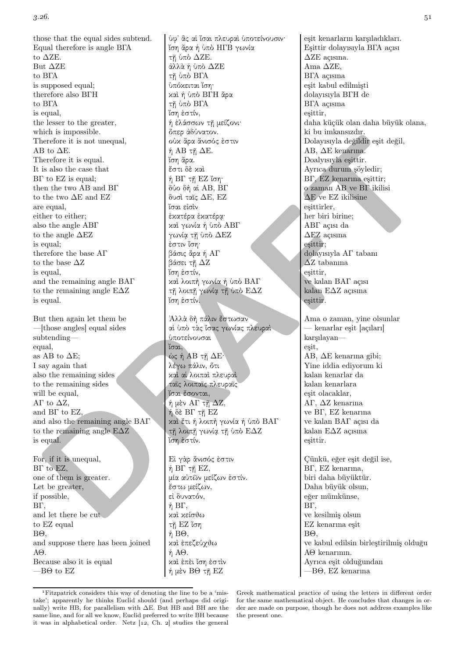#### $3.26.$  3.3.18

those that the equal sides subtend. ὑφ᾿ ἃς αἱ ἴσαι πλευραὶ ὑποτείνουσιν· eşit kenarların karşıladıkları. Equal therefore is angle ΒΓΑ (*το*η ἄρα ή ὑπὸ ΗΓΒ γωνία (Esittir dolayısıyla ΒΓΑ açısı to ΔΖΕ.  $\lceil \tau \tilde{\eta} \rceil$  or  $\Delta$ ZE.  $\Delta$  ΔΖΕ açısına. But ΔΖΕ  $\delta \lambda \lambda \alpha \eta$  υπό ΔΖΕ Ama ΔΖΕ, to ΒΓΑ (BΓΑ αςιsina) τῆ ὑπὸ ΒΓΑ (BΓΑ αςιsina) is supposed equal; ὑπόκειται ἴση· eşit kabul edilmişti therefore also ΒΓΗ καὶ ἡ ὑπὸ ΒΓΗ ἄρα dolayısıyla ΒΓΗ de to ΒΓΑ (τῆ ὑπὸ ΒΓΑ (BITA açısına) is equal,  $\lceil \text{ση ε} \sigma \tau \mathbf{w}, \rceil$ which is impossible.  $\delta \pi \epsilon \rho \delta \delta \nu \alpha \tau \sigma \nu$ . ki bu imkansızdır. Therefore it is not unequal,  $\begin{vmatrix} \text{o} \cdot \text{v} & \text{a} \cdot \text{v} \\ \text{c} \cdot \text{v} & \text{c} \cdot \text{v} \end{vmatrix}$   $\begin{vmatrix} \text{c} \cdot \text{c} & \text{d} \cdot \text{c} \\ \text{d} \cdot \text{v} & \text{d} \cdot \text{v} \end{vmatrix}$   $\begin{vmatrix} \text{d} \cdot \text{c} & \text{e} \\ \text{e} \cdot \text{c} & \text{f} \end{vmatrix}$   $\begin{vmatrix} \$ AB to  $\Delta E$ .  $\hat{\eta}$  AB  $\tau \tilde{\eta} \Delta E$ . AB,  $\Delta E$  kenarina. Therefore it is equal. ἴση ἄρα. Doalyısıyla eşittir. It is also the case that ἔστι δὲ καὶ Ayrıca durum şöyledir; BΓ to EZ is equal;  $\hat{\eta}$  BΓ τ $\tilde{\eta}$  EZ (ση·  $\qquad \qquad$  BΓ, EZ kenarına eşittir; then the two AB and BΓ (δύο δὴ αί AB, BΓ δύο δη ο zaman AB ve BΓ ikilisi to the two  $\Delta E$  and EZ  $\delta \text{vol} \text{tan} \Delta E$ , EZ  $\Delta E$ , EZ  $\Delta E$  ve EZ ikilisine are equal, in the case of  $\sim$  (του είσὶν σαι είσὶν σαι εξεττέπει, το eşittirler, either to either; **Εκατέρα έκατέρα** εκατέρα εκατέρα εκατέρα εκατέρα (her biri birine; also the angle ABΓ (καὶ γωνία ἡ ὑπὸ ABΓ (ABΓ açısı da to the angle ΔΕΖ γωνίᾳ τῇ ὑπὸ ΔΕΖ ΔΕΖ açısına is equal; ἐστιν ἴση· eşittir; therefore the base ΑΓ βάσις ἄρα ἡ ΑΓ dolayısıyla ΑΓ tabanı to the base  $\Delta Z$  βάσει τῆ  $\Delta Z$   $\Delta Z$  tabanına is equal,  $\qquad \qquad$  (ση έστίν, esittir, esittir, and the remaining angle ΒΑΓ | καὶ λοιπὴ γωνία ἡ ὑπὸ ΒΑΓ | ve kalan ΒΑΓ açısı to the remaining angle  $E\Delta Z$   $\qquad \qquad$  τῆ λοιπῆ γωνία τῆ ὑπὸ Ε $\Delta Z$  kalan Ε $\Delta Z$  açısına is equal.  $\lvert \text{τ} \rvert$  (ση ἐστίν.

But then again let them be  $\lambda\lambda\lambda\alpha\delta\eta\pi\alpha\lambda\upsilon\delta\sigma\tau\omega\sigma\alpha\nu$  Ama o zaman, yine olsunlar — [those angles] equal sides  $\alpha$  ὑπὸ τὰς ἴσας γωνίας πλευραὶ — kenarlar eşit [açıları] subtending— ὑποτείνουσαι κarşılayan equal,  $\vert$  <sup> $\vert$ </sup>  $\sigma$ αι,  $\vert$   $\vert$  esit,  $\vert$  esit, as AB to  $\Delta E$ ;  $\qquad \qquad \& \zeta \, \hat{\eta} \, AB \, \tau \tilde{\eta} \, \Delta E$  AB,  $\Delta E$  kenarına gibi; I say again that  $\lambda \in \mathcal{X}$  λέγω πάλιν, ὅτι Yine iddia ediyorum ki also the remaining sides καὶ αἱ λοιπαὶ πλευραὶ kalan kenarlar da to the remaining sides  $\tau$ αῖς λοιπαῖς πλευραῖς kalan kenarlara will be equal, (<del>«ται έσονται, επιλε</del>ιμένης επιλεύθες» (προσωπικά της επιλεύθες επιλεύθες επιλεύθες επιλεύθες επι AΓ to ΔZ,  $\hat{\eta}$  μέν ΑΓ τ $\tilde{\eta}$  ΔZ,  $\hat{\eta}$  AΓ, ΔZ kenarına and BΓ to EZ,  $\eta \delta \epsilon$  BΓ τ $\tilde{\eta}$  EZ venarina and also the remaining angle ΒΑΓ | καὶ ἔτι ἡ λοιπὴ γωνία ἡ ὑπὸ ΒΑΓ | ve kalan ΒΑΓ açısı da to the remaining angle  $EΔZ$  (τῆ λοιπῆ γωνία τῆ ὑπὸ  $EΔZ$  kalan  $EΔZ$  açısına

For, if it is unequal, Εἰ γὰρ ἄνισός ἐστιν Çünkü, eğer eşit değil ise, BΓ to EZ,  $\hat{\eta}$  BΓ τ $\tilde{\eta}$  EZ,  $\hat{\eta}$  BΓ, EZ kenarına, one of them is greater. μία αὐτῶν μείζων ἐστίν. biri daha büyüktür. Let be greater,<br>
<sup>ἔστω</sup> μείζων,<br>
εἶ δυνατόν,<br>
εἶ δυνατόν,<br>
<sub>ε</sub> δυνατόν,<br>
<br>
eğer mümkünse, if possible, εἰ δυνατόν, eğer mümkünse, BΓ,  $\vert \eta \vert$  BΓ,  $\vert$  BΓ,  $\vert$  BΓ,  $\vert$  BΓ,  $\vert$ and let there be cut  $\begin{array}{c|c}\n\downarrow\n\end{array}$  καὶ κείσθω ve kesilmiş olsun to ΕΖ equal τῇ ΕΖ ἴση ΕΖ kenarına eşit  $B\Theta$ ,  $\qquad \qquad \mid \mathfrak{h} \, B\Theta$ ,  $\qquad \qquad \mid B\Theta$ ,  $A\Theta$ . (Aeronarinin. Aeronarining and  $A\Theta$ . Because also it is equal  $\alpha \in \mathbb{R}$  καὶ ἐπὲι ἴση ἐστὶν  $\alpha \in \mathbb{R}$  Ayrıca eşit olduğundan

is equal.  $\qquad \qquad$  τον έστίν.  $\qquad \qquad$  esittir.

incredient is not incredient in the spin later of the spin later of the spin later of the spin later of the spin later of the spin later of the spin later of the spin later of the spin later of the spin later of the spin the lesser to the greater,  $\hat{\eta} \hat{\epsilon} \lambda \hat{\alpha} \sigma \omega \nu \tau \hat{\eta} \mu \epsilon \zeta \sigma \omega \nu \quad \text{daha küçük olan daha büyük olana,$ and suppose there has been joined | καὶ ἐπεζεύχθω | ve kabul edilsin birleştirilmiş olduğu

 $-$ ΒΘ to EZ  $| \n\mathcal{L}$  | ή μὲν ΒΘ τῆ EZ  $|$  -BΘ, EZ kenarına

Fitzpatrick considers this way of denoting the line to be a 'mistake'; apparently he thinks Euclid should (and perhaps did originally) write HB, for parallelism with  $\Delta E$ . But HB and BH are the same line, and for all we know, Euclid preferred to write ΒΗ because it was in alphabetical order. Netz  $[12, Ch. 2]$  studies the general

Greek mathematical practice of using the letters in different order for the same mathematical object. He concludes that changes in order are made on purpose, though he does not address examples like the present one.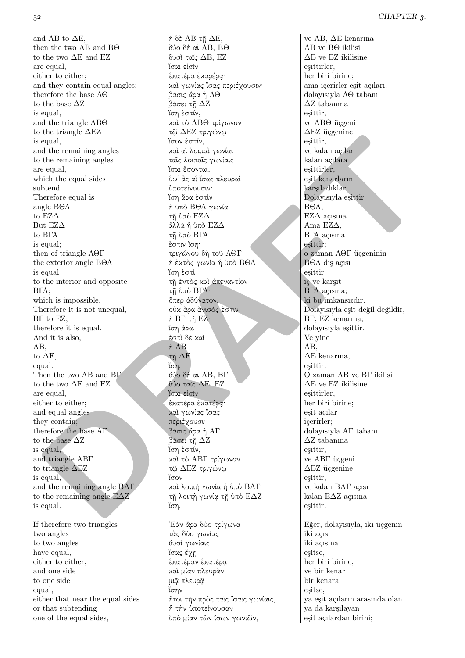and AB to  $\Delta E$ ,  $\hat{\eta}$  δὲ AB τῆ  $\Delta E$ ,  $\hat{\eta}$  ve AB,  $\Delta E$  kenarına to the base  $\Delta Z$   $\beta$ άσει τῆ  $\Delta Z$ and the remaining angles  $\vert x\alpha\vert \dot{\alpha}$   $\lambda$ οιπαὶ γωνίαι And it is also,  $\frac{\dot{\epsilon} \sigma \tau \iota}{\hbar AB}$ to the remaining angle  $E\Delta Z$   $\tau$  π λοιπὴ γωνία τῆ ὑπὸ  $E\Delta Z$ 

one of the equal sides, 
states (διαντῶν ἴσων γωνιῶν, esit açılardan birini;

(romain the equal sides)<br>
and the considering angles was at a burst result of the considering angles<br>
the the considering angles<br>
the equal sides  $\frac{1}{2}$  and  $\frac{1}{2}$  and  $\frac{1}{2}$  and  $\frac{1}{2}$  and  $\frac{1}{2}$  and  $\frac{$ then the two AB and  $B\Theta$   $\delta \delta \phi \propto AB$ ,  $B\Theta$   $AB \to AB$   $AB \vee BC$ to the two  $\Delta E$  and  $EZ$   $\delta \nu \sigma i \tau \alpha \bar{\alpha} \Delta E$ ,  $EZ$   $\Delta E$   $\Delta E$  ve EZ ikilisine are equal, in the case of the contract in the contract of the contract of the contract of the contract of the contract of the contract of the contract of the contract of the contract of the contract of the contract of the either to either; είναι έκατέρα έκαρέρα· her biri birine; her biri birine; and they contain equal angles;  $\vert \times \alpha \rangle$  γωνίας ἴσας περιέχουσιν· ama içerirler eşit açıları; therefore the base AΘ βάσις ἄρα ἡ ΑΘ dolaysiyla AΘ tabanı to the base  $\Delta Z$  base  $\Delta Z$  fabanına is equal,  $\lceil \text{ση ε} \sigma \tau \mathbf{w}, \rceil$ and the triangle AB $\Theta$  (καὶ τὸ AB $\Theta$  τρίγωνον (ve AB $\Theta$  üçgeni to the triangle ΔΕΖ  $\begin{bmatrix} \tau \tilde{\omega} \Delta EZ \tau \rho \nu \tilde{\omega} \nu \varphi \\ \tau \tilde{\omega} \Delta EZ \tau \rho \nu \tilde{\omega} \nu \varphi \end{bmatrix}$   $\begin{bmatrix} \Delta EZ \tau \tilde{\omega} \nu \varphi \\ \Delta EZ \tau \tilde{\omega} \nu \varphi \\ \Delta EZ \tau \tilde{\omega} \nu \varphi \end{bmatrix}$ ίσον ἐστίν,<br>
καὶ αἱ λοιπαὶ γωνίαι<br>
ve kalan acılar to the remaining angles  $\lceil \frac{\text{tan} \times \text{tan} \times \text{tan}}{\text{tan} \times \text{tan}} \times \text{tan} \times \text{tan}} \rceil$  kalan acılara are equal, in the contract is a contract in the contract of estimate in the estimate of estimate in the estimate of  $\alpha$  is a contract of estimate of estimate in the estimate of estimate in the estimate of estimate in the which the equal sides ὑφ᾿ ἃς αἱ ἴσας πλευραὶ eşit kenarların subtend. 
subtend. 
in the brother is the brother in the brother in the brother in the karsiladikları. Therefore equal is  $\lvert \tilde{c} \rvert$  (ση ἄρα ἐστὶν Dolayısıyla eşittir angle ΒΘΑ ἡ ὑπὸ ΒΘΑ γωνία ΒΘΑ, to ΕΖΔ.  $\lceil \tau \tilde{\eta} \rceil$  ὑπὸ ΕΖΔ.  $\lceil \tau \tilde{\eta} \rceil$  το ΕΖΔ. ΕΖΔ açısına. But ΕΖΔ  $\partial \lambda \lambda \dot{\alpha} \dot{\eta} \dot{\delta} \pi \dot{\delta} E Z \Delta$  Ama ΕΖΔ, to BΓA  $\tau$ ῆ ὑπὸ BΓA  $\Box$  BΓA açısına is equal; ἐστιν ἴση· eşittir; then of triangle ΑΘΓ τριγώνου δὴ τοῦ ΑΘΓ o zaman ΑΘΓ üçgeninin the exterior angle ΒΘΑ | ή ἐκτὸς γωνία ή ὑπὸ ΒΘΑ | ΒΘΑ dış açısı is equal  $\delta$  (esittir to the interior and opposite  $\left[\tau\tilde{\eta}\right]$  έντὸς καὶ ἀπεναντίον iç ve karşıt BΓΑ; Γή ὑπὸ ΒΓΑ<sup>·</sup> Γῆ ὑπὸ ΒΓΑ<sup>·</sup> ΒΓΑ açısına; which is impossible.  $\delta \pi \epsilon \rho \delta \delta \gamma \delta \nu \sigma \sigma \nu$  ki bu imkansızdır. Therefore it is not unequal,  $\int \text{a} \times \text{b} \times \text{c} \times \text{c} \times \text{d} \times \text{d} \times \text{d} \times \text{d} \times \text{e} \times \text{d} \times \text{e} \times \text{f} \times \text{f} \times \text{f} \times \text{g} \times \text{g} \times \text{g} \times \text{g} \times \text{g} \times \text{g} \times \text{g} \times \text{g} \times \text{g} \times \text{g} \times \text{g} \times \text{g} \times \text{g} \times$ BΓ to EZ;  $\hat{\eta}$  BΓ τ $\tilde{\eta}$  EZ·  $\hat{\eta}$  BΓ, EZ kenarına; therefore it is equal. <sup>[ (ση άρα.</sup> [ <sup>2</sup> ασα | <sup>2</sup> ασα | δε καλ | <sup>2</sup> ασα | <sup>2</sup> ασα | <sup>2</sup> ασα | <sup>2</sup> ασα | <sup>2</sup> ενώ | <sup>2</sup> ενώ | <sup>2</sup> ενώ | <sup>2</sup> ενώ | <sup>2</sup> ενώ | 2020 | 2020 | 2020 | 2020 | 2020 | 2020 | 2020 | 2020 | 2020 | 2  $AB$ ,  $\hat{\eta} AB$  AB  $AB$ , to  $\Delta E$ ,  $\tau \tilde{p} \Delta E$   $\Delta E$   $\Delta E$  kenarına, equal. esittir. equal. esittir. Then the two AB and BΓ δύο δή αί AB, BΓ (O zaman AB ve BΓ ikilisi to the two  $\Delta E$  and  $EZ$  δύο ταΐς  $\Delta E$ ,  $EZ$   $\Delta E$   $\Delta E$  ve EZ ikilisine are equal, in the case of τρόπο είσαι είσαι είσαι είσαι είσαι είσαι είσαι είσαι είσαι είσαι είσαι είσαι είσαι ε either to either;  $\left\{\frac{\epsilon}{\alpha} \times \frac{\epsilon}{\alpha} \times \frac{\epsilon}{\alpha} \times \frac{\epsilon}{\alpha} \times \frac{\epsilon}{\alpha} \times \frac{\epsilon}{\alpha} \times \frac{\epsilon}{\alpha} \times \frac{\epsilon}{\alpha} \times \frac{\epsilon}{\alpha} \times \frac{\epsilon}{\alpha} \times \frac{\epsilon}{\alpha} \times \frac{\epsilon}{\alpha} \times \frac{\epsilon}{\alpha} \times \frac{\epsilon}{\alpha} \times \frac{\epsilon}{\alpha} \times \frac{\epsilon}{\alpha} \times \frac{\epsilon}{\alpha} \times \frac{\epsilon}{\alpha} \times \frac{\epsilon}{\alpha} \times \frac{\epsilon}{\alpha} \$ and equal angles καὶ γωνίας ἴσας εξεί açılar they contain; in the περιέχουσι· icerirler; in the intervention of  $\alpha$  intervention is a set of  $\alpha$  intervention of  $\alpha$  is a set of  $\alpha$  intervention of  $\alpha$  is a set of  $\alpha$  intervention of  $\alpha$  is a set of  $\alpha$  is a therefore the base AΓ βάσις ἄρα ή ΑΓ dolayısıyla AΓ tabanı to the base ΔΖ βάσει τῇ ΔΖ ΔΖ tabanına is equal,  $\check{a}$  is equal,  $\check{b}$  is equal,  $\check{c}$  is equal,  $\check{c}$  is equal, and triangle ABΓ (καὶ τὸ ABΓ τρίγωνον (ve ABΓ üçgeni to triangle ΔΕΖ τῷ ΔΕΖ τριγώνῳ ΔΕΖ üçgenine  $\begin{array}{c|c}\n \text{is equal,} \\
 \hline\n \end{array}$   $\begin{array}{c|c}\n \text{is equal,} \\
 \end{array}$ and the remaining angle  $\beta A\Gamma$  (καὶ λοιπὴ γωνία ἡ ὑπὸ ΒΑΓ ve kalan ΒΑΓ açısı<br>to the remaining angle  $\beta \Delta Z$  (κalan ΕΔΖ acısına) is equal.  $\vert \tilde{\omega} \vert$  (ση.  $\vert \tilde{\omega} \vert$ ). If therefore two triangles <sup>7</sup>Εάν ἄρα δύο τρίγωνα Εğer, dolayısıyla, iki üçgenin two angles τὰς δύο γωνίας είναι του επιλεύταση του Εξετρικού του τρίγωνα και το προσπολικό των προσπολικών του τρίγωνα και το προσπολικό των τὰς δύο γωνίας iki açısı to two angles δυσὶ γωνίαις iki açısına have equal,  $\frac{1}{\cos \xi}$   $\frac{1}{\cos \xi}$   $\frac{1}{\cos \xi}$  esitse, either to either,  $\left| \text{ } \right|$  έκατέραν έκατέρα her biri birine, and one side καὶ μίαν πλευρὰν ve bir kenar to one side  $\mu\tilde{\alpha} \pi \lambda \epsilon \nu \rho \tilde{\alpha}$  bir kenara equal, equal, ign estise, equal, ign estise, either that near the equal sides  $\eta$ τοι τὴν πρὸς ταῖς ἴσαις γωνίαις, ya eşit açıların arasında olan or that subtending  $\hat{\eta}$  τὴν ὑποτείνουσαν γ γa da karşılayan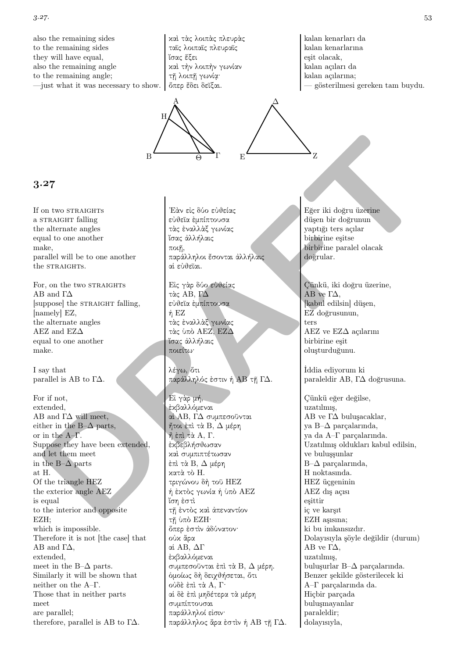..27<br>
an two s-including<br>
and two s-including and the s-material angle of the s-material angle of the s-material<br>
and the s-material angle of the s-material angle of the s-material<br>
and the s-material angle of the s-mater also the remaining sides  $\vert x\alpha\vert \tau\alpha\varsigma$  λοιπὰς πλευρὰς kalan kenarları da to the remaining sides  $\tau_{\alpha\zeta}$  λοιπαῖς πλευραῖς και kalan kenarlarına they will have equal,  $\frac{1}{\cos \epsilon}$  (σας έξει esit olacak, also the remaining angle  $\vert x\alpha\vert \tau\gamma\lambda$  λοιπὴν γωνίαν kalan açıları da to the remaining angle;  $\lceil \tau \tilde{\eta} \rangle$  λοιπ $\tilde{\eta} \gamma$ ωνία· kalan açılarına; —just what it was necessary to show. ὅπερ ἔδει δεῖξαι. — gösterilmesi gereken tam buydu. Α  $B \longrightarrow T$ Δ  $E \sim Z$ Η Θ 3.27 If on two straights **If on two straights**  $\mathbf{E}$  Eğer iki doğru üzerine

#### a straight falling  $\left| \right|$  εὐθεῖα ἐμπίπτουσα düşen bir doğrunun the alternate angles  $\lceil \frac{\vec{\alpha}}{\vec{\alpha}} \times \frac{\vec{\alpha}}{\vec{\alpha}} \times \frac{\vec{\alpha}}{\vec{\alpha}} \times \frac{\vec{\alpha}}{\vec{\alpha}} \times \frac{\vec{\alpha}}{\vec{\alpha}} \times \frac{\vec{\alpha}}{\vec{\alpha}} \times \frac{\vec{\alpha}}{\vec{\alpha}} \times \frac{\vec{\alpha}}{\vec{\alpha}} \times \frac{\vec{\alpha}}{\vec{\alpha}} \times \frac{\vec{\alpha}}{\vec{\alpha}} \times \frac{\vec{\alpha}}{\vec{\alpha}} \times \frac{\vec{\alpha}}{\vec{\alpha}} \times \frac{\vec{\alpha}}{\vec{\alpha}} \times \frac{\vec{\alpha}}{\vec{\alpha}} \times$ equal to one another <sup>[</sup> ἴσας ἀλλήλαις birbirine esitse] make,  $\pi$  ποιῆ, ποιῆ, birbirine paralel olacak parallel will be to one another παράλληλοι ἔσονται ἀλλήλαις doğrular. the straights.  $\alpha$  εὐθεῖαι.

For, on the two straights Eic γὰρ δύο εὐθείας Cünkü, iki doğru üzerine, AB and ΓΔ  $\uparrow$   $\uparrow$   $\downarrow$  τὰς ΑΒ, ΓΔ  $\downarrow$  AB ve ΓΔ, [suppose] the straight falling,  $\qquad$  [εὐθεῖα ἐμπίπτουσα [kabul edilsin] düşen, [namely] ΕΖ, ἡ ΕΖ ΕΖ doğrusunun, the alternate angles  $\tau\alpha\zeta\gamma\alpha\lambda\alpha\xi\gamma\omega\nu\alpha\zeta$  ters AEZ and EZΔ  $\tau \propto \tau$  πὸ AEZ, EZΔ  $\lambda$  AEZ ve EZΔ acılarını equal to one another <sup>(</sup><del>ἴσας ἀλλήλαις</del> birbirine esit) birbirine esit make. ποιείτω· oluşturduğunu.

For if not, Εἰ γὰρ μή, Çünkü eğer değilse, extended,  $\epsilon x \beta \alpha \lambda \lambda \delta \mu \epsilon \nu \alpha$  uzatılmış, AB and ΓΔ will meet,  $\alpha$  AB, ΓΔ συμπεσοῦνται  $AB$  AB ve ΓΔ buluşacaklar, either in the B– $\Delta$  parts,  $\hat{\eta}$ τοι ἐπὶ τὰ Β,  $\Delta$  μέρη  $\eta$  sa B– $\Delta$  parçalarında,  $\eta$  επί τὰ  $\Delta$ , Γ.  $\eta$  επί τὰ  $\Delta$ , Γ. Suppose they have been extended,  $|\dot{\epsilon} \times \beta \epsilon \beta \lambda \eta \sigma \vartheta \omega \sigma \alpha \nu|$  Uzatılmış oldukları kabul edilsin, and let them meet και συμπιπτέτωσαν νε buluşşunlar in the B– $\triangle$  parts  $\Big| \in \mathbb{R}$  λ πίτα Β,  $\triangle$  μέρη  $\Big| B-\triangle$  parçalarında, at Η. κατὰ τὸ Η. Η noktasında. Of the triangle HEZ  $\tau$  τριγώνου δὴ τοῦ HEZ  $\tau$  HEZ üçgeninin the exterior angle AEZ  $\hat{\theta}$  *ή εκτ*ός γωνία ή ύπὸ AEZ  $\hat{\theta}$  AEZ dış açısı is equal  $\vert$  <sup>[</sup>ση ἐστὶ εξίτει επιστηματικό εξίτει εξίτει εξίτει εξίτει εξίτει εξίτει to the interior and opposite τῇ ἐντὸς καὶ ἀπεναντίον iç ve karşıt ΕΖΗ; τῇ ὑπὸ ΕΖΗ· ΕΖΗ aşısına; which is impossible.  $\delta \pi \epsilon \rho \delta \sigma \tau \nu \delta \delta \nu \nu \gamma$  ki bu imkansızdır. Therefore it is not [the case] that  $\int$  οὐχ ἄρα Dolayısıyla şöyle değildir (durum) AB and  $\Gamma\Delta$ ,  $\alpha$   $\Delta F$   $\Delta F$   $AB, \Delta T$   $AB$  ve  $\Gamma\Delta$ , extended,  $\left| \frac{\partial x}{\partial x} \right|$  εκβαλλόμεναι uzatılmış, meet in the Β–Δ parts.  $\sigma$  συμπεσοῦνται ἐπὶ τὰ Β, Δ μέρη. buluşurlar Β–Δ parçalarında. Similarly it will be shown that  $\delta\mu\delta\epsilon \propto \delta\eta\delta\epsilon$  (διακθήσεται, ότι Benzer şekilde gösterilecek ki neither on the A–Γ. (3) οὐδε ἐπὶ τὰ Α, Γ· (3) (3) (3) (3) (3) (3) (3) (3) (4–Γ parçalarında da. Those that in neither parts  $\alpha$  | αίδε έπὶ μηδέτερα τὰ μέρη | Hiçbir parçada meet συμπίπτουσαι bulusmayanlar are parallel;  $\pi \alpha \rho \dot{\alpha} \lambda \eta \lambda o$  είσιν· paraleldir; therefore, parallel is ΑΒ to ΓΔ. παράλληλος ἄρα ἐστὶν ἡ ΑΒ τῇ ΓΔ. dolayısıyla,

I say that  $\lambda$ έγω, ὅτι Iddia ediyorum ki parallel is AB to ΓΔ.  $\pi\alpha\rho\alpha\lambda\gamma\lambda\alpha\zeta\epsilon\sigma\tau\upsilon\eta\Delta B\tau\eta\Gamma\Delta$ . paraleldir AB, ΓΔ doğrusuna.

 $\hat{\eta}$  έπὶ τὰ Α, Γ.  $\eta$  in the A–Γ parçalarında.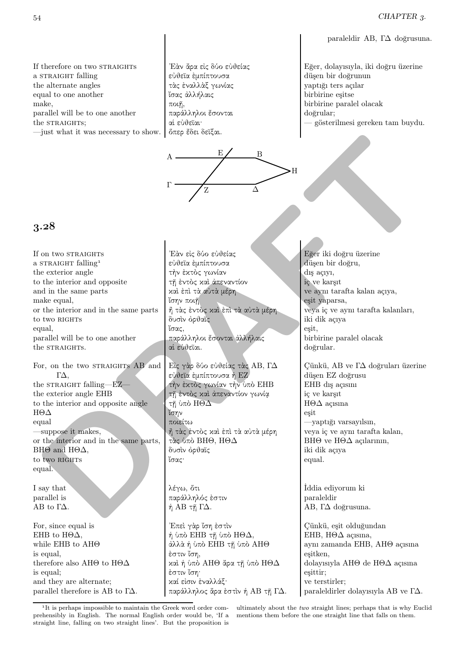paraleldir ΑΒ, ΓΔ doğrusuna.

a straight falling  $\left| \right|$  εὐθεῖα ἐμπίπτουσα düşen bir doğrunun the alternate angles  $\tau\alpha \in \mathcal{L}$  τὰς ἐναλλὰξ γωνίας γωνίας γενική γιαρτιξία ters acidar equal to one another  $\vert$  (σας άλλήλαις birbirine esitse make,  $\pi$  ποιῆ, ποιῆ, birbirine paralel olacak parallel will be to one another παράλληλοι ἔσονται doğrular; the straights;  $\alpha$  εὐθεῖαι· (αι εὐθεῖαι· (aŭ εὐθεῖαι· (aŭ εὐθεῖαι· (aŭ eŭ en en en en en en en en en en en en  $-$ just what it was necessary to show. | ὅπερ ἔδει δεῖξαι.



If therefore on two straights [Eἀν ἄρα εἰς δύο εὐθείας [Eğer, dolayısıyla, iki doğru üzerine

### 3.28

2.38<br>
and the symmetric silicon of the symmetric silicon of the symmetric silicon of the symmetric silicon of the symmetric silicon of the symmetric silicon of the symmetric silicon of the symmetric silicon of the symmetr If on two straights **TE**<sub>I</sub> Eπer iki doğru üzerine **Eğer** iki doğru üzerine a STRAIGHT falling<sup>1</sup> εὐθεῖα ἐμπίπτουσα düşen bir doğru, the exterior angle<br>to the interior and opposite  $\begin{bmatrix} \tau \eta \nu \epsilon \times \tau \delta \varsigma \times \gamma \omega \nu(\alpha \nu) & d\eta \sin \omega \omega \end{bmatrix}$  dis agivi, to the interior and opposite  $\begin{bmatrix} \tau \tilde{\eta} \end{bmatrix}$  έντὸς καὶ ἀπεναντίον iç ve karşıt iç ve karşıt and in the same parts  $\begin{bmatrix} \tau \tilde{\eta} \end{bmatrix}$  έντὸς καὶ ἀπεναντίον  $\begin{bmatrix} \alpha & \alpha & \alpha \\ \alpha & \alpha & \alpha \end{bmatrix}$  iç ve karşıt ve aynı tar and in the same parts  $\vert x\alpha\right\vert \dot{x}\alpha\dot{\alpha}$  πλαι $\dot{\alpha}$  μέρη ve aynı tarafta kalan açıya, make equal,<br>or the interior and in the same parts  $\begin{bmatrix} \n\text{for } y \text{ for } z \text{ or } z \text{ or } z \text{ or } z \text{ or } z \text{ or } z \text{ or } z \text{ or } z \text{ or } z \text{ or } z \text{ or } z \text{ or } z \text{ or } z \text{ or } z \text{ or } z \text{ or } z \text{ or } z \text{ or } z \text{ or } z \text{ or } z \text{ or } z \text{ or } z \text{ or } z \text{ or } z \text{ or } z \text{ or }$ or the interior and in the same parts ἢ τὰς ἐντὸς καὶ ἐπὶ τὰ αὐτὰ μέρη veya iç ve aynı tarafta kalanları, to two RIGHTs δυσὶν ὀρθαῖς iki dik açıya equal,  $\alpha$ ς, eşit, eşit, parallel will be to one another παράλληλοι ἔσονται ἀλλήλαις birbirine paralel olacak the straights. (ai εὐθεῖαι. (ai εὐθεῖαι. (doğrular. For, on the two straights AB and Eic γὰρ δύο εὐθείας τὰς AB, ΓΔ (Günkü, AB ve ΓΔ doğruları üzerine ΓΔ, εὐθεῖα ἐμπίπτουσα ἡ ΕΖ düşen ΕΖ doğrusu the straight falling—EZ— (τὴν ἐχτὸς γωνίαν τὴν ὑπὸ ΕΗΒ = | EHB dış açısını the exterior angle ΕΗΒ τῇ ἐντὸς καὶ ἀπεναντίον γωνίᾳ iç ve karşıt to the interior and opposite angle  $\tau$ <del>ῆ</del> ὑπὸ ΗΘΔ  $\sim$  HθΔ açısına  $H\Theta\Delta$  eşit equal ποιείτω ποιείτω ποιείτω — yaptığı varsayılsın,<br>
ποιείτω προσείτω προσείτων του προσείτων προσείτων προσείτων προσείτων προσείτων προσείτων στη συνεργασία προσειτική στη συνεργασία του στην στη συνεργασία στη συνεργα ή τὰς ἐντὸς καὶ ἐπὶ τὰ αὐτὰ μέρη veya iç ve aynı tarafta kalan, or the interior and in the same parts, τὰς ὑπὸ ΒΗΘ, ΗΘΔ ΒΗΘ ve ΗΘΔ açılarının,  $B$ ΗΘ and  $H$ ΘΔ,  $\delta$ ν δυσικεύου δυσικεύου του iki dik acıya to two RIGHTs and Toxe in the Toxe is a couple of the equal. equal. I say that λέγω, ὅτι İddia ediyorum ki parallel is παράλληλός ἐστιν paraleldir AB to ΓΔ.  $\hat{\eta}$  AB  $\tau \tilde{\eta}$  ΓΔ.  $\hat{\eta}$  AB, ΓΔ doğrusuna. For, since equal is  $\Big|$  Έπει γὰρ ἴση ἐστὶν  $\Big|$  Çünkü, eşit olduğundan **EHB** to HΘΔ,  $\parallel$  **ή** υπό EHB τῆ υπό HΘΔ,  $\parallel$  EHB, HΘΔ acisina, while ΕΗΒ to AHΘ  $\lambda\lambda\alpha\eta\beta\pi\delta$  ΕΗΒ τη ύπο AHΘ aynı zamanda ΕΗΒ, AHΘ açısına is equal,  $\delta$ στιν ἴση,  $\delta$  = εξίτερ, estern, therefore also ΑΗΘ to ΗΘΔ  $\alpha$  λαι ή υπό ΑΗΘ ἄρα τῆ υπό ΗΘΔ dolayısıyla ΑΗΘ de ΗΘΔ açısına is equal; ἐστιν ἴση· eşittir;

parallel therefore is ΑΒ to ΓΔ. παράλληλος ἄρα ἐστὶν ἡ ΑΒ τῇ ΓΔ. paraleldirler dolayısıyla ΑΒ ve ΓΔ.

<sup>1</sup>It is perhaps impossible to maintain the Greek word order comprehensibly in English. The normal English order would be, 'If a straight line, falling on two straight lines'. But the proposition is

and they are alternate;  $\vert x\alpha\ell \rangle$  και είσιν ἐναλλάξ· ve terstirler;

ultimately about the two straight lines; perhaps that is why Euclid mentions them before the one straight line that falls on them.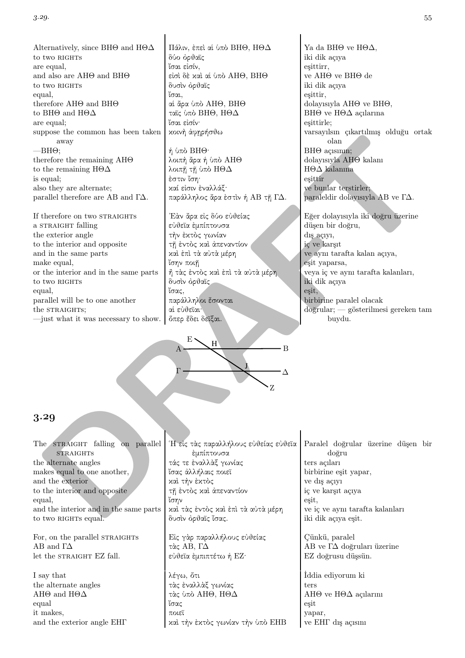$3.29.$  .  $3.55$ 

Alternatively, since ΒΗΘ and ΗΘΔ  $\Pi$ άλιν, ἐπεὶ αί ὑπὸ ΒΗΘ, ΗΘΔ  $\P$  Ya da ΒΗΘ ve ΗΘΔ, to two RIGHTs **ights** iki dik aciva are equal, i.e. in the contract of the contract of the contract of the contract of the contract of the contract of the contract of the contract of the contract of the contract of the contract of the contract of the contra and also are ΑΗΘ and ΒΗΘ εἰσὶ δὲ καὶ αἱ ὑπὸ ΑΗΘ, ΒΗΘ ve ΑΗΘ ve ΒΗΘ de to two RIGHTs **ights ights ights ights ights ights ights ights ights ights ights ights ights ights ights ights ights ights ights ights ights ights ights ights ights ights** equal, equal,  $\delta$   $\delta$  is existence equal, equal, equal, equal, equal, equal, equal, equal, equal, equal, equal, equal, equal, equal, equal, equal, equal, equal, equal, equal, equal, equal, equal, equal, equal, equal, eq therefore AHΘ and BHΘ  $\alpha$  αί ἄρα ὑπὸ AHΘ, BHΘ dolayısıyla AHΘ ve BHΘ, to ΒΗΘ and ΗΘΔ ταῖς ὑπὸ ΒΗΘ, ΗΘΔ ΒΗΘ ve ΗΘΔ açılarına are equal; in the case of the contract of the contract of the contract of the contract of esittirle; suppose the common has been taken | xοινὴ ἀφῃρήσθω | varsayılsın çıkartılmış olduğu ortak away dan bahasa da karena da karena da karena da karena da karena da karena da karena da karena da karena da k —ΒΗΘ;<br>
therefore the remaining AHΘ  $\hat{\phi}$  ὑπὸ ΒΗΘ·  $B$ HΘ açısının;<br>
λοιπὴ ἄοα ἡ ὑπὸ ΑΗΘ  $\phi$  dolavısıvla AHΘ kalanı therefore the remaining AHΘ  $\lambda$ οιπὴ ἄρα ἡ ὑπὸ AHΘ to the remaining  $H\Theta\Delta$   $\lambda$  λοιπῆ τῆ ὑπὸ  $H\Theta\Delta$   $H\Theta\Delta$   $H\Theta\Delta$  kalanına is equal: is equal; ἐστιν ἴση· eşittir also they are alternate;  $\vert x\alpha\vert \sin \psi \sin \lambda\alpha\zeta$ <sup>+</sup> ve bunlar terstirler; parallel therefore are ΑΒ and ΓΔ. παράλληλος ἄρα ἐστὶν ἡ ΑΒ τῇ ΓΔ. paraleldir dolayısıyla ΑΒ ve ΓΔ.

a straight falling  $\left| \right|$  εὐθεῖα ἐμπίπτουσα düşen bir doğru, the exterior angle  $\lceil \tau \dot{\gamma} \rangle$  έκτὸς γωνίαν dış açıyı, to the interior and opposite  $\left[\tau\tilde{\eta}\right]$  έντὸς καὶ ἀπεναντίον  $\left|\right.$  iç ve karşıt and in the same parts  $\vert x\alpha\vert$  έπὶ τὰ αὐτὰ μέρη ve aynı tarafta kalan açıya, make equal, iσην ποιῆ eşit yaparsa, or the interior and in the same parts ἢ τὰς ἐντὸς καὶ ἐπὶ τὰ αὐτὰ μέρη veya iç ve aynı tarafta kalanları, to two RIGHTs δυσὶν ὀρθαῖς iki dik açıya equal,  $\alpha$ ς,  $\beta$ , eşit, eşit, parallel will be to one another παράλληλοι ἔσονται birbirine paralel olacak the straights; and an anti- αιτιστική αποτελείαι από την επιτροποιησή του στο στο στο στο στο στο στο στο στο σ —just what it was necessary to show. | ὅπερ ἔδει δεῖξαι. buydu.

If therefore on two straights <sup>2</sup> Έαν ἄρα εἰς δύο εὐθείας Eğer dolayısıyla iki doğru üzerine



 $A \longrightarrow B$ 

 $\rm\dot{H}$ 

Ε

 $\Gamma \rightarrow \Delta$ 

J

Ζ

BRO<br>
THOSE THE THE STRIP (5.02) HHO<br>
THE THE STRIP (5.02) HHO<br>
comparison the membring RPB A<br>
space attention of MB Associated the strategy of  $\frac{1}{2}$  and  $\frac{1}{2}$  and  $\frac{1}{2}$  and  $\frac{1}{2}$  and  $\frac{1}{2}$  and  $\frac{1}{2$ 

#### 3.29

The STRAIGHT falling on parallel Ή είς τὰς παραλλήλους εὐθείας εὐθεῖα Paralel doğrular üzerine düşen bir the alternate angles  $\tau$ άς τε έναλλὰξ γωνίας ters açıları makes equal to one another, <sup>[</sup> (σας ἀλλήλαις ποιεῖ birbirine eşit yapar, and the exterior  $\vert x\alpha\vert \tau\gamma\gamma\vert \partial x\tau\gamma\zeta$  ve dış açıyı to the interior and opposite  $\tau_{\tilde{\eta}}$  έντὸς καὶ ἀπεναντίον iç ve karşıt açıya equal, eşit,  $\vert \tilde{c} \rangle$  (σην and the interior and in the same parts | καὶ τὰς ἐντὸς καὶ ἐπὶ τὰ αὐτὰ μέρη | ve iç ve aynı tarafta kalanları to two RIGHTs equal.  $\delta v \partial v \partial \alpha$ ζ ἴσας. iki dik açıya eşit.

For, on the parallel straights Εἰς γὰρ παραλλήλους εὐθείας Çünkü, paralel AB and ΓΔ  $\tau\alpha_S$  AB, ΓΔ  $\tau\alpha_S$  AB, ΓΔ  $\alpha_S$  AB ve ΓΔ doğruları üzerine let the straight EZ fall.  $\int \phi \theta \phi \phi \phi \phi$  εὐθεῖα ἐμπιπτέτω ἡ EZ· EZ doğrusu düşsün.

straights **επιλείτει επιλείτει επιλεί** επιλείται επιλείται επιλείται του συνθέμπιση στο συνθέμπιση στο συνθέμπιση στο συνθέμπιση στο συνθέμπιση στο συνθέμπιση στο συνθέμπιση στο συνθέμπιση στο συνθέμπιση στο συνθέμπιση στ

I say that  $\lambda \xi \gamma \omega$ , ὅτι Iddia ediyorum ki the alternate angles  $\tau$ άς ἐναλλὰξ γωνίας τεις ters AHΘ and HΘΔ  $\tau \propto$   $\tau \propto$   $\frac{1}{2}$  τάς ύπὸ AHΘ, HΘΔ  $\tau$  AHΘ ve HΘΔ açılarını equal equal iσας eşit it makes, ποιεῖ yapar, and the exterior angle ΕΗΓ  $\vert x\alpha\vert \tau\gamma\gamma$  έχτὸς γωνίαν τὴν ὑπὸ ΕΗΒ ve ΕΗΓ dış açısını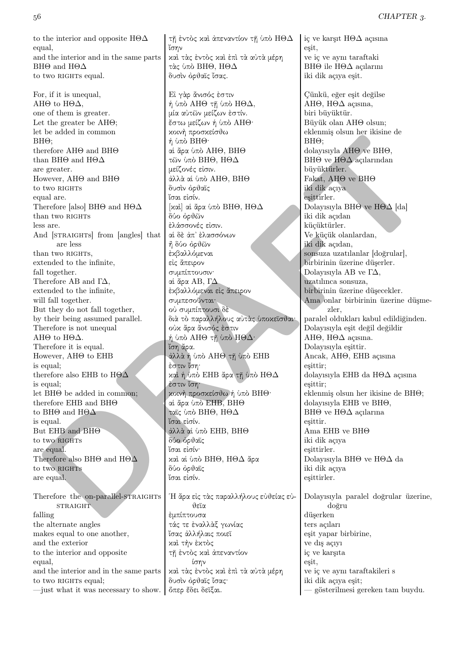ΒΗΘ; ἡ ὑπὸ ΒΗΘ· ΒΗΘ;

falling  $\left| \begin{array}{c} \frac{1}{2} \\ \frac{1}{2} \end{array} \right|$  falling düserken the alternate angles  $\tau$  τάς τε έναλλὰξ γωνίας τε επαρίων της ters açıları makes equal to one another,  $\left\{\begin{array}{c} \text{if } \alpha \in \alpha \land \lambda \land \beta \land \alpha \in \beta \text{ or } \beta \text{ or } \beta \text{ or } \beta \text{ or } \beta \text{ or } \beta \text{ or } \beta \text{ or } \beta \text{ or } \beta \text{ or } \beta \text{ or } \beta \text{ or } \beta \text{ or } \beta \text{ or } \beta \text{ or } \beta \text{ or } \beta \text{ or } \beta \text{ or } \beta \text{ or } \beta \text{ or } \beta \text{ or } \beta \text{ or } \beta \text{ or } \beta \$ and the exterior  $\vert x\alpha\vert \tau\gamma\gamma$  έχτὸς ve dış açıyı to the interior and opposite  $\left| \int_{-\pi}^{\pi} \dot{\epsilon} \nu \dot{\epsilon} \times \dot{\alpha} \dot{\alpha} \pi \epsilon \nu \alpha \nu \dot{\tau} (\nu) \right|$  ic ve karsita equal, equal,  $\qquad \qquad$  esit, and the interior and in the same parts | καὶ τὰς ἐντὸς καὶ ἐπὶ τὰ αὐτὰ μέρη | ve iç ve aynı taraftakileri s to two RIGHTs equal;  $\delta$ υσὶν ὀρθαῖς ἴσας· iki dik açıya eşit;

10.2, the mean of the special and the special and the special and the special and the special and the special and the special and the special and the special and the special and the special and the special and the special to the interior and opposite ΗΘΔ  $\frac{1}{\tau}$  τη έντὸς καὶ ἀπεναντίον τη ὑπὸ ΗΘΔ  $\frac{1}{\tau}$  iç ve karşıt ΗΘΔ açısına  $\alpha$  equal,  $\alpha$  is equal,  $\alpha$  is the contract of  $\alpha$  is the contract of equal, and the interior and in the same parts  $\vert x\alpha\vert \dot{\tau}\alpha\zeta \dot{\tau}$   $\alpha\alpha\zeta \dot{\tau}$   $\alpha\alpha\zeta \dot{\tau}$   $\alpha\alpha\zeta \dot{\tau}$   $\alpha\alpha\zeta$ ΒΗΘ and ΗΘΔ τὰς ὑπὸ ΒΗΘ, ΗΘΔ ΒΗΘ ile ΗΘΔ açılarını to two RIGHTs equal.  $\delta v \partial v \partial \tilde{\alpha} \zeta$  (σας. iki dik açıya eşit. For, if it is unequal,  $\begin{array}{c|c}\n\end{array}$  Ei γὰρ ἄνισός ἐστιν  $\begin{array}{c|c}\n\end{array}$  Cünkü, eğer eşit değilse AHΘ to HΘΔ,  $\hat{\theta}$  in the AHΘ τῆ ὑπὸ HΘΔ,  $\hat{\theta}$  AHΘ, HΘΔ açısına, one of them is greater. μία αὐτῶν μείζων ἐστίν. biri büyüktür. Let the greater be ΑΗΘ; ἔστω μείζων ἡ ὑπὸ ΑΗΘ· Büyük olan ΑΗΘ olsun; let be added in common κοινὴ προσκείσθω eklenmiş olsun her ikisine de BHΘ:<br>
h ύπὸ BHΘ: BHΘ: therefore ΑΗΘ and ΒΗΘ  $\begin{bmatrix} \text{α}i \ \text{α}j \ \text{α}k \ \text{α}k \ \text{α}k \ \text{α}k \ \text{α}k \ \text{α}k \ \text{α}k \ \text{α}k \ \text{α}k \ \text{α}k \ \text{α}k \ \text{α}k \ \text{α}k \ \text{α}k \ \text{α}k \ \text{α}k \ \text{α}k \ \text{α}k \ \text{α}k \ \text{α}k \ \text{α}k \ \text{α}k \ \text{α}k \ \text{α}k \ \text{α}k \ \text{$ are greater. μείζονές εἰσιν. büyüktürler. However, AHO and BHO  $\alpha$   $\alpha$  υπό AHO, BHO Fakat, AHO ve BHO to two RIGHTs **ights δυσ**λούν δρυσία δυσίας **iki** dik aciva equal are. ἴσαι εἰσίν. eşittirler. Therefore [also] ΒΗΘ and ΗΘΔ [kαὶ] αἱ ἄρα ὑπὸ ΒΗΘ, ΗΘΔ [Dolayısıyla ΒΗΘ ve ΗΘΔ [da] than two RIGHTs  $\delta$ ύο ὀρθῶν iki dik açıdan less are. <u>in a seitem seitem seitem seitem seitem seitem seitem seitem seitem seitem seitem seitem seitem seitem seitem seitem seitem seitem seitem seitem seitem seitem seitem seitem seitem seitem seitem seitem seitem se</u> And [straights] from [angles] that αἱ δὲ ἀπ' ἐλασσόνων Ve küçük olanlardan, are less  $\hat{\mathbf{n}}$  δύο όρθῶν iki dik acıdan, than two RIGHTs,  $\frac{\dot{\epsilon}}{2}$ βαλλόμεναι sonsuza uzatılanlar [doğrular], extended to the infinite,  $\left| \begin{array}{c} \epsilon \in \delta \pi \epsilon \infty \end{array} \right|$  birbirinin üzerine düşerler. fall together.  $\Box$  | συμπίπτουσιν· | Dolayısıyla AB ve ΓΔ, Therefore AB and  $\Gamma\Delta$ ,  $\alpha i \propto AB$ ,  $\Gamma\Delta$  uzatılınca sonsuza, extended to the infinite,  $\hat{\epsilon} \times \beta \alpha \lambda \delta \mu \epsilon \nu \alpha$  είς ἄπειρον birbirinin üzerine düşecekler. will fall together.  $\sigma$  συμπεσοῦνται· **Ama onlar birbirinin üzerine düşme-**But they do not fall together,  $\vert$  οὐ συμπίπτουσι δὲ zler, zler, by their being assumed parallel. διὰ τὸ παραλλήλους αὐτὰς ὑποκεῖσθαι· paralel oldukları kabul edildiğinden. Therefore is not unequal  $\phi$ οὐκ ἄρα ἄνισός ἐστιν Dolayısıyla eşit değil değildir<br>AHΘ to HΘΔ. ( $\phi$  ή ὑπὸ AHΘ τῆ ὑπὸ HΘΔ. (AHΘ, HΘΔ açısına.  $\hat{\eta}$  υπο ΑΗΘ τ $\tilde{\eta}$  υπο ΗΘΔ· Therefore it is equal. ἴση ἄρα. Dolayısıyla eşittir. However, AHO to EHB  $\delta\lambda\lambda\alpha\eta$  ὑπὸ AHO τη ὑπὸ EHB Ancak, AHO, EHB açısına is equal; ἐστιν ἴση· eşittir; therefore also ΕΗΒ to ΗΘΔ καὶ ή υπό ΕΗΒ ἄρα τῆ ὑπὸ ΗΘΔ dolayısıyla ΕΗΒ da ΗΘΔ açısına is equal; ἐστιν ἴση· eşittir; let ΒΗΘ be added in common; και κοινή προσκείσθω ή υπό ΒΗΘ· eklenmiş olsun her ikisine de ΒΗΘ; therefore ΕΗΒ and ΒΗΘ (αἱ ἄρα ὑπὸ ΕΗΒ, ΒΗΘ dolayısıyla ΕΗΒ ve ΒΗΘ, to BHΘ and HΘΔ  $\alpha$  ταῖς ὑπὸ BHΘ, HΘΔ  $\alpha$  acularına is equal. <sup>|</sup> <sup>i</sup>σαι εἰσίν. | esittir. But ΕΗΒ and ΒΗΘ (  $\frac{\partial \lambda \lambda}{\partial x}$  αί υπό ΕΗΒ, ΒΗΘ (Ama ΕΗΒ ve ΒΗΘ to two rights δύο ὀρθαῖς iki dik açıya are equal. **i** *ται είσαι είσίν·* **επιστήματε επιστήματε το προσωπικό των επιστήματε επιστήματε επιστήματε επιστήματε επιστήματε το επιστήματε επιστήματε το επιστήματε το επιστήματε το επιστήματε το επιστήματε το επιστήμα** Therefore also ΒΗΘ and ΗΘΔ  $\sim$  | xαὶ αἱ ὑπὸ ΒΗΘ, ΗΘΔ ἄρα | Dolayısıyla ΒΗΘ ve ΗΘΔ da to two RIGHTs δύο ὀρθαῖς iki dik açıya are equal. ignoring in the contract of  $\alpha$  is equal. The equal estimate of  $\alpha$  is equal. Therefore the on-parallel-straights H ἄρα εἰς τὰς παραλλήλους εὐθείας εὐ- Dolayısıyla paralel doğrular üzerine,<br>STRAIGHT straight doğru doğru doğru doğru doğru doğru doğru doğru doğru doğru doğru doğru doğru doğru doğru doğru doğru

—just what it was necessary to show. ὅπερ ἔδει δεῖξαι. — gösterilmesi gereken tam buydu.

 $B$ ΗΘ ve ΗΘΔ acılarından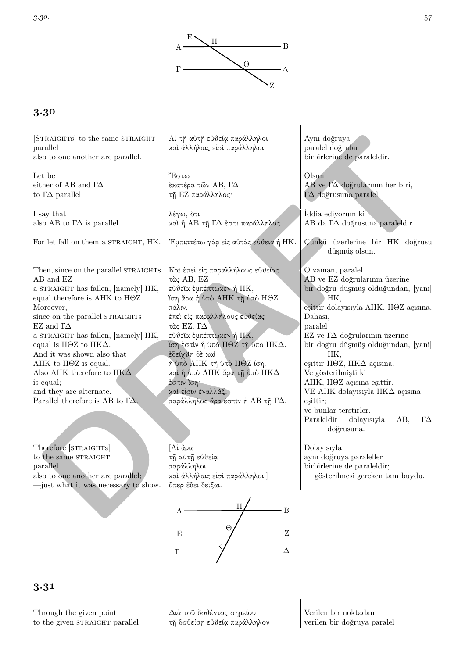

# 3.30

| [STRAIGHTs] to the same STRAIGHT<br>parallel<br>also to one another are parallel.                                                                                                                                                                                                                                                                                                                                                                                                              | Αί τη αύτη εύθεία παράλληλοι<br>και άλλήλαις είσι παράλληλοι.                                                                                                                                                                                                                                                                                                                                       | Aynı doğruya<br>paralel doğrular<br>birbirlerine de paraleldir.                                                                                                                                                                                                                                                                                                                                                                                                                                 |  |
|------------------------------------------------------------------------------------------------------------------------------------------------------------------------------------------------------------------------------------------------------------------------------------------------------------------------------------------------------------------------------------------------------------------------------------------------------------------------------------------------|-----------------------------------------------------------------------------------------------------------------------------------------------------------------------------------------------------------------------------------------------------------------------------------------------------------------------------------------------------------------------------------------------------|-------------------------------------------------------------------------------------------------------------------------------------------------------------------------------------------------------------------------------------------------------------------------------------------------------------------------------------------------------------------------------------------------------------------------------------------------------------------------------------------------|--|
| Let be<br>either of AB and $\Gamma\Delta$<br>to $\Gamma\Delta$ parallel.                                                                                                                                                                                                                                                                                                                                                                                                                       | "Έστω<br>έκατέρα τῶν ΑΒ, ΓΔ<br>τῆ ΕΖ παράλληλος·                                                                                                                                                                                                                                                                                                                                                    | Olsun<br>AB ve $\Gamma\Delta$ doğrularının her biri,<br>$\Gamma\Delta$ doğrusuna paralel.                                                                                                                                                                                                                                                                                                                                                                                                       |  |
| I say that<br>also AB to $\Gamma\Delta$ is parallel.                                                                                                                                                                                                                                                                                                                                                                                                                                           | λέγω, ὄτι<br>καί ή ΑΒ τη ΓΔ έστι παράλληλος.                                                                                                                                                                                                                                                                                                                                                        | Iddia ediyorum ki<br>AB da $\Gamma\Delta$ doğrusuna paraleldir.                                                                                                                                                                                                                                                                                                                                                                                                                                 |  |
| For let fall on them a STRAIGHT, HK.                                                                                                                                                                                                                                                                                                                                                                                                                                                           | Έμπιπτέτω γάρ είς αύτας εύθεϊα ή ΗΚ.                                                                                                                                                                                                                                                                                                                                                                | Çünkü üzerlerine bir HK doğrusu<br>düşmüş olsun.                                                                                                                                                                                                                                                                                                                                                                                                                                                |  |
| Then, since on the parallel STRAIGHTS<br>AB and EZ<br>a STRAIGHT has fallen, [namely] HK,<br>equal therefore is AHK to H $\Theta Z$ .<br>Moreover,<br>since on the parallel STRAIGHTS<br>EZ and $\Gamma\Delta$<br>a STRAIGHT has fallen, [namely] HK,<br>equal is HOZ to HK $\Delta$ .<br>And it was shown also that<br>AHK to $H\Theta Z$ is equal.<br>Also AHK therefore to $\text{H}\text{K}\Delta$<br>is equal;<br>and they are alternate.<br>Parallel therefore is AB to $\Gamma\Delta$ . | Και έπει είς παραλλήλους εύθείας<br>τὰς ΑΒ, ΕΖ<br>εύθεϊα έμπέπτωκεν ή ΗΚ,<br>ίση άρα ή υπό ΑΗΚ τη υπό ΗΘΖ.<br>πάλιν,<br>έπει είς παραλλήλους εύθείας<br>τὰς ΕΖ, Γ $Δ$<br>εύθεϊα έμπέπτωχεν ή ΗΚ,<br>ίση έστιν ή υπό ΗΘΖ τη υπό ΗΚΔ.<br>έδείχθη δὲ καὶ<br>ή ύπο ΑΗΚ τη ύπο ΗΘΖ ίση.<br>χαί ή υπό ΑΗΚ άρα τη υπό ΗΚΔ<br>έστιν ΐση·<br>καί είσιν έναλλάξ.<br>παράλληλος άρα έστιν ή ΑΒ τη Γ $\Delta$ . | O zaman, paralel<br>AB ve EZ doğrularının üzerine<br>bir doğru düşmüş olduğundan, [yani]<br>HK,<br>eşittir dolayısıyla AHK, HOZ açısına.<br>Dahasi,<br>paralel<br>EZ ve $\Gamma\Delta$ doğrularının üzerine<br>bir doğru düşmüş olduğundan, [yani]<br>HK.<br>eşittir HΘZ, HKΔ açısına.<br>Ve gösterilmişti ki<br>AHK, HOZ açısına eşittir.<br>VE AHK dolayısıyla HK $\Delta$ açısına<br>esittir;<br>ve bunlar terstirler.<br>Paraleldir<br>dolayısıyla<br>AB,<br>$\Gamma\!\Delta$<br>doğrusuna. |  |
| Therefore [STRAIGHTS]<br>to the same STRAIGHT<br>parallel<br>also to one another are parallel;<br>-just what it was necessary to show.                                                                                                                                                                                                                                                                                                                                                         | [Αἱ ἄρα<br>τῆ αὐτῆ εὐθεία<br>παράλληλοι<br>και άλλήλαις είσι παράλληλοι·<br>δπερ έδει δεϊξαι.                                                                                                                                                                                                                                                                                                       | Dolayısıyla<br>aynı doğruya paraleller<br>birbirlerine de paraleldir;<br>- gösterilmesi gereken tam buydu.                                                                                                                                                                                                                                                                                                                                                                                      |  |
| $\overline{\mathrm{H}}$<br>$\mathbf B$<br>$\bf{A}$                                                                                                                                                                                                                                                                                                                                                                                                                                             |                                                                                                                                                                                                                                                                                                                                                                                                     |                                                                                                                                                                                                                                                                                                                                                                                                                                                                                                 |  |



 $3.31$ 

to the given straight parallel (τῆ δοθείσῃ εὐθείφ παράλληλον (verilen bir doğruya paralel

Through the given point  $\Delta i \alpha$  τοῦ δοθέντος σημείου Verilen bir noktadan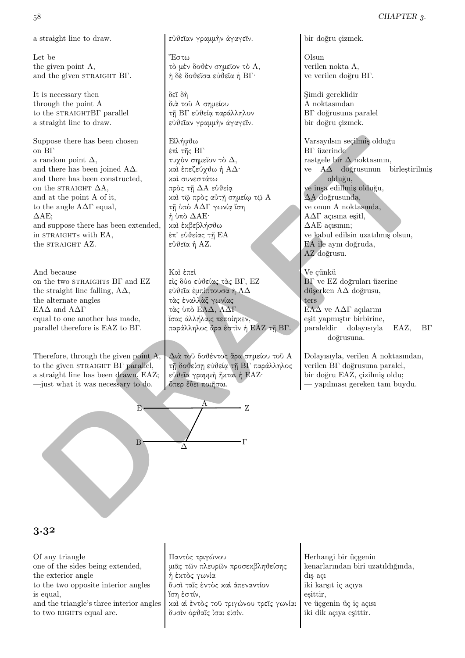Let be a contract of "Εστω" διαθεί του Πολειτικό στη Δεν και ο Πολειτικό στη Δεν και στη Δεν και στη Δεν κατα the given point A,  $\downarrow$  τὸ μèν δοθèν σημεῖον τὸ Α, verilen nokta A, and the given straight BΓ.  $\hat{\phi} \delta \epsilon \delta \omega \epsilon \tilde{\omega} \sigma \epsilon \tilde{\omega} \delta \epsilon \tilde{\alpha} \eta$  BΓ· ve verilen doğru BΓ.

It is necessary then  $\delta \tilde{\epsilon}$  δεῖ δὴ Simdi gereklidir through the point A  $\delta \alpha \tau$  διὰ τοῦ Α σημείου A noktasından to the straight BΓ parallel  $\tau_{\tilde{H}}$  BΓ εὐθεία παράλληλον BΓ doğrusuna paralel a straight line to draw.  $\left| \right| \right|$  εὐθεῖαν γραμμὴν ἀγαγεῖν. bir doğru çizmek.

Suppose there has been chosen  $\begin{array}{c|c}\n\text{Ei}\n\lambda \eta \varphi \vartheta \omega \\
\text{in }\tau \eta \in BT\n\end{array}$  Varsayılsın seçilmiş olduğu BT üzerinde a random point Δ,  $\vert \overline{\text{tuv}} \rangle$  συγόν σημεΐον τὸ Δ, rastgele bir Δ noktasının, and there has been constructed,  $\vert x\alpha\vert$  συνεστάτω olduğu, on the straight ΔA,  $\pi \rho \circ \tau \eta \Delta A$  εὐθεία ve inşa edillmiş olduğu, and at the point A of it,  $\vert x\alpha\vert \tau\tilde{\omega} \tau\tilde{\omega}$  πρὸς αὐτῆ σημεί $\omega \tau\tilde{\omega}$  A  $\vert \Delta A$  doğrusunda, to the angle  $A\Delta\Gamma$  equal,  $\tau\tilde{\eta}$  ὑπὸ  $A\Delta\Gamma$  γωνία ἴση ve onun A noktasında,  $\Delta$ AE;  $\hat{\beta}$  on  $\Delta$ AE·  $\hat{\beta}$   $\Delta$ AE·  $\Delta$  A $\Delta$ F açısına esitl, and suppose there has been extended,  $\vert \chi \chi \rangle$  έχβεβλήσθω  $\vert \Delta AE$  agisinin; in straights with EA,  $\left| \epsilon \pi \right|$  εὐθείας τῆ EA ve kabul edilsin uzatılmış olsun, the straight ΑΖ. εὐθεῖα ἡ ΑΖ. ΕΑ ile aynı doğruda,

equal to one another has made,  $\alpha$  (σας άλλήλαις πεποίηχεν,

Therefore, through the given point A,  $\Delta u \partial \tilde{\sigma}$  δοθέντος ἄρα σημείου τοῦ A Dolayısıyla, verilen A noktasından, to the given straight BΓ parallel,  $\tau_{\tilde{\eta}}$  δοθείση εὐθεία τη ΒΓ παράλληλος verilen BΓ doğrusuna paralel, a straight line has been drawn, ΕΑΖ; εὐθεῖα γραμμὴ ἦκται ἡ ΕΑΖ· bir doğru ΕΑΖ, çizilmiş oldu; —just what it was necessary to do. ὅπερ ἔδει ποιῆσαι. — yapılması gereken tam buydu.

a straight line to draw. εὐθεῖαν γραμμὴν ἀγαγεῖν. bir doğru çizmek.

And because Kαὶ ἔπεὶ <del>Ve cünkü</del> on the two straights BΓ and EZ | είς δύο εὐθείας τὰς ΒΓ, ΕΖ | ΒΓ ve ΕΖ doğruları üzerine the straight line falling,  $A\Delta$ ,  $\qquad \qquad$  εὐθεῖα ἐμπίπτουσα ἡ  $A\Delta$  duserken  $A\Delta$  doğrusu, the alternate angles  $\tau \alpha \zeta \dot{\epsilon} \nu \alpha \lambda \dot{\alpha} \zeta \gamma \omega \nu \dot{\alpha} \zeta$  ters EΑΔ and ΑΔΓ  $\begin{bmatrix} \tau \& \downarrow \tau \& \downarrow \tau \& \downarrow \tau \& \downarrow \tau \& \downarrow \tau \& \downarrow \tau \& \downarrow \tau \& \downarrow \tau \& \downarrow \tau \& \downarrow \tau \& \downarrow \tau \& \downarrow \tau \& \downarrow \tau \& \downarrow \tau \& \downarrow \tau \& \downarrow \tau \& \downarrow \tau \& \downarrow \tau \& \downarrow \tau \& \downarrow \tau \& \downarrow \tau \& \downarrow \tau \& \downarrow \tau \& \downarrow \tau \& \downarrow \tau \& \downarrow \tau \& \downarrow \tau \& \downarrow \tau \& \$ 

Α  $\overline{B}$   $\overline{\Delta}$   $\Gamma$  $E \longrightarrow Z$ 

propose there has been denoted by the specific specific of the specific point of the basis of the specific specific specific specific specific specific or a specific specific specific specific specific specific specific s **BΓ** üzerinde and there has been joined  $A\Delta$ .  $\downarrow \chi \chi i \frac{\partial}{\partial \eta} \chi \epsilon \frac{\partial}{\partial \chi} \chi^{\delta} \frac{\partial}{\partial \eta} \chi^{\delta} + A\Delta$ <sup>ve  $A\Delta$ </sup> doğrusunun birleştirilmiş ΑΖ doğrusu.

parallel therefore is ΕΑΖ to ΒΓ. παράλληλος ἄρα ἐστὶν ἡ ΕΑΖ τῇ ΒΓ. paraleldir dolayısıyla ΕΑΖ, ΒΓ doğrusuna.

# $3.32$

Of any triangle Παντὸς τριγώνου Herhangi bir üçgenin one of the sides being extended, μιᾶς τῶν πλευρῶν προσεκβληθείσης kenarlarından biri uzatıldığında, the exterior angle  $\eta$  <sup>ή</sup> έχτὸς γωνία dış açı to the two opposite interior angles δυσὶ ταῖς ἐντὸς καὶ ἀπεναντίον iki karşıt iç açıya is equal,  $\lceil \text{ση ε} \sigma \tau \mathbf{w}, \rceil$ and the triangle's three interior angles | καὶ αἱ ἐντὸς τοῦ τριγώνου τρεῖς γωνίαι | ve üçgenin üç iç açısı to two RIGHTs equal are.  $\delta v \partial \alpha$  δυσίν όρθαῖς ἴσαι εἰσίν. iki dik açıya eşittir.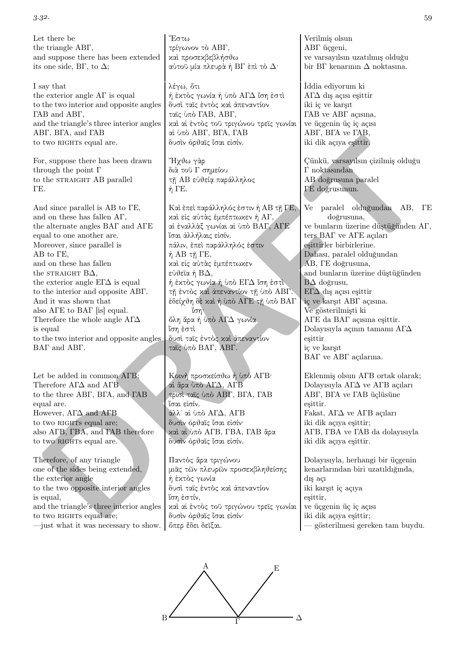$3.32.$  . [39]

Let there be  $\vert$  "Εστω  $\vert$ "  $\vert$  του  $\vert$  Verilmiş olsun the triangle ABΓ,  $\tau$  τρίγωνον τὸ ABΓ, ABΓ üçgeni, ABΓ üçgeni, and suppose there has been extended | καὶ προσεκβεβλήσθω ve varsayılsın uzatılmış olduğu its one side, ΒΓ, to Δ;  $\alpha$ ;  $\alpha$  πλευρά ή ΒΓ έπὶ τὸ Δ· bir ΒΓ kenarının Δ noktasına.

For, suppose there has been drawn ῎Ηχθω γὰρ Çünkü, varsayılsın çizilmiş olduğu through the point Γ διὰ τοῦ Γ σημείου Γ noktasından to the STRAIGHT AB parallel  $\tau_{\tilde{\eta}}$  AB εὐθεία παράλληλος AB doğrusuna paralel ΓΕ. ἡ ΓΕ. ΓΕ doğrusunun.

equal to one another are.  $\int$  (σαι άλλήλαις είσίν. BAΓ and ABΓ. (παϊς ὑπὸ ΒΑΓ, ABΓ. (iç ve karşıt

Let be added in common AΓΒ; Κοινὴ προσκείσθω ἡ ὑπὸ AΓΒ· Eklenmiş olsun AΓΒ ortak olarak; Therefore AΓΔ and AΓΒ (αί ἄρα ὑπὸ ΑΓΔ, AΓΒ Dolayısıyla AΓΔ ve AΓΒ açıları to the three ABΓ, BΓΑ, and ΓΑΒ (τρισὶ ταῖς ὑπὸ ΑΒΓ, ΒΓΑ, ΓΑΒ (ABΓ, ΒΓΑ ve ΓΑΒ üçlüsüne equal are. and its interval are a contract to a clock of the existence of estitution of existence of existence However,  $A\Gamma\Delta$  and  $A\Gamma B$  ( $\partial\lambda\lambda$ <sup>'</sup> αἱ ὑπὸ  $A\Gamma\Delta$ ,  $A\Gamma B$  Fakat,  $A\Gamma\Delta$  ve  $A\Gamma B$  açıları<br>to two RIGHTs equal are:  $\delta$  δυσιν ὀρθαϊς ἴσαι εἰσίν· iki dik açıya eşittir; to two RIGHTs equal are; δυσίν ὀρθαῖς ἴσαι εἰσίν· iki dik acıya eşittir; also AΓΒ, ΓΒΑ, and ΓΑΒ therefore καὶ αί ὑπὸ ΑΓΒ, ΓΒΑ, ΓΑΒ ἄρα (AΓΒ, ΓΒΑ ve ΓΑΒ da dolayısıyla to two RIGHTs equal are. **i** δυσιν όρθαῖς ἴσαι εἰσίν. **iki** dik acıya esittir.

Therefore, of any triangle Παντὸς ἄρα τριγώνου Dolayısıyla, herhangi bir üçgenin one of the sides being extended, μιᾶς τῶν πλευρῶν προσεκβληθείσης kenarlarından biri uzatıldığında, the exterior angle  $\hat{\eta}$  έχτὸς γωνία dış açı to the two opposite interior angles δυσὶ ταῖς ἐντὸς καὶ ἀπεναντίον iki karşıt iç açıya is equal,  $\check{\mathfrak{g}}$  is equal,  $\check{\mathfrak{g}}$  is equal,  $\check{\mathfrak{g}}$  is equal,  $\check{\mathfrak{g}}$  is equal, and the triangle's three interior angles  $\chi$ αὶ αἱ ἐντὸς τοῦ τριγώνου τρεῖς γωνίαι ve üçgenin üç iç açısı to two RIGHTs equal are; δυσίν ὀρθαῖς ἴσαι εἰσίν· iki dik açıya eşittir; —just what it was necessary to show. ὅπερ ἔδει δεῖξαι. — gösterilmesi gereken tam buydu.

I say that λέγω, ὅτι İddia ediyorum ki the exterior angle AΓ is equal  $\int \hat{\eta} \, \hat{\epsilon} \times \hat{\eta} \times \hat{\eta} \times \hat{\eta} \times \hat{\eta} \times \hat{\eta} \times \hat{\eta} \times \hat{\eta} \times \hat{\eta} \times \hat{\eta} \times \hat{\eta} \times \hat{\eta} \times \hat{\eta} \times \hat{\eta} \times \hat{\eta} \times \hat{\eta} \times \hat{\eta} \times \hat{\eta} \times \hat{\eta} \times \hat{\eta} \times \hat{\eta} \times \hat{\eta} \times \hat{\eta} \times \hat{\eta} \times \hat{\eta} \times \hat{\eta}$ to the two interior and opposite angles δυσὶ ταῖς ἐντὸς καὶ ἀπεναντίον iki iç ve karşıt ΓΑΒ and ΑΒΓ, ταῖς ὑπὸ ΓΑΒ, ΑΒΓ, ΓΑΒ ve ΑΒΓ açısına, and the triangle's three interior angles | καὶ αἱ ἐντὸς τοῦ τριγώνου τρεῖς γωνίαι | ve üçgenin üç iç açısı ABΓ, BΓΑ, and ΓΑΒ (αί ὑπὸ ΑΒΓ, ΒΓΑ, ΓΑΒ (ABΓ, BΓΑ ve ΓΑΒ, to two RIGHTs equal are.  $\delta v \partial v \partial \tilde{\alpha} \tilde{\alpha}$  (σαι εἰσίν. iki dik acıya esittir.

And since parallel is AB to ΓΕ, Καὶ ἐπεὶ παράλληλός ἐστιν ἡ ΑΒ τῆ ΓΕ, Ve paralel olduğundan AB, ΓΕ and on these has fallen  $\Lambda \Gamma$ ,  $\qquad \qquad$   $\times$   $\alpha$  είς αὐτὰς ἐμπέπτωχεν ἡ  $\Lambda \Gamma$ , doğrusuna, the alternate angles ΒΑΓ and ΑΓΕ αἱ ἐναλλὰξ γωνίαι αἱ ὑπὸ ΒΑΓ, ΑΓΕ ve bunların üzerine düştüğünden ΑΓ, Moreover, since parallel is  $\pi\alpha\lambda v$ , ἐπεὶ παράλληλός ἐστιν eşittirler birbirlerine. AB to ΓΕ,  $\hat{A} \text{AB } \tau \tilde{n}$  ΓΕ, Dahası, paralel olduğundan and on these has fallen  $\vert x\alpha\vert \leq \alpha\check{\sigma}\tau\alpha\zeta \leq \mu\tau\epsilon\tau\tau\omega x\simeq \mathsf{AB}$ , ΓΕ doğrusuna, the straight BΔ,  $\epsilon \dot{\theta}$  ΒΔ, and bunların üzerine düştüğünden the exterior angle ΕΓΔ is equal ἡ ἐκτὸς γωνία ἡ ὑπὸ ΕΓΔ ἴση ἐστὶ ΒΔ doğrusu, to the interior and opposite ABΓ.  $\lceil \tau \tilde{\eta} \rceil$  έντὸς καὶ ἀπεναντίον τῆ ὑπὸ ABΓ.  $\lceil \text{E}\Gamma \Delta \rceil$  dış açısı eşittir And it was shown that  $\hat{\epsilon} \delta \epsilon (\chi \vartheta \eta) \delta \epsilon \times \alpha \dot{\eta} \dot{\eta} \delta \pi$  AFE τη υπό BAT iç ve karşıt ABT açısına. also ΑΓΕ to ΒΑΓ [is] equal. ἴση· Ve gösterilmişti ki Therefore the whole angle  $A\Gamma\Delta$   $\delta\lambda\eta\,\delta\varphi\alpha\,\hat{\eta}\,\hat{\upsilon}\pi\delta\,\hat{A}\Gamma\Delta\,\gamma\omega\gamma\hat{\upsilon}\alpha$   $\Delta\Gamma\Delta\,\hat{\upsilon}\pi\hat{\upsilon}\pi\hat{\upsilon}\pi\hat{\upsilon}\pi\hat{\upsilon}\pi\hat{\upsilon}\pi\hat{\upsilon}\pi\hat{\upsilon}\pi\hat{\upsilon}\pi\hat{\upsilon}\pi\hat{\upsilon}\pi\hat{\upsilon}\pi\hat{\upsilon}\pi\hat{\upsilon}\pi\hat{\upsilon}\pi\hat{\upsilon}\pi\hat{\upsilon}\pi\hat{\upsilon$ is equal <sup>((ση έστι)</sup> <sup>δ</sup>ου <sup>δ</sup>ου δεν διαφέρει του Dolayısıyla açının tamamı ΑΓΔ to the two interior and opposite angles  $\delta$ υσὶ ταῖς ἐντὸς καὶ ἀπεναντίον eşittir

is a mapping then this local contract in the set of the set of the set of the set of the set of the set of the set of the set of the set of the set of the set of the set of the set of the set of the set of the set of the ΒΑΓ ve ΑΒΓ açılarına.

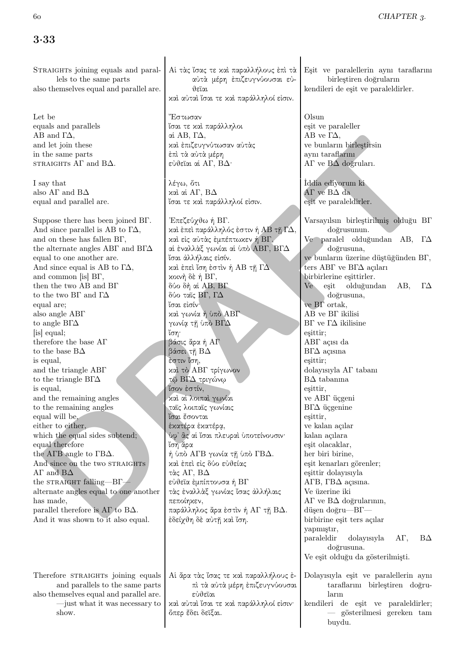# 3.33

also themselves equal and parallel are.  $\theta$ εῖαι  $\theta$ είαι kendileri de eşit ve paraleldirler.

STRAIGHTS ΑΓ and Β $Δ$ .  $\epsilon$   $\psi$ θεῖαι αί ΑΓ, Β $Δ$ ·

And since parallel is AB to  $\Gamma\Delta$ ,  $\vert x\alpha\right\vert \dot x\pi\epsilon$  παράλληλός έστιν ή AB τῆ ΓΔ,  $\vert x\alpha\vert$  doğrusunun. the alternate angles ΑΒΓ and ΒΓΔ  $\alpha$  έναλλὰξ γωνίαι αἱ ὑπὸ ΑΒΓ, ΒΓΔ doğrusuna,<br>equal to one another are.<br> $\begin{bmatrix} \frac{\partial}{\partial} \alpha_1 & \frac{\partial}{\partial} \alpha_2 & \frac{\partial}{\partial} \alpha_3 & \frac{\partial}{\partial} \alpha_4 & \frac{\partial}{\partial} \alpha_5 & \frac{\partial}{\partial} \alpha_6 \end{bmatrix}$  ve bunların üzerin And since equal is AB to ΓΔ, καὶ ἐπεὶ ἴση ἐστὶν ἡ ΑΒ τῆ ΓΔ ters ABΓ ve ΒΓΔ açıları<br>and common [is] BΓ, καινή δε ή BΓ, birbirlerine esittirler. and common list BΓ,  $\vert \mathsf{xow} \rangle$  δὲ ἡ BΓ, birbirlerine esittirler. to the two BΓ and ΓΔ  $\delta$  δύο ταῖς ΒΓ, ΓΔ doğrusuna, equal are;  $\check{c}$  (σαι είσίν· ve ΒΓ ortak, also angle ABΓ  $\vert$  καὶ γωνία ἡ ὑπὸ ABΓ  $\vert$  AB ve BΓ ikilisi to angle ΒΓΔ γωνίᾳ τῇ ὑπὸ ΒΓΔ ΒΓ ve ΓΔ ikilisine [is] equal; ἴση· eşittir; therefore the base ΑΓ βάσις ἄρα ἡ ΑΓ ΑΒΓ açısı da to the base ΒΔ βάσει τῆ ΒΔ βασει τῆ ΒΔ βεν θερματικό προσπαθεί της ΒΔ βΓΔ açısına is equal,  $\delta$  επινίση, esittir; and the triangle ABΓ καὶ τὸ ABΓ τρίγωνον dolayısıyla AΓ tabanı to the triangle ΒΓΔ τῷ ΒΓΔ τριγώνῳ ΒΔ tabanına is equal, ἴσον ἐστίν, eşittir, and the remaining angles καὶ αὶ λοιπαὶ γωνίαι ve ΑΒΓ üçgeni to the remaining angles ταῖς λοιπαῖς γωνίαις ΒΓΔ üçgenine equal will be,<br>
either to either,<br>
είναι έναι ένα τέρα,<br>
είναι ένα τέρα,<br>
είναι ένα τέρα,<br>
είναι είναι επιλεύται επιλεύται το either, either to either,<br>
which the equal sides subtend;<br>
<sup>δυρ</sup>' δις αίτσαι πλευραί ύποτείνουσιν·<br>
kalan açılara<br>
kalan açılara equal therefore  $\overline{\text{for}} \alpha$  (ση άρα esit olacaklar, the AΓΒ angle to ΓΒΔ.  $\hat{\eta}$  ὑπὸ AΓΒ γωνία τ $\hat{\eta}$  ὑπὸ ΓΒΔ. her biri birine, And since on the two straights  $\vert x\vert$  καὶ ἐπεὶ εἰς δύο εὐθείας est eşit kenarları görenler; AΓ and  $B\Delta$   $\tau \propto A\Gamma$ ,  $B\Delta$  esittir dolayısıyla the straight falling—BΓ— εὐθεῖα ἐμπίπτουσα ή ΒΓ (AΓΒ, ΓΒΔ açısına. alternate angles equal to one another  $\frac{1}{\alpha} \frac{\dot{\alpha}}{\dot{\alpha}} \frac{\dot{\alpha}}{\dot{\alpha}} \frac{\dot{\alpha}}{\dot{\alpha}} \frac{\dot{\alpha}}{\dot{\alpha}} \frac{\dot{\alpha}}{\dot{\alpha}} \frac{\dot{\alpha}}{\dot{\alpha}} \frac{\dot{\alpha}}{\dot{\alpha}} \frac{\dot{\alpha}}{\dot{\alpha}} \frac{\dot{\alpha}}{\dot{\alpha}} \frac{\dot{\alpha}}{\dot{\alpha}} \frac{\dot{\alpha}}{\dot{\alpha}} \frac{\dot{\alpha}}{\dot{\alpha}} \frac{\dot{\alpha}}{\dot{\alpha}} \frac{\dot{\alpha}}{\dot{\alpha}} \frac{\dot{\alpha$ has made, πεποίηκεν,  $\pi$ πεποίηκεν,  $\mathbf{A} \Gamma$  ve ΒΔ doğrularının, parallel therefore is ΑΓ to ΒΔ. παράλληλος ἄρα ἐστὶν ἡ ΑΓ τῇ ΒΔ. düşen doğru—ΒΓ— And it was shown to it also equal.  $\left| \right. \right|$  έδείχθη δὲ αὐτῆ καὶ ἴση. birbirine eşit ters açılar

STRAIGHTs joining equals and paral- | Αἱ τὰς ἴσας τε καὶ παραλλήλους ἐπὶ τὰ | Eşit ve paralellerin aynı taraflarını lels to the same parts  $\alpha \dot{\sigma}$  μέρη ἐπιζευγνύουσαι εὐ- birleştiren doğruların καὶ αὐταὶ ἴσαι τε καὶ παράλληλοί εἰσιν.

Let be a contract and  $\mathcal{E}$  δεν από το τωσαν διαφορεί στη Οlsun equals and parallels ((*το παράλληλοι* equals and parallels (*σαι τε κα*ὶ παράλληλοι eşit ve paraleller AB and  $\Gamma \Delta$ ,  $\alpha i$  AB,  $\Gamma \Delta$ ,  $AB$ ,  $\Gamma \Delta$ and let join these  $\alpha \in \mathbb{R}$  καὶ ἐπιζευγνύτωσαν αὐτὰς ve bunların birleştirsin in the same parts  $\begin{vmatrix} \frac{\dot{\varepsilon}}{\dot{\varepsilon}} \pi \alpha \alpha \dot{\alpha} \mu \dot{\varepsilon} \rho \gamma \end{vmatrix}$  aynı taraflarını aynı taraflarını aynı taraflarını aynı taraflarını aynı taraflarını aynı taraflarını aynı taraflarını aynı taraflarını aynı tarafl

I say that  $\lambda$ έγω, ὅτι  $\lambda$ ίλέγω, «Τι λέγω, «Τι λέγω, «Τι λέμματι» | İddia ediyorum ki also  $A\Gamma$  and  $B\Delta$   $\times$   $\alpha$   $\alpha$   $A\Gamma$ ,  $B\Delta$   $\times$   $A\Gamma$  ve  $B\Delta$  da equal and parallel are.  $\check{0}$  (σαι τε καὶ παράλληλοί εἶσιν. esit ve paraleldirler.

ΰφ' ἃς αί ἴσαι πλευραὶ ὑποτείνουσιν·

also themselves equal and parallel are. εὐθεῖαι ların —just what it was necessary to  $\begin{vmatrix} \times \alpha \end{vmatrix} \alpha \alpha \alpha \alpha \alpha \alpha$  τε καὶ παράλληλοί εἰσιν· kendileri de eşit ve paraleldirler;<br>show. — gösterilmesi gereken tam

For an 1.2, and the same space and the same space of the same space of the same space of the same space of the same space of the same space of the same space of the same space of the same space of the same space of the sa Suppose there has been joined ΒΓ. <sup>7</sup>Επεζεύχθω ή ΒΓ. Varsayılsın birleştirilmiş olduğu ΒΓ and on these has fallen BΓ,  $\vert x\alpha\vert$  εἰς αὐτὰς ἐμπέπτωχεν ή BΓ,  $\vert$  Ve paralel olduğundan AB, ΓΔ equal to one another are. <sup>[</sup> ἴσαι ἀλλήλαις εἰσίν. ve bunların üzerine düştüğünden BΓ, then the two ΑΒ and ΒΓ δύο δὴ αἱ ΑΒ, ΒΓ Ve eşit olduğundan ΑΒ, ΓΔ yapmıştır, paraleldir dolayısıyla ΑΓ, ΒΔ doğrusuna. Ve eşit olduğu da gösterilmişti. Therefore straights joining equals Αἱ ἄρα τὰς ἴσας τε καὶ παραλλήλους ἐ- Dolayısıyla eşit ve paralellerin aynı and parallels to the same parts πὶ τὰ αὐτὰ μέρη ἐπιζευγνύουσαι taraflarını birleştiren doğru-

show. ὅπερ ἔδει δεῖξαι. — gösterilmesi gereken tam buydu.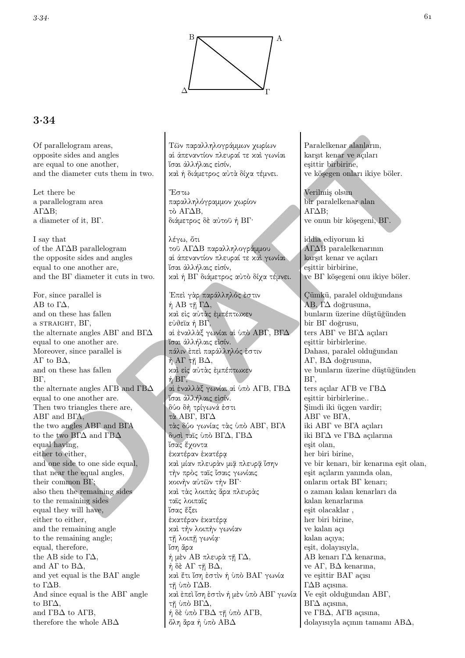

# $3.34$

Of parallelogram areas, Τῶν παραλληλογράμμων χωρίων Paralelkenar alanların, opposite sides and angles αἱ ἀπεναντίον πλευραί τε καὶ γωνίαι karşıt kenar ve açıları are equal to one another,  $\left[\begin{array}{cc} \frac{\partial}{\partial x} & \frac{\partial}{\partial y} & \frac{\partial}{\partial z} \\ \frac{\partial}{\partial y} & \frac{\partial}{\partial z} & \frac{\partial}{\partial z} \end{array}\right]$  esittir birbirine, and the diameter cuts them in two.  $\cos \phi$  λιαιά ή διάμετρος αὐτὰ δίχα τέμνει.  $\cos \phi$  ve köşegen onları ikiye böler.

I say that  $\lambda$ έγω, ὅτι iddia ediyorum ki

Let there be <sup>γ</sup>Έστω Verilmiş olsun verilmiş olsun verilmiş olsun verilmiş olsun verilmiş olsun verilmiş olsun ve a parallelogram area  $\pi$  παραλληλόγραμμον χωρίον bir paralelkenar alan ΑΓΔΒ; τὸ ΑΓΔΒ, ΑΓΔΒ; a diameter of it, ΒΓ. διάμετρος δὲ αὐτοῦ ἡ ΒΓ· ve onun bir köşegeni, ΒΓ.

of the AΓΔΒ parallelogram (τοῦ ΑΓΔΒ παραλληλογράμμου ΑΓΔΒ paralelkenarının the opposite sides and angles  $\alpha$  αἱ ἀπεναντίον πλευραί τε καὶ γωνίαι karşıt kenar ve açıları equal to one another are,  $\frac{1}{\alpha}$  (σαι άλλήλαις εἰσίν, esittir birbirine, and the BΓ diameter it cuts in two. (xαὶ ἡ ΒΓ διάμετρος αὐτὸ δίχα τέμνει.) ve BΓ köşegeni onu ikiye böler.

f parallelogram areas,<br>  $\mu$  parallelogram areas,<br>  $\mu$  parallelogram areas,<br>  $\mu$  equal to an ancheise side and the strength of the strength of the strength of the strength of the strength of the strength of the strength For, since parallel is  $\left\{\n \begin{array}{c}\n \end{array}\n \right\}$  Έπεὶ γὰρ παράλληλός ἐστιν  $\left\{\n \begin{array}{c}\n \text{Cümkü}, \text{parallel} \text{olduğundans}\n \end{array}\n \right\}$ AB to  $\Gamma\Delta$ ,  $\hat{\beta}$  AB  $\tau\tilde{\eta}$   $\Gamma\Delta$ ,  $AB$ ,  $\Gamma\Delta$  doğrusuna, and on these has fallen (καὶ εἰς αὐτὰς ἐμπέπτωχεν bunların üzerine düştüğünden a straight, BΓ,  $\left| \right.$  εὐθεῖα ἡ ΒΓ,  $\left| \right.$  bir BΓ doğrusu, the alternate angles ΑΒΓ and ΒΓΔ | αί έναλλὰξ γωνίαι αί ὑπὸ ΑΒΓ, ΒΓΔ | ters ΑΒΓ ve ΒΓΔ açıları equal to one another are.  $\frac{1}{2}$  (σαι άλλήλαις είσίν. esittir birbirlerine. Moreover, since parallel is πάλιν ἐπεὶ παράλληλός ἐστιν Dahası, paralel olduğundan AΓ to ΒΔ,  $\hat{\phi}$  AΓ  $\hat{\eta}$  BΔ,  $\hat{\phi}$  AΓ, BΔ doğrusuna, and on these has fallen  $\vert x\alpha\vert$  είς αὐτὰς ἐμπέπτωκεν να ve bunların üzerine düştüğünden BF,  $\eta \text{B} \Gamma$ ,  $\beta \text{B} \Gamma$ ,  $\beta \text{B} \Gamma$ ,  $\beta \text{B} \Gamma$ ,  $\beta \text{B} \Gamma$ ,  $\beta \text{B} \Gamma$ ,  $\beta \text{B} \Gamma$ ,  $\beta \text{B} \Gamma$ ,  $\beta \text{B} \Gamma$ ,  $\beta \text{B} \Gamma$ ,  $\beta \text{B} \Gamma$ ,  $\beta \text{B} \Gamma$ ,  $\beta \text{B} \Gamma$ ,  $\beta \text{B} \Gamma$ ,  $\beta \text{B} \Gamma$ ,  $\beta \text{B} \Gamma$ ,  $\beta \text{B} \$ the alternate angles AΓΒ and ΓΒΔ  $\alpha$ ι έναλλὰξ γωνίαι αί ὑπὸ ΑΓΒ, ΓΒΔ | ters açılar ΑΓΒ ve ΓΒΔ equal to one another are. <sup>(</sup> (σαι άλλήλαις εἰσίν. esittir birbirlerine..) Then two triangles there are, δύο δὴ τρίγωνά ἐστι Simdi iki üçgen vardir; ABΓ and BΓΑ,<br>the two angles ABΓ and BΓΑ (πας δύο γωνίας τὰς ὑπὸ ABΓ, BΓΑ (κ) iki ABΓ ve BΙ the two angles ΑΒΓ and ΒΓΑ τὰς δύο γωνίας τὰς ὑπὸ ΑΒΓ, ΒΓΑ iki ΑΒΓ ve ΒΓΑ açıları to the two ΒΓΔ and ΓΒΔ δυσὶ ταῖς ὑπὸ ΒΓΔ, ΓΒΔ iki ΒΓΔ ve ΓΒΔ açılarına equal having,  $\frac{1}{\cos \xi}$  (σας έχοντα esit olan, either to either,  $\frac{1}{2}$  έχατέραν έχατέρα her biri birine, and one side to one side equal,  $\vert x\alpha\vert \mu\alpha\pi\lambda\epsilon\nu\rho\alpha\mu\alpha\pi\lambda\epsilon\nu\rho\alpha\alpha\nu$  ve bir kenarı, bir kenarına eşit olan, that near the equal angles,  $\lceil \tau \rceil$  την πρὸς ταῖς ἴσαις γωνίαις eşit açıların yanında olan, their common BΓ; κοινὴν αὐτῶν τὴν ΒΓ· onların ortak BΓ kenarı; also then the remaining sides καὶ τὰς λοιπὰς ἄρα πλευρὰς o zaman kalan kenarları da to the remaining sides  $\lceil \frac{\text{tan} \cdot \text{tan} \cdot \text{tan}}{\text{tan} \cdot \text{tan} \cdot \text{tan}} \rceil$  kalan kenarlarına equal they will have,  $\check{z}$  (σας έξει esit olacaklar , either to either,  $\frac{1}{2}$  περίπτωση που προϊόν έχατέραν έκατέρα her biri birine, and the remaining angle  $\vert x\alpha\vert \tau\gamma\gamma \lambda$ οιπὴν γωνίαν ve kalan açı to the remaining angle;  $\lceil \tau \tilde{\eta} \rangle$ λοιπ $\tilde{\eta} \gamma$ ωνία· kalan açıya; equal, therefore,  $\lceil \text{ση άρα} \rceil$  (ση άρα esit, dolayısıyla, the AB side to ΓΔ,  $\eta$  μὲν AB πλευρὰ τῆ ΓΔ, AB kenarı ΓΔ kenarına, and AΓ to BΔ,  $\hat{\eta} \& \text{AP } \tau \tilde{\eta} \& \text{AD}$ ,  $\forall \hat{\eta} \& \text{AP } \tau \tilde{\eta} \& \text{BA}$ ,  $\forall \text{ve } \text{AP, B} \& \text{kenarina}$ , and yet equal is the ΒΑΓ angle  $\alpha$ ι «λι ἔτι ἴση ἐστὶν ἡ ὑπὸ ΒΑΓ γωνία να eşittir ΒΑΓ açısı to ΓΔΒ.  $\lceil \frac{\tau}{\beta} \rceil$  oπό ΓΔΒ.  $\lceil \frac{\tau}{\beta} \rceil$  oπό ΓΔΒ.  $\lceil \frac{\tau}{\beta} \rceil$  açısına. And since equal is the ABF angle  $\alpha \times \alpha \times \beta \times \beta \times \beta \times \gamma$  (i.e.  $\alpha \times \beta \times \beta \times \gamma \times \gamma$ ) Ve eşit olduğundan ABF, to ΒΓΔ,  $\lceil \tau \tilde{\eta} \rceil$  oπό ΒΓΔ,  $\lceil \frac{\tau \tilde{\eta}}{\tilde{\eta}} \rceil$  bπλ acisina, and ΓΒΔ to AΓΒ,  $\hat{\phi}$  δε ύπο ΓΒΔ τῆ ύπο AΓΒ, ve ΓΒΔ, AΓΒ açısına, therefore the whole  $AB\Delta$   $|\delta\lambda\eta \delta\varphi\alpha \eta \delta\pi\delta AB\Delta$  dolayısıyla açının tamamı  $AB\Delta$ ,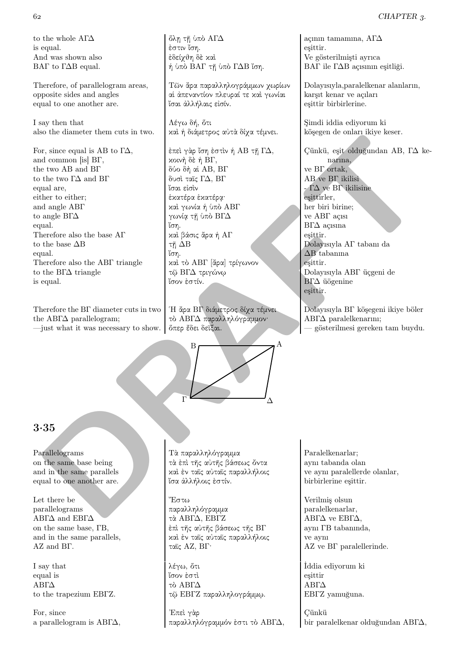I say then that  $\Lambda \in \gamma \omega \delta \eta$ , ὅτι Simdi iddia ediyorum ki also the diameter them cuts in two. | καὶ ἡ διάμετρος αὐτὰ δίχα τέμνει. | köşegen de onları ikiye keser.

and common list  $BF$ ,  $\downarrow \downarrow \downarrow$   $\downarrow \downarrow$   $\downarrow \downarrow$   $\downarrow$   $\downarrow$   $\downarrow$   $\downarrow$   $\downarrow$   $\downarrow$   $\downarrow$   $\downarrow$   $\downarrow$   $\downarrow$   $\downarrow$   $\downarrow$   $\downarrow$   $\downarrow$   $\downarrow$   $\downarrow$   $\downarrow$   $\downarrow$   $\downarrow$   $\downarrow$   $\downarrow$   $\downarrow$   $\downarrow$   $\downarrow$   $\downarrow$   $\downarrow$   $\downarrow$   $\downarrow$   $\$ the two AB and BΓ  $\vert$  δύο δὴ αί AB, BΓ ve BΓ ortak, to the two ΓΔ and BΓ  $\vert$  δυσὶ ταῖς ΓΔ, BΓ  $\vert$  AB ve BΓ ikilisi equal are,  $\check{c}$   $\check{c}$  ται είσὶν  $\check{c}$  - ΓΔ ve ΒΓ ikilisine either to either;  $\frac{1}{2}$  έκατέρα έκατέρα· esittirler, and angle ABΓ  $\vert x\alpha\vert \gamma\omega\gamma\alpha\alpha\gamma\beta\alpha\lambda$  ABΓ her biri birine; to angle ΒΓΔ γωνίᾳ τῇ ὑπὸ ΒΓΔ ve ΑΒΓ açısı equal. ἴση. ΒΓΔ açısına Therefore also the base  $\text{AP}$  | καὶ βάσις ἄρα ἡ  $\text{AP}$  | eşittir. to the base ΔB  $\tau \tilde{p}$  ΔB Dolayısıyla AΓ tabanı da equal. <sup>(δ</sup>ον. <sup>δ</sup>εν του δεν του δεν του δεν του δεν του δεν του δεν του δεν του δεν του δεν του δεν του δεν του δεν του δεν του δεν του δεν του δεν του δεν του δεν του δεν του δεν του δεν του δεν του δεν του δεν του δεν Therefore also the ABF triangle  $\vert x\alpha\vert \tau\dot{\alpha}$  ABF [ἄρα] τρίγωνον estittir. to the ΒΓΔ triangle  $\begin{bmatrix} \tau \tilde{\omega} & B\Gamma\Delta \tau \rho \nu \tilde{\omega} \end{bmatrix}$  Dolayısıyla ABT üçgeni de is equal. <sup>(</sup> (σον ἐστίν. ) **ΒΓΔ** üögenine

Therefore the BΓ diameter cuts in two | Ή άρα ΒΓ διάμετρος δίχα τέμνει | Dolayısıyla BΓ köşegeni ikiye böler the ΑΒΓΔ parallelogram;  $\vert \tau \circ A B\Gamma \Delta \pi \circ \rho \circ \lambda \eta \circ \gamma \circ \rho \circ \mu \circ \nu$  ABFΔ paralelkenarini;

to the whole  $A\Gamma\Delta$   $|\delta\lambda\eta\tau\tilde{\eta}\delta\pi\tilde{\delta}A\Gamma\Delta|$  açının tamamına,  $A\Gamma\Delta$ is equal. ἐστιν ἴση. eşittir. And was shown also ἐδείχθη δὲ καὶ Ve gösterilmişti ayrıca

Therefore, of parallelogram areas, Τῶν ἄρα παραλληλογράμμων χωρίων Dolayısıyla,paralelkenar alanların, oι άπεναντίον πλευραί τε και γωνίαι | karşıt kenar ve açıları equal to one another are.  $\left[\begin{array}{cc} \frac{\partial}{\partial x} & \frac{\partial}{\partial y} & \frac{\partial}{\partial z} \\ \frac{\partial}{\partial y} & \frac{\partial}{\partial z} & \frac{\partial}{\partial z} \end{array}\right]$  esittir birbirlerine.



BAΓ to ΓΔΒ equal.  $\hat{\phi}$  ὑπὸ ΒΑΓ τῆ ὑπὸ ΓΔΒ ἴση. BAΓ ile ΓΔΒ açısının eşitliği.

or since equal is AB to PA.<br>
et any since equal is AB to PA.<br>
et any since equal is AB to PA.<br>
et any dispersiment in Fig. any since  $\frac{1}{2}$  any since  $\frac{1}{2}$  and BP<br>
control on the SC and SE for a since  $\frac{1}{2}$  and For, since equal is ΑΒ to ΓΔ, ἐπεὶ γὰρ ἴση ἐστὶν ἡ ΑΒ τῇ ΓΔ, Çünkü, eşit olduğundan ΑΒ, ΓΔ keeşittir.

—just what it was necessary to show. ὅπερ ἔδει δεῖξαι. — gösterilmesi gereken tam buydu.

# $3.35$

Parallelograms Γὰ παραλληλόγραμμα Paralelkenarlar; on the same base being  $\tau\grave{a}$  τὰ ἐπὶ τῆς αὐτῆς βάσεως ὄντα aynı tabanda olan and in the same parallels  $\vert x\alpha\vert \partial x$  αλι έν ταῖς αὐταῖς παραλλήλοις ve aynı paralellerde olanlar, equal to one another are.  $\left[ \frac{\partial \alpha}{\partial \lambda} \frac{\partial \lambda}{\partial \lambda} \frac{\partial \alpha}{\partial \lambda} \frac{\partial \beta}{\partial \lambda} \frac{\partial \alpha}{\partial \lambda} \frac{\partial \alpha}{\partial \lambda} \frac{\partial \alpha}{\partial \lambda} \frac{\partial \alpha}{\partial \lambda} \frac{\partial \alpha}{\partial \lambda} \frac{\partial \alpha}{\partial \lambda} \frac{\partial \alpha}{\partial \lambda} \frac{\partial \alpha}{\partial \lambda} \frac{\partial \alpha}{\partial \lambda} \frac{\partial \alpha}{\partial \lambda} \frac{\partial \alpha}{\partial \lambda} \frac{\partial \alpha}{\partial \$ 

Let there be <br>
parallelograms  $\begin{bmatrix} \n\mathbb{E} \sigma \tau \omega \n\end{bmatrix}$   $\begin{bmatrix} \n\mathbb{E} \sigma \tau \omega \n\end{bmatrix}$  verilmiş olsun parallelograms  $\begin{bmatrix} \n\mathbb{E} \sigma \tau \omega \n\end{bmatrix}$ παραλληλόγραμμα  $AB\Gamma\Delta$  and  $EB\Gamma\Delta$   $\tau\dot{\alpha} AB\Gamma\Delta$ ,  $EB\Gamma\gamma$   $AB\Gamma\Delta$  ve  $EB\Gamma\Delta$ . on the same base, ΓΒ, ἐπὶ τῆς αὐτῆς βάσεως τῆς ΒΓ aynı ΓΒ tabanında, and in the same parallels,  $\chi$ αὶ ἐν ταῖς αὐταῖς παραλλήλοις ve aynı AZ and BΓ.  $\sigma\tilde{\alpha}$  AZ, BΓ·  $\sigma\tilde{\alpha}$  AZ ve BΓ paralellerinde.

I say that  $\lambda \xi \gamma \omega$ , ὅτι Iddia ediyorum ki equal is a contract is a contract in the contract of equal is equal to exist in the equal of equal of  $\sim$  1.4  $\sigma$ ΑΒΓΔ | τὸ ΑΒΓΔ | ABΓΔ | ABΓΔ to the trapezium ΕΒΓΖ.  $\lceil \tau \tilde{\varphi} \rceil$  ΕΒΓΖ παραλληλογράμμ $\varphi$ . EBΓΖ yamuğuna.

For, since and *Eπε*λ γὰρ (Günkü

a parallelogram is ΑΒΓΔ, παραλληλόγραμμόν ἐστι τὸ ΑΒΓΔ, bir paralelkenar olduğundan ΑΒΓΔ,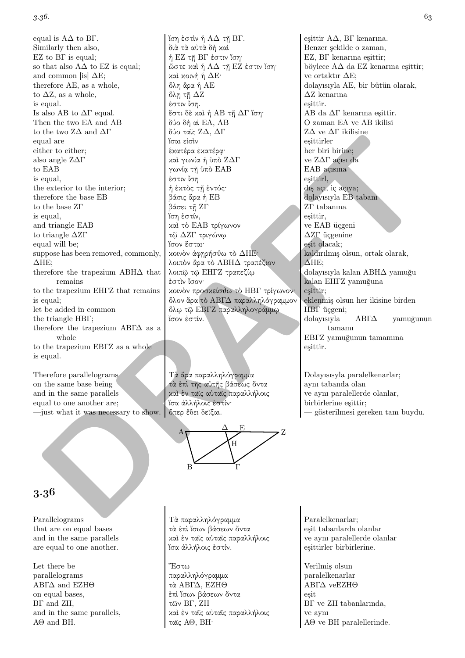#### $3.36.$  (3)

and the content of the street of the street of the street of the street of the street of the street of the street of the street of the street of the street of the street of the street of the street of the street of the st equal is  $A\Delta$  to BΓ.  $\vert$  (ση έστὶν ἡ  $A\Delta$  τῆ BΓ. esittir  $A\Delta$ , BΓ kenarına. Similarly then also,  $\delta \alpha \tau \dot{\alpha} \alpha \dot{\beta} \dot{\alpha} \chi \dot{\alpha}$  Benzer sekilde o zaman, ΕΖ to ΒΓ is equal; ἡ ΕΖ τῇ ΒΓ ἐστιν ἴση· ΕΖ, ΒΓ kenarına eşittir; so that also  $A\Delta$  to EZ is equal;  $\delta \sigma \tau \epsilon \times \alpha \hat{i} \wedge A\Delta \tau \tilde{j}$  EZ έστιν ἴση· böylece  $A\Delta$  da EZ kenarına eşittir; and common [is]  $\Delta E$ ;  $\Delta E$ ;  $\Delta E$   $\Delta E$   $\Delta E$ ; therefore AE, as a whole,  $\delta \lambda \eta \, \delta \rho \alpha \, \eta$  AE dolayısıyla AE, bir bütün olarak, to ΔZ, as a whole,  $\delta \lambda \eta \tau \tilde{\eta} \Delta Z$   $\Delta Z$   $\Delta Z$  kenarina is equal. ἐστιν ἴση. eşittir. Is also AB to  $\Delta \Gamma$  equal.  $\frac{3}{2}$   $\frac{3}{2}$   $\frac{3}{2}$   $\frac{3}{2}$   $\frac{3}{2}$   $\frac{3}{2}$   $\frac{3}{2}$   $\frac{3}{2}$   $\frac{3}{2}$   $\frac{3}{2}$   $\frac{3}{2}$   $\frac{3}{2}$   $\frac{3}{2}$   $\frac{3}{2}$   $\frac{3}{2}$   $\frac{3}{2}$   $\frac{3}{2}$   $\frac{3}{2}$   $\frac{3}{2}$   $\$ Then the two EA and AB δύο δή αί ΕΑ, AB C zaman EA ve AB ikilisi to the two  $Z\Delta$  and  $\Delta\Gamma$   $\delta$  δύο ταῖς  $Z\Delta$ ,  $\Delta\Gamma$   $Z\Delta$  ve  $\Delta\Gamma$  ikilisine equal are  $\begin{array}{c} \text{equal are} \\ \text{equa} \end{array}$ equal are **τον επιτείτε** του προσωπικό του διαφείδευση στη συνθετική εξετάση στη συνθετική εξετάση στη συνθετική either to either; **Εκατέρα έκατέρα** εκατέρα **εκατέρα her biri birine; her biri** birine; also angle  $Z\Delta\Gamma$  (x  $\alpha$ ) γωνία ή υπό  $Z\Delta\Gamma$  (x  $Z\Delta\Gamma$ ) ve  $Z\Delta\Gamma$  acisi da to EAB  $\gamma \omega \nu (\alpha \tau \tilde{\eta})$  υπό EAB EAB acisina is equal, esittirl, is equal, esittirl, esittirl, esittirl, esittirl, esittirl, esittirl, esittirl, esittirl, e the exterior to the interior;  $\hat{\theta}$  πρόκτος τῆ ἐντός· dis açı, iç açıya; therefore the base EB  $\beta \alpha \sigma \varsigma \alpha \gamma$  EB dolaysiyla EB tabanı to the base ΖΓ βάσει τῇ ΖΓ ΖΓ tabanına is equal,  $\lvert \text{τ} \rvert$   $\lvert \text{τ} \rvert$   $\lvert \text{τ} \rvert$   $\lvert \text{τ} \rvert$   $\lvert \text{τ} \rvert$   $\lvert \text{ε} \rvert$   $\lvert \text{ε} \rvert$ and triangle ΕΑΒ καὶ τὸ ΕΑΒ τρίγωνον νe ΕΑΒ üçgeni to triangle ΔΖΓ τῷ ΔΖΓ τριγώνῳ ΔΖΓ üçgenine equal will be; and a contract of τρατι του επιτροποιεί σταν του εξεται· esit olacak; suppose has been removed, commonly,  $\vert$  χοινὸν ἀφηρήσθω τὸ ΔΗΕ· kaldırılmış olsun, ortak olarak, ΔΗΕ; λοιπὸν ἄρα τὸ ΑΒΗΔ τραπέζιον ΔΗΕ; therefore the trapezium ΑΒΗΔ that λοιπῷ τῷ ΕΗΓΖ τραπεζίῳ dolayısıyla kalan ΑΒΗΔ yamuğu to the trapezium ΕΗΓΖ that remains | xοινὸν προσχείσθω τὸ ΗΒΓ τρίγωνον· | eşittir; is equal;  $\delta \lambda$ ον ἄρα τὸ ΑΒΓΔ παραλληλόγραμμον eklenmiş olsun her ikisine birden let be added in common ὅλῳ τῷ ΕΒΓΖ παραλληλογράμμῳ ΗΒΓ üçgeni; the triangle HBΓ;  $\vert \tilde{a} \rho v \rangle$  έστίν.  $\vert \tilde{a} \rho v \rangle$  dolayısıyla ABΓΔ yamuğunun therefore the trapezium  $AB\Gamma\Delta$  as a tamamı whole **EBΓZ** yamuğunun tamamına to the trapezium  $EB\Gamma Z$  as a whole estitution of the transition of estitution of  $\Gamma$ is equal.

Therefore parallelograms Tὰ ἄρα παραλληλόγραμμα Dolayısısyla paralelkenarlar; on the same base being  $\tau \alpha \in \mathbb{R}$  τὰ ἐπὶ τῆς αὐτῆς βάσεως ὄντα aynı tabanda olan and in the same parallels (καὶ ἐν ταῖς αὐταῖς παραλλήλοις ve aynı paralellerde olanlar, equal to one another are; <sup>(</sup>*ίσα ἀλλήλοις ἐστίν*· birbirlerine esittir; —just what it was necessary to show. ὅπερ ἔδει δεῖξαι. — gösterilmesi gereken tam buydu.

remains ἐστὶν ἴσον· kalan ΕΗΓΖ yamuğuna



# 3.36

Parallelograms Tὰ παραλληλόγραμμα Paralelkenarlar; that are on equal bases  $\tau$  τὰ ἐπὶ ἴσων βάσεων ὄντα eşit tabanlarda olanlarda olanlarda olanlarda olanlarda olanlarda olanlarda olanlarda olanlarda olanlarda olanlarda olanlarda olanlarda olanlarda olanlarda olanlarda ol and in the same parallels  $\vert x\alpha\vert \partial x$  παραλλήλοις ve aynı paralellerde olanlar are equal to one another.  $\left[ \frac{\partial \alpha}{\partial \lambda} \frac{\partial \lambda}{\partial \lambda} \frac{\partial \alpha}{\partial \lambda} \epsilon \right]$  esittirler birbirlerine.

Let there be  $\begin{array}{c} \big| \infty \subset \mathbb{R}^n \cup \mathbb{R}^n \end{array}$  Verilmiş olsun parallelograms παραλληλόγραμμα paralelkenarlar ABΓΔ and EZHΘ  $\tau \dot{\alpha}$  ABΓΔ, EZHΘ  $\alpha$  ABΓΔ veEZHΘ on equal bases,  $\left| \begin{array}{c} \epsilon \pi \iota \text{ for } \omega \in \mathbb{R} \end{array} \right|$  διαθέτει όπου δύσεων ὄντα eşit ΒΓ and ΖΗ, τῶν ΒΓ, ΖΗ ΒΓ ve ΖΗ tabanlarında, and in the same parallels,  $\frac{1}{x^{\alpha}} \times \frac{1}{x^{\alpha}} \times \frac{1}{x^{\alpha}} \times \frac{1}{x^{\alpha}} \times \frac{1}{x^{\alpha}} \times \frac{1}{x^{\alpha}} \times \frac{1}{x^{\alpha}} \times \frac{1}{x^{\alpha}} \times \frac{1}{x^{\alpha}} \times \frac{1}{x^{\alpha}} \times \frac{1}{x^{\alpha}} \times \frac{1}{x^{\alpha}} \times \frac{1}{x^{\alpha}} \times \frac{1}{x^{\alpha}} \times \frac{1}{x^{\alpha}} \times \frac{1}{x^{\alpha}} \times \$ ΑΘ and ΒΗ. ταῖς ΑΘ, ΒΗ· ΑΘ ve ΒΗ paralellerinde.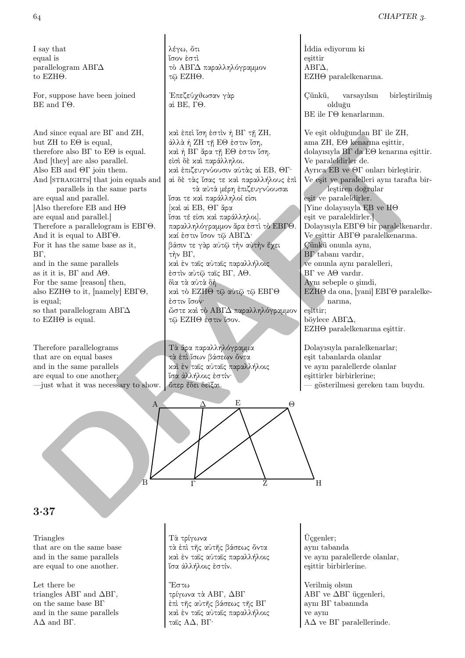ΒΕ and ΓΘ. αἱ ΒΕ, ΓΘ. olduğu

For it has the same base as it,  $\beta$ άσιν τε γὰρ αὐτῷ τὴν αὐτὴν ἔχει

Therefore parallelograms  $\boxed{\gamma \alpha \alpha \alpha \alpha \lambda \lambda \gamma \lambda \delta \gamma \gamma \alpha \mu \mu \alpha}$  Dolaysiyla paralelkenarlar; that are on equal bases **τὰ ἐπὶ ἴσων βάσεων ὄντα** esit tabanlarda olanlarda olanlarda olanlarda olanlarda olanlarda olanlarda olanlarda olanlarda olanlarda olanlarda olanlarda olanlarda olanlarda olanlarda olanlarda olanl and in the same parallels  $\vert x\alpha\vert \partial x\vert \partial x\alpha\tau \alpha\alpha\zeta \alpha\gamma \alpha\alpha\zeta \pi\alpha\rho \alpha\lambda\lambda\eta\lambda o\alpha\zeta$  ve aynı paralellerde olanlar are equal to one another; ( $\frac{1}{\alpha} \alpha \frac{\dot{\alpha}}{\alpha} \lambda \lambda \gamma \lambda$ οις ἐστίν· eşittirler birbirlerine;

I say that  $\lambda \xi \gamma \omega$ , ὅτι  $\lambda \xi \gamma \omega$  iddia ediyorum ki equal is a contract is a contract in the contract of equal is equal to exist in the equal of equal of  $\sim$  1.4  $\sigma$ parallelogram ΑΒΓΔ  $\tau \circ AB\Gamma\Delta$  παραλληλόγραμμον  $AB\Gamma\Delta$ , to ΕΖΗΘ. The contract of the EZHΘ. The contract of the EZHΘ paralelkenarina.

And since equal are BΓ and ZΗ,  $\vert x\alpha\vert$  έπεὶ ἴση ἐστὶν ἡ ΒΓ τῆ ΖΗ, Ve eşit olduğundan BΓ ile ZΗ, but ΖΗ to ΕΘ is equal, ἀλλὰ ἡ ΖΗ τῇ ΕΘ ἐστιν ἴση, ama ΖΗ, ΕΘ kenarına eşittir, therefore also BΓ to EΘ is equal.  $\chi$ αὶ ἡ BΓ ἄρα τῆ EΘ ἐστιν ἴση. dolayısıyla BΓ da EΘ kenarına eşittir. And [they] are also parallel. εἰσὶ δὲ καὶ παράλληλοι. Ve paraleldirler de. Also EB and ΘΓ join them.  $\vert x\alpha\vert$  έπιζευγνύουσιν αὐτὰς αί ΕΒ, ΘΓ· Ayrıca ΕΒ ve ΘΓ onları birleştirir. And [STRAIGHTs] that join equals and  $\alpha$ ι δὲ τὰς ἴσας τε καὶ παραλλήλους ἐπὶ Ve eşit ve paralelleri aynı tarafta birparallels in the same parts  $\frac{1}{1-\lambda}$  τὰ αὐτὰ μέρη ἐπιζευγνύουσαι  $\frac{1}{\lambda}$  leştiren doğrular are equal and parallel. <sup>(</sup> (σαι τε καὶ παράλληλοί εἰσι eşit ve paraleldirler.  $[Also therefore EB and HΘ$  [καὶ αί ΕΒ, ΘΓ ἄρα [Yine dolayısıyla ΕΒ ve ΗΘ are equal and parallel.  $\begin{bmatrix} \frac{1}{2} & \frac{1}{2} \\ \frac{1}{2} & \frac{1}{2} \end{bmatrix}$  (σαι τέ είσι καὶ παράλληλοι).  $\begin{bmatrix} \frac{1}{2} & \frac{1}{2} \\ \frac{1}{2} & \frac{1}{2} \end{bmatrix}$  eşit ve paraleldirler. Therefore a parallelogram is ΕΒΓΘ.  $\begin{bmatrix} \pi \alpha \rho \alpha \lambda \lambda \eta \lambda \dot{\gamma} \rho \alpha \mu \omega \nu \dot{\alpha} \rho \alpha \dot{\epsilon} \sigma \tau \nu \dot{\alpha} \lambda \pi \dot{\alpha} \lambda \dot{\alpha} \lambda \dot{\alpha} \lambda \dot{\alpha} \lambda \dot{\alpha} \lambda \dot{\alpha} \lambda \dot{\alpha} \lambda \dot{\alpha} \lambda \dot{\alpha} \lambda \dot{\alpha} \lambda \dot{\alpha} \lambda \dot{\alpha} \lambda \dot{\alpha} \lambda \dot{\alpha} \lambda \dot{\alpha} \lambda \dot{\alpha} \lambda \dot{\alpha} \lambda$ ΒΓ, τὴν ΒΓ, ΒΓ tabanı vardır, and in the same parallels  $\vert x\alpha\vert \partial x$  και έν ταῖς αὐταῖς παραλλήλοις ve onunla aynı paralelleri, as it it is, ΒΓ and ΑΘ. ἐστὶν αὐτῷ ταῖς ΒΓ, ΑΘ. ΒΓ ve ΑΘ vardır. For the same [reason] then, δὶα τὰ αὐτὰ δὴ Aynı sebeple o şimdi, also ΕΖΗΘ to it, [namely] ΕΒΓΘ, καὶ τὸ ΕΖΗΘ τῷ αὐτῷ τῷ ΕΒΓΘ (ΕΖΗΘ da ona, [yani] ΕΒΓΘ paralelkeis equal; and is equal; see all  $\frac{1}{2}$  and  $\frac{1}{2}$  and  $\frac{1}{2}$  and  $\frac{1}{2}$  and  $\frac{1}{2}$  and  $\frac{1}{2}$  and  $\frac{1}{2}$  and  $\frac{1}{2}$  and  $\frac{1}{2}$  and  $\frac{1}{2}$  and  $\frac{1}{2}$  and  $\frac{1}{2}$  and  $\frac{1}{2}$  and  $\frac{1}{2$ so that parallelogram ΑΒΓΔ  $\delta$  ώστε και το ΑΒΓΔ παραλληλόγραμμον essittir; to ΕΖΗΘ is equal.  $\begin{array}{c|c}\n\hline\n\end{array}$  τῷ ΕΖΗΘ ἐστιν ἴσον. böylece ΑΒΓΔ,

For, suppose have been joined ᾿Επεζεύχθωσαν γὰρ Çünkü, varsayılsın birleştirilmiş ΒΕ ile ΓΘ kenarlarının.

**EXERCITY OF A CONSULTER CONSULTING CONSULTING CONSULTING CONSULTING CONSULTING CONSULTING CONSULTING CONSULTING CONSULTING CONSULTING CONSULTING CONSULTING CONSULTING CONSULTING CONSULTING CONSULTING CONSULTING CONSULTI** Ve eşittir  $AB\Gamma\Theta$  paralelkenarına.<br>Cünkü onunla aynı, ΕΖΗΘ paralelkenarına eşittir.

—just what it was necessary to show. ὅπερ ἔδει δεῖξαι. — gösterilmesi gereken tam buydu.



 $3.37$ 

Triangles | Τὰ τρίγωνα | Üçgenler; that are on the same base  $\tau$  τὰ ἐπὶ τῆς αὐτῆς βάσεως ὄντα aynı tabanda and in the same parallels  $\vert x\alpha\vert \partial x$  παι $\alpha\beta\alpha\gamma\alpha\alpha\gamma\alpha\gamma\gamma\alpha\gamma$  ve aynı paralellerde olanlar, are equal to one another.  $\left| \frac{\partial \alpha}{\partial \lambda} \frac{\partial \lambda}{\partial \lambda} \frac{\partial \alpha}{\partial \lambda} \epsilon \right|$   $\delta$   $\tau$  (sattir birbirlerine.

Let there be  $\begin{array}{c} \big| \infty \subset \mathbb{R}^n \cup \mathbb{R}^n \end{array}$  Verilmiş olsun triangles ΑΒΓ and ΔΒΓ,<br>
on the same base BΓ  $\begin{bmatrix} \tau \rho \text{if } \gamma \omega \vee \alpha \tau \alpha \text{ A} \text{B} \Gamma, \Delta \text{B} \Gamma \end{bmatrix}$   $\begin{bmatrix} \text{A} \text{B} \Gamma \text{ is } \alpha \omega \tau \gamma \alpha \text{ if } \alpha \in \mathbb{R} \Gamma \alpha \omega \alpha \tau \gamma \alpha \text{ if } \alpha \in \mathbb{R} \Gamma \alpha \omega \alpha \tau \gamma \alpha \text{ if } \alpha \in \mathbb{R} \Gamma \alpha \omega \alpha \tau$ on the same base BΓ and φέπι της αὐτης βάσεως της ΒΓ and in the same parallels  $\vert x\alpha\vert \partial x$   $\cdots$   $\vert x\alpha\vert \partial x$  ταῖς αὐταῖς παραλλήλοις ve aynı  $A\Delta$  and BF.  $\tau$   $\tau$   $\alpha\zeta$   $A\Delta$ , BF $\cdot$   $A\Delta$  and BF paralellerinde.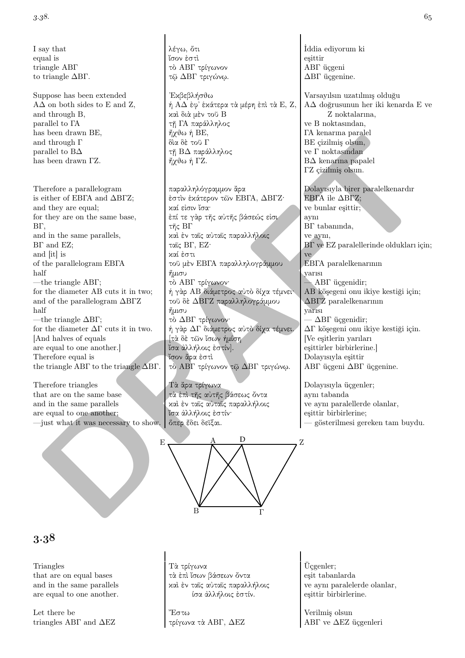parallel to  $B\Delta$   $\qquad \qquad$  τη  $B\Delta$  παράλληλος

Therefore triangles Tὰ ἄρα τρίγωνα Dolayısıyla üçgenler; that are on the same base  $\tau$  τὰ ἐπὶ τῆς αὐτῆς βάσεως ὄντα aynı tabanda and in the same parallels (καὶ ἐν ταῖς αὐταῖς παραλλήλοις ve aynı paralellerde olanlar, are equal to one another; <sup>[</sup> (σα άλλήλοις ἐστίν· esittir birbirlerine; —just what it was necessary to show. ὅπερ ἔδει δεῖξαι. — gösterilmesi gereken tam buydu.

equal is a contract is a contract in the contract of equal is equal to exist in the equal of equal of  $\sim$  1.4  $\sigma$ triangle ABΓ του Γιατία (του ΑΒΓ τρίγωνον ΔΑΒΓ με ΑΒΓ üçgeni to triangle ΔΒΓ.  $\begin{bmatrix} \tau \tilde{\omega} \Delta B \Gamma \tau \varrho \nu \varphi \nu \omega \end{bmatrix}$ .  $\Delta B \Gamma \tau \tilde{\omega} \varrho \text{mine}$ .

Suppose has been extended ᾿Εκβεβλήσθω Varsayılsın uzatılmış olduğu ΑΔ on both sides to Ε and Ζ, ἡ ΑΔ ἐφ᾿ ἑκάτερα τὰ μέρη ἐπὶ τὰ Ε, Ζ, ΑΔ doğrusunun her iki kenarda Ε ve and through B,  $\vert x\alpha\alpha\alpha\mu e\sigma\sigma B$  2 noktalarına, parallel to ΓΑ  $\lceil \tau \tilde{\eta} \rceil$  ΓΑ παράλληλος νe Β noktasından, has been drawn ΒΕ, ἤχθω ἡ ΒΕ, ΓΑ kenarına paralel and through  $\Gamma$   $\delta \alpha \delta \epsilon \tau$  οῦ Γ  $\delta \alpha \lambda \lambda \eta \lambda o \varsigma$  BE cizilmiş olsun, ve Γ noktasından ve Γ noktasından ve Γ noktasından ve Γ noktasından ve Γ noktasından ve Γ noktasından ve Γ noktasından ve Γ noktasından ve Γ noktası has been drawn ΓΖ.  $\eta \gamma \theta \omega \eta$  ΓΖ.  $\qquad \qquad$  BΔ kenarına papalel

is the compatibility of the compatibility of the compatibility of the compatibility of the compatibility of the compatibility of the compatibility of the compatibility of the compatibility of the compatibility of the comp Therefore a parallelogram  $\pi$  παραλληλόγραμμον ἄρα Dolayısıyla birer paralelkenardır is either of ΕΒΓΑ and ΔΒΓΖ; ἐστὶν ἑκάτερον τῶν ΕΒΓΑ, ΔΒΓΖ· ΕΒΓΑ ile ΔΒΓΖ; and they are equal;  $\vert x\alpha\vert$  είσιν ἴσα· ve bunlar eşittir; for they are on the same base, ἐπί τε γὰρ τῆς αὐτῆς βάσεώς εἰσι aynı BΓ,<br>and in the same parallels,  $\begin{bmatrix} \tau \tilde{\eta} \zeta \text{ B} \Gamma \\ \chi \alpha \iota \xi \nu \tau \alpha \tilde{\iota} \zeta \alpha \nu \tau \alpha \tilde{\iota} \zeta \pi \alpha \rho \alpha \lambda \lambda \eta \lambda \rho \iota \zeta \end{bmatrix}$  BΓ tabanında, καὶ ἐν ταῖς αὐταῖς παραλλήλοις  $\begin{array}{c|c} \text{ve ayn},\\ \text{or} & \text{B}\Gamma \text{ve } E \end{array}$ ΒΓ and ΕΖ; ταῖς ΒΓ, ΕΖ· ΒΓ ve ΕΖ paralellerinde oldukları için; and [it] is γαί έστι γιατι γιατι γιατι γιατι γιατι γιατι γιατι γιατι γιατι γιατι γιατι γιατι γιατι γιατι γιατι of the parallelogram ΕΒΓΑ τοῦ μὲν ΕΒΓΑ παραλληλογράμμου ΕΒΓΑ paralelkenarının half  $\eta$ μισυ γarısı —the triangle ABΓ;  $|\nabla \phi \text{ A} B$ Γ τρίγωνον·  $|\nabla \phi|$  ABΓ üçgenidir; for the diameter AB cuts it in two;  $\vert \dot{\eta} \gamma \dot{\alpha} \rho$  AB διάμετρος αὐτὸ δίχα τέμνει· AB kösegeni onu ikiye kestiği için; and of the parallelogram  $\triangle B\Gamma Z$  τοῦ δὲ  $\triangle B\Gamma Z$  παραλληλογράμμου  $\triangle B\Gamma Z$  paralelkenarının half *ήμισυ* yarısı —the triangle  $\Delta$ BΓ;  $\downarrow$  τὸ  $\Delta$ BΓ τρίγωνον·  $\downarrow$   $\Delta$ BΓ üçgenidir; for the diameter ΔΓ cuts it in two. ἡ γὰρ ΔΓ διάμετρος αὐτὸ δίχα τέμνει. ΔΓ köşegeni onu ikiye kestiği için. [And halves of equals [τὰ δὲ τῶν ἴσων ἡμίση [Ve esitlerin yarıları] are equal to one another. (i) (σα ἀλλήλοις ἐστίν]. esittirler birbirlerine. Therefore equal is <sup>(</sup> (σον ἄρα ἐστὶ Dolayısıyla esittir the triangle ΑΒΓ to the triangle ΔΒΓ.  $\vert \tau \delta$  ΑΒΓ τρίγωνον τῷ ΔΒΓ τριγώνῳ. ABΓ üçgeni ΔΒΓ üçgenine.



I say that  $\lambda \xi \gamma \omega$ , ὅτι  $\lambda \xi \gamma \omega$  iddia ediyorum ki

ΓΖ çizilmiş olsun.

# $3.38$

triangles ΑΒΓ and  $\Delta$ EZ  $\qquad \qquad$  τρίγωνα τὰ ΑΒΓ,  $\Delta$ EZ  $\qquad \qquad$  ABΓ ve  $\Delta$ EZ üçgenleri

Triangles Triangles Tὰ τρίγωνα  $\frac{1}{\sqrt{2\pi}}$  The Triangles Triangles Triangles Triangles Triangles Triangles Triangles Triangles Triangles Triangles Triangles Triangles Triangles Triangles Triangles Triangles Triangles T that are on equal bases  $\tau$  τὰ ἐπὶ ἴσων βάσεων ὄντα eşit tabanlarda and in the same parallels  $\vert x\alpha\vert \partial x$  παι $\alpha\beta\alpha\gamma\alpha\gamma\alpha\gamma$ λήλοις ve aynı paralelerde olanlar, are equal to one another. (σα ἀλλήλοις ἐστίν. eşittir birbirlerine.

Let there be  $\begin{array}{c|c}\n\hline\n\end{array}$   $\begin{array}{c|c}\n\hline\n\end{array}$   $\begin{array}{c|c}\n\hline\n\end{array}$  Verilmiş olsun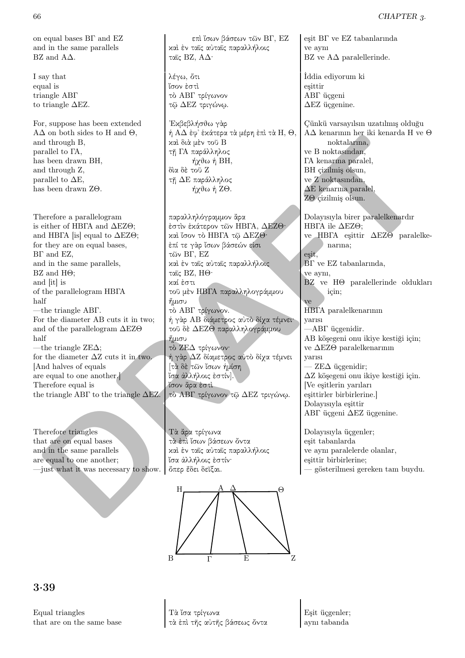and in the same parallels,  $\vert x\alpha\vert \partial \phi$  ταῖς αὐταῖς παραλλήλοις

Therefore triangles Tὰ ἄρα τρίγωνα Dolayısıyla üçgenler; that are on equal bases  $\tau \dot{\alpha} \dot{\epsilon} \dot{\pi}$ ι τὰ ἐπὶ ἴσων βάσεων ὄντα esit tabanlarda and in the same parallels  $\vert x\alpha\vert \partial x$  καὶ ἐν ταῖς αὐταῖς παραλλήλοις ve aynı paralelerde olanlar, are equal to one another; ( $\frac{1}{\alpha}$  (σα άλλήλοις ἐστίν· esittir birbirlerine; —just what it was necessary to show. ὅπερ ἔδει δεῖξαι. — gösterilmesi gereken tam buydu.

on equal bases ΒΓ and EZ  $\epsilon$ πὶ ἴσων βάσεων τῶν ΒΓ, ΕΖ eşit ΒΓ ve ΕΖ tabanlarında and in the same parallels  $\vert x\alpha\vert \partial x$  καὶ ἐν ταῖς αὐταῖς παραλλήλοις ve aynı BZ and  $A\Delta$ .  $\qquad \qquad$  ταῖς BZ,  $A\Delta$ ·  $\qquad \qquad$  BZ ve  $A\Delta$  paralellerinde.

I say that λέγω, ὅτι İddia ediyorum ki equal is **interval is for a contract of the contract of the contract of the contract of the contract of the contract of the contract of the contract of the contract of the contract of the contract of the contract of the c** triangle ABΓ (τρίγωνον (ABΓ πρίγωνον (ABΓ üçgeni to triangle ΔΕΖ.  $\tau$   $\bar{\varphi}$  ΔΕΖ τριγώνῳ.  $\Delta$ ΕΖ üçgenine.

ΑΔ on both sides to Η and Θ, ἡ ΑΔ ἐφ᾿ ἑκάτερα τὰ μέρη ἐπὶ τὰ Η, Θ, ΑΔ kenarının her iki kenarda Η ve Θ and through Β, καὶ διὰ μὲν τοῦ Β και (moktalarına, noktalarına, noktalarına, noktalarına, noktalarına, noktalarına, noktalarına, noktalarına, noktalarına, noktalarına, noktalarına, noktalarına, noktalarına, noktalarına, n parallel to ΓΑ,  $\lceil \tau \tilde{\eta} \rceil$  ΓΑ παράλληλος  $\lceil \nu e \rceil$  ve B noktasindan, has been drawn BH,  $ηχθω ή BH$ ,  $Π Α$  kenarına paralel, and through Ζ, δὶα δὲ τοῦ Ζ ΒΗ çizilmiş olsun, parallel to ΔΕ,  $\lceil \tau \tilde{\eta} \Delta E \pi \alpha \rho \dot{\alpha} \lambda \eta \lambda o \varsigma \rceil$  ve Z noktasından, has been drawn ZΘ.  $\eta \chi \theta \omega \eta$  ZΘ.  $\Delta E$  kenarına paralel,

Therefore a parallelogram  $\pi \sim \pi \sim \pi$ αραλληλόγραμμον ἄρα Dolayısıyla birer paralelkenardır is either of HBΓΑ and  $\triangle EZ\Theta$ ;<br>and HBΓΑ [is] equal to  $\triangle EZ\Theta$ ;<br> $\begin{matrix} \frac{2}{3} & \frac{1}{3} \\ \frac{1}{3} & \frac{1}{3} \\ \frac{1}{3} & \frac{1}{3} \end{matrix}$  if  $\begin{matrix} \frac{2}{3} & \frac{1}{3} \\ \frac{1}{3} & \frac{1}{3} \\ \frac{1}{3} & \frac{1}{3} \end{matrix}$  if  $\begin{matrix} \frac{1}{3} & \frac{1}{3} \\ \frac{1}{3}$ for they are on equal bases,  $\left| \begin{array}{cc} \frac{1}{2} & \frac{1}{2} \\ \frac{1}{2} & \frac{1}{2} \end{array} \right| \frac{1}{2} \pi i \tau \epsilon \gamma \alpha \rho \gamma \alpha \nu \beta \alpha \sigma \epsilon \omega \nu \epsilon \sigma$  (or  $\left| \begin{array}{cc} \frac{1}{2} & \frac{1}{2} \\ \frac{1}{2} & \frac{1}{2} \end{array} \right| \frac{1}{2} \pi i \tau \epsilon \gamma \alpha \rho \gamma \alpha \sigma \alpha \nu \beta \alpha \epsilon \omega \nu \epsilon \sigma$ BΓ and EZ,<br>and in the same parallels.  $\begin{bmatrix} \tau \tilde{\omega} \nu \text{ B} \Gamma, \text{ EZ} \\ \chi \alpha \iota \dot{\epsilon} \nu \tau \alpha \tilde{\iota} \epsilon \alpha \dot{\nu} \tau \alpha \tilde{\iota} \epsilon \pi \alpha \rho \alpha \lambda \lambda \dot{\eta} \lambda \rho \iota \epsilon \end{bmatrix}$  esit,<br>BΓ ve EZ tabanlarında, BZ and HΘ;  $\vert \tau \alpha \zeta$  BZ, HΘ·  $\vert \tau \alpha \zeta$  BZ, HΘ·  $\vert \vee \epsilon$  aynı, of the parallelogram ΗΒΓΑ | τοῦ μὲν ΗΒΓΑ παραλληλογράμμου | için; half ἥμισυ ve —the triangle ΑΒΓ. τὸ ΑΒΓ τρίγωνον. ΗΒΓΑ paralelkenarının For the diameter AB cuts it in two;  $\int \hat{\eta} \gamma \dot{\alpha} \rho AB \, \delta \dot{\alpha} \mu \epsilon \tau \rho o \zeta \, \alpha \dot{\alpha} \delta \delta \gamma \alpha \tau \epsilon \mu \nu \epsilon \cdot \int \gamma \alpha \Gamma B \, \alpha \nu \epsilon$ and of the parallelogram  $\Delta$ EZΘ  $\rightarrow$  τοῦ δὲ  $\Delta$ EZΘ παραλληλογράμμου  $\rightarrow$  -ABT üçgenidir. half βμισυ ΑΒ köşegeni onu ikiye kestiği için; —the triangle ZEΔ;  $\sigma$  τὸ ZEΔ τρίγωνον·  $\sigma$  ve ΔEZΘ paralelkenarının for the diameter ΔΖ cuts it in two. ἡ γὰρ ΔΖ δίαμετρος αὐτὸ δίχα τέμνει yarısı  $[\text{And halves of equals}$  [τὰ δὲ τῶν ἴσων ἡμίση  $\qquad -$  ZEΔ üçgenidir; are equal to one another.] ἴσα ἀλλήλοις ἐστίν]. ΔΖ köşegeni onu ikiye kestiği için. Therefore equal is <sup>((σον άρα έστι)</sup> [Ve eşitlerin yarıları] the triangle ΑΒΓ to the triangle ΔΕΖ. τὸ ΑΒΓ τρίγωνον τῷ ΔΕΖ τριγώνῳ. eşittirler birbirlerine.]



For, suppose has been extended ᾿Εκβεβλήσθω γὰρ Çünkü varsayılsın uzatılmış olduğu ΖΘ çizilmiş olsun.

And the street change and  $\frac{1}{2}$  and  $\frac{1}{2}$  and  $\frac{1}{2}$  and  $\frac{1}{2}$  and  $\frac{1}{2}$  and  $\frac{1}{2}$  and  $\frac{1}{2}$  and  $\frac{1}{2}$  and  $\frac{1}{2}$  and  $\frac{1}{2}$  and  $\frac{1}{2}$  and  $\frac{1}{2}$  and  $\frac{1}{2}$  and  $\frac{1}{2}$  an ve ΗΒΓΑ esittir ΔΕΖΘ paralelkeand [it] is  $\begin{array}{c|c}\n\hline\n\end{array}$  xαί έστι  $\begin{array}{c|c}\n\hline\n\end{array}$  BZ ve HΘ paralellerinde oldukları Dolayısıyla eşittir ΑΒΓ üçgeni ΔΕΖ üçgenine.

### 3.39

Equal triangles  $\boxed{\text{Tà ίσα τρίγωνα}}$  Eşit üçgenler; that are on the same base  $\frac{1}{x} \alpha \epsilon \pi \pi \eta \varsigma \alpha \gamma \eta \varsigma \beta \alpha \sigma \epsilon \omega \varsigma \delta \nu \tau \alpha$  aynı tabanda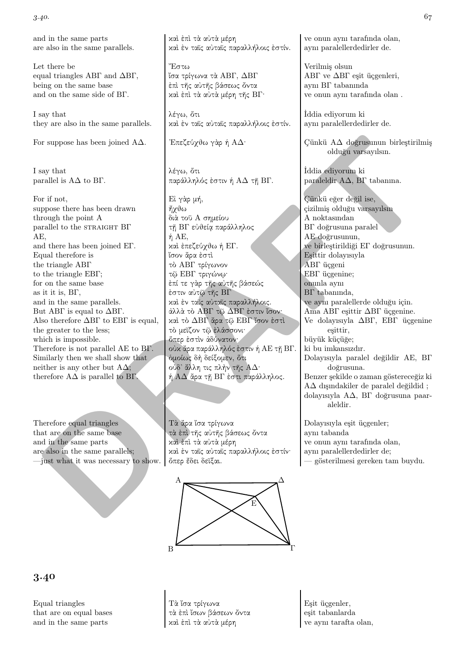$3.40.\,$ 

Let there be  $\mathbb{E} \sigma \infty$   $\mathbb{E} \sigma \infty$  Verilmis olsun equal triangles ABΓ and  $\Delta$ BΓ, <sup>1</sup> (σα τρίγωνα τὰ ΑΒΓ, ΔΒΓ (ABΓ ve ΔΒΓ eşit üçgenleri, being on the same base  $\begin{bmatrix} \frac{\partial}{\partial \pi} & \frac{\partial}{\partial \pi} & \frac{\partial}{\partial \pi} \\ \frac{\partial}{\partial \pi} & \frac{\partial}{\partial \pi} & \frac{\partial}{\partial \pi} & \frac{\partial}{\partial \pi} \\ \frac{\partial}{\partial \pi} & \frac{\partial}{\partial \pi} & \frac{\partial}{\partial \pi} & \frac{\partial}{\partial \pi} & \frac{\partial}{\partial \pi} \end{bmatrix}$  aynı BΓ tabanında ve onun avnı tarafı:

suppose there has been drawn  $\eta \gamma \theta \omega$  cizilmiş olduğu varsayılsın through the point A διὰ τοῦ Α σημείου A noktasından parallel to the STRAIGHT BΓ  $\tau$ η BΓ εὐθεία παράλληλος BΓ doğrusuna paralel  $AE$ ,  $\hat{h} AE$ ,  $A E$ ,  $A E$  doğrusunun, and there has been joined ΕΓ.  $\vert \times \infty \vert \times \infty$  ή ΕΓ.  $\vert \times \infty$  is the birlest irildigi EΓ doğrusunun. Equal therefore is <sup>|</sup> (σον ἄρα ἐστὶ | Εşittir dolayısıyla the triangle ABΓ του Του ΑΒΓ τρίγωνον ΑΒΓ πρίγωνον ΑΒΓ üçgeni to the triangle ΕΒΓ;  $\tau \tilde{\varphi}$  ΕΒΓ τριγώνῳ· ΕΒΓ üçgenine; for on the same base ἐπί τε γὰρ τῆς αὐτῆς βάσεώς onunla aynı as it it is, BΓ,  $\vert$  έστιν αὐτῷ τῆς ΒΓ (BΓ tabanında, and in the same parallels. (καὶ ἐν ταῖς αὐταῖς παραλλήλοις. ve aynı paralellerde olduğu için. But ABΓ is equal to ΔΒΓ.<br>Also therefore ΔΒΓ to EBΓ is equal,  $\begin{array}{c} \n\phi \lambda \lambda \dot{\alpha} \tau \dot{\alpha} \Delta B \Gamma \tau \ddot{\varphi} \Delta B \Gamma \dot{\epsilon} \sigma \tau \dot{\alpha} \end{array}$  Ama ABΓ eşittir ΔΒΓ üçgenine.<br>Ve dolayısıyla ΔΒΓ, EBΓ üçge the greater to the less;  $\tau \circ \mu \circ \nu \circ \tau \circ \nu \circ \nu$  τῶ ἐλάσσονι· eşittir, which is impossible.  $\delta$ περ ἐστὶν ἀδύνατον· büyük küçüğe; Therefore is not parallel ΑΕ to ΒΓ. οὐκ ἄρα παράλληλός ἐστιν ἡ ΑΕ τῇ ΒΓ. ki bu imkansızdır. neither is any other but  $A\Delta$ ;  $\qquad \qquad$   $\qquad$   $\qquad$   $\qquad$   $\qquad$   $\qquad$   $\qquad$   $\qquad$   $\qquad$   $\qquad$   $\qquad$   $\qquad$   $\qquad$   $\qquad$   $\qquad$   $\qquad$   $\qquad$   $\qquad$   $\qquad$   $\qquad$   $\qquad$   $\qquad$   $\qquad$   $\qquad$   $\qquad$   $\qquad$   $\qquad$   $\qquad$   $\qquad$   $\qquad$   $\qquad$ 

Therefore equal triangles Tὰ ἄρα ἴσα τρίγωνα Dolayısıyla eşit üçgenler; that are on the same base  $\tau \alpha$  έπὶ τῆς αὐτῆς βάσεως ὄντα aynı tabanda and in the same parts καὶ ἐπὶ τὰ αὐτὰ μέρη ve onun aynı tarafında olan, are also in the same parallels;  $\vert x\alpha\vert \dot{\varepsilon} \vee \tau\alpha\zeta \dot{\varepsilon} \vee \tau\alpha\zeta \dot{\varepsilon} \vee \tau\alpha\zeta \dot{\varepsilon} \vee \tau\alpha\zeta \dot{\varepsilon} \wedge \gamma\alpha\zeta \dot{\varepsilon} \vee \tau\alpha\zeta \dot{\varepsilon} \wedge \gamma\alpha\zeta \dot{\varepsilon} \vee \tau\alpha\zeta \dot{\varepsilon} \wedge \gamma\alpha\zeta \dot{\varepsilon} \wedge \gamma\alpha\zeta \dot{\varepsilon} \wedge \$ —just what it was necessary to show. ὅπερ ἔδει δεῖξαι. — gösterilmesi gereken tam buydu.

and in the same parts  $\vert x\alpha\vert \partial \pi \tau \dot{\alpha} \alpha \dot{\beta} \tau \dot{\alpha} \mu \dot{\epsilon} \rho \eta$  ve onun aynı tarafında olan, are also in the same parallels.  $\vert x\alpha\iota \partial x\iota \alpha\iota \partial x$  ταῖς αὐταῖς παραλλήλοις ἐστίν.  $\vert$  aynı paralellerdedirler de.

I say that  $\lambda \in \gamma \omega$ , ὅτι  $\lambda \in \gamma \omega$  iddia ediyorum ki they are also in the same parallels.  $\lambda x \in \mathbb{R}$  ταῖς αὐταῖς παραλλήλοις ἐστίν. aynı paralellerdedirler de.

I say that  $\lambda$ έγω, ὅτι  $\lambda$ ίddia ediyorum ki parallel is  $A\Delta$  to BΓ.  $\pi\alpha\rho\alpha\lambda\lambda\eta\lambda\alpha\zeta\beta\sigma\tau\omega\eta\Lambda\Delta\tau\eta\gamma\beta\Gamma$ . paraleldir  $A\Delta$ , BΓ tabanına.

For if not, Εἰ γὰρ μή, Çünkü eğer değil ise,



and on the same side of ΒΓ. καὶ ἐπὶ τὰ αὐτὰ μέρη τῆς ΒΓ· ve onun aynı tarafında olan .

For suppose has been joined  $\Delta\Delta$ . [Σπεζεύχθω γὰρ ἡ ΑΔ· [Cünkü ΑΔ doğrusunun birleştirilmiş] olduğu varsayılsın.

are propose has been joined A.S. Therefore,  $\phi$ m,  $\phi$ m,  $\phi$ m,  $\phi$ m,  $\phi$ m,  $\phi$ m,  $\phi$ m,  $\phi$ m,  $\phi$ m,  $\phi$ m,  $\phi$ m,  $\phi$ m,  $\phi$ m,  $\phi$ m,  $\phi$ m,  $\phi$ m,  $\phi$ m,  $\phi$ m,  $\phi$ m,  $\phi$ m,  $\phi$ m,  $\phi$ m,  $\phi$ m,  $\phi$ m,  $\phi$ m, καὶ τὸ ΔΒΓ ἄρα τῷ ΕΒΓ ἴσον ἐστὶ Ve dolayısıyla ΔΒΓ, ΕΒΓ üçgenine Similarly then we shall show that διμοίως δὴ δείξομεν, ὅτι Dolayısıyla paralel değildir AE, BΓ therefore ΑΔ is parallel to ΒΓ. ἡ ΑΔ ἄρα τῇ ΒΓ ἐστι παράλληλος. Benzer şekilde o zaman göstereceğiz ki ΑΔ dışındakiler de paralel değildid ; dolayısıyla ΑΔ, ΒΓ doğrusuna paaraleldir.

### 3.40

Equal triangles  $\boxed{\text{Tà }$  (σα τρίγωνα  $\boxed{\text{Egit }$  üçgenler, that are on equal bases  $\begin{vmatrix} \tau \alpha & \xi \pi \end{vmatrix}$  *τ*ά έπι <del><sup>1</sup></del> (σων βάσεων ὄντα eşit tabanlarda and in the same parts  $\alpha \in \mathbb{R}$  καὶ ἐπὶ τὰ αὐτὰ μέρη ve aynı tarafta olan,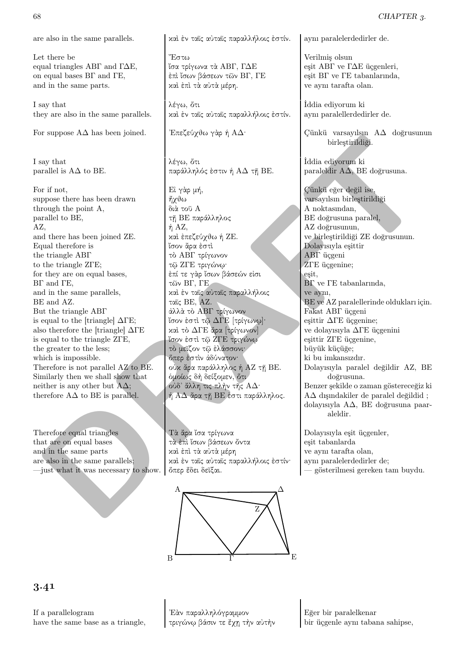Let there be  ${}^{\circ}E\sigma\tau\omega$  Verilmis olsun equal triangles ΑΒΓ and ΓΔΕ, <sup>(</sup>*ίσα τρίγωνα τὰ ΑΒΓ*, ΓΔΕ eşit ΑΒΓ ve ΓΔΕ üçgenleri, on equal bases ΒΓ and ΓΕ, ἐπὶ ἴσων βάσεων τῶν ΒΓ, ΓΕ eşit ΒΓ ve ΓΕ tabanlarında, and in the same parts.  $\vert x\alpha\right\vert \dot{x}\alpha\dot{\beta}\tau\dot{\alpha}$  μέρη.  $\vert y\alpha\alpha\vert$  ve aynı tarafta olan.

suppose there has been drawn  $\eta \gamma \theta \omega$  varsayılsın birleştirildiği through the point A,  $\delta\alpha$  τοῦ A  $\Delta$  A noktasından, parallel to BE,  $\lceil \tau \tilde{\eta} \rceil$  BE παράλληλος BE doğrusuna paralel, ΑΖ, ἡ ΑΖ, ΑΖ doğrusunun, and there has been joined ZE.  $\vert x\alpha\vert$  έπεζεύχθω ή ZE.  $\vert y\alpha\vert$  ve birlest irildiği ZE doğrusunun. Equal therefore is <sup>1</sup> (σον ἄρα ἐστὶ Dolayısıyla esittir the triangle ABΓ (τὸ ABΓ τρίγωνον ΑΒΓ με ΑΒΓ üçgeni to the triangle ΖΓΕ; τῷ ΖΓΕ τριγώνῳ· ΖΓΕ üçgenine; for they are on equal bases, ἐπί τε γὰρ ἴσων βάσεών εἰσι eşit, BΓ and ΓΕ,  $\tau$ <sub>ων</sub> ΒΓ, ΓΕ **ΒΓ** ve ΓΕ tabanlarında, and in the same parallels,  $\vert x\alpha\vert \partial \theta$  ταῖς αὐταῖς παραλλήλοις ve aynı, But the triangle ABΓ  $\phi$ λλά τὸ ABΓ τρίγωνον Fakat ABΓ üçgeni<br>
is equal to the [triangle] ΔΓΕ; ((σον ἐστὶ τῷ ΔΓΕ [τρίγωνω] [[τρίγωνω] [[τρίγωνω] [[τρίγωνω] [[τρίγωνω] [[τρίγωνω] is equal to the [triangle]  $\Delta \Gamma$  (σε έστὶ τῷ  $\Delta \Gamma$  [τρίγωνῳ]· esittir  $\Delta \Gamma$  E üçgenine; also therefore the [triangle]  $\Delta \Gamma$  | καὶ τὸ  $\Delta \Gamma$  (πρίγωνον] ve dolayısıyla  $\Delta \Gamma$  E üçgenini is equal to the triangle ΖΓΕ, ἴσον ἐστὶ τῷ ΖΓΕ τριγώνῳ eşittir ΖΓΕ üçgenine, the greater to the less:  $\tau \delta$  μεῖζον τῶ ἐλάσσονι· büyük küçüğe; which is impossible. δπερ έστιν άδύνατον· ki bu imkansızdır. Similarly then we shall show that  $\delta\mu\delta\omega\zeta\delta\eta\delta\epsilon(\zeta\phi)\epsilon\eta\zeta\delta\tau$  doğrusuna.

Therefore equal triangles Γὰ ἄρα ἴσα τρίγωνα Dolayısıyla eşit üçgenler, that are on equal bases  $\tau$  τὰ ἐπὶ ἴσων βάσεων ὄντα eşit tabanlarda and in the same parts  $\vert x\alpha\vert$  έπὶ τὰ αὐτὰ μέρη ve aynı tarafta olan, are also in the same parallels;  $\vert$  καὶ ἐν ταῖς αὐταῖς παραλλήλοις ἐστίν· aynı paralelerdedirler de; —just what it was necessary to show. ὅπερ ἔδει δεῖξαι. — gösterilmesi gereken tam buydu.

are also in the same parallels. (xαὶ ἐν ταῖς αὐταῖς παραλλήλοις ἐστίν. (aynı paralelerdedirler de.)

I say that  $\lambda \xi \gamma \omega$ , ὅτι Iddia ediyorum ki they are also in the same parallels.  $\mathbf{x} \times \mathbf{x} \times \mathbf{x} \times \mathbf{x} \times \mathbf{x} \times \mathbf{x} \times \mathbf{x} \times \mathbf{x} \times \mathbf{x} \times \mathbf{x} \times \mathbf{x} \times \mathbf{x} \times \mathbf{x} \times \mathbf{x} \times \mathbf{x} \times \mathbf{x} \times \mathbf{x} \times \mathbf{x} \times \mathbf{x} \times \mathbf{x} \times \mathbf{x} \times \mathbf{x} \times \mathbf{x} \times \mathbf{x} \times \mathbf{x} \times \mathbf{x} \times \$ 

I say that  $\lambda \xi \gamma \omega$ , ὅτι  $\lambda \xi \gamma \omega$  iddia ediyorum ki parallel is ΑΔ to ΒΕ. παράλληλός ἐστιν ἡ ΑΔ τῇ ΒΕ. paraleldir ΑΔ, ΒΕ doğrusuna.

For if not, Ei γὰρ μή, Cünkü eğer değil ise,



For suppose  $\Lambda\Delta$  has been joined. [Σπεζεύχθω γὰρ ἡ  $\Lambda\Delta$ · [Cünkü varsayılsın  $\Lambda\Delta$  doğrusunun birleştirildiği.

and the state of the state of the state of the state of the state of the state of the state of the state of the state of the state of the state of the state of the state of the state of the state of the state of the state BE and AZ. (παϊς BE, AZ. (παϊς BE, AZ. (BE ve AZ paralellerinde oldukları için.) Therefore is not parallel ΑΖ to ΒΕ. οὐκ ἄρα παράλληλος ἡ ΑΖ τῇ ΒΕ. Dolayısıyla paralel değildir ΑΖ, ΒΕ neither is any other but  $A\Delta$ ;  $\overrightarrow{O_0}$ δ<sup> $\delta$ </sup>άλλη τις πλήν τῆς  $A\Delta$ · Benzer şekilde o zaman göstereceğiz ki therefore  $\Lambda\Delta$  to BE is parallel.  $\|\hat{\eta}\Lambda\Delta\hat{\alpha}$ ρα τῆ BE ἐστι παράλληλος.  $\|\Lambda\Delta\hat{\alpha}$  disindakiler de paralel değildid ; dolayısıyla ΑΔ, ΒΕ doğrusuna paaraleldir.

# $3.41$

have the same base as a triangle, τριγώνῳ βάσιν τε ἔχῃ τὴν αὐτὴν bir üçgenle aynı tabana sahipse,

If a parallelogram  $\mathcal{E}(\mathbf{\hat{x}})$  Έλεν παραλληλόγραμμον Εğer bir paralelkenar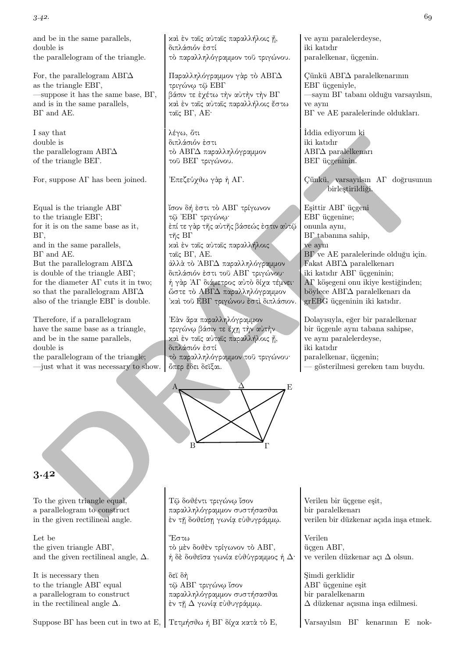$3.42.$  69

For, the parallelogram ΑΒΓΔ Παραλληλόγραμμον γὰρ τὸ ΑΒΓΔ (Günkü ΑΒΓΔ paralelkenarının as the triangle EBΓ,  $\vert \tau \circ \psi \circ \psi \circ \tau \circ \psi$  EBΓ is EBΓ is EBΓ is EBΓ is EBΓ is EBΓ —suppose it has the same base,  $B\Gamma$ , βάσιν τε έχέτω τὴν αὐτὴν τὴν ΒΓ —saynı ΒΓ tabanı olduğu varsayılsın, and is in the same parallels,  $\vert x\alpha\vert \partial x$  και έν ταῖς αὐταῖς παραλλήλοις ἔστω  $\vert$  ve aynı ΒΓ and ΑΕ. ταῖς ΒΓ, ΑΕ· ΒΓ ve ΑΕ paralelerinde oldukları.

—just what it was necessary to show. ὅπερ ἔδει δεῖξαι. — gösterilmesi gereken tam buydu.



I say that  $\lambda$ έγω, ὅτι  $\lambda$ ίλάτι  $\lambda$ ίddia ediyorum ki double is διπλάσιόν ἐστι iki katıdır the parallelogram ΑΒΓΔ (τὸ ΑΒΓΔ παραλληλόγραμμον (ABΓΔ paralelkenari of the triangle ΒΕΓ. τοῦ ΒΕΓ τριγώνου. ΒΕΓ üçgeninin.

on be a simple of Mill American (14) (2)  $\phi$  (2)  $\phi$  (3)  $\phi$  (3)  $\phi$  (3)  $\phi$  (3)  $\phi$  (3)  $\phi$  (3)  $\phi$  (3)  $\phi$  (3)  $\phi$  (3)  $\phi$  (3)  $\phi$  (3)  $\phi$  (3)  $\phi$  (3)  $\phi$  (3)  $\phi$  (3)  $\phi$  (3)  $\phi$  (3)  $\phi$  (3)  $\phi$  (3 Equal is the triangle ABΓ  $\begin{bmatrix} \tilde{\sigma} \sigma v \tilde{\sigma} \tilde{\sigma} \tilde{\sigma} \sigma u \tau \tilde{\sigma} A B \Gamma \tau \rho \tilde{\sigma} \gamma \omega \nu \sigma v \end{bmatrix}$  Esittir ABΓ üçgenine; to the triangle ΕΒΓ;  $\tau \tilde{\varphi}$  ΈΒΓ τριγώνῳ· ΕΒΓ üçgenine; for it is on the same base as it,  $|\hat{\epsilon}$ πί τε γὰρ τῆς αὐτῆς βάσεώς ἐστιν αὐτῷ onunla aynı, BΓ,  $\tau$ ης BΓ  $\downarrow$  της EΓ  $\downarrow$  BΓ tabanına sahip, and in the same parallels,  $\begin{array}{c|c}\n\hline\n\text{and the same parallels,} \\
\text{B}\Gamma \text{ and } \text{A}\text{E.}\n\end{array}$  ve aynı ve aynı ve aynı ve aynı ve aynı ve aynı ve aynı ve aynı ve aynı ve aynı ve aynı ve aynı ve aynı ve aynı ve aynı ve aynı ve aynı ve a ΒΓ and ΑΕ. ταῖς ΒΓ, ΑΕ. ΒΓ ve ΑΕ paralelerinde olduğu için. But the parallelogram ΑΒΓΔ ἀλλὰ τὸ ᾿ΑΒΓΔ παραλληλόγραμμον Fakat ΑΒΓΔ paralelkenarı διπλάσιόν έστι τοῦ ΑΒΓ τριγώνου· iki katıdır ΑΒΓ üçgeninin; for the diameter ΑΓ cuts it in two; ἡ γὰρ ᾿ΑΓ διάμετρος αὐτὸ δίχα τέμνει· ΑΓ köşegeni onu ikiye kestiğinden; so that the parallelogram ΑΒΓΔ | ὤστε τὸ ΑΒΓΔ παραλληλόγραμμον | böylece ΑΒΓΔ paralelkenarı da also of the triangle ΕΒΓ is double. ᾿καὶ τοῦ ΕΒΓ τριγώνου ἐστὶ διπλάσιον. grEBG üçgeninin iki katıdır.

Therefore, if a parallelogram <sup>γ</sup>Έὰν ἄρα παραλληλόγραμμον Dolayısıyla, eğer bir paralelkenar have the same base as a triangle,  $\vert \tau$ ριγώνῳ βάσιν τε ἔχη τὴν αὐτὴν bir üçgenle aynı tabana sahipse, and be in the same parallels,  $\vert x \circ \alpha \vert \circ \alpha \circ \alpha \circ \alpha$ λήλοις  $\tilde{\eta}$ , ve aynı paralelerdeyse, double is a contract is διπλάσιου επιβεσιών είναι του διπλάσιου του επιβεσιών είναι του επιβεσιών είναι του επι the parallelogram of the triangle; τὸ παραλληλόγραμμον τοῦ τριγώνου· paralelkenar, üçgenin;



For, suppose AΓ has been joined. <sup>7</sup> Eπεζεύχθω γὰρ ἡ AΓ. (Günkü, varsayılsın AΓ doğrusunun birleştirildiği.

# $3.42$

To the given triangle equal, Τῷ δοθέντι τριγώνῳ ἴσον Verilen bir üçgene eşit, a parallelogram to construct παραλληλόγραμμον συστήσασθαι bir paralelkenarı

Let be  $\mathcal{E}$  Γεστω  $\mathcal{E}$  Verilen the given triangle ΑΒΓ, τὸ μὲν δοθὲν τρίγωνον τὸ ΑΒΓ, üçgen ΑΒΓ, and the given rectilineal angle,  $\Delta$ . | ή δὲ δοθεῖσα γωνία εὐθύγραμμος ή  $\Delta$ · | ve verilen düzkenar açı  $\Delta$  olsun.

It is necessary then  $\delta \tilde{\epsilon} \tilde{\delta} \gamma$  Simdi gerklidir to the triangle ABΓ equal  $\tau$ ῷ ABΓ τριγώνῳ ἴσον (ABΓ üçgenine eşit a parallelogram to construct παραλληλόγραμμον συστήσασθαι bir paralelkenarın

in the given rectilineal angle.  $|\dot{\epsilon} \rangle \tau \tilde{\eta} \delta \omega \epsilon \dot{\sigma} \gamma \omega \dot{\alpha} \epsilon \dot{\omega} \omega \gamma \rho \dot{\alpha} \mu \omega$ . verilen bir düzkenar açıda inşa etmek.

 $\frac{1}{2}$ εν τῆ Δ γωνία εὐθυγράμμῳ.  $\Delta$  düzkenar açısına inşa edilmesi.

Suppose ΒΓ has been cut in two at Ε, Τετμήσθω ἡ ΒΓ δίχα κατὰ τὸ Ε, Varsayılsın ΒΓ kenarının Ε nok-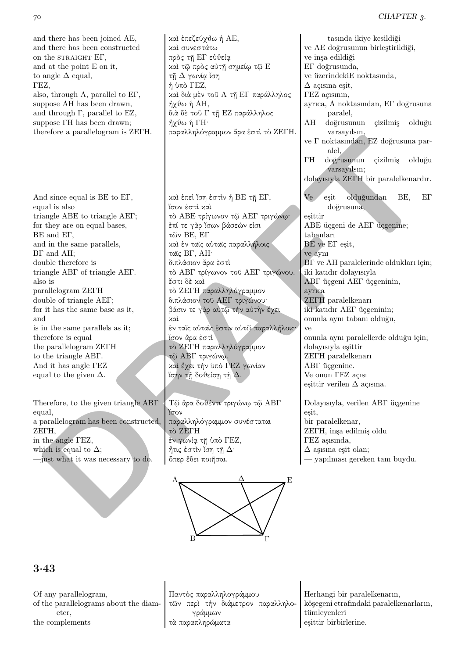| and there has been joined AE,<br>and there has been constructed<br>on the STRAIGHT ET,<br>and at the point E on it,<br>to angle $\Delta$ equal,<br>ΓEΖ,<br>also, through A, parallel to ET,<br>suppose AH has been drawn,<br>and through $\Gamma$ , parallel to EZ,<br>suppose $\Gamma$ H has been drawn; | χαί έπεζεύχθω ή ΑΕ,<br>καί συνεστάτω<br>πρός τη ΕΓ εύθεία<br>καί τω πρός αύτη σημείω τω Ε<br>τῆ $\Delta$ γωνία ἴση<br>ή ύπό ΓΕΖ,<br>καί διά μέν τοῦ Α τῆ ΕΓ παράλληλος<br>$\eta$ χθω ή ΑΗ,<br>διὰ δὲ τοῦ Γ τῆ ΕΖ παράλληλος<br>ήχθω ή ΓΗ· | tasında ikiye kesildiği<br>ve AE doğrusunun birleştirildiği,<br>ve inşa edildiği<br>ET doğrusunda,<br>ve üzerindekiE noktasında,<br>$\Delta$ açısına eşit,<br>TEZ açısının,<br>ayrıca, A noktasından, ET doğrusuna<br>paralel,<br>AH<br>doğrusunun<br>cizilmiş<br>olduğu |
|-----------------------------------------------------------------------------------------------------------------------------------------------------------------------------------------------------------------------------------------------------------------------------------------------------------|-------------------------------------------------------------------------------------------------------------------------------------------------------------------------------------------------------------------------------------------|--------------------------------------------------------------------------------------------------------------------------------------------------------------------------------------------------------------------------------------------------------------------------|
| therefore a parallelogram is ZEFH.                                                                                                                                                                                                                                                                        | παραλληλόγραμμον άρα έστι το ΖΕΓΗ.                                                                                                                                                                                                        | varsayılsın,<br>ve Γ noktasından, EZ doğrusuna par-<br>alel,<br>$\Gamma$ H<br>doğrusunun<br>çizilmiş<br>olduğu<br>varsayılsın;<br>dolayısıyla ZETH bir paralelkenardır.                                                                                                  |
| And since equal is BE to ET,                                                                                                                                                                                                                                                                              | χαὶ ἐπεὶ ἴση ἐστὶν ἡ ΒΕ τῆ ΕΓ,                                                                                                                                                                                                            | $\mathrm{Ve}$<br>olduğundan<br>BE,<br>$E\Gamma$<br>esit                                                                                                                                                                                                                  |
| equal is also<br>triangle ABE to triangle AET;                                                                                                                                                                                                                                                            | ἴσον ἐστὶ καὶ<br>τὸ ΑΒΕ τρίγωνον τῷ ΑΕΓ τριγώνω·                                                                                                                                                                                          | doğrusuna,<br>esittir                                                                                                                                                                                                                                                    |
| for they are on equal bases,                                                                                                                                                                                                                                                                              | έπί τε γὰρ ἴσων βάσεών εἰσι                                                                                                                                                                                                               | ABE üçgeni de AET üçgenine;                                                                                                                                                                                                                                              |
| BE and ET,                                                                                                                                                                                                                                                                                                | $τ\tilde{ω}$ ν BE, ΕΓ                                                                                                                                                                                                                     | tabanları                                                                                                                                                                                                                                                                |
| and in the same parallels,                                                                                                                                                                                                                                                                                | καί έν ταῖς αὐταῖς παραλλήλοις                                                                                                                                                                                                            | BE ve ET esit,                                                                                                                                                                                                                                                           |
| $\operatorname{B\Gamma}$ and $\operatorname{AH}$ ;                                                                                                                                                                                                                                                        | ταΐς ΒΓ, ΑΗ·                                                                                                                                                                                                                              | ve aynı                                                                                                                                                                                                                                                                  |
| double therefore is                                                                                                                                                                                                                                                                                       | διπλάσιον ἄρα ἐστὶ                                                                                                                                                                                                                        | $\overline{B}\Gamma$ ve AH paralelerinde oldukları için;                                                                                                                                                                                                                 |
| triangle ABT of triangle AET.                                                                                                                                                                                                                                                                             | τὸ ΑΒΓ τρίγωνον τοῦ ΑΕΓ τριγώνου.                                                                                                                                                                                                         | iki katıdır dolayısıyla                                                                                                                                                                                                                                                  |
| also is                                                                                                                                                                                                                                                                                                   | έστι δέ καί                                                                                                                                                                                                                               | ABT üçgeni AET üçgeninin,                                                                                                                                                                                                                                                |
| parallelogram ZEFH<br>double of triangle AET;                                                                                                                                                                                                                                                             | τὸ ΖΕΓΗ παραλληλόγραμμον<br>διπλάσιον του ΑΕΓ τριγώνου·                                                                                                                                                                                   | ayrıca<br>ZETH paralelkenarı                                                                                                                                                                                                                                             |
| for it has the same base as it,                                                                                                                                                                                                                                                                           | βάσιν τε γὰρ αὐτῷ τὴν αὐτὴν ἔχει                                                                                                                                                                                                          | iki katıdır AET üçgeninin;                                                                                                                                                                                                                                               |
| and                                                                                                                                                                                                                                                                                                       | καὶ                                                                                                                                                                                                                                       | onunla aynı tabanı olduğu,                                                                                                                                                                                                                                               |
| is in the same parallels as it;                                                                                                                                                                                                                                                                           | έν ταῖς αὐταῖς ἐστιν αὐτῷ παραλλήλοις:                                                                                                                                                                                                    | ve                                                                                                                                                                                                                                                                       |
| therefore is equal                                                                                                                                                                                                                                                                                        | <u>ἴσ</u> ον ἄρα ἐστὶ                                                                                                                                                                                                                     | onunla aynı paralellerde olduğu için;                                                                                                                                                                                                                                    |
| the parallelogram ZEFH                                                                                                                                                                                                                                                                                    | τὸ ΖΕΓΗ παραλληλόγραμμον                                                                                                                                                                                                                  | dolayısıyla eşittir                                                                                                                                                                                                                                                      |
| to the triangle ABT.                                                                                                                                                                                                                                                                                      | τῷ ΑΒΓ τριγώνω.                                                                                                                                                                                                                           | ZETH paralelkenarı                                                                                                                                                                                                                                                       |
| And it has angle $TEZ$                                                                                                                                                                                                                                                                                    | χαί έχει την ύπο ΓΕΖ γωνίαν                                                                                                                                                                                                               | ABT üçgenine.                                                                                                                                                                                                                                                            |
| equal to the given $\Delta$ .                                                                                                                                                                                                                                                                             | ίσην τῆ δοθείση τῆ Δ.                                                                                                                                                                                                                     | Ve onun FEZ açısı                                                                                                                                                                                                                                                        |
|                                                                                                                                                                                                                                                                                                           |                                                                                                                                                                                                                                           | eşittir verilen $\Delta$ açısına.                                                                                                                                                                                                                                        |
| Therefore, to the given triangle ABT                                                                                                                                                                                                                                                                      | Τῷ ἄρα δοθέντι τριγώνω τῷ ΑΒΓ                                                                                                                                                                                                             | Dolayısıyla, verilen ABT üçgenine                                                                                                                                                                                                                                        |
| equal,                                                                                                                                                                                                                                                                                                    | ἴσον                                                                                                                                                                                                                                      | eşit,                                                                                                                                                                                                                                                                    |
| a parallelogram has been constructed,                                                                                                                                                                                                                                                                     | παραλληλόγραμμον συνέσταται                                                                                                                                                                                                               | bir paralelkenar,                                                                                                                                                                                                                                                        |
| ZETH,                                                                                                                                                                                                                                                                                                     | τὸ ZEΓH                                                                                                                                                                                                                                   | ZEFH, inșa edilmiş oldu                                                                                                                                                                                                                                                  |
| in the angle TEZ,                                                                                                                                                                                                                                                                                         | έν γωνία τη ύπο ΓΕΖ,                                                                                                                                                                                                                      | TEZ aşısında,                                                                                                                                                                                                                                                            |
| which is equal to $\Delta$ ;                                                                                                                                                                                                                                                                              | ῆτις ἐστὶν ἴση τῆ $\Delta$ ·                                                                                                                                                                                                              | $\Delta$ aşısına eşit olan;                                                                                                                                                                                                                                              |
| -just what it was necessary to do.                                                                                                                                                                                                                                                                        | όπερ έδει ποιήσαι.                                                                                                                                                                                                                        | - yapılması gereken tam buydu.                                                                                                                                                                                                                                           |
|                                                                                                                                                                                                                                                                                                           | Е<br>А                                                                                                                                                                                                                                    |                                                                                                                                                                                                                                                                          |



Of any parallelogram,<br>
of the parallelograms about the diam-<br>  $\begin{bmatrix} \frac{\pi a}{\sqrt{2}} & \frac{\pi a}{\sqrt{2}} \\ \frac{\pi a}{\sqrt{2}} & \frac{\pi}{\sqrt{2}} \\ \frac{\pi a}{\sqrt{2}} & \frac{\pi a}{\sqrt{2}} \end{bmatrix}$ <br>  $\begin{bmatrix} \frac{\pi a}{\sqrt{2}} & \frac{\pi a}{\sqrt{2}} \\ \frac{\pi a}{\sqrt{2}} & \frac{\pi a}{\sqrt{2}} \\ \frac{\pi a}{\sqrt{2}} & \frac{\pi a$ 

# $3.43$

the complements  $\vec{a}$  παραπληρώματα esittir birbirlerine.

τῶν περὶ τὴν διάμετρον παραλληλοeter, γράμμων tümleyenleri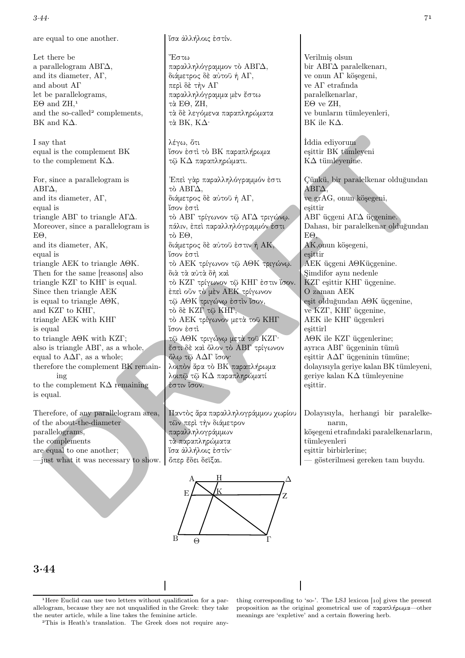#### $3.44$ .

are equal to one another.  $\left| \int \int \sigma \alpha \ d\lambda \lambda \eta \right|$ λοις έστίν.

Let there be  ${}^{\circ}E\sigma\tau\omega$  Verilmis olsun a parallelogram ΑΒΓΔ,  $\alpha$  παραλληλόγραμμον τὸ ΑΒΓΔ, bir ΑΒΓΔ paralelkenarı, and its diameter, AΓ, διάμετρος δὲ αὐτοῦ ἡ ΑΓ, ve onun AΓ köşegeni, and about AΓ περὶ δὲ τὴν ΑΓ νε ΑΓ etrafında let be parallelograms, παραλληλόγραμμα μὲν ἔστω paralelkenarlar,  $E\Theta$  and  $ZH,^1$ and the so-called<sup>2</sup> complements, BK and KΔ.  $\tau \& B$ K, KΔ·  $\vert$  BK ile ΚΔ.

Then for the same  $[reasons]$  also  $\delta \alpha$  τὰ αὐτὰ δὴ καὶ to the complement  $K\Delta$  remaining  $\epsilon$  στιν ἴσον.  $\epsilon$  eşittir. is equal.

# διάμετρος δε αύτοῦ ή ΑΓ, τὰ ΕΘ, ΖΗ, ΕΘ ve ΖΗ, τὰ δὲ λεγόμενα παραπληρώματα ve bunların tümleyenleri,

I say that  $\lambda \in \gamma \omega$ , ὅτι Iddia ediyorum equal is the complement BK | (σον έστι το BK παραπλήρωμα | eşittir BK tümleyeni to the complement ΚΔ.  $\tau \tilde{\omega}$  ΚΔ παραπληρώματι.  $K\Delta$  tümleyenine.

For, since a parallelogram is <sup>γ</sup>Έπει γὰρ παραλληλόγραμμόν ἐστι (Çünkü, bir paralelkenar olduğundan ΑΒΓΔ, ΑΒΓΔ, Γὸ ΑΒΓΔ, ΑΒΓΔ, ΑΒΓΔ, ΑΒΓΔ, and its diameter, AΓ, διάμετρος δὲ αὐτοῦ ἡ ΑΓ, ve grAG, onun köşegeni, equal is  $\delta$  (σον έστὶ επιτροποιείται επιτροποιείται επιτροποιείται επιτροποιείται επιτροποιείται επιτροποιεί triangle ΑΒΓ to triangle ΑΓΔ.  $\vert \tau \delta$  ΑΒΓ τρίγωνον τῷ ΑΓΔ τριγώνῳ. AΒΓ üçgeni ΑΓΔ üçgenine. Moreover, since a parallelogram is  $\pi\alpha\lambda v$ , ἐπεὶ παραλληλόγραμμόν ἐστι Dahası, bir paralelkenar olduğundan  $E\Theta$ ,  $\qquad \qquad$   $E\Theta$ ,  $\qquad \qquad$   $E\Theta$ ,  $\qquad \qquad$   $E\Theta$ , and its diameter, ΑΚ, διάμετρος δὲ αὐτοῦ ἐστιν ἡ ΑΚ, ΑΚ,onun köşegeni, equal is a contract in the contract of the contract of existing equal is a contract of existing equal is a contract of equal is a contract of equal is a contract of equal is  $\sim$  contract of the contract of the contract o triangle ΑΕΚ to triangle ΑΘΚ. τὸ ΑΕΚ τρίγωνον τῷ ΑΘΚ τριγώνῳ. ΑΕΚ üçgeni ΑΘΚüçgenine. triangle ΚΖΓ to ΚΗΓ is equal. τὸ ΚΖΓ τρίγωνον τῷ ΚΗΓ ἐστιν ἴσον. ΚΖΓ eşittir ΚΗΓ üçgenine. Since then triangle ΑΕΚ **επιλεί επιλεί επιλεί επιλεί επιλεί επιλεί επιλεί επιλεί επιλεί επιλεί επιλεί επιλεί τ**<br> **Since then triangle ΑΕΚ i**  $\downarrow$  δια επιλεί επιλεί το την ανακαλύσει το την ανακαλύσει το την ανακαλύσει is equal to triangle AΘΚ,  $\lceil \overline{\text{ca}} \text{ AΘK } \text{TPI} \gamma \omega \omega \right.$  έστὶν ἴσον, esit olduğundan AΘK üçgenine, and ΚΖΓ to ΚΗΓ, τὸ δὲ ΚΖΓ τῷ ΚΗΓ, ve ΚΖΓ, ΚΗΓ üçgenine, triangle ΑΕΚ with ΚΗΓ  $\vert \tau \circ \vert$  τὸ ΑΕΚ τρίγωνον μετὰ τοῦ ΚΗΓ | ΑΕΚ ile ΚΗΓ üçgenleri is equal ἴσον ἐστὶ eşittirl to triangle ΑΘΚ with ΚΖΓ; τῷ ΑΘΚ τριγώνῳ μετὰ τοῦ ΚΖΓ· ΑΘΚ ile ΚΖΓ üçgenlerine; also is triangle ΑΒΓ, as a whole,  $\frac{1}{2}$  έστι δὲ καὶ ὅλον τὸ ΑΒΓ τρίγωνον | ayrıca ΑΒΓ üçgeninin tümü equal to  $A\Delta\Gamma$ , as a whole;  $\delta\lambda\omega$  τῶ  $A\Delta\Gamma$  (σον $\omega$  esittir  $A\Delta\Gamma$  üçgeninin tümüne; therefore the complement ΒΚ remain- λοιπὸν ἄρα τὸ ΒΚ παραπλήρωμα dolayısıyla geriye kalan ΒΚ tümleyeni, ing λοιπῷ τῷ ΚΔ παραπληρώματί geriye kalan ΚΔ tümleyenine

Therefore, of any parallelogram area, Παντὸς ἄρα παραλληλογράμμου χωρίου Dolayısıyla, herhangi bir paralelke-<br>of the about-the-diameter<br> $\begin{bmatrix} \overline{1} & \overline{1} & \overline{2} \\ \overline{2} & \overline{2} & \overline{2} \\ 0 & \overline{2} & \overline{2} \end{bmatrix}$   $\overline{1}$   $\over$ of the about-the-diameter  $\begin{bmatrix} \tau \tilde{\omega} \nu \pi \epsilon \rho \iota \tau \gamma \nu \delta \iota \omega \epsilon \nu \omega \nu \end{bmatrix}$  kösegeni etra παραλληλογράμμων kösegeni etrafındaki paralelkenarların, the complements  $\vec{\alpha}$  παραπληρώματα tümleyenleri are equal to one another;  $\left[ \frac{\partial \alpha}{\partial \lambda} \frac{\partial \lambda}{\partial \lambda} \frac{\partial \alpha}{\partial \lambda} \frac{\partial \beta}{\partial \lambda} \frac{\partial \alpha}{\partial \lambda} \frac{\partial \beta}{\partial \lambda} \frac{\partial \alpha}{\partial \lambda} \frac{\partial \alpha}{\partial \lambda} \frac{\partial \alpha}{\partial \lambda} \frac{\partial \alpha}{\partial \lambda} \frac{\partial \alpha}{\partial \lambda} \frac{\partial \alpha}{\partial \lambda} \frac{\partial \alpha}{\partial \lambda} \frac{\partial \alpha}{\partial \lambda} \frac{\partial \alpha}{\partial \lambda} \frac{\partial \alpha}{\partial \$ —just what it was necessary to show. ὅπερ ἔδει δεῖξαι. — gösterilmesi gereken tam buydu.



ay that complement ER <br>
in the complement ER <br>
the complement ER <br>
the complement ER <br>
the complement ER <br>
the complement ER <br>
is the complement of the time of the complement is the state of the complement of Equilibratio

 $3.44$ 

<sup>1</sup>Here Euclid can use two letters without qualification for a parallelogram, because they are not unqualified in the Greek: they take the neuter article, while a line takes the feminine article.

This is Heath's translation. The Greek does not require any-

thing corresponding to 'so-'. The LSJ lexicon  $[10]$  gives the present proposition as the original geometrical use of παραπλήρωμα—other meanings are 'expletive' and a certain flowering herb.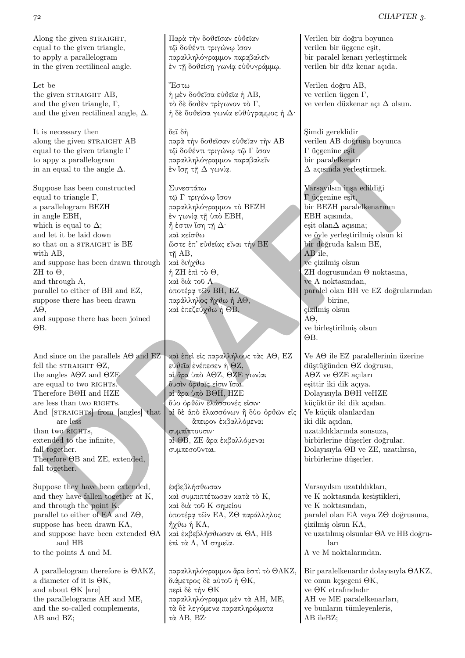$CHAPTER$  3.

Suppose has been constructed Συνεστάτω Varsayılsın inşa edildiği equal to triangle Γ,  $\tau$  τριγώνω ἴσον Γ üçgenine eşit, Γ üçgenine eşit, a parallelogram ΒΕΖΗ παραλληλόγραμμον τὸ ΒΕΖΗ bir ΒΕΖΗ paralelkenarının in angle ΕΒΗ, ἐν γωνίᾳ τῇ ὑπὸ ΕΒΗ, ΕΒΗ açısında, which is equal to  $\Delta$ ;  $\hat{\beta}$   $\delta$   $\sigma$ tiv ἶση τῆ  $\Delta$  esit olan $\Delta$  açısına; and let it be laid down  $\begin{array}{c|c}\n\hline\n\end{array}$  καὶ κείσθω ve öyle yerleştirilmiş olsun ki so that on a STRAIGHT is BE | ὤστε ἐπ' εὐθείας εἶναι τὴν BE | bir doğruda kalsın BE, with  $AB$ ,  $\qquad \qquad$   $\qquad \qquad$   $\qquad$   $\qquad$   $\qquad$   $\qquad$   $\qquad$   $\qquad$   $\qquad$   $\qquad$   $\qquad$   $\qquad$   $\qquad$   $\qquad$   $\qquad$   $\qquad$   $\qquad$   $\qquad$   $\qquad$   $\qquad$   $\qquad$   $\qquad$   $\qquad$   $\qquad$   $\qquad$   $\qquad$   $\qquad$   $\qquad$   $\qquad$   $\qquad$   $\qquad$   $\qquad$   $\qquad$   $\qquad$  and suppose has been drawn through  $x \, \partial \theta$   $\partial \phi$ ZH to Θ,  $\hat{\eta}$  ZH έπὶ τὸ Θ,  $\hat{\eta}$  ZH έπὶ τὸ Θ,  $\chi$  ZH dogrusundan Θ noktasına,  $\chi$  and through A,  $\chi$  and  $\chi$  and  $\chi$  and  $\chi$  and  $\chi$  and  $\chi$  and  $\chi$  and  $\chi$  and  $\chi$  and  $\chi$  and  $\chi$  and  $\chi$  and  $\chi$  and and through A,  $\begin{array}{c|c}\n\downarrow\n\end{array}$   $\begin{array}{c|c}\n\downarrow\n\end{array}$   $\begin{array}{c|c}\n\downarrow\n\end{array}$   $\begin{array}{c|c}\n\downarrow\n\end{array}$   $\begin{array}{c|c}\n\downarrow\n\end{array}$   $\begin{array}{c|c}\n\downarrow\n\end{array}$   $\begin{array}{c|c}\n\downarrow\n\end{array}$   $\begin{array}{c|c}\n\downarrow\n\end{array}$   $\begin{array}{c|c}\n\downarrow\n\end{array}$   $\begin{array}{c|$ parallel to either of ΒΗ and ΕΖ, ὁποτέρᾳ τῶν ΒΗ, ΕΖ paralel olan ΒΗ ve ΕΖ doğrularından suppose there has been drawn  $\pi$ αράλληλος ἤχθω ή ΑΘ, birine, ΑΘ, καὶ ἐπεζεύχθω ἡ ΘΒ. çizilmiş olsun and suppose there has been joined ΑΘ, ΘΒ. ve birleştirilmiş olsun

And since on the parallels  $\overrightarrow{A}\Theta$  and  $\overrightarrow{EZ}$   $\overrightarrow{x\alpha}$  είς παραλλήλους τὰς  $\overrightarrow{A}\Theta$ ,  $\overrightarrow{EZ}$   $\overrightarrow{V}$   $\overrightarrow{A}\Theta$  ile  $\overrightarrow{EZ}$  paralellerinin üzerine fell the straight ΘΖ, εὐθεῖα ἐνέπεσεν ἡ ΘΖ, düştüğünden ΘΖ doğrusu, the angles AΘZ and ΘΖΕ (αι άρα ὑπὸ ΑΘΖ, ΘΖΕ γωνίαι (AΘZ ve ΘΖΕ açıları are equal to two rights. δυσὶν ὀρθαῖς εἰσιν ἴσαι. eşittir iki dik açıya. Therefore ΒΘΗ and ΗΖΕ (αι άρα ὑπὸ ΒΘΗ, ΗΖΕ Dolayısıyla ΒΘΗ veHZE are less than two RIGHTs.  $\delta \omega \partial \rho \partial \overline{\omega} \partial \overline{\omega} \partial \overline{\omega} \partial \overline{\omega} \partial \overline{\omega} \partial \overline{\omega} \partial \overline{\omega}$  küçüktür iki dik açıdan. And [straights] from [angles] that αἰ δὲ ἀπὸ ἐλασσόνων ἢ δύο ὀρθῶν εἰς | Ve küçük olanlardan than two RIGHTs,  $\sigma$ υμπίπτουσιν· uzatıldıklarında sonsuza, extended to the infinite,  $\alpha$  ΘΒ, ΖΕ ἄρα ἐχβαλλόμεναι birbirlerine düşerler doğrular. fall together. συμπεσοῦνται. Dolayısıyla ΘΒ ve ΖΕ, uzatılırsa, Therefore ΘΒ and ΖΕ, extended, birbirlerine düşerler. fall together.

Suppose they have been extended, | ἐχβεβλήσθωσαν | Varsayılsın uzatıldıkları, and they have fallen together at K,  $\vert x\alpha\vert$  συμπιπτέτωσαν κατὰ τὸ Κ,  $\vert y\vert$  ve K noktasında kesiştikleri, and through the point K,  $\begin{array}{c|c}\n\downarrow\n\end{array}$   $\begin{array}{c|c}\n\downarrow\n\end{array}$   $\begin{array}{c|c}\n\downarrow\n\end{array}$  ve K noktasından, parallel to either of ΕΑ and ΖΘ, ὁποτέρᾳ τῶν ΕΑ, ΖΘ παράλληλος paralel olan ΕΑ veya ΖΘ doğrusuna, suppose has been drawn ΚΛ,  $\eta \gamma \theta \omega \eta$  ΚΛ,  $\eta \gamma \delta \omega \eta$  ΚΛ,  $\eta$  cizilmiş olsun ΚΛ, and suppose have been extended ΘΑ | καὶ ἐχβεβλήσθωσαν αἱ ΘΑ, ΗΒ ve uzatılmış olsunlar ΘΑ ve ΗΒ doğruto the points  $\Lambda$  and  $M$ .

the parallelograms ΑΗ and ΜΕ,  $\frac{1}{\pi}$  παραλληλόγραμμα μὲν τὰ ΑΗ, ΜΕ,  $\Delta B$  and BZ;  $\tau \alpha \Delta B$ , BZ·  $\Delta B$  ileBZ;

Along the given STRAIGHT,  $\Pi$ αρὰ τὴν δοθεῖσαν εὐθεῖαν Verilen bir doğru boyunca equal to the given triangle,  $\begin{bmatrix} \tau \tilde{\omega} & \tilde{\omega} \end{bmatrix}$  τῶ δοθέντι τριγώνω ἴσον verilen bir üçgene eşit, to apply a parallelogram  $\pi \infty$ λληλόγραμμον παραβαλεΐν bir paralel kenarı yerleştirmek in the given rectilineal angle.  $\left| \dot{\epsilon} \right| \tilde{\epsilon} \nu \tau \tilde{\eta} \delta \omega \epsilon \dot{\omega} \nu \dot{\omega} \nu \dot{\omega} \dot{\omega} \nu \dot{\omega} \nu \dot{\omega} \nu \dot{\omega}$  verilen bir düz kenar açıda.

Let be  $\mathcal{E}_{\sigma \tau \omega}$   $\mathcal{E}_{\sigma \tau \omega}$  Verilen doğru AB, the given straight AB,  $\iint_{\mathfrak{H}} \mu \dot{\epsilon} v \delta v \dot{\epsilon} \sigma \alpha \epsilon \dot{\nu} \delta \epsilon \dot{\alpha} \dot{\gamma} AB$ , ve verilen üçgen Γ, and the given triangle, Γ,  $\downarrow \uparrow$  δὲ δοθὲν τρίγωνον τὸ Γ, ve verlen düzkenar açı  $\Delta$  olsun. and the given rectilineal angle,  $\Delta$ .  $|\eta| \delta \hat{\epsilon} \delta \hat{\omega} \hat{\epsilon} \hat{\sigma} \hat{\alpha} \hat{\gamma} \hat{\omega} \hat{\alpha} \hat{\epsilon} \hat{\alpha} \hat{\alpha} \hat{\alpha} \hat{\gamma} \hat{\beta} \hat{\alpha} \hat{\gamma} \hat{\beta} \hat{\alpha} \hat{\gamma} \hat{\beta} \hat{\beta} \hat{\alpha} \hat{\gamma} \hat{\beta} \hat{\beta} \hat{\gamma} \hat{\beta} \hat{\beta} \hat{\gamma} \hat{\beta} \hat{\beta} \hat{\gamma} \hat{\beta} \hat{\beta} \hat{\gamma$ 

It is necessary then  $\begin{bmatrix} \delta \epsilon \tilde{\mathbf{i}} \delta \eta \\ \delta \epsilon \tilde{\mathbf{i}} \delta \eta \end{bmatrix}$   $\begin{bmatrix} \delta \epsilon \tilde{\mathbf{i}} \delta \eta \\ \pi \alpha \rho \alpha \tau \eta \nu \delta \sigma \theta \epsilon \tilde{\mathbf{i}} \sigma \alpha \nu \epsilon \tilde{\mathbf{i}} \sigma \alpha \nu \tau \eta \nu AB \end{bmatrix}$  Simdi gereklidir verilen AB doğrusu boyunca παρὰ τὴν δοθεῖσαν εὐθεῖαν τὴν ΑΒ equal to the given triangle Γ  $\tau$   $\tilde{\omega}$  δοθέντι τριγώνω τῷ Γ ἴσον Γ üçgenine eşit to appy a parallelogram παραλληλόγραμμον παραβαλεῖν bir paralelkenarı in an equal to the angle  $\Delta$ .  $\left| \xi \right\rangle$  (ση τῆ  $\Delta$  γωνία.  $\Delta$  acusside verlestimek.

are less «πειρον ἐχβαλλόμεναι iki dik açıdan,

and HB  $\frac{\partial \pi}{\partial \lambda} \pi \frac{\partial \lambda}{\partial \lambda} \frac{\partial \pi}{\partial \lambda}$  (and HB lari

a diameter of it is  $\Theta$ K, διάμετρος δὲ αὐτοῦ ἡ  $\Theta$ K, ve onun kçşegeni  $\Theta$ K, and about ΘΚ [are]  $\begin{bmatrix} \pi \epsilon \rho \delta \epsilon \tau \gamma \nu \Theta K \\ \pi \alpha \rho \alpha \lambda \lambda \eta \lambda \delta \gamma \rho \alpha \mu \mu \alpha \mu \epsilon \nu \tau \alpha A H, ME, \end{bmatrix}$  ve ΘK etrafındadır<br>the parallelograms AH and ME,  $\begin{bmatrix} \pi \epsilon \rho \lambda \delta \gamma \rho \alpha \mu \mu \alpha \mu \epsilon \nu \tau \alpha A H, ME, \end{bmatrix}$  AH ve ME paralelkena and the so-called complements,  $\vec{a} \delta \dot{\vec{b}} \lambda \epsilon \gamma \dot{\alpha} \mu \epsilon \nu \alpha \pi \alpha \rho \alpha \pi \lambda \eta \rho \dot{\alpha} \mu \alpha \tau \alpha$  ve bunların tümleyenleris,

sing a model in the granitectrical contribution is the size of the size of the size of the size of the size of the size of the size of the size of the size of the size of the size of the size of the size of the size of th ΘΒ.

A parallelogram therefore is ΘΛΚΖ,  $\pi_{\alpha\beta}$ αλληλόγραμμον ἄρα ἐστὶ τὸ ΘΛΚΖ, Bir paralelkenardır dolayısıyla ΘΛΚΖ,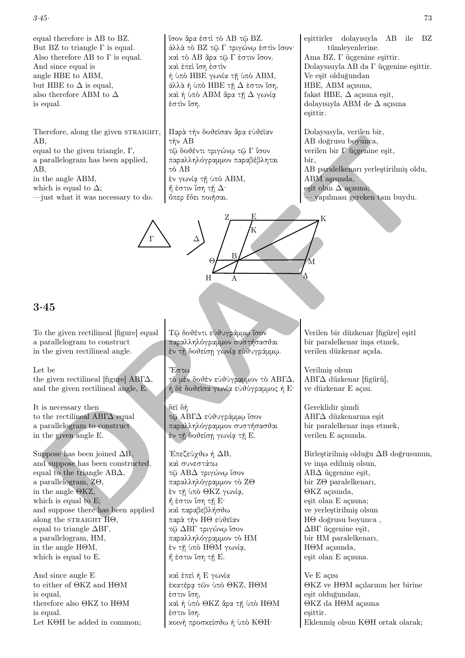$3.45$ .  $3.3$ 

Therefore, along the given STRAIGHT, Παρὰ τὴν δοθεῖσαν ἄρα εὐθεῖαν Dolaysisyla, verilen bir, AB,  $\tau \gamma \sim AB$  AB doğrusu boyunca, equal to the given triangle, Γ,  $\tau$   $\bar{\omega}$  δοθέντι τριγώνῳ τῷ Γ ἴσον verilen bir Γ üçgenine eşit,

But ΒΖ to triangle Γ is equal.  $\frac{d}{dx}\lambda \dot{\alpha} \tau \delta BZ \tau \tilde{\omega} \Gamma \tau \rho \gamma \dot{\omega} \nu \omega \dot{\epsilon} \sigma \tau \dot{\nu} \dot{\alpha} \sigma \nu$  tümleyenlerine. Also therefore ΛΒ to Γ is equal.  $\downarrow \chi \chi$  τὸ ΛΒ ἄρα τῷ Γ ἐστιν ἴσον. Ama ΒΖ, Γ üçgenine eşittir. angle HBE to ABM,  $\eta \dot{\eta} \dot{\eta} \dot{\eta}$  (πονία τη ύπο ABM, angle Ve eşit olduğundan but ΗΒΕ to Δ is equal,  $\delta\lambda\lambda\alpha\gamma\delta$  πλειατινίση, HBE, ABM açısına, also therefore ABM to  $\Delta$  (καὶ ἡ ὑπὸ ABM ἄρα τῆ  $\Delta$  γωνία) fakat HBE,  $\Delta$  açısına eşit, is equal.  $\delta$  is equal.  $\delta$  is equal.

a parallelogram has been applied, παραλληλόγραμμον παραβέβληται bir, in the angle ABM,  $\vert \approx \gamma \omega \vee (\alpha \tau \tilde{\eta} \nu \pi \delta \gamma)$  ABM, ABM assumeda, which is equal to  $\Delta$ ;  $\hat{\eta}$   $\hat{\sigma}$   $\tau \hat{\eta}$   $\Delta$ <sup>c</sup>  $\Delta$  esit olan  $\Delta$  acisina; —just what it was necessary to do. ὅπερ ἔδει ποιῆσαι. — yapılması gereken tam buydu.

equal therefore is ΛΒ to ΒΖ. <sup>(</sup> (σον ἄρα ἐστὶ τὸ ΛΒ τῷ ΒΖ. [esittirler dolayısıyla ΛΒ ile ΒΖ And since equal is  $\vert \times \rangle$   $\vert \times \rangle$  έπεὶ ἴση ἐστὶν  $\vert$  Dolaysisiyla ΛΒ da Γ üçgenine eşittir. eşittir.

ΛΒ, τὸ ΛΒ ΛΒ paralelkenarı yerleştirilmiş oldu,

Under the space of the company of the space of the space of the space of the space of the space of the space of the space of the space of the space of the space of the space of the space of the space of the space of the s Β Α Z Ε Η Θ Κ Κ Λ Μ Γ Δ

### $3.45$

To the given rectilineal [figure] equal Τῷ δοθέντι εὐθυγράμμῳ ἴσον Verilen bir düzkenar [figüre] eşitl a parallelogram to construct παραλληλόγραμμον συστήσασθαι bir paralelkenar inşa etmek, in the given rectilineal angle.  $\left| \varepsilon \right\rangle$  τῆ δοθείση γωνία εὐθυγράμμῳ. verilen düzkenar açıda.

and suppose has been constructed,  $\vert x\alpha\vert \sigma \cup \sigma \sigma \tau \alpha \tau \omega$  ve inşa edilmiş olsun, equal to the triangle  $AB\Delta$ ,  $\qquad \qquad$  τῷ  $AB\Delta$  τριγώνῳ ἴσον  $AB\Delta$  üçgenine eşit, a parallelogram, ΖΘ, παραλληλόγραμμον τὸ ΖΘ bir ΖΘ paralelkenarı, in the angle ΘΚΖ, <sup>εν τ</sup>ῆ ὑπὸ ΘΚΖ γωνία, ΘΚΖ açısında, which is equal to Ε;  $\eta \circ \sigma \tau \eta$  Ε·  $\eta \circ \sigma \tau \eta$  Ε· eşit olan Ε açısına; and suppose there has been applied | καὶ παραβεβλήσθω ve yerleştirilmiş olsun along the straight HΘ,  $\pi \varphi \circ \pi$  τὴν ΗΘ εὐθεῖαν HΘ doğrusu boyunca, equal to triangle  $\Delta$ BΓ,  $\frac{1}{\sqrt{9}} \Delta B \Gamma$  τριγώνῳ ἴσον  $\Delta B \Gamma$  üçgenine eşit, a parallelogram, ΗΜ, παραλληλόγραμμον τὸ ΗΜ bir ΗΜ paralelkenarı, in the angle ΗΘΜ, ἐν τῇ ὑπὸ ΗΘΜ γωνίᾳ, ΗΘΜ açısında, which is equal to Ε.  $\hat{\eta}$  έστιν ἴση τῇ Ε. eşit olan E açısına.

And since angle  $E$   $\vert \times \alpha \rangle$  έπει ή Ε γωνία  $\vert \vee e \rangle$  Ve E açısı

Let be  $\mathbb{Z}$  Σστω Verilmiş olsun Verilmiş olsun the given rectilineal [figure] ΑΒΓΔ, | τὸ μὲν δοθὲν εὐθύγραμμον τὸ ΑΒΓΔ, | ΑΒΓΔ düzkenar [figürü], and the given rectilineal angle, Ε.  $\delta$  δε δοθεῖσα γωνία εὐθύγραμμος ή Ε· ve düzkenar E açısı.

It is necessary then δεῖ δὴ Gereklidir simdi to the rectilineal ΑΒΓΔ equal τῷ ΑΒΓΔ εὐθυγράμμῳ ἴσον ΑΒΓΔ düzkenarına eşit a parallelogram to construct παραλληλόγραμμον συστήσασθαι bir paralelkenar inşa etmek, in the given angle E. <sup>εν τ</sup>ῆ δοθείση γωνία τῆ Ε. verilen E açısında.

is equal,<br>
therefore also  $\Theta$ KZ to H $\Theta$ M
<br>  $\begin{bmatrix} \dot{\varepsilon} \sigma \tau \omega \dot{\varepsilon} \\ \alpha \alpha \dot{\eta} \dot{\nu} \pi \dot{\omega} \Theta KZ \dot{\alpha} \sigma \alpha \tau \ddot{\eta} \dot{\nu} \pi \dot{\omega} \Theta M \end{bmatrix}$  eşit olduğundan,<br>  $\begin{bmatrix} \dot{\varepsilon} \sigma \tau \omega \dot{\varepsilon} \\ \dot{\varepsilon} \sigma \tau \dot{\omega} \dot{\sigma} \sigma \dot{\omega} \tau \ddot{\eta} \$ καὶ ἡ ὑπὸ ΘΚΖ ἄρα τῆ ὑπὸ ΗΘΜ | ΘΚΖ da ΗΘΜ açısına is equal. ἐστιν ἴση. eşittir.

Suppose has been joined  $\Delta B$ , <sup>7</sup> <sup>7</sup>Επεζεύχθω ή  $\Delta B$ , <sup>1</sup> Birleştirilmiş olduğu  $\Delta B$  doğrusunun,

to either of ΘΚΖ and ΗΘΜ ἑκατέρᾳ τῶν ὑπὸ ΘΚΖ, ΗΘΜ ΘΚΖ ve ΗΘΜ açılarının her birine Let ΚΘΗ be added in common; κοινὴ προσκείσθω ἡ ὑπὸ ΚΘΗ· Eklenmiş olsun ΚΘΗ ortak olarak;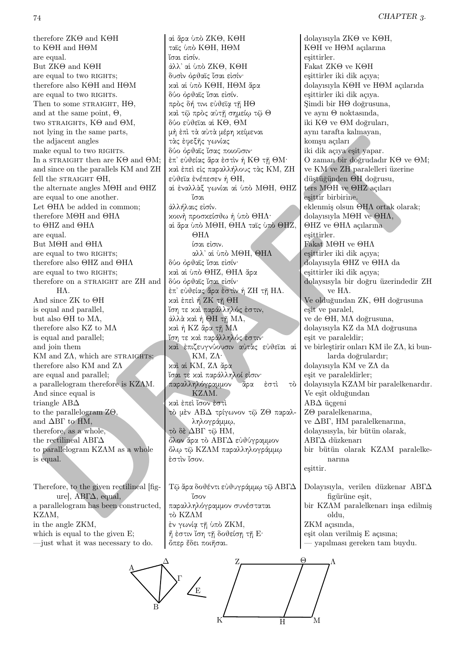therefore ΖΚΘ and ΚΘΗ αἱ ἄρα ὑπὸ ΖΚΘ, ΚΘΗ dolayısıyla ΖΚΘ ve ΚΘΗ, to ΚΘΗ and ΗΘΜ ταῖς ὑπὸ ΚΘΗ, ΗΘΜ ΚΘΗ ve ΗΘΜ açılarına are equal. <sup>i</sup> σαι εἰσίν. eşittirler. But ΖΚΘ and ΚΘΗ ἀλλ᾿ αἱ ὑπὸ ΖΚΘ, ΚΘΗ Fakat ΖΚΘ ve ΚΘΗ are equal to two RIGHTs; δυσὶν ὀρθαῖς ἴσαι εἰσίν· esittirler iki dik açıya; therefore also ΚΘΗ and ΗΘΜ (xαὶ αἱ ὑπὸ ΚΘΗ, ΗΘΜ ἄρα dolayısıyla ΚΘΗ ve ΗΘΜ acılarıda are equal to two RIGHTs.  $\delta$ ύο ὀρθαῖς ἴσαι εἰσίν.  $\Box$  esittirler iki dik açıya. Then to some straight, HΘ,  $\pi \rho \circ \delta \eta$  τινι εὐθεῖα τῆ HΘ Simdi bir HΘ doğrusuna, and at the same point,  $\Theta$ ,  $\begin{bmatrix} \n\alpha \alpha \tau \tilde{\omega} \tau \tilde{\omega} \tau \tilde{\omega} \tau \tilde{\omega} \tau \tilde{\omega} \tau \tilde{\omega} \tau \tilde{\omega} \tau \tilde{\omega} \tau \tilde{\omega} \tau \tilde{\omega} \tau \tilde{\omega} \tau \tilde{\omega} \tau \tilde{\omega} \tau \tilde{\omega} \tau \tilde{\omega} \tau \tilde{\omega} \tau \tilde{\omega} \tau \tilde{\omega} \tau \tilde{\omega} \tau \tilde{\omega} \tau \tilde{\omega} \tau \tilde{\omega} \tau \$ two straights, ΚΘ and ΘΜ, δύο εὐθεῖαι αἱ ΚΘ, ΘΜ iki ΚΘ ve ΘΜ doğruları, not lying in the same parts,  $\mu \nmid \hat{\tau} \times \hat{\tau} \times \hat{\tau} \times \hat{\tau} \times \hat{\tau} \times \hat{\tau} \times \hat{\tau} \times \hat{\tau} \times \hat{\tau} \times \hat{\tau} \times \hat{\tau} \times \hat{\tau} \times \hat{\tau} \times \hat{\tau} \times \hat{\tau} \times \hat{\tau} \times \hat{\tau} \times \hat{\tau} \times \hat{\tau} \times \hat{\tau} \times \hat{\tau} \times \hat{\tau} \times \hat{\tau} \times \hat{\tau} \times \hat{\tau} \times \hat{\tau} \times \hat{\tau$ the adjacent angles  $\begin{bmatrix} \tau \alpha \zeta \end{bmatrix} \begin{bmatrix} \tau \alpha \zeta \end{bmatrix} \begin{bmatrix} \tau \alpha \zeta \end{bmatrix} \begin{bmatrix} \gamma \omega \nu \alpha \zeta \end{bmatrix}$   $\gamma \omega \nu \alpha \zeta$  komşu açıları komşu açıları komşu açıları make equal to two RIGHTs. make equal to two RIGHTs.  $\vert$  δύο όρθαῖς ἴσας ποιοῦσιν· In a straight then are KΘ and ΘΜ; | ἐπ' εὐθείας ἄρα ἐστὶν ἡ ΚΘ τῆ ΘΜ· | | Ο zaman bir doğrudadır ΚΘ ve ΘΜ; and since on the parallels ΚΜ and ZΗ  $\vert x\alpha\vert$  έπεὶ εἰς παραλλήλους τὰς ΚΜ, ΖΗ  $\vert$  ve ΚΜ ve ZH paralelleri üzerine fell the straight ΘΗ, εὐθεῖα ἐνέπεσεν ἡ ΘΗ, düştüğünden ΘΗ doğrusu, the alternate angles ΜΘΗ and ΘΗΖ | αί έναλλὰξ γωνίαι αί ὑπὸ ΜΘΗ, ΘΗΖ | ters ΜΘΗ ve ΘΗΖ açıları are equal to one another.  $\check{a}$  (σαι επίθεση estitutive) estitutive in the equal to one another. Let ΘΗΛ be added in common;  $\delta\lambda\lambda\eta\lambda\alpha\varsigma$  εἰσίν. eklenmiş olsun ΘΗΛ ortak olarak; therefore ΜΘΗ and ΘΗΛ κοινὴ προσκείσθω ἡ ὑπὸ ΘΗΛ· dolayısıyla ΜΘΗ ve ΘΗΛ, to ΘΗΖ and ΘΗΛ (αί ἄρα ὑπὸ ΜΘΗ, ΘΗΛ ταῖς ὑπὸ ΘΗΖ, | ΘΗΖ ve ΘΗΛ açılarına are equal.  $\Theta$ HΛ eşittirler. But MΘΗ and ΘΗΛ *ίσαι είσιν.* Fakat MΘΗ ve ΘΗΛ are equal to two RIGHTs;  $\alpha\lambda\lambda\alpha$  ὑπὸ ΜΘΗ, ΘΗΛ esittirler iki dik açıya; therefore also ΘΗΖ and ΘΗΛ δύο ὀρθαῖς ἴσαι εἰσίν· dolayısıyla ΘΗΖ ve ΘΗΛ da are equal to two RIGHTs;  $\vert x\alpha\vert$  αἱ ὑπὸ ΘΗΖ, ΘΗΛ ἄρα eşittirler iki dik açıya; therefore on a straight are ZH and δύο όρθαῖς ἴσαι εἰσίν· dolaysisyla bir doğru üzerindedir ZH And since ΖΚ to ΘΗ καὶ ἐπεὶ ἡ ΖΚ τῇ ΘΗ Ve olduğundan ΖΚ, ΘΗ doğrusuna is equal and parallel,  $\begin{array}{c} \text{for } \pi \in \mathbb{R} \text{ and } \pi \in \mathbb{R} \text{ and } \pi \in \mathbb{R} \text{ and } \pi \in \mathbb{R} \text{ and } \pi \in \mathbb{R} \text{ and } \pi \in \mathbb{R} \text{ and } \pi \in \mathbb{R} \text{ and } \pi \in \mathbb{R} \text{ and } \pi \in \mathbb{R} \text{ and } \pi \in \mathbb{R} \text{ and } \pi \in \mathbb{R} \text{ and } \pi \in \mathbb{R} \text{ and } \pi \in$ but also ΘΗ to ΜΛ, ἀλλὰ καὶ ἡ ΘΗ τῇ ΜΛ, ve de ΘΗ, ΜΛ doğrusuna, therefore also ΚΖ to ΜΛ καὶ ἡ ΚΖ ἄρα τῆ ΜΛ dolayısıyla ΚΖ da MΛ doğrusuna is equal and parallel;  $\check{l}$  (ση τε καὶ παράλληλός έστιν· esit ve paraleldir; and join them  $\begin{bmatrix} \times \alpha \end{bmatrix} \begin{bmatrix} \times \alpha \end{bmatrix}$  έπιζευγνύουσιν αὐτὰς εὐθεῖαι αἱ ve birleştirir onları KM ile ZΛ, ki bun-<br>KM and ZΛ, which are STRAIGHTS: KM, ZΛ· KM and ZΛ, which are straights; KM, ZΛ· larda doğrulardır; therefore also ΚΜ and ΖΛ καὶ αί ΚΜ, ΖΛ ἄρα dolayısıyla ΚΜ ve ΖΛ da are equal and parallel; <sup>(</sup>*ίσαι* τε καὶ παράλληλοί εἶσιν· eşit ve paraleldirler; a parallelogram therefore is ΚΖΛΜ. παραλληλόγραμμον ἄρα ἐστὶ τὸ dolayısıyla ΚΖΛΜ bir paralelkenardır. And since equal is ΚΖΛΜ. Ve eşit olduğundan triangle ΑΒΔ καὶ ἐπεὶ ἴσον ἐστὶ ΑΒΔ üçgeni to the parallelogram ΖΘ, τὸ μὲν ΑΒΔ τρίγωνον τῷ ΖΘ παραλ- ΖΘ paralelkenarına, and ΔΒΓ to ΗΜ,  $\lambda \eta \lambda$ ογράμμω,  $\qquad \qquad$  ve ΔΒΓ, ΗΜ paralelkenarına, therefore, as a whole,  $\tau \delta \delta \epsilon \Delta B \Gamma \tau \tilde{\omega} HM$ , dolayısısyla, bir bütün olarak, the rectilineal ΑΒΓΔ ὅλον ἄρα τὸ ΑΒΓΔ εὐθύγραμμον ΑΒΓΔ düzkenarı to parallelogram ΚΖΛΜ as a whole  $\frac{1}{\omega} \frac{\partial \lambda}{\partial \omega}$  τῶ ΚΖΛΜ παραλληλογράμμω bir bütün olarak ΚΖΛΜ paralelkeis equal. 
security is a contract of the contract of the contract of the contract of the contract of the contract of the contract of the contract of the contract of the contract of the contract of the contract of the cont

ure], ABΓΔ, equal,<br>a parallelogram has been constructed,  $\begin{array}{c|c} \tilde{\mathfrak{g}}(\tilde{\mathfrak{g}}(\tilde{\mathfrak{g}})) & \tilde{\mathfrak{g}}(\tilde{\mathfrak{g}}(\tilde{\mathfrak{g}})) & \tilde{\mathfrak{g}}(\tilde{\mathfrak{g}}(\tilde{\mathfrak{g}})) & \tilde{\mathfrak{g}}(\tilde{\mathfrak{g}}(\tilde{\mathfrak{g}}(\tilde{\mathfrak{g}}(\tilde{\mathfrak{g}}))) & \tilde{\mathfr$ KZΛM, block of the block of the control το KZΛM oldu, in the angle ZKM,  $\dot{\epsilon}$ ν γωνία τῆ ὑπὸ ZKM, ZKM açısında, which is equal to the given E;  $\|\check{\eta}\right\|$  πιν <sup>(ση τ</sup>ῆ δοθείση τῆ Ε· eşit olan verilmiş E açısına; —just what it was necessary to do. ὅπερ ἔδει ποιῆσαι. — yapılması gereken tam buydu.

ΗΛ. επίσημα εν επιστημένει επιστημένει επιστημένει τη ΗΛ. επιστημένη ΣΗ τη ΗΛ. επιστημένη της ΗΛ.

παραλληλόγραμμον συνέσταται bir ΚΖΛΜ paralelkenarı inşa edilmiş

o allocate methods in the security of the control of the security of the security of the security of the security of the security in the security of the security of the security of the security of the security of the se eşittir. Therefore, to the given rectilineal [fig- Τῷ ἄρα δοθέντι εὐθυγράμμῳ τῷ ΑΒΓΔ Dolayısıyla, verilen düzkenar ΑΒΓΔ

Β Α Ε Ζ Η Θ Κ Λ Μ Δ Γ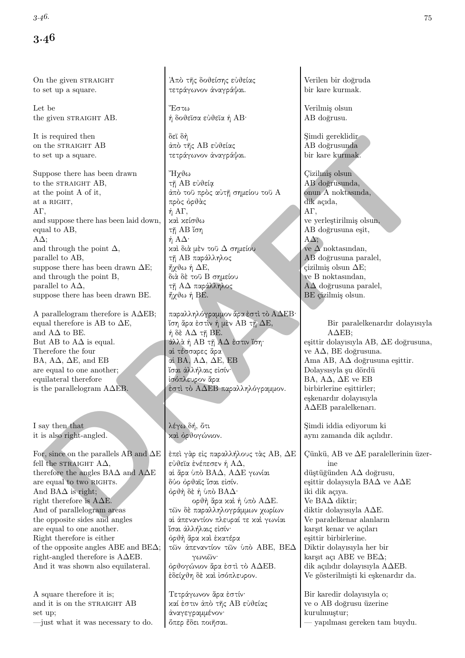# $3.46$

to set up a square.  $\frac{1}{k}$  τετράγωνον ἀναγράψαι.

Let be  ${}^{\circ}E\sigma\tau\omega$  Verilmiş olsun the given straight AB.  $\hat{\phi}$  δοθεῖσα εὐθεῖα ἡ AB· AB doğrusu.

is equival then a state of the strengthenium of the strengthenium of the strengthenium of the strengthenium of the strengthenium of the strengthenium of the strengthenium of the strengthenium of the strengthenium of the s to the straight AB,  $\tau \tilde{p}$  AB εὐθεία AB doğrusunda, at the point A of it,  $\alpha$  από τοῦ πρὸς αὐτῆ σημείου τοῦ A onun A noktasında, at a RIGHT,  $πρòς όρθα<sub>ς</sub>$  dik açıda,  $\Lambda \Gamma$ ,  $\Lambda \Gamma$ ,  $\Lambda \Gamma$ ,  $\Lambda \Gamma$ ,  $\Lambda \Gamma$ and suppose there has been laid down, | καὶ κείσθω ve yerleştirilmiş olsun, equal to AB,  $\tau_{\tilde{\eta}}$  AB  $\tilde{\sigma}_{\eta}$  AB  $\tilde{\sigma}_{\eta}$  AB doğrusuna eşit,  $A\Delta$ ;  $\qquad \qquad \qquad$   $\qquad \qquad$   $A\Delta$ ·  $\qquad \qquad$   $A\Delta$ ; and through the point Δ, καὶ διὰ μὲν τοῦ Δ σημείου ve Δ noktasından, parallel to AB,  $\tau$  π AB παράλληλος AB doğrusuna paralel, suppose there has been drawn  $\Delta E$ ;  $\int \tilde{\eta} \gamma \vartheta \omega \, \tilde{\eta} \, \Delta E$ , cizilmiş olsun  $\Delta E$ ; and through the point B,  $\delta \grave{\alpha} \delta \grave{\epsilon}$  τοῦ Β σημείου ve B noktasından, parallel to  $A\Delta$ ,  $\qquad \qquad$   $\qquad \qquad$  τῆ  $A\Delta$  παράλληλος  $\qquad \qquad$   $A\Delta$  doğrusuna paralel, suppose there has been drawn BE.  $\vert \eta \gamma \theta \omega \eta \rangle$  BE.

For, since on the parallels ΑΒ and ΔΕ ἐπεὶ γὰρ εἰς παραλλήλους τὰς ΑΒ, ΔΕ Çünkü, ΑΒ ve ΔΕ paralellerinin üzer-

A square therefore it is;  $\begin{array}{c|c}\n\text{Tetp\'aγωνον ἀρα ἀστίν} & \text{Bir karedir dolayısıyla o;} \\
\text{and it is on the STRAIGHT AB} & \text{αί Ἥστιν από της AB εύθείας} & \text{ve o AB doğrusu üzerinde.} \n\end{array}$ and it is on the STRAIGHT AB  $\vert$  καί έστιν άπὸ τῆς AB εὐθείας set up;  $\alpha_{\text{varyex}}$  αναγεγραμμένον· kurulmuştur;

—just what it was necessary to do. ὅπερ ἔδει ποιῆσαι. — yapılması gereken tam buydu.

On the given straight ᾿Απὸ τῆς δοθείσης εὐθείας Verilen bir doğruda

It is required then  $\delta \tilde{\epsilon} \tilde{\delta} \gamma$   $\delta \tilde{\epsilon}$ on the STRAIGHT AB  $\alpha \tilde{r}$   $\tilde{r}$  and  $\alpha$  and  $\alpha$  and  $\alpha$  are  $\alpha$  and  $\alpha$  are  $\alpha$  and  $\alpha$  are  $\alpha$  and  $\alpha$  are  $\alpha$  and  $\alpha$  are  $\alpha$  and  $\alpha$  are  $\alpha$  and  $\alpha$  are  $\alpha$  and  $\alpha$  are  $\alpha$  and  $\alpha$  are  $\alpha$  an to set up a square. τετράγωνον ἀναγράψαι. bir kare kurmak.

Suppose there has been drawn  $\mathcal{H}_{\chi\theta\omega}$   $\mathcal{H}_{\chi\theta\omega}$  (Gizilmiş olsun

A parallelogram therefore is ΑΔΕΒ; παραλληλόγραμμον ἄρα ἐστὶ τὸ ΑΔΕΒ· equal therefore is AB to  $\Delta E$ , (ζση ἄρα ἐστὶν ἡ μὲν AB τῆ  $\Delta E$ , Bir paralelkenardır dolayısıyla and  $A\Delta$  to BE.  $\hat{\eta}$  δὲ  $A\Delta \tau \tilde{\eta}$  BE.  $A\Delta EB$ ; But AB to  $A\Delta$  is equal.  $\alpha \lambda \lambda \alpha \gamma A B$  τῆ  $A\Delta \epsilon \sigma \tau \nu \gamma$  esittir dolayısıyla AB,  $\Delta E$  doğrusuna, Therefore the four  $\alpha$  τέσσαρες ἄρα ve ΑΔ, BE doğrusuna. ΒΑ, ΑΔ, ΔΕ, and EB  $\alpha$ i BA, AΔ, ΔΕ, EB Ama AB, AΔ doğrusuna eşittir. are equal to one another; («iσαι ἀλλήλαις εἰσίν· (Dolaysusyla su dördü equilateral therefore is a look in the intervention of the intervention of the BA, AΔ, ΔE ve EB is the parallelogram  $\Lambda \Delta$ EB. (εστὶ τὸ  $\Lambda \Delta$ EB παραλληλόγραμμον. (birbirlerine eşittirler;

fell the straight  $A\Delta$ ,  $\qquad$  εὐθεῖα ἐνέπεσεν ἡ Α $\Delta$ , ine therefore the angles ΒΑΔ and ΑΔΕ | αί ἄρα ὑπὸ ΒΑΔ, ΑΔΕ γωνίαι | düştüğünden ΑΔ doğrusu, are equal to two RIGHTs.  $\delta$  δύο ὀρθαῖς ἴσαι εἰσίν. esittir dolaysıyla ΒΑΔ ve ΑΔΕ And ΒΑΔ is right;  $\delta \rho \theta \eta \delta \epsilon \eta \theta \pi \delta B A \Delta \cdot$  iki dik açıya. right therefore is ΑΔΕ. ορθὴ ἄρα καὶ ἡ ὑπὸ ΑΔΕ. Ve ΒΑΔ diktir; And of parallelogram areas  $\tau$  τῶν δὲ παραλληλογράμμων χωρίων diktir dolayısıyla  $A\Delta E$ . the opposite sides and angles  $\alpha$  αι άπεναντίον πλευραί τε και γωνίαι Ve paralelkenar alanların are equal to one another. <sup>[</sup> ἴσαι ἀλλήλαις εἰσίν· [ karşıt kenar ve açıları] Right therefore is either  $\delta$ ρθὴ ἄρα καὶ ἑκατέρα esittir birbirlerine. of the opposite angles ΑΒΕ and ΒΕΔ; τῶν ἀπεναντίον τῶν ὑπὸ ΑΒΕ, ΒΕΔ Diktir dolayısıyla her bir right-angled therefore is ΑΔΕΒ. γωνιῶν· karşıt açı ΑΒΕ ve ΒΕΔ; And it was shown also equilateral.  $\phi$ φθογώνιον ἄρα ἐστὶ τὸ ΑΔΕΒ. dik açılıdır dolayısıyla ΑΔΕΒ.

eşkenardır dolayısıyla ΑΔΕΒ paralelkenarı.

I say then that  $\lambda$ έγω δή, ὅτι Simdi iddia ediyorum ki it is also right-angled.  $\alpha$ ι όρθογώνιον.  $\alpha$  aynı zamanda dik açılıdır.

ἐδείχθη δὲ καὶ ἰσόπλευρον. Ve gösterilmişti ki eşkenardır da.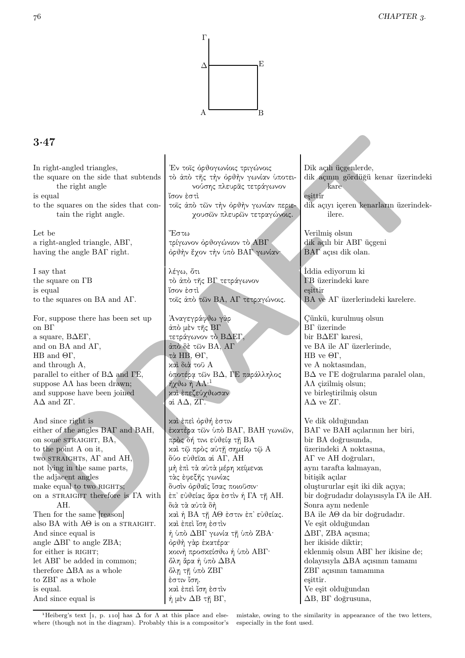

#### $3.47$

on BΓ **and μένιτης BΓ and μένιτης BΓ b BΓ** üzerinde a square, ΒΔΕΓ, τετράγωνον τὸ ΒΔΕΓ, bir ΒΔΕΓ karesi, and on ΒΑ and ΑΓ,  $\frac{\partial \pi \delta}{\partial \xi} \tau \tilde{\omega} \nu$  ΒΑ, ΑΓ ve ΒΑ ile AΓ üzerlerinde, HB and  $\Theta$ Γ,  $\tau \dot{\alpha}$  HB,  $\Theta$ Γ, HB ve ΘΓ, and through Α, καὶ διὰ τοῦ Α ve Α noktasından, parallel to either of ΒΔ and ΓΕ,  $\vert$  δποτέρα τῶν ΒΔ, ΓΕ παράλληλος  $\vert$  ΒΔ ve ΓΕ doğrularına paralel olan, suppose  $AA$  has been drawn;  $\tilde{\eta} \gamma \vartheta \omega \eta A \Lambda$ <sup>1</sup>  $AA$  (izilmiş olsun; and suppose have been joined  $\chi \alpha \lambda \epsilon \pi \xi \epsilon \gamma \vartheta \omega \sigma \alpha \nu$  ve birlestirilmiş olsun

And since right is  $\vert x\alpha\vert$  έπελ όρθή έστιν Ve dik olduğundan either of the angles ΒΑΓ and ΒΑΗ, ἑκατέρα τῶν ὑπὸ ΒΑΓ, ΒΑΗ γωνιῶν, ΒΑΓ ve ΒΑΗ açılarının her biri, on some straight, BA, πρὸς δή τινι εὐθεία τῆ BA bir BA doğrusunda, to the point Α on it, καὶ τῷ πρὸς αὐτῇ σημείῳ τῷ Α üzerindeki Α noktasına, two straights, AΓ and AH,  $\delta$ ύο εὐθεῖαι αί AΓ, AH  $\Delta$ Γ ve AH doğruları, not lying in the same parts,  $\mu \nmid \mu \nmid \epsilon \nmid \alpha$  αὐτὰ μέρη κείμεναι aynı tarafta kalmayan, the adjacent angles  $\tau \propto \frac{1}{\tau} \frac{1}{\tau} \frac{1}{\tau} \frac{1}{\tau} \frac{1}{\tau} \frac{1}{\tau} \frac{1}{\tau} \frac{1}{\tau} \frac{1}{\tau} \frac{1}{\tau} \frac{1}{\tau} \frac{1}{\tau} \frac{1}{\tau} \frac{1}{\tau} \frac{1}{\tau} \frac{1}{\tau} \frac{1}{\tau} \frac{1}{\tau} \frac{1}{\tau} \frac{1}{\tau} \frac{1}{\tau} \frac{1}{\tau} \frac{1}{\tau} \frac{1}{\tau} \frac{$ make equal to two RIGHTs;<br>
on a STRAIGHT therefore is ΓΑ with  $\begin{vmatrix} \delta v \sigma v & \delta \rho \theta \alpha \zeta & \delta \sigma \alpha \zeta & \tau o \omega \delta \sigma v \\ \epsilon \pi & \epsilon v \theta \epsilon & \alpha \zeta & \epsilon \sigma \tau v & \eta \Delta + \pi \gamma \Delta H. \end{vmatrix}$  bir doğrudadır dolayısısvla ΓΑ Then for the same reason  $\alpha$  λειλή ΒΑ τῆ ΑΘ ἐστιν ἐπ' εὐθείας. BA ile AΘ da bir doğrudadır. also BA with AΘ is on a straight. | καὶ ἐπεὶ ἴση ἐστὶν | Ve eşit olduğundan And since equal is  $\iint \tilde{\eta} \, \tilde{\upsilon} \pi \tilde{\upsilon} \Delta B \Gamma \, \gamma \omega \nu (\alpha \tau \tilde{\eta} \, \tilde{\upsilon} \pi \tilde{\upsilon} \, \tilde{\lambda} \, B \Gamma \cdot \Delta B \Gamma \cdot \Delta B \Gamma \cdot \Delta B \Gamma \cdot \Delta B \Gamma \cdot \Delta B \Gamma \cdot \Delta B \Gamma \cdot \Delta B \Gamma \cdot \Delta B \Gamma \cdot \Delta B \Gamma \cdot \Delta B \Gamma \cdot \Delta B \Gamma \cdot \Delta B \Gamma \cdot \Delta B \Gamma \cdot \Delta B \Gamma \cdot \Delta B \Gamma \cdot \Delta B \Gamma \cdot \Delta B \Gamma \$ angle ΔΒΓ to angle ZBA;  $\delta \rho \vartheta \gamma \gamma \alpha \rho \epsilon x$ ατέρα· her ikiside diktir; for either is right; κοινὴ προσκείσθω ἡ ὑπὸ ΑΒΓ· eklenmiş olsun ΑΒΓ her ikisine de; let ABΓ be added in common;  $\delta \lambda n \frac{\delta \alpha}{} \frac{\delta n}{\delta} \Delta BA$  dolayısıyla ΔBA acısının tamamı therefore ΔΒΑ as a whole ὅλῃ τῇ ὑπὸ ΖΒΓ ΖΒΓ açısının tamamına to  $ZBT$  as a whole  $\left| \right.$  έστιν ἴση. is equal. (και έπει τον φαινό και έπει το στηλεύτου του Ve eşit olduğundan And since equal is  $\hat{\eta} \mu \hat{\epsilon} \nu \Delta B \tau \tilde{\eta} B \Gamma$ ,  $\Delta B, B \Gamma$  doğrusuna,

In right-angled triangles, <sup>7</sup>Eν τοῖς ὀρθογωνίοις τριγώνοις Dik açılı üçgenlerde, the square on the side that subtends τὸ ἀπὸ τῆς τὴν ὀρθὴν γωνίαν ὑποτει- dik açının gördüğü kenar üzerindeki the right angle  $\vert$  νούσης πλευράς τετράγωνον  $\vert$  kare is equal ἴσον ἐστὶ eşittir to the squares on the sides that con- τοῖς ἀπὸ τῶν τὴν ὀρθὴν γωνίαν περιε- dik açıyı içeren kenarların üzerindektain the right angle.  $\gamma$  γουσῶν πλευρῶν τετραγώνοις. ilere.

Let be  $\mathbb{F}$  τω  $\mathbb{F}$  Verilmis olsun Verilmiş olsun Verilmiş olsun Verilmiş olsun Verilmiş olsun Verilmiş olsun Verilmiş olsun Verilmiş olsun Verilmiş olsun Verilmiş olsun Verilmiş olsun Verilmiş olsun Verilmiş olsu a right-angled triangle, ΑΒΓ, τρίγωνον ὀρθογώνιον τὸ ΑΒΓ dik açılı bir ΑΒΓ üçgeni having the angle ΒΑΓ right.  $\delta \rho \theta \hat{n} \times \hat{\sigma} \rho \hat{n} \times \hat{\sigma}$  ΒΑΓ γωνίαν· BAΓ açısı dik olan.

I say that  $\lambda \epsilon \gamma \omega$ , ότι **iddia ediyorum ki** the square on ΓΒ (τὸ ἀπὸ τῆς ΒΓ τετράγωνον ΓΒ üzerindeki kare is equal is equal is equal is equal is equal is equal is equal is equal is equal is equal is equal is equal is  $\sim$  existing is equal is equal is equal is equal is equal is equal is equal is equal is equal is equal is equ to the squares on ΒΑ and ΑΓ. τοῖς ἀπὸ τῶν ΒΑ, ΑΓ τετραγώνοις. ΒΑ ve ΑΓ üzerlerindeki karelere.

For, suppose there has been set up <sup>[</sup>Άναγεγράφθω γὰρ *[Cünkü, kurulmuş olsun]*  $A\Delta$  and ZΓ.  $\alpha$   $\alpha$   $A\Delta$ , ZΓ.  $\beta$   $\alpha$   $A\Delta$  ve ZΓ.

ΑΗ. διὰ τὰ αὐτὰ δὴ Sonra aynı nedenle

47<br>
Twittensplere that such the splerion of the splerion of the splerion of the splerion of the splerion of the splerion of the splerion of the splerion of the splerion of the splerion of the splerion of the splerion of on a straight therefore is ΓΑ with ἐπ᾿ εὐθείας ἄρα ἐστὶν ἡ ΓΑ τῇ ΑΗ. bir doğrudadır dolayısısyla ΓΑ ile ΑΗ.

mistake, owing to the similarity in appearance of the two letters, especially in the font used.

<sup>&</sup>lt;sup>1</sup>Heiberg's text [1, p. 110] has  $\Delta$  for  $\Lambda$  at this place and elsewhere (though not in the diagram). Probably this is a compositor's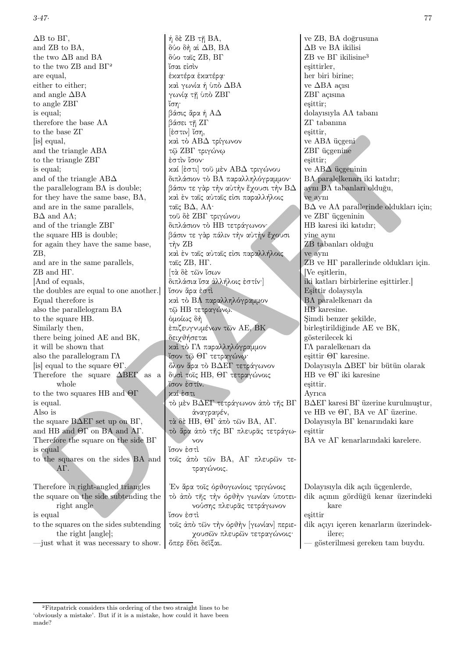$3.47 \cdot$ 

 $\Delta B$  to BΓ,  $\hat{\phi}$  δὲ ZB τῆ BA,  $\psi$  ve ZB, BA doğrusuna to the two ZB and  $\mathrm{B} \Gamma^2$ also the parallelogram ΓΛ ((σον τῶ ΘΓ τετραγώνω· is equal <sup>«</sup> του επιλευτικό προσφειλεί του επιλευτικό προσφειλεί του επιλευτικό προσφειλεί του επιλευτικό προσφειλεί του επιλευτικό προσφειλεί του επιλευτικό προσφειλεί του επιλευτικό προσφειλεί του επιλευτικό προσφειλεί ΑΓ. τραγώνοις. is equal ἴσον ἐστὶ eşittir to the squares on the sides subtending  $\frac{1}{10}$  τοῖς ἀπὸ τῶν τὴν ὀρθὴν [γωνίαν] περιε- dik açıyı içeren kenarların üzerindek-

—just what it was necessary to show. ὅπερ ἔδει δεῖξαι. — gösterilmesi gereken tam buydu.

(complete the spin of the relation of the spin of the spin of the spin of the spin of the spin of the spin of the spin of the spin of the spin of the spin of the spin of the spin of the spin of the spin of the spin of the and ZB to BA,  $\delta \circ \delta \chi \Delta B$ , BA  $\Delta B$   $\Delta B$  ve BA ikilisi the two ΔB and BA  $\delta$ <sup>2</sup> δύο ταῖς ZB, BΓ  $\vert$  ZB ve BΓ ikilisine<sup>3</sup> ἴσαι εἰσὶν eşittirler, are equal,  $\frac{1}{2}$  εκατέρα έκατέρα· her biri birine; either to either;  $\vert x\alpha\vert \gamma\omega\sqrt{\alpha} \eta \omega\pi \Delta B$  ve ΔBA açısı and angle ΔΒΑ γωνίᾳ τῇ ὑπὸ ΖΒΓ ΖΒΓ açısına to angle ΖΒΓ ἴση· eşittir; is equal;  $\beta$ άσις ἄρα ἡ ΑΔ dolayısıyla ΑΛ tabanı therefore the base AΛ βάσει τῆ ZΓ (βάσει τῆ ZΓ τabanına to the base ΖΓ [ἐστιν] ἴση, eşittir,  $\begin{bmatrix} \text{is} \end{bmatrix}$  equal,  $\begin{bmatrix} x\alpha \alpha + b \end{bmatrix}$   $\begin{bmatrix} x\alpha + b \end{bmatrix}$   $\begin{bmatrix} x\alpha + b \end{bmatrix}$   $\begin{bmatrix} x\alpha + b \end{bmatrix}$   $\begin{bmatrix} y\alpha + b \end{bmatrix}$   $\begin{bmatrix} y\alpha + b \end{bmatrix}$   $\begin{bmatrix} y\alpha + b \end{bmatrix}$   $\begin{bmatrix} y\alpha + b \end{bmatrix}$   $\begin{bmatrix} y\alpha + b \end{bmatrix}$   $\begin{bmatrix} y\alpha + b$ and the triangle ABΛ  $\tau$ <sub>Φ</sub> ZBΓ τριγώνῳ ZBΓ üçgenine to the triangle ZBΓ <u>έστ</u>ιν ἴσον· εξίστε επιτροποιείτες εξετάσον· is equal;  $\vert x\alpha\vert$  [εστι] τοῦ μὲν ΑΒΔ τριγώνου ve ΑΒΔ üçgeninin and of the triangle  $AB\Delta$   $\delta\pi\lambda\phi\sigma\omega$  το  $BA\pi\alpha\phi\lambda\lambda\eta\lambda\phi\gamma\phi\gamma\mu\mu\omega$   $\Delta B\Lambda$  paralelkenari iki katıdır; the parallelogram ΒΛ is double; βάσιν τε γὰρ τὴν αὐτὴν ἔχουσι τὴν ΒΔ aynı ΒΛ tabanları olduğu, for they have the same base, ΒΛ, καὶ ἐν ταῖς αὐταῖς εἰσι παραλλήλοις ve aynı and are in the same parallels,  $\tau$   $\alpha\bar{\alpha} \in BA$ ,  $AA$ ·  $\beta\Delta$  and  $\alpha$  are  $AA$  parallerinde oldukları için; BΔ and AΛ;  $\vert \overline{\text{to} \theta}$  δε ZBΓ τριγώνου ve ZBΓ üçgeninin and of the triangle ZBΓ διπλάσιον τὸ HB τετράγωνον<sup>·</sup> HB karesi iki katıdır; the square HB is double;  $\beta$ άσιν τε γὰρ πάλιν τὴν αὐτὴν ἔχουσι | yine aynı for again they have the same base, τὴν ΖΒ ΖΒ tabanları olduğu ZB, καὶ ἐν ταῖς αὐταῖς εἰσι παραλλήλοις νε aynı and are in the same parallels, ταῖς ΖΒ, ΗΓ. ΖΒ ve ΗΓ parallerinde oldukları için. ZB and HΓ. [τὰ δὲ τῶν ἴσων [/ [τὰ δε τῶν - [| [τὰ δε τῶν - [| [ve esitlerin, [And of equals, διπλάσια ἴσα ἀλλήλοις ἐστίν·] iki katları birbirlerine eşittirler.] the doubles are equal to one another.] ἴσον ἄρα ἐστὶ Eşittir dolaysıyla Equal therefore is  $\vert x\alpha\vert$  τὸ ΒΛ παραλληλόγραμμον ΒΛ paralelkenarı da also the parallelogram ΒΛ  $\tau$ <sub>Φ</sub> ΗΒ τετραγώνῳ. HB karesine. to the square HB. (διαφύλες δή) Simdi benzer şekilde, Similarly then,  $\frac{\partial \pi}{\partial \xi}$  επιζευγνυμένων τῶν ΑΕ, ΒΚ birlestirildiğinde ΑΕ ve ΒΚ, there being joined AE and BK, δειχθήσεται gösterilecek ki it will be shown that καὶ τὸ ΓΛ παραλληλόγραμμον ΓΛ paralelkenarı da<br>also the paralelogram ΓΛ ((σον τῶ ΘΓ τετραγώνω) και επίτε ΘΓ karesine. [is] equal to the square ΘΓ. ὅλον ἄρα τὸ ΒΔΕΓ τετράγωνον Dolayısıyla ΔΒΕΓ bir bütün olarak Therefore the square  $\triangle$ BEI as a  $\triangle$  δυσὶ τοῖς HB, ΘΓ τετραγώνοις HB ve ΘΓ iki karesine whole  $\qquad \qquad$  (τον έστίν. esittir. to the two squares HB and ΘΓ καί έστι Ayrıca is equal. <u>Γενικά του του επιβάνει του εναλύθηση του από της ΒΓ</u> ΒΔΕΓ karesi ΒΓ üzerine kurulmuştur, Also is <sup>«λυγραφέν, εναι τη διαφορά της</sup> εναλύτερησής στο την εναλύτερη της ΗΒ ve ΘΓ, ΒΑ ve ΑΓ üzerine. the square ΒΔΕΓ set up on BΓ,  $\tau \dot{\alpha} \delta \dot{\epsilon}$  HB, ΘΓ ἀπὸ τῶν ΒΑ, ΑΓ. Dolayısıyla BΓ kenarındaki kare and HB and ΘΓ on BA and AΓ. (τὸ ἄρα ἀπὸ τῆς ΒΓ πλευρᾶς τετράγω- eşittir Therefore the square on the side ΒΓ νον νον ΒΑ νε ΑΓ kenarlarındaki karelere. to the squares on the sides ΒΑ and τοῖς ἀπὸ τῶν ΒΑ, ΑΓ πλευρῶν τε-Therefore in right-angled triangles <sup>[γ</sup>Εν ἄρα τοῖς ὀρθογωνίοις τριγώνοις [Dolayısıyla dik açılı üçgenlerde, the square on the side subtending the  $\tau$ ό άπὸ τῆς τὴν ὀρθὴν γωνίαν ὑποτει- dik açının gördüğü kenar üzerindeki right angle  $\sim$  νούσης πλευρᾶς τετράγωνον kare

the right [angle];  $\gamma$ ουσῶν πλευρῶν τετραγώνοις· ilere;

Fitzpatrick considers this ordering of the two straight lines to be 'obviously a mistake'. But if it is a mistake, how could it have been made?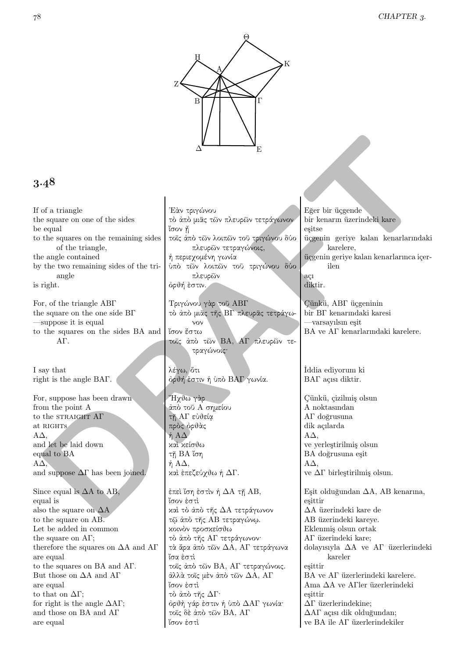

## $3.48$

For, of the triangle ΑΒΓ Τριγώνου γὰρ τοῦ ΑΒΓ Çünkü, ΑΒΓ üçgeninin the square on the one side ΒΓ τὸ ἀπὸ μιᾶς τῆς ΒΓ πλευρᾶς τετράγω- bir ΒΓ kenarındaki karesi —suppose it is equal νον — varsayılsın eşit<br>to the squares on the sides BA and ίσον έστω<br>BA ve AT kenarlarındaki karelere. to the squares on the sides  $BA$  and  $\frac{1}{10}$  (σον έστω

For, suppose has been drawn  $\mathcal{H}_{Y}$ θω γὰρ  $\mathcal{H}_{Y}$ θω γὰρ  $\mathcal{H}_{Y}$ from the point A  $\hat{\alpha}$ πὸ τοῦ Α σημείου A noktasından to the STRAIGHT AΓ<br>at RIGHTS  $\pi \delta c \delta \phi \delta c$ <br> $\pi \delta c \delta \phi \delta c$  $A\Delta$ ,  $\hat{\eta} A\Delta$   $A\Delta$ ,  $A\Delta$ and let be laid down  $\alpha$  καὶ κείσθω ve yerleştirilmiş olsun equal to ΒΑ τῇ ΒΑ ἴση ΒΑ doğrusuna eşit  $A\Delta$ ,  $\qquad \qquad \mid A\Delta$ ,  $\qquad \qquad \mid A\Delta$ , and suppose ΔΓ has been joined. καὶ ἐπεζεύχθω ἡ ΔΓ. ve ΔΓ birleştirilmiş olsun.

equal is a contract of τρίψει του διατήρηση στη συνεργασία της εξίτες της εξίτες της εξίτες της εξίτες της εξί also the square on  $\Delta A$  (καὶ τὸ ἀπὸ τῆς  $\Delta A$  τετράγωνον (ΔA üzerindeki kare de to the square on AB.  $\frac{1}{\tau\omega} \frac{\partial \pi}{\partial \tau}$  τω  $\frac{\partial \pi}{\partial \tau}$  της AB τετραγώνω. AB üzerindeki kareve. Let be added in common κοινὸν προσκείσθω Eklenmiş olsun ortak the square on AΓ;  $\vert \tau \delta \dot{\alpha} \pi \delta \tau \eta \zeta A$ Γ τετράγωνον· therefore the squares on ΔΑ and ΑΓ | τὰ ἄρα ἀπὸ τῶν ΔΑ, ΑΓ τετράγωνα | dolayısıyla ΔΑ ve ΑΓ üzerlerindeki are equal <del>(«ται έσα έστὶ και επιστημεί</del>» του κατεί to the squares on BA and AΓ.  $\vert$  τοῖς ἀπὸ τῶν ΒΑ, ΑΓ τετραγώνοις.  $\vert$  eşittir But those on ΔΑ and AΓ  $\delta\lambda\lambda\alpha$  τοῖς μὲν ἀπὸ τῶν ΔΑ, AΓ BA ve AΓ üzerlerindeki karelere. are equal <sup>[ [</sup>σον ἐστὶ | Μπα ΔΑ ve AΓler üzerlerindeki to that on  $\Delta \Gamma$ ;<br>for right is the angle  $\Delta A \Gamma$ :<br> $\begin{bmatrix} \tau \delta & \alpha \tau \delta & \tau \gamma \delta & \Delta \Gamma \\ \delta \rho \vartheta \eta & \gamma \alpha \rho & \epsilon \sigma \tau \nu & \eta \vartheta \tau \delta & \Delta A \Gamma \gamma \omega \nu \alpha \end{bmatrix}$  esittir<br> $\Delta \Gamma$  üzerlerindekine; for right is the angle  $\Delta$ AΓ;  $\delta \rho \vartheta \eta \gamma \varphi \rho \dot{\epsilon} \sigma \tau \omega \eta \dot{\eta} \dot{\nu} \pi \dot{\sigma} \Delta A \Gamma \gamma \omega \nu \dot{\alpha}$ and those on ΒΑ and ΑΓ τοῖς δὲ ἀπὸ τῶν ΒΑ, ΑΓ ΔΑΓ açısı dik olduğundan; are equal <sup>(</sup> (σον ἐστὶ νε ΒΑ ile ΑΓ üzerlerindekiler

48<br>
48<br>
of a triangle<br>
square on one of the sides<br>
vegate of the sides<br>
vegate of the sides<br>
vegate of the sides<br>
vegate of the sides<br>
the converse on the remaining sides of the sides<br>
the conversion of the sides<br>
the con If of a triangle ᾿Εὰν τριγώνου Eğer bir üçgende the square on one of the sides  $|\vec{\tau} \rangle$  τὸ ἀπὸ μιᾶς τῶν πλευρῶν τετράγωνον bir kenarın üzerindeki kare be equal  $\delta$  (σον  $\tilde{\eta}$  / eşitse to the squares on the remaining sides  $\frac{1}{10}$  τοῖς ἀπὸ τῶν λοιπῶν τοῦ τριγώνου δύο  $\frac{1}{10}$  üçgenin geriye kalan kenarlarındaki of the triangle, πλευρῶν τετραγώνοις, karelere, the angle contained  $\eta$  περιεχομένη γωνία üçgenin geriye kalan kenarlarınca içerby the two remaining sides of the tri- ὑπὸ τῶν λοιπῶν τοῦ τριγώνου δύο ilen angle angle πλευρῶν πλευρών αςι is right.  $\phi$ θή έστιν. diktir.

ΑΓ. τοῖς ἀπὸ τῶν ΒΑ, ΑΓ πλευρῶν τετραγώνοις·

I say that  $\lambda \xi$ γω, ὅτι **iddia ediyorum ki** right is the angle ΒΑΓ.  $\delta \rho \vartheta \eta \dot{\epsilon} \sigma \tau \nu \dot{\eta} \dot{\nu} \pi \dot{\delta} B \Delta \Gamma \gamma \omega \nu \dot{\alpha}.$  BAT açısı diktir.

πρὸς ὀρθὰς  $\mathring{\eta}$  AΔ,  $\mathring{\eta}$ 

Since equal is ΔA to AB,  $\left| \begin{array}{c} \epsilon \text{arrows} \\ \epsilon \text{arrows} \end{array} \right|$  is  $\Delta A$  τη  $\Delta A$ ,  $\Delta B$ ,  $\left| \begin{array}{c} E \text{s} \\ E \text{s} \end{array} \right|$  and  $\Delta A$ , AB kenarına,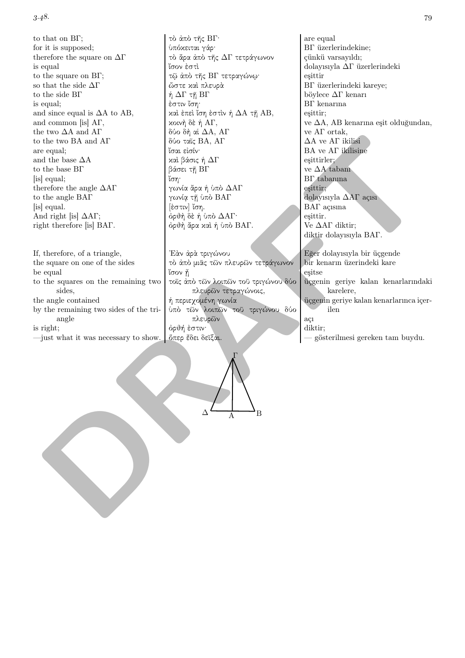$3.48.$  (19)

to that on BΓ;  $\vert \tau \delta \dot{\alpha} \pi \delta \tau \eta \varsigma \text{ B} \Gamma$  are equal to the two BA and  $\mathbf{A}\Gamma$ 

If, therefore, of a triangle, ᾿Εὰν ἀρὰ τριγώνου Eğer dolayısıyla bir üçgende the square on one of the sides τὸ ἀπὸ μιᾶς τῶν πλευρῶν τετράγωνον bir kenarın üzerindeki kare be equal ἴσον ᾖ eşitse to the squares on the remaining two τοῖς ἀπὸ τῶν λοιπῶν τοῦ τριγώνου δύο üçgenin geriye kalan kenarlarındaki the angle contained  $\eta$  περιεχομένη γωνία üçgenin geriye kalan kenarlarınca içerby the remaining two sides of the tri- | ὑπὸ τῶν λοιπῶν τοῦ τριγώνου δύο | ilen is right;<br>  $\begin{bmatrix} \phi \rho \vartheta \eta & \phi \sigma \tau \nu \\ \sigma \tau \epsilon \rho & \epsilon \nu \end{bmatrix}$  diktir;<br>  $\begin{bmatrix} \text{diktir;} \\ - \text{gösterilmesi gereken tam buydu.} \end{bmatrix}$ —just what it was necessary to show.  $\frac{8}{3}$ περ έδει δεῖξαι.

for it is supposed;<br>
therefore the square on  $\Delta \Gamma$   $\downarrow$  το άρα άπο της  $\Delta \Gamma$  τετράγωνον  $\downarrow$  BΓ üzerlerindekine;<br>
cünkü varsavıldı: therefore the square on  $\Delta \Gamma$   $\tau$  το άρα από της  $\Delta \Gamma$  τετράγωνον is equal (<del>«του έστι» (στι στου επιλε</del>ί dolayısıyla ΔΓ üzerlerindeki to the square on ΒΓ; τῷ ἀπὸ τῆς ΒΓ τετραγώνῳ· eşittir so that the side  $\Delta \Gamma$  (  $\delta$ στε καὶ πλευρὰ  $\text{B} \Gamma$  üzerlerindeki kareye; to the side BΓ  $\hat{\eta} \Delta \Gamma \tau \tilde{\eta}$  BΓ  $\hat{\eta} \Delta \Gamma \tau \tilde{\eta}$  böylece  $\Delta \Gamma$  kenarı is equal; sequal; sequal; sequal; sequal; sequal; sequal; sequal; sequal; sequal; sequal; sequal; sequal; sequal; sequal; sequal; sequal; sequal; sequal; sequal; sequal; sequal; sequal; sequal; sequal; sequal; sequal; seq and since equal is  $\Delta A$  to  $AB$ ,  $\downarrow \chi \chi$  έπεὶ ἴση ἐστὶν ἡ  $\Delta A$  τῆ  $AB$ , eşittir; δύο δὴ αί ΔΑ, ΑΓ  $\begin{array}{c|c}\n\text{No} & \text{No} & \text{No} \\
\text{No} & \text{No} & \text{No} & \text{No} \\
\text{No} & \text{No} & \text{No} & \text{No} \\
\text{No} & \text{No} & \text{No} & \text{No} \\
\end{array}$ are equal;  $\delta \alpha$  εἰσίν· BA ve AΓ ikilisine and the base  $\Delta A$   $\qquad \qquad$   $\times$   $\alpha$  βάσις ή  $\Delta \Gamma$  esittirler; to the base BΓ βάσει τῆ BΓ  $\beta$  βάσει τῆ BΓ  $\alpha$  Ve ΔA tabanı BΓ tabanına [is] equal; ἴση· ΒΓ tabanına therefore the angle  $\Delta$ AΓ  $\gamma$ ωνία ἄρα ἡ ὑπὸ  $\Delta$ AΓ eşittir; to the angle ΒΑΓ  $\gamma$ ωνία τῆ ὑπὸ ΒΑΓ dolayısıyla ΔΑΓ açısı [is] equal. [ἐστιν] ἴση. ΒΑΓ açısına And right [is]  $\Delta A\Gamma$ ;  $\phi \partial \theta \partial \theta$  δε ή υπό  $\Delta A\Gamma$ · eşittir. right therefore [is] ΒΑΓ. ὀρθὴ ἄρα καὶ ἡ ὑπὸ ΒΑΓ. Ve ΔΑΓ diktir;

sides, κατεραγώνοις, κατεραγώνοις, κατεραγώνοις, κατεραγώνοις, κατεραγώνοις, κατερικά angle according πλευρῶν πλευρών αςι

Γ

 $\overline{A}$  B

Δ

the team Of Alexander Control of the space of the space of the space of the space of the space of the space of the space of the space of the space of the space of the space of the space of the space of the space of the sp and common [is]  $\text{AP}$ ,  $\begin{bmatrix} \text{X} & \text{X} \\ \text{X} & \text{X} \\ \text{X} & \text{X} \end{bmatrix}$   $\begin{bmatrix} \text{X} & \text{X} \\ \text{X} & \text{Y} \\ \text{X} & \text{X} \end{bmatrix}$   $\begin{bmatrix} \text{X} & \text{X} \\ \text{X} & \text{X} \\ \text{X} & \text{X} \end{bmatrix}$   $\begin{bmatrix} \text{X} & \text{X} \\ \text{X} & \text{X} \\ \text{X} & \text{X} \end{b$ diktir dolayısıyla ΒΑΓ.